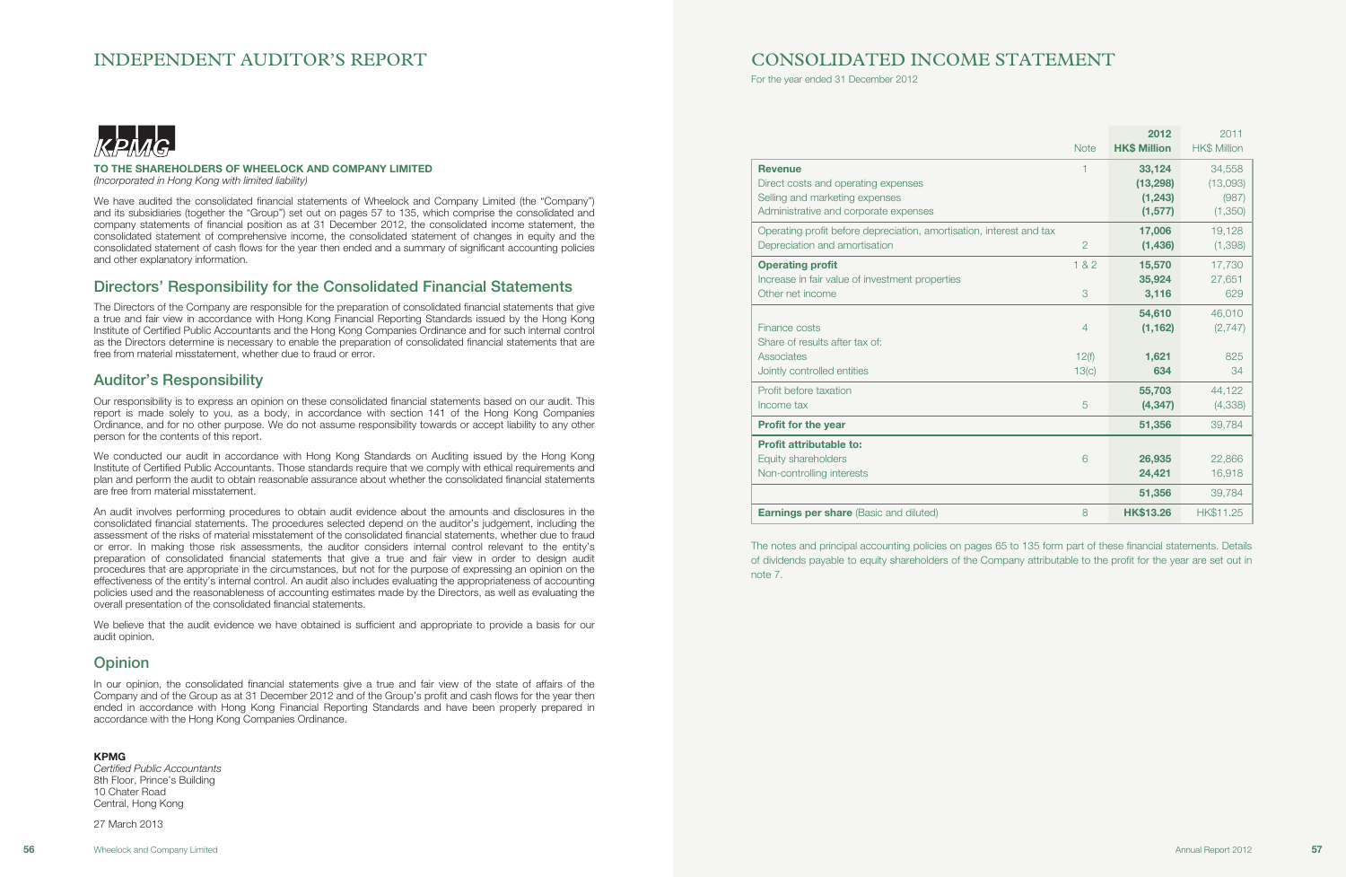## INDEPENDENT AUDITOR'S REPORT



### TO THE SHAREHOLDERS OF WHEELOCK AND COMPANY LIMITED

(Incorporated in Hong Kong with limited liability)

We have audited the consolidated financial statements of Wheelock and Company Limited (the "Company") and its subsidiaries (together the "Group") set out on pages 57 to 135, which comprise the consolidated and company statements of financial position as at 31 December 2012, the consolidated income statement, the consolidated statement of comprehensive income, the consolidated statement of changes in equity and the consolidated statement of cash flows for the year then ended and a summary of significant accounting policies and other explanatory information.

## Directors' Responsibility for the Consolidated Financial Statements

The Directors of the Company are responsible for the preparation of consolidated financial statements that give a true and fair view in accordance with Hong Kong Financial Reporting Standards issued by the Hong Kong Institute of Certified Public Accountants and the Hong Kong Companies Ordinance and for such internal control as the Directors determine is necessary to enable the preparation of consolidated financial statements that are free from material misstatement, whether due to fraud or error.

## Auditor's Responsibility

Our responsibility is to express an opinion on these consolidated financial statements based on our audit. This report is made solely to you, as a body, in accordance with section 141 of the Hong Kong Companies Ordinance, and for no other purpose. We do not assume responsibility towards or accept liability to any other person for the contents of this report.

We conducted our audit in accordance with Hong Kong Standards on Auditing issued by the Hong Kong Institute of Certified Public Accountants. Those standards require that we comply with ethical requirements and plan and perform the audit to obtain reasonable assurance about whether the consolidated financial statements are free from material misstatement.

An audit involves performing procedures to obtain audit evidence about the amounts and disclosures in the consolidated financial statements. The procedures selected depend on the auditor's judgement, including the assessment of the risks of material misstatement of the consolidated financial statements, whether due to fraud or error. In making those risk assessments, the auditor considers internal control relevant to the entity's preparation of consolidated financial statements that give a true and fair view in order to design audit procedures that are appropriate in the circumstances, but not for the purpose of expressing an opinion on the effectiveness of the entity's internal control. An audit also includes evaluating the appropriateness of accounting policies used and the reasonableness of accounting estimates made by the Directors, as well as evaluating the overall presentation of the consolidated financial statements.

We believe that the audit evidence we have obtained is sufficient and appropriate to provide a basis for our audit opinion.

## **Opinion**

In our opinion, the consolidated financial statements give a true and fair view of the state of affairs of the Company and of the Group as at 31 December 2012 and of the Group's profit and cash flows for the year then ended in accordance with Hong Kong Financial Reporting Standards and have been properly prepared in accordance with the Hong Kong Companies Ordinance.

#### KPMG

Certified Public Accountants 8th Floor, Prince's Building 10 Chater Road Central, Hong Kong

27 March 2013

## CONSOLIDATED INCOME STATEMENT

For the year ended 31 December 2012

#### **Operating profit**

|                                                                                                | <b>Note</b>    | 2012<br><b>HK\$ Million</b> | 2011<br><b>HK\$ Million</b> |
|------------------------------------------------------------------------------------------------|----------------|-----------------------------|-----------------------------|
| <b>Revenue</b>                                                                                 | 1              | 33,124                      | 34,558                      |
| Direct costs and operating expenses                                                            |                | (13, 298)                   | (13,093)                    |
| Selling and marketing expenses                                                                 |                | (1, 243)                    | (987)                       |
| Administrative and corporate expenses                                                          |                | (1, 577)                    | (1,350)                     |
| Operating profit before depreciation, amortisation, interest and tax                           | $\overline{2}$ | 17,006                      | 19,128                      |
| Depreciation and amortisation                                                                  |                | (1, 436)                    | (1,398)                     |
| <b>Operating profit</b><br>Increase in fair value of investment properties<br>Other net income | 182<br>3       | 15,570<br>35,924            | 17,730<br>27,651            |
| Finance costs<br>Share of results after tax of:                                                | 4              | 3,116<br>54,610<br>(1, 162) | 629<br>46,010<br>(2,747)    |
| Associates                                                                                     | 12(f)          | 1,621                       | 825                         |
| Jointly controlled entities                                                                    | 13(c)          | 634                         | 34                          |
| Profit before taxation                                                                         | 5              | 55,703                      | 44,122                      |
| Income tax                                                                                     |                | (4, 347)                    | (4, 338)                    |
| Profit for the year                                                                            |                | 51,356                      | 39,784                      |
| Profit attributable to:                                                                        | 6              | 26,935                      | 22,866                      |
| Equity shareholders                                                                            |                | 24,421                      | 16,918                      |
| Non-controlling interests                                                                      |                | 51,356                      | 39,784                      |
| <b>Earnings per share</b> (Basic and diluted)                                                  | 8              | <b>HK\$13.26</b>            | HK\$11.25                   |

#### Profit for the year

The notes and principal accounting policies on pages 65 to 135 form part of these financial statements. Details of dividends payable to equity shareholders of the Company attributable to the profit for the year are set out in note 7.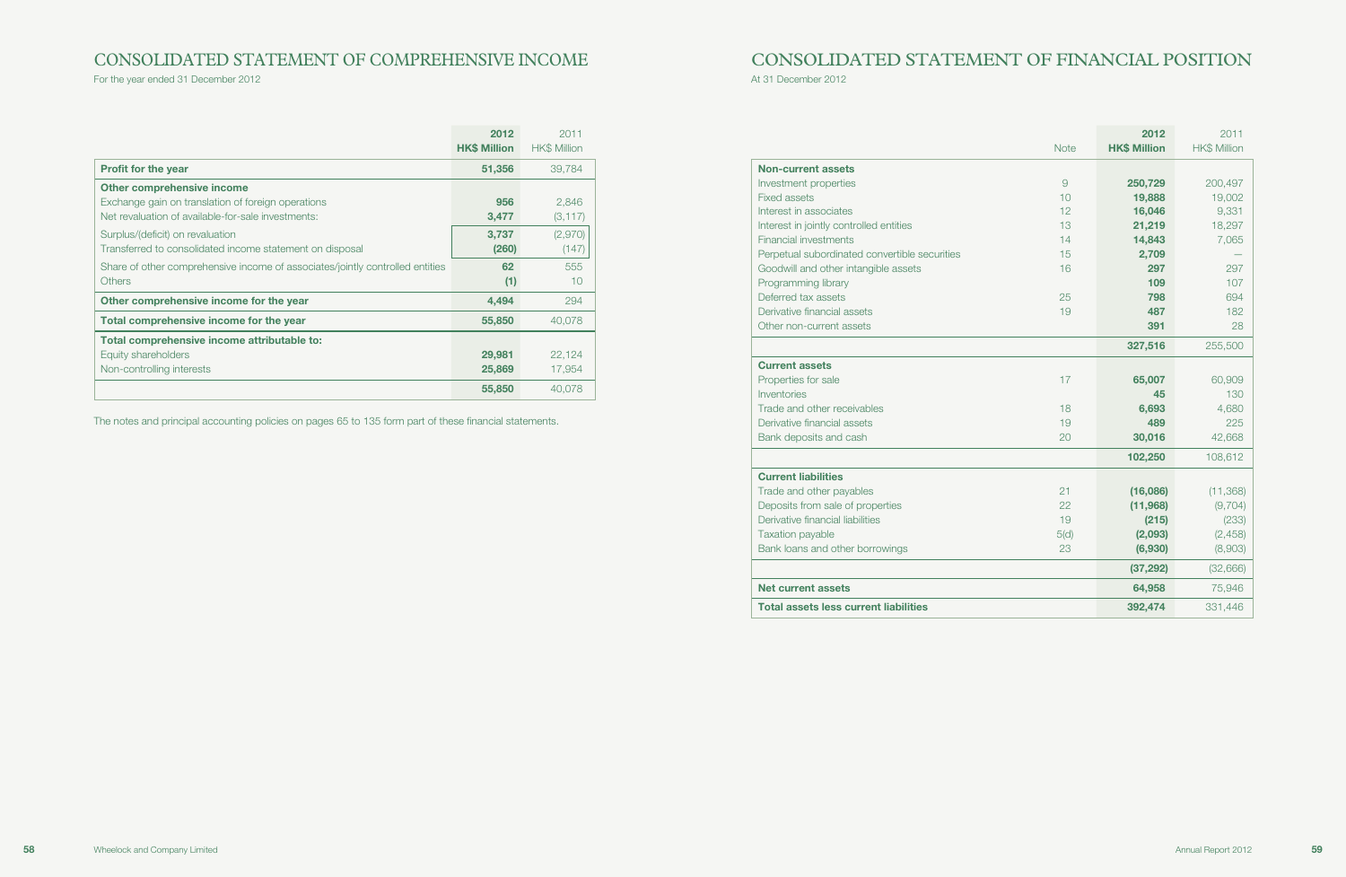# CONSOLIDATED STATEMENT OF COMPREHENSIVE INCOME

For the year ended 31 December 2012

|                                                                               | 2012                | 2011                |
|-------------------------------------------------------------------------------|---------------------|---------------------|
|                                                                               | <b>HK\$ Million</b> | <b>HK\$ Million</b> |
| <b>Profit for the year</b>                                                    | 51,356              | 39.784              |
| <b>Other comprehensive income</b>                                             |                     |                     |
| Exchange gain on translation of foreign operations                            | 956                 | 2,846               |
| Net revaluation of available-for-sale investments:                            | 3,477               | (3, 117)            |
| Surplus/(deficit) on revaluation                                              | 3,737               | (2,970)             |
| Transferred to consolidated income statement on disposal                      | (260)               | (147)               |
| Share of other comprehensive income of associates/jointly controlled entities | 62                  | 555                 |
| <b>Others</b>                                                                 | (1)                 | 10                  |
| Other comprehensive income for the year                                       | 4,494               | 294                 |
| Total comprehensive income for the year                                       | 55,850              | 40,078              |
| Total comprehensive income attributable to:                                   |                     |                     |
| Equity shareholders                                                           | 29,981              | 22,124              |
| Non-controlling interests                                                     | 25,869              | 17,954              |
|                                                                               | 55,850              | 40,078              |

The notes and principal accounting policies on pages 65 to 135 form part of these financial statements.

# CONSOLIDATED STATEMENT OF FINANCIAL POSITION

At 31 December 2012

| <b>Non-current assets</b>                     |
|-----------------------------------------------|
| Investment properties                         |
| Fixed assets                                  |
| Interest in associates                        |
| Interest in jointly controlled entities       |
| Financial investments                         |
| Perpetual subordinated convertible securities |
| Goodwill and other intangible assets          |
| Programming library                           |
| Deferred tax assets                           |
| Derivative financial assets                   |
| Other non-current assets                      |

|                                               |             | 2012                | 2011                |
|-----------------------------------------------|-------------|---------------------|---------------------|
|                                               | <b>Note</b> | <b>HK\$ Million</b> | <b>HK\$ Million</b> |
| <b>Non-current assets</b>                     |             |                     |                     |
| Investment properties                         | 9           | 250,729             | 200,497             |
| <b>Fixed assets</b>                           | 10          | 19,888              | 19,002              |
| Interest in associates                        | 12          | 16,046              | 9,331               |
| Interest in jointly controlled entities       | 13          | 21,219              | 18,297              |
| <b>Financial investments</b>                  | 14          | 14,843              | 7,065               |
| Perpetual subordinated convertible securities | 15          | 2,709               |                     |
| Goodwill and other intangible assets          | 16          | 297                 | 297                 |
| Programming library                           |             | 109                 | 107                 |
| Deferred tax assets                           | 25          | 798                 | 694                 |
| Derivative financial assets                   | 19          | 487                 | 182                 |
| Other non-current assets                      |             | 391                 | 28                  |
|                                               |             | 327,516             | 255,500             |
| <b>Current assets</b>                         |             |                     |                     |
| Properties for sale                           | 17          | 65,007              | 60,909              |
| Inventories                                   |             | 45                  | 130                 |
| Trade and other receivables                   | 18          | 6,693               | 4,680               |
| Derivative financial assets                   | 19          | 489                 | 225                 |
| Bank deposits and cash                        | 20          | 30,016              | 42,668              |
|                                               |             | 102,250             | 108,612             |
| <b>Current liabilities</b>                    |             |                     |                     |
| Trade and other payables                      | 21          | (16,086)            | (11, 368)           |
| Deposits from sale of properties              | 22          | (11,968)            | (9,704)             |
| Derivative financial liabilities              | 19          | (215)               | (233)               |
| <b>Taxation payable</b>                       | 5(d)        | (2,093)             | (2, 458)            |
| Bank loans and other borrowings               | 23          | (6,930)             | (8,903)             |
|                                               |             | (37, 292)           | (32, 666)           |
| <b>Net current assets</b>                     |             | 64,958              | 75,946              |
| <b>Total assets less current liabilities</b>  |             | 392,474             | 331,446             |

### Current assets

### Current liabilities

#### **Net current assets**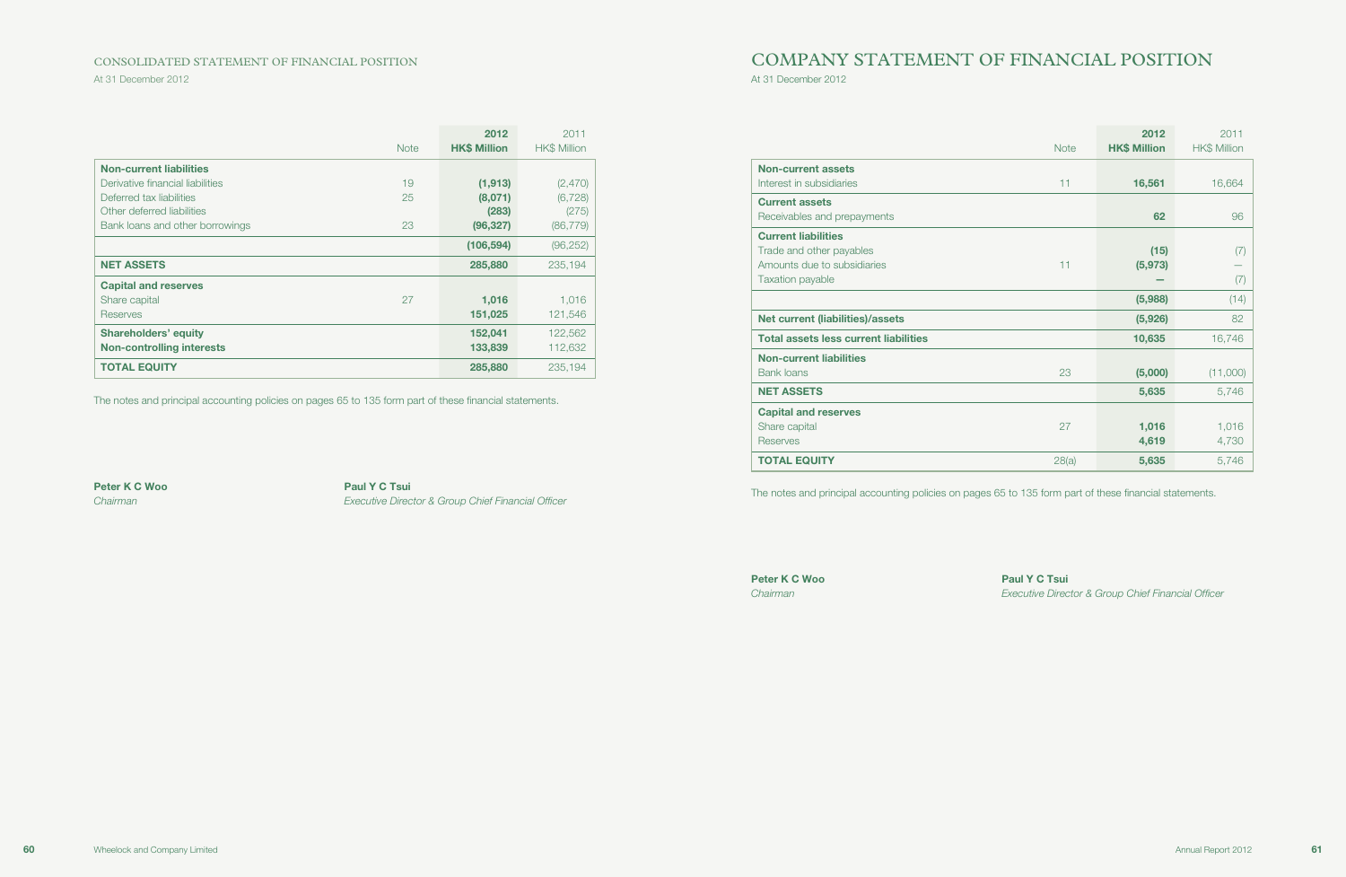At 31 December 2012

### CONSOLIDATED STATEMENT OF FINANCIAL POSITION

|                                  |             | 2012                | 2011         |
|----------------------------------|-------------|---------------------|--------------|
|                                  | <b>Note</b> | <b>HK\$ Million</b> | HK\$ Million |
| <b>Non-current liabilities</b>   |             |                     |              |
| Derivative financial liabilities | 19          | (1, 913)            | (2,470)      |
| Deferred tax liabilities         | 25          | (8,071)             | (6, 728)     |
| Other deferred liabilities       |             | (283)               | (275)        |
| Bank loans and other borrowings  | 23          | (96, 327)           | (86, 779)    |
|                                  |             | (106, 594)          | (96, 252)    |
| <b>NET ASSETS</b>                |             | 285,880             | 235,194      |
| <b>Capital and reserves</b>      |             |                     |              |
| Share capital                    | 27          | 1,016               | 1,016        |
| Reserves                         |             | 151,025             | 121,546      |
| <b>Shareholders' equity</b>      |             | 152,041             | 122,562      |
| <b>Non-controlling interests</b> |             | 133,839             | 112,632      |
| <b>TOTAL EQUITY</b>              |             | 285,880             | 235.194      |

Peter K C Woo Paul Y C Tsui Chairman Executive Director & Group Chief Financial Officer

The notes and principal accounting policies on pages 65 to 135 form part of these financial statements.

# COMPANY STATEMENT OF FINANCIAL POSITION

At 31 December 2012

|                                              | <b>Note</b> | 2012<br><b>HK\$ Million</b> | 2011<br><b>HK\$ Million</b> |
|----------------------------------------------|-------------|-----------------------------|-----------------------------|
| <b>Non-current assets</b>                    |             |                             |                             |
| Interest in subsidiaries                     | 11          | 16,561                      | 16,664                      |
| <b>Current assets</b>                        |             |                             |                             |
| Receivables and prepayments                  |             | 62                          | 96                          |
| <b>Current liabilities</b>                   |             |                             |                             |
| Trade and other payables                     |             | (15)                        | (7)                         |
| Amounts due to subsidiaries                  | 11          | (5, 973)                    |                             |
| Taxation payable                             |             |                             | (7)                         |
|                                              |             | (5,988)                     | (14)                        |
| <b>Net current (liabilities)/assets</b>      |             | (5,926)                     | 82                          |
| <b>Total assets less current liabilities</b> |             | 10,635                      | 16,746                      |
| <b>Non-current liabilities</b>               |             |                             |                             |
| <b>Bank loans</b>                            | 23          | (5,000)                     | (11,000)                    |
| <b>NET ASSETS</b>                            |             | 5,635                       | 5,746                       |
| <b>Capital and reserves</b>                  |             |                             |                             |
| Share capital                                | 27          | 1,016                       | 1,016                       |
| <b>Reserves</b>                              |             | 4,619                       | 4,730                       |
| <b>TOTAL EQUITY</b>                          | 28(a)       | 5,635                       | 5,746                       |

The notes and principal accounting policies on pages 65 to 135 form part of these financial statements.

Peter K C Woo Paul Y C Tsui

Chairman Executive Director & Group Chief Financial Officer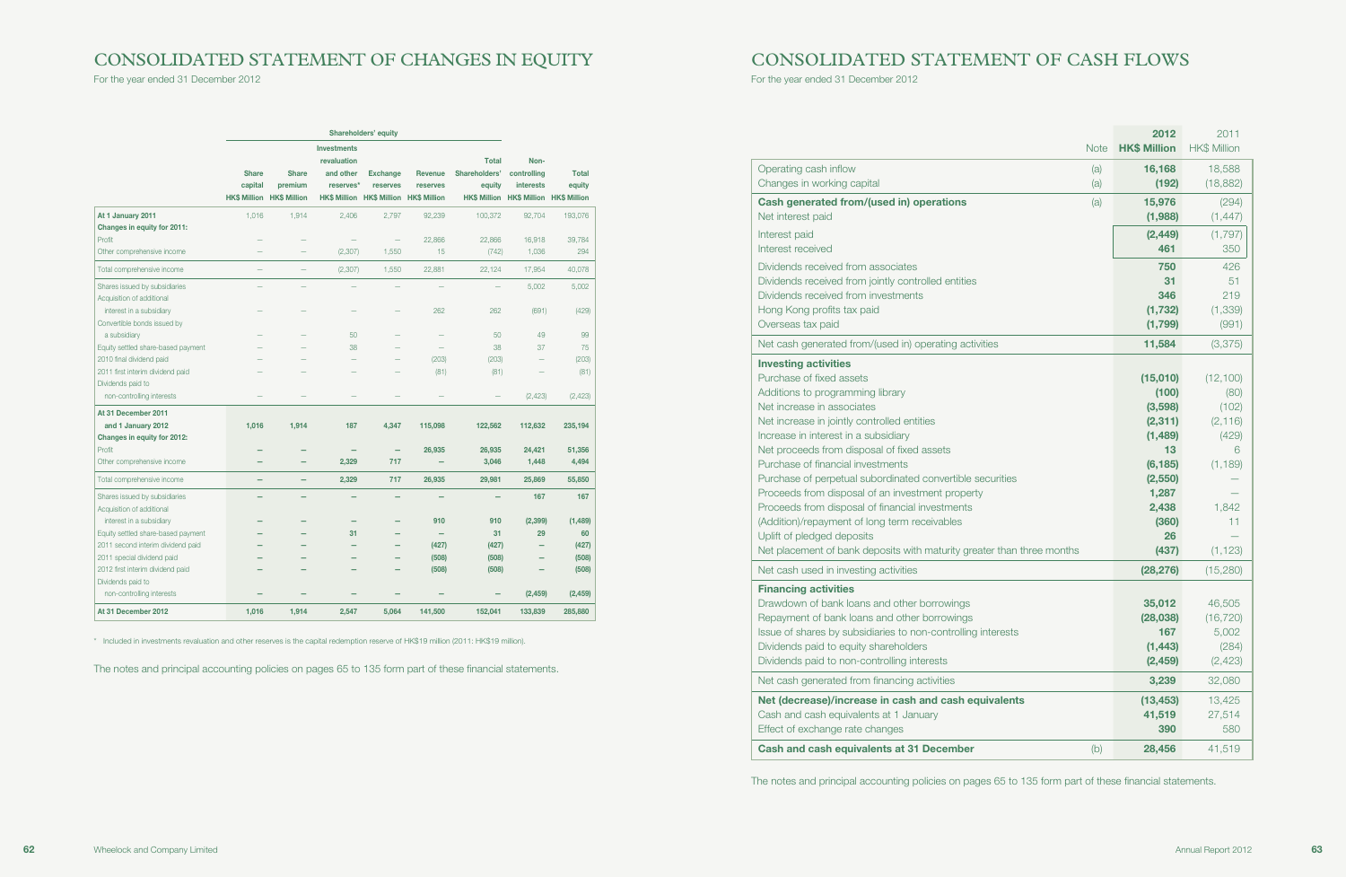# CONSOLIDATED STATEMENT OF CHANGES IN EQUITY

For the year ended 31 December 2012

|                                    | Shareholders' equity                           |                                                |                                                                                    |                                                    |                                                   |                                         |                                                                                   |                        |
|------------------------------------|------------------------------------------------|------------------------------------------------|------------------------------------------------------------------------------------|----------------------------------------------------|---------------------------------------------------|-----------------------------------------|-----------------------------------------------------------------------------------|------------------------|
|                                    | <b>Share</b><br>capital<br><b>HK\$ Million</b> | <b>Share</b><br>premium<br><b>HK\$ Million</b> | <b>Investments</b><br>revaluation<br>and other<br>reserves*<br><b>HK\$ Million</b> | <b>Exchange</b><br>reserves<br><b>HK\$ Million</b> | <b>Revenue</b><br>reserves<br><b>HK\$ Million</b> | <b>Total</b><br>Shareholders'<br>equity | Non-<br>controlling<br><b>interests</b><br>HK\$ Million HK\$ Million HK\$ Million | <b>Total</b><br>equity |
| At 1 January 2011                  | 1,016                                          | 1,914                                          | 2,406                                                                              | 2,797                                              | 92,239                                            | 100,372                                 | 92,704                                                                            | 193,076                |
| Changes in equity for 2011:        |                                                |                                                |                                                                                    |                                                    |                                                   |                                         |                                                                                   |                        |
| Profit                             |                                                |                                                |                                                                                    | ÷,                                                 | 22,866                                            | 22,866                                  | 16,918                                                                            | 39,784                 |
| Other comprehensive income         |                                                |                                                | (2, 307)                                                                           | 1,550                                              | 15                                                | (742)                                   | 1,036                                                                             | 294                    |
| Total comprehensive income         |                                                |                                                | (2, 307)                                                                           | 1,550                                              | 22,881                                            | 22,124                                  | 17,954                                                                            | 40,078                 |
| Shares issued by subsidiaries      |                                                |                                                |                                                                                    |                                                    |                                                   |                                         | 5,002                                                                             | 5,002                  |
| Acquisition of additional          |                                                |                                                |                                                                                    |                                                    |                                                   |                                         |                                                                                   |                        |
| interest in a subsidiary           |                                                |                                                |                                                                                    |                                                    | 262                                               | 262                                     | (691)                                                                             | (429)                  |
| Convertible bonds issued by        |                                                |                                                |                                                                                    |                                                    |                                                   |                                         |                                                                                   |                        |
| a subsidiary                       |                                                |                                                | 50                                                                                 |                                                    |                                                   | 50                                      | 49                                                                                | 99                     |
| Equity settled share-based payment |                                                |                                                | 38                                                                                 |                                                    |                                                   | 38                                      | 37                                                                                | 75                     |
| 2010 final dividend paid           |                                                |                                                |                                                                                    |                                                    | (203)                                             | (203)                                   |                                                                                   | (203)                  |
| 2011 first interim dividend paid   |                                                |                                                |                                                                                    |                                                    | (81)                                              | (81)                                    |                                                                                   | (81)                   |
| Dividends paid to                  |                                                |                                                |                                                                                    |                                                    |                                                   |                                         |                                                                                   |                        |
| non-controlling interests          |                                                |                                                |                                                                                    |                                                    |                                                   |                                         | (2, 423)                                                                          | (2, 423)               |
| At 31 December 2011                |                                                |                                                |                                                                                    |                                                    |                                                   |                                         |                                                                                   |                        |
| and 1 January 2012                 | 1.016                                          | 1,914                                          | 187                                                                                | 4,347                                              | 115,098                                           | 122,562                                 | 112,632                                                                           | 235,194                |
| Changes in equity for 2012:        |                                                |                                                |                                                                                    |                                                    |                                                   |                                         |                                                                                   |                        |
| Profit                             |                                                |                                                |                                                                                    | -                                                  | 26,935                                            | 26,935                                  | 24,421                                                                            | 51,356                 |
| Other comprehensive income         |                                                |                                                | 2,329                                                                              | 717                                                |                                                   | 3,046                                   | 1,448                                                                             | 4,494                  |
| Total comprehensive income         |                                                |                                                | 2,329                                                                              | 717                                                | 26,935                                            | 29,981                                  | 25,869                                                                            | 55,850                 |
| Shares issued by subsidiaries      |                                                |                                                |                                                                                    | $\overline{\phantom{0}}$                           |                                                   |                                         | 167                                                                               | 167                    |
| Acquisition of additional          |                                                |                                                |                                                                                    |                                                    |                                                   |                                         |                                                                                   |                        |
| interest in a subsidiary           |                                                |                                                |                                                                                    |                                                    | 910                                               | 910                                     | (2, 399)                                                                          | (1,489)                |
| Equity settled share-based payment |                                                |                                                | 31                                                                                 |                                                    |                                                   | 31                                      | 29                                                                                | 60                     |
| 2011 second interim dividend paid  |                                                |                                                |                                                                                    |                                                    | (427)                                             | (427)                                   |                                                                                   | (427)                  |
| 2011 special dividend paid         |                                                |                                                |                                                                                    |                                                    | (508)                                             | (508)                                   |                                                                                   | (508)                  |
| 2012 first interim dividend paid   |                                                |                                                |                                                                                    |                                                    | (508)                                             | (508)                                   |                                                                                   | (508)                  |
| Dividends paid to                  |                                                |                                                |                                                                                    |                                                    |                                                   |                                         |                                                                                   |                        |
| non-controlling interests          |                                                |                                                |                                                                                    |                                                    |                                                   |                                         | (2, 459)                                                                          | (2, 459)               |
| At 31 December 2012                | 1,016                                          | 1,914                                          | 2,547                                                                              | 5,064                                              | 141,500                                           | 152,041                                 | 133,839                                                                           | 285,880                |

\* Included in investments revaluation and other reserves is the capital redemption reserve of HK\$19 million (2011: HK\$19 million).

The notes and principal accounting policies on pages 65 to 135 form part of these financial statements.

# CONSOLIDATED STATEMENT OF CASH FLOWS

For the year ended 31 December 2012

|                                                                                                                                                                                                                                                                                                                                                                                                                                                                                                                                                                                                                                  | <b>Note</b> | 2012<br><b>HK\$ Million</b>                                                                                                | 2011<br><b>HK\$ Million</b>                                                                 |
|----------------------------------------------------------------------------------------------------------------------------------------------------------------------------------------------------------------------------------------------------------------------------------------------------------------------------------------------------------------------------------------------------------------------------------------------------------------------------------------------------------------------------------------------------------------------------------------------------------------------------------|-------------|----------------------------------------------------------------------------------------------------------------------------|---------------------------------------------------------------------------------------------|
| Operating cash inflow<br>Changes in working capital                                                                                                                                                                                                                                                                                                                                                                                                                                                                                                                                                                              | (a)<br>(a)  | 16,168<br>(192)                                                                                                            | 18,588<br>(18, 882)                                                                         |
| Cash generated from/(used in) operations<br>Net interest paid                                                                                                                                                                                                                                                                                                                                                                                                                                                                                                                                                                    | (a)         | 15,976<br>(1,988)                                                                                                          | (294)<br>(1, 447)                                                                           |
| Interest paid<br>Interest received                                                                                                                                                                                                                                                                                                                                                                                                                                                                                                                                                                                               |             | (2, 449)<br>461                                                                                                            | (1,797)<br>350                                                                              |
| Dividends received from associates<br>Dividends received from jointly controlled entities<br>Dividends received from investments<br>Hong Kong profits tax paid<br>Overseas tax paid                                                                                                                                                                                                                                                                                                                                                                                                                                              |             | 750<br>31<br>346<br>(1, 732)<br>(1,799)                                                                                    | 426<br>51<br>219<br>(1, 339)<br>(991)                                                       |
| Net cash generated from/(used in) operating activities                                                                                                                                                                                                                                                                                                                                                                                                                                                                                                                                                                           |             | 11,584                                                                                                                     | (3,375)                                                                                     |
| <b>Investing activities</b><br>Purchase of fixed assets<br>Additions to programming library<br>Net increase in associates<br>Net increase in jointly controlled entities<br>Increase in interest in a subsidiary<br>Net proceeds from disposal of fixed assets<br>Purchase of financial investments<br>Purchase of perpetual subordinated convertible securities<br>Proceeds from disposal of an investment property<br>Proceeds from disposal of financial investments<br>(Addition)/repayment of long term receivables<br>Uplift of pledged deposits<br>Net placement of bank deposits with maturity greater than three months |             | (15,010)<br>(100)<br>(3,598)<br>(2, 311)<br>(1,489)<br>13<br>(6, 185)<br>(2,550)<br>1,287<br>2,438<br>(360)<br>26<br>(437) | (12, 100)<br>(80)<br>(102)<br>(2, 116)<br>(429)<br>6<br>(1, 189)<br>1,842<br>11<br>(1, 123) |
| Net cash used in investing activities                                                                                                                                                                                                                                                                                                                                                                                                                                                                                                                                                                                            |             | (28, 276)                                                                                                                  | (15, 280)                                                                                   |
| <b>Financing activities</b><br>Drawdown of bank loans and other borrowings<br>Repayment of bank loans and other borrowings<br>Issue of shares by subsidiaries to non-controlling interests<br>Dividends paid to equity shareholders<br>Dividends paid to non-controlling interests                                                                                                                                                                                                                                                                                                                                               |             | 35,012<br>(28,038)<br>167<br>(1, 443)<br>(2, 459)                                                                          | 46,505<br>(16, 720)<br>5,002<br>(284)<br>(2, 423)                                           |
| Net cash generated from financing activities                                                                                                                                                                                                                                                                                                                                                                                                                                                                                                                                                                                     |             | 3,239                                                                                                                      | 32,080                                                                                      |
| Net (decrease)/increase in cash and cash equivalents<br>Cash and cash equivalents at 1 January<br>Effect of exchange rate changes                                                                                                                                                                                                                                                                                                                                                                                                                                                                                                |             | (13, 453)<br>41,519<br>390                                                                                                 | 13,425<br>27,514<br>580                                                                     |
| <b>Cash and cash equivalents at 31 December</b>                                                                                                                                                                                                                                                                                                                                                                                                                                                                                                                                                                                  | (b)         | 28,456                                                                                                                     | 41,519                                                                                      |

The notes and principal accounting policies on pages 65 to 135 form part of these financial statements.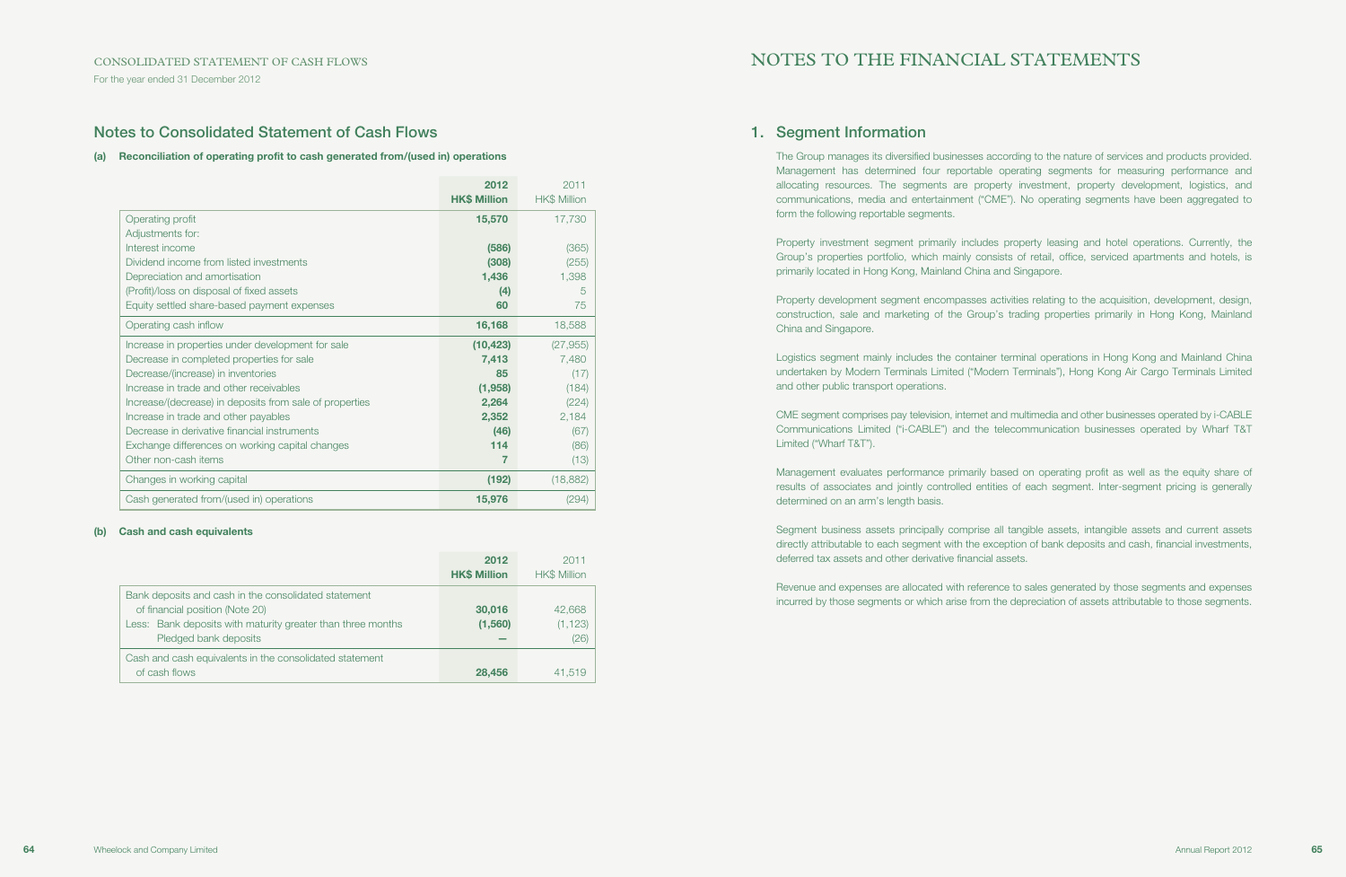For the year ended 31 December 2012

## Notes to Consolidated Statement of Cash Flows

### (a) Reconciliation of operating profit to cash generated from/(used in) operations

|                                                         | 2012<br><b>HK\$ Million</b> | 2011<br>HK\$ Million |
|---------------------------------------------------------|-----------------------------|----------------------|
| Operating profit                                        | 15,570                      | 17,730               |
| Adjustments for:                                        |                             |                      |
| Interest income                                         | (586)                       | (365)                |
| Dividend income from listed investments                 | (308)                       | (255)                |
| Depreciation and amortisation                           | 1,436                       | 1,398                |
| (Profit)/loss on disposal of fixed assets               | (4)                         | 5                    |
| Equity settled share-based payment expenses             | 60                          | 75                   |
| Operating cash inflow                                   | 16,168                      | 18,588               |
| Increase in properties under development for sale       | (10, 423)                   | (27, 955)            |
| Decrease in completed properties for sale               | 7,413                       | 7,480                |
| Decrease/(increase) in inventories                      | 85                          | (17)                 |
| Increase in trade and other receivables                 | (1,958)                     | (184)                |
| Increase/(decrease) in deposits from sale of properties | 2,264                       | (224)                |
| Increase in trade and other payables                    | 2,352                       | 2,184                |
| Decrease in derivative financial instruments            | (46)                        | (67)                 |
| Exchange differences on working capital changes         | 114                         | (86)                 |
| Other non-cash items                                    | 7                           | (13)                 |
| Changes in working capital                              | (192)                       | (18, 882)            |
| Cash generated from/(used in) operations                | 15,976                      | (294)                |

#### (b) Cash and cash equivalents

|                                                                                                                                                                                 | 2012<br><b>HK\$ Million</b> | 2011<br><b>HK\$ Million</b> |
|---------------------------------------------------------------------------------------------------------------------------------------------------------------------------------|-----------------------------|-----------------------------|
| Bank deposits and cash in the consolidated statement<br>of financial position (Note 20)<br>Less: Bank deposits with maturity greater than three months<br>Pledged bank deposits | 30,016<br>(1, 560)          | 42,668<br>(1, 123)<br>(26)  |
| Cash and cash equivalents in the consolidated statement<br>of cash flows                                                                                                        | 28,456                      | 41,519                      |

# NOTES TO THE FINANCIAL STATEMENTS

## 1. Segment Information

The Group manages its diversified businesses according to the nature of services and products provided. Management has determined four reportable operating segments for measuring performance and allocating resources. The segments are property investment, property development, logistics, and communications, media and entertainment ("CME"). No operating segments have been aggregated to form the following reportable segments.

Property investment segment primarily includes property leasing and hotel operations. Currently, the Group's properties portfolio, which mainly consists of retail, office, serviced apartments and hotels, is primarily located in Hong Kong, Mainland China and Singapore.

Property development segment encompasses activities relating to the acquisition, development, design, construction, sale and marketing of the Group's trading properties primarily in Hong Kong, Mainland China and Singapore.

Logistics segment mainly includes the container terminal operations in Hong Kong and Mainland China undertaken by Modern Terminals Limited ("Modern Terminals"), Hong Kong Air Cargo Terminals Limited and other public transport operations.

CME segment comprises pay television, internet and multimedia and other businesses operated by i-CABLE Communications Limited ("i-CABLE") and the telecommunication businesses operated by Wharf T&T Limited ("Wharf T&T").

Management evaluates performance primarily based on operating profit as well as the equity share of results of associates and jointly controlled entities of each segment. Inter-segment pricing is generally determined on an arm's length basis.

Segment business assets principally comprise all tangible assets, intangible assets and current assets directly attributable to each segment with the exception of bank deposits and cash, financial investments, deferred tax assets and other derivative financial assets.

Revenue and expenses are allocated with reference to sales generated by those segments and expenses incurred by those segments or which arise from the depreciation of assets attributable to those segments.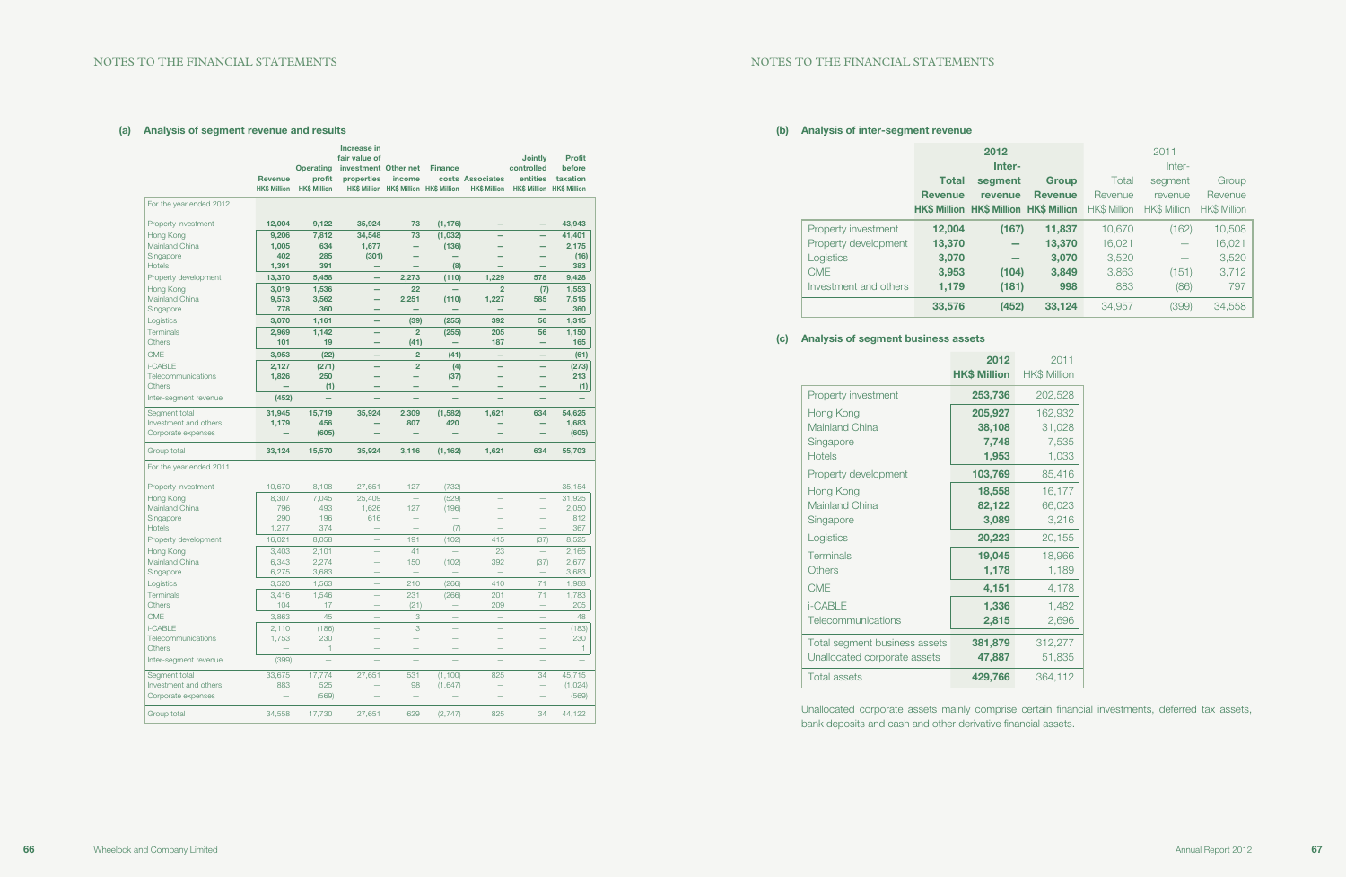# Total segment Revenue revenue **HK\$ Million HK\$ M** Property investment 12,004 Property development **13,370** Investment and others  $1,179$

### (b) Analysis of inter-segment revenue

|                       |                | 2012                                   |                |                     | 2011                     |                     |
|-----------------------|----------------|----------------------------------------|----------------|---------------------|--------------------------|---------------------|
|                       |                | Inter-                                 |                |                     | Inter-                   |                     |
|                       | <b>Total</b>   | segment                                | Group          | Total               | segment                  | Group               |
|                       | <b>Revenue</b> | revenue                                | <b>Revenue</b> | Revenue             | revenue                  | Revenue             |
|                       |                | HK\$ Million HK\$ Million HK\$ Million |                | <b>HK\$ Million</b> | <b>HK\$ Million</b>      | <b>HK\$ Million</b> |
| Property investment   | 12,004         | (167)                                  | 11,837         | 10,670              | (162)                    | 10,508              |
| Property development  | 13,370         |                                        | 13,370         | 16,021              |                          | 16,021              |
| Logistics             | 3,070          |                                        | 3,070          | 3,520               | $\overline{\phantom{0}}$ | 3,520               |
| <b>CME</b>            | 3,953          | (104)                                  | 3,849          | 3,863               | (151)                    | 3,712               |
| Investment and others | 1,179          | (181)                                  | 998            | 883                 | (86)                     | 797                 |
|                       | 33,576         | (452)                                  | 33,124         | 34,957              | (399)                    | 34,558              |

## (c) Analysis of segment business assets

|                               | 2012<br><b>HK\$ Million</b> | 2011<br><b>HK\$ Million</b> |
|-------------------------------|-----------------------------|-----------------------------|
| Property investment           | 253,736                     | 202,528                     |
| Hong Kong                     | 205,927                     | 162,932                     |
| <b>Mainland China</b>         | 38,108                      | 31,028                      |
| Singapore                     | 7,748                       | 7,535                       |
| <b>Hotels</b>                 | 1,953                       | 1,033                       |
| Property development          | 103,769                     | 85,416                      |
| Hong Kong                     | 18,558                      | 16,177                      |
| Mainland China                | 82,122                      | 66,023                      |
| Singapore                     | 3,089                       | 3,216                       |
| Logistics                     | 20,223                      | 20,155                      |
| Terminals                     | 19,045                      | 18,966                      |
| Others                        | 1,178                       | 1,189                       |
| <b>CME</b>                    | 4,151                       | 4,178                       |
| <b>i-CABLE</b>                | 1,336                       | 1,482                       |
| Telecommunications            | 2,815                       | 2,696                       |
| Total segment business assets | 381,879                     | 312,277                     |
| Unallocated corporate assets  | 47,887                      | 51,835                      |
| <b>Total assets</b>           | 429,766                     | 364,112                     |

Unallocated corporate assets mainly comprise certain financial investments, deferred tax assets, bank deposits and cash and other derivative financial assets.

### (a) Analysis of segment revenue and results

|                             | <b>Revenue</b><br><b>HK\$ Million</b> | <b>Operating</b><br>profit<br><b>HK\$ Million</b> | Increase in<br>fair value of<br>investment Other net<br>properties | income<br>HK\$ Million HK\$ Million HK\$ Million | <b>Finance</b>           | costs Associates<br><b>HK\$ Million</b> | <b>Jointly</b><br>controlled<br>entities | <b>Profit</b><br>before<br>taxation<br><b>HK\$ Million HK\$ Million</b> |
|-----------------------------|---------------------------------------|---------------------------------------------------|--------------------------------------------------------------------|--------------------------------------------------|--------------------------|-----------------------------------------|------------------------------------------|-------------------------------------------------------------------------|
| For the year ended 2012     |                                       |                                                   |                                                                    |                                                  |                          |                                         |                                          |                                                                         |
| Property investment         | 12,004                                | 9,122                                             | 35,924                                                             | 73                                               | (1, 176)                 |                                         | $\overline{\phantom{0}}$                 | 43,943                                                                  |
| Hong Kong                   | 9,206                                 | 7,812                                             | 34,548                                                             | 73                                               | (1,032)                  |                                         | $\overline{\phantom{0}}$                 | 41,401                                                                  |
| Mainland China              | 1,005                                 | 634                                               | 1,677                                                              | -                                                | (136)                    |                                         |                                          | 2,175                                                                   |
| Singapore                   | 402                                   | 285                                               | (301)                                                              |                                                  |                          |                                         |                                          | (16)                                                                    |
| <b>Hotels</b>               | 1,391                                 | 391                                               | -                                                                  |                                                  | (8)                      |                                         |                                          | 383                                                                     |
| Property development        | 13,370                                | 5,458                                             | -                                                                  | 2,273                                            | (110)                    | 1,229                                   | 578                                      | 9,428                                                                   |
| Hong Kong                   | 3,019                                 | 1,536                                             |                                                                    | 22                                               |                          | $\overline{2}$                          | (7)                                      | 1,553                                                                   |
| Mainland China<br>Singapore | 9,573<br>778                          | 3,562<br>360                                      | -                                                                  | 2,251                                            | (110)                    | 1,227                                   | 585<br>$\overline{\phantom{0}}$          | 7,515<br>360                                                            |
| Logistics                   | 3,070                                 | 1,161                                             |                                                                    | (39)                                             | (255)                    | 392                                     | 56                                       | 1,315                                                                   |
| Terminals                   | 2,969                                 | 1,142                                             | $\overline{\phantom{0}}$                                           | $\overline{2}$                                   | (255)                    | 205                                     | 56                                       | 1,150                                                                   |
| <b>Others</b>               | 101                                   | 19                                                |                                                                    | (41)                                             | $\overline{\phantom{m}}$ | 187                                     | -                                        | 165                                                                     |
| <b>CME</b>                  | 3,953                                 | (22)                                              | -                                                                  | $\overline{2}$                                   | (41)                     | $\overline{\phantom{0}}$                | $\overline{\phantom{0}}$                 | (61)                                                                    |
| i-CABLE                     | 2,127                                 | (271)                                             |                                                                    | $\overline{2}$                                   | (4)                      |                                         | $\overline{\phantom{0}}$                 | (273)                                                                   |
| Telecommunications          | 1,826                                 | 250                                               |                                                                    | -                                                | (37)                     | $\overline{\phantom{0}}$                | ÷                                        | 213                                                                     |
| <b>Others</b>               |                                       | (1)                                               |                                                                    |                                                  |                          |                                         |                                          | (1)                                                                     |
| Inter-segment revenue       | (452)                                 |                                                   |                                                                    |                                                  |                          |                                         |                                          |                                                                         |
| Segment total               | 31,945                                | 15,719                                            | 35,924                                                             | 2,309                                            | (1, 582)                 | 1,621                                   | 634                                      | 54,625                                                                  |
| Investment and others       | 1,179                                 | 456                                               |                                                                    | 807                                              | 420                      |                                         | -                                        | 1,683                                                                   |
| Corporate expenses          |                                       | (605)                                             |                                                                    |                                                  |                          |                                         |                                          | (605)                                                                   |
| Group total                 | 33,124                                | 15,570                                            | 35,924                                                             | 3,116                                            | (1, 162)                 | 1,621                                   | 634                                      | 55,703                                                                  |
| For the year ended 2011     |                                       |                                                   |                                                                    |                                                  |                          |                                         |                                          |                                                                         |
| Property investment         | 10,670                                | 8,108                                             | 27,651                                                             | 127                                              | (732)                    |                                         |                                          | 35,154                                                                  |
| Hong Kong                   | 8,307                                 | 7,045                                             | 25,409                                                             |                                                  | (529)                    |                                         | $\overline{\phantom{a}}$                 | 31,925                                                                  |
| Mainland China              | 796                                   | 493                                               | 1,626                                                              | 127                                              | (196)                    |                                         |                                          | 2,050                                                                   |
| Singapore                   | 290                                   | 196                                               | 616                                                                |                                                  |                          |                                         |                                          | 812                                                                     |
| <b>Hotels</b>               | 1,277                                 | 374                                               |                                                                    | $\overline{\phantom{0}}$                         | (7)                      | $\equiv$                                | $\overline{\phantom{0}}$                 | 367                                                                     |
| Property development        | 16,021                                | 8,058                                             | $\overline{\phantom{0}}$                                           | 191                                              | (102)                    | 415                                     | (37)                                     | 8,525                                                                   |
| Hong Kong                   | 3,403                                 | 2,101                                             | $\overline{\phantom{0}}$                                           | 41                                               |                          | 23                                      | $\overline{\phantom{0}}$                 | 2,165                                                                   |
| Mainland China<br>Singapore | 6,343<br>6,275                        | 2,274<br>3,683                                    | -                                                                  | 150                                              | (102)                    | 392                                     | (37)<br>$\overline{\phantom{0}}$         | 2,677<br>3,683                                                          |
| Logistics                   | 3,520                                 | 1,563                                             | L,                                                                 | 210                                              | (266)                    | 410                                     | 71                                       | 1,988                                                                   |
| Terminals                   | 3,416                                 | 1,546                                             |                                                                    | 231                                              | (266)                    | 201                                     | 71                                       | 1,783                                                                   |
| <b>Others</b>               | 104                                   | 17                                                |                                                                    | (21)                                             |                          | 209                                     |                                          | 205                                                                     |
| <b>CME</b>                  | 3,863                                 | 45                                                |                                                                    | 3                                                |                          | $\overline{\phantom{0}}$                | $\overline{\phantom{0}}$                 | 48                                                                      |
| i-CABLE                     | 2,110                                 | (186)                                             | -                                                                  | 3                                                |                          | $\overline{\phantom{a}}$                | $\overline{\phantom{a}}$                 | (183)                                                                   |
| Telecommunications          | 1,753                                 | 230                                               |                                                                    | $\overline{\phantom{0}}$                         |                          |                                         | $\overline{\phantom{0}}$                 | 230                                                                     |
| <b>Others</b>               |                                       | 1                                                 |                                                                    |                                                  |                          |                                         |                                          | 1                                                                       |
| Inter-segment revenue       | (399)                                 | -                                                 |                                                                    | ÷                                                |                          | $\overline{\phantom{0}}$                |                                          |                                                                         |
| Segment total               | 33,675                                | 17,774                                            | 27,651                                                             | 531                                              | (1, 100)                 | 825                                     | 34                                       | 45,715                                                                  |
| Investment and others       | 883                                   | 525                                               |                                                                    | 98                                               | (1,647)                  |                                         |                                          | (1,024)                                                                 |
| Corporate expenses          |                                       | (569)                                             |                                                                    |                                                  |                          |                                         |                                          | (569)                                                                   |
| Group total                 | 34,558                                | 17,730                                            | 27,651                                                             | 629                                              | (2,747)                  | 825                                     | 34                                       | 44,122                                                                  |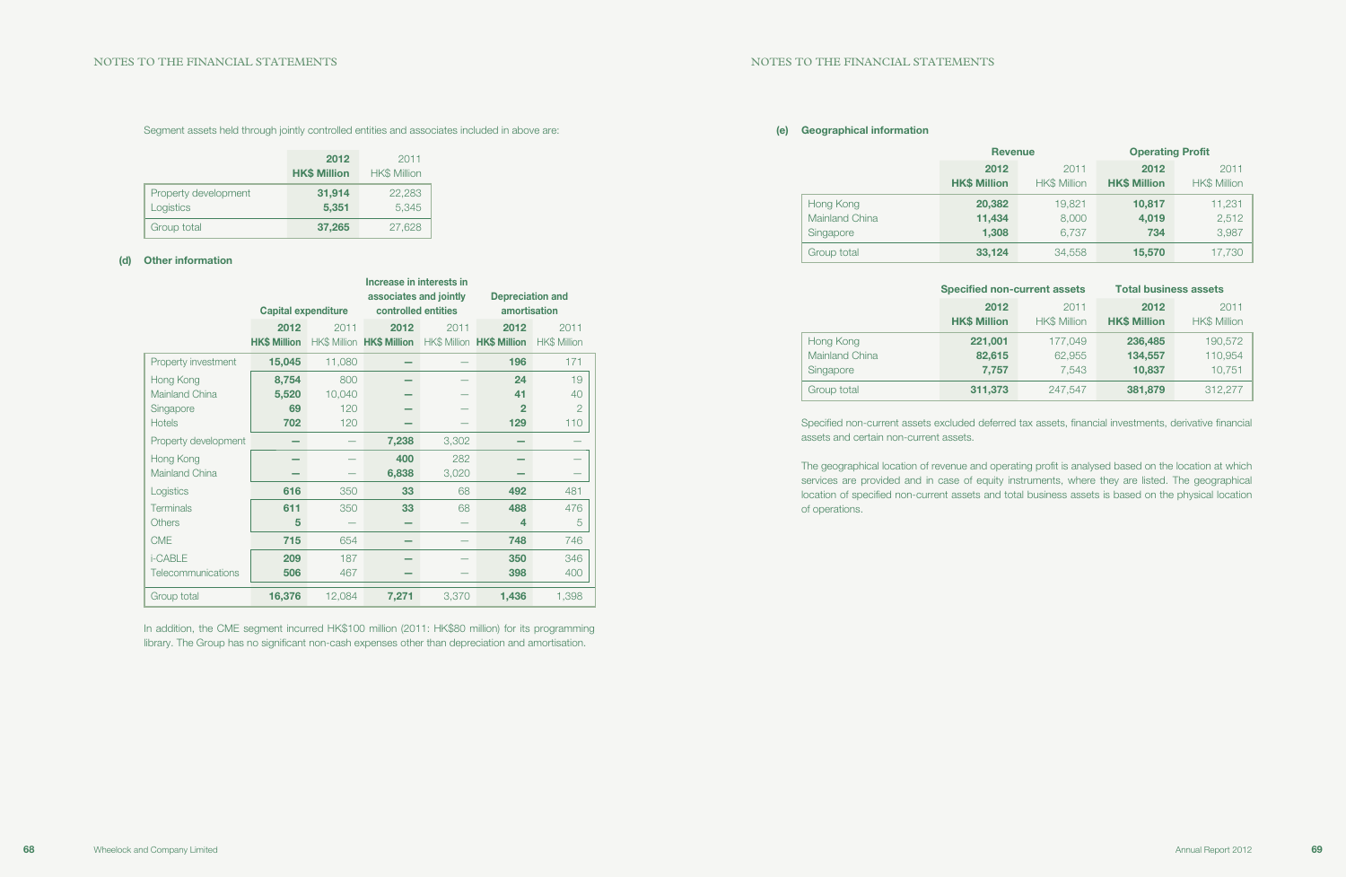### (e) Geographical information

|                                                 | <b>Revenue</b>              |                             | <b>Operating Profit</b>     |                             |  |
|-------------------------------------------------|-----------------------------|-----------------------------|-----------------------------|-----------------------------|--|
|                                                 | 2012<br><b>HK\$ Million</b> | 2011<br><b>HK\$ Million</b> | 2012<br><b>HK\$ Million</b> | 2011<br><b>HK\$ Million</b> |  |
| Hong Kong<br><b>Mainland China</b><br>Singapore | 20,382<br>11,434<br>1,308   | 19,821<br>8,000<br>6,737    | 10,817<br>4,019<br>734      | 11,231<br>2,512<br>3,987    |  |
| Group total                                     | 33,124                      | 34,558                      | 15,570                      | 17,730                      |  |

|                | <b>Specified non-current assets</b> |                     | <b>Total business assets</b> |                     |  |
|----------------|-------------------------------------|---------------------|------------------------------|---------------------|--|
|                | 2012                                | 2011                | 2012                         | 2011                |  |
|                | <b>HK\$ Million</b>                 | <b>HK\$ Million</b> | <b>HK\$ Million</b>          | <b>HK\$ Million</b> |  |
| Hong Kong      | 221,001                             | 177,049             | 236,485                      | 190,572             |  |
| Mainland China | 82,615                              | 62,955              | 134,557                      | 110,954             |  |
| Singapore      | 7,757                               | 7,543               | 10,837                       | 10,751              |  |
| Group total    | 311,373                             | 247,547             | 381,879                      | 312,277             |  |

Specified non-current assets excluded deferred tax assets, financial investments, derivative financial assets and certain non-current assets.

The geographical location of revenue and operating profit is analysed based on the location at which services are provided and in case of equity instruments, where they are listed. The geographical location of specified non-current assets and total business assets is based on the physical location of operations.

In addition, the CME segment incurred HK\$100 million (2011: HK\$80 million) for its programming library. The Group has no significant non-cash expenses other than depreciation and amortisation.

### Segment assets held through jointly controlled entities and associates included in above are:

|                                   | 2012<br><b>HK\$ Million</b> | 2011<br><b>HK\$ Million</b> |
|-----------------------------------|-----------------------------|-----------------------------|
| Property development<br>Logistics | 31,914<br>5,351             | 22,283<br>5,345             |
| Group total                       | 37,265                      | 27,628                      |

### (d) Other information

|                      | Increase in interests in   |        |                           |                           |                         |                     |
|----------------------|----------------------------|--------|---------------------------|---------------------------|-------------------------|---------------------|
|                      |                            |        | associates and jointly    |                           | <b>Depreciation and</b> |                     |
|                      | <b>Capital expenditure</b> |        | controlled entities       |                           | amortisation            |                     |
|                      | 2012                       | 2011   | 2012                      | 2011                      | 2012                    | 2011                |
|                      | <b>HK\$ Million</b>        |        | HK\$ Million HK\$ Million | HK\$ Million HK\$ Million |                         | <b>HK\$ Million</b> |
| Property investment  | 15,045                     | 11,080 |                           |                           | 196                     | 171                 |
| Hong Kong            | 8,754                      | 800    |                           |                           | 24                      | 19                  |
| Mainland China       | 5,520                      | 10,040 |                           |                           | 41                      | 40                  |
| Singapore            | 69                         | 120    |                           |                           | $\mathbf{2}$            | $\overline{2}$      |
| <b>Hotels</b>        | 702                        | 120    |                           |                           | 129                     | 110                 |
| Property development |                            |        | 7,238                     | 3,302                     |                         |                     |
| Hong Kong            |                            |        | 400                       | 282                       |                         |                     |
| Mainland China       |                            |        | 6,838                     | 3,020                     |                         |                     |
| Logistics            | 616                        | 350    | 33                        | 68                        | 492                     | 481                 |
| <b>Terminals</b>     | 611                        | 350    | 33                        | 68                        | 488                     | 476                 |
| <b>Others</b>        | 5                          |        |                           |                           | 4                       | 5                   |
| <b>CME</b>           | 715                        | 654    |                           |                           | 748                     | 746                 |
| i-CABLE              | 209                        | 187    |                           |                           | 350                     | 346                 |
| Telecommunications   | 506                        | 467    |                           |                           | 398                     | 400                 |
| Group total          | 16,376                     | 12,084 | 7,271                     | 3,370                     | 1,436                   | 1,398               |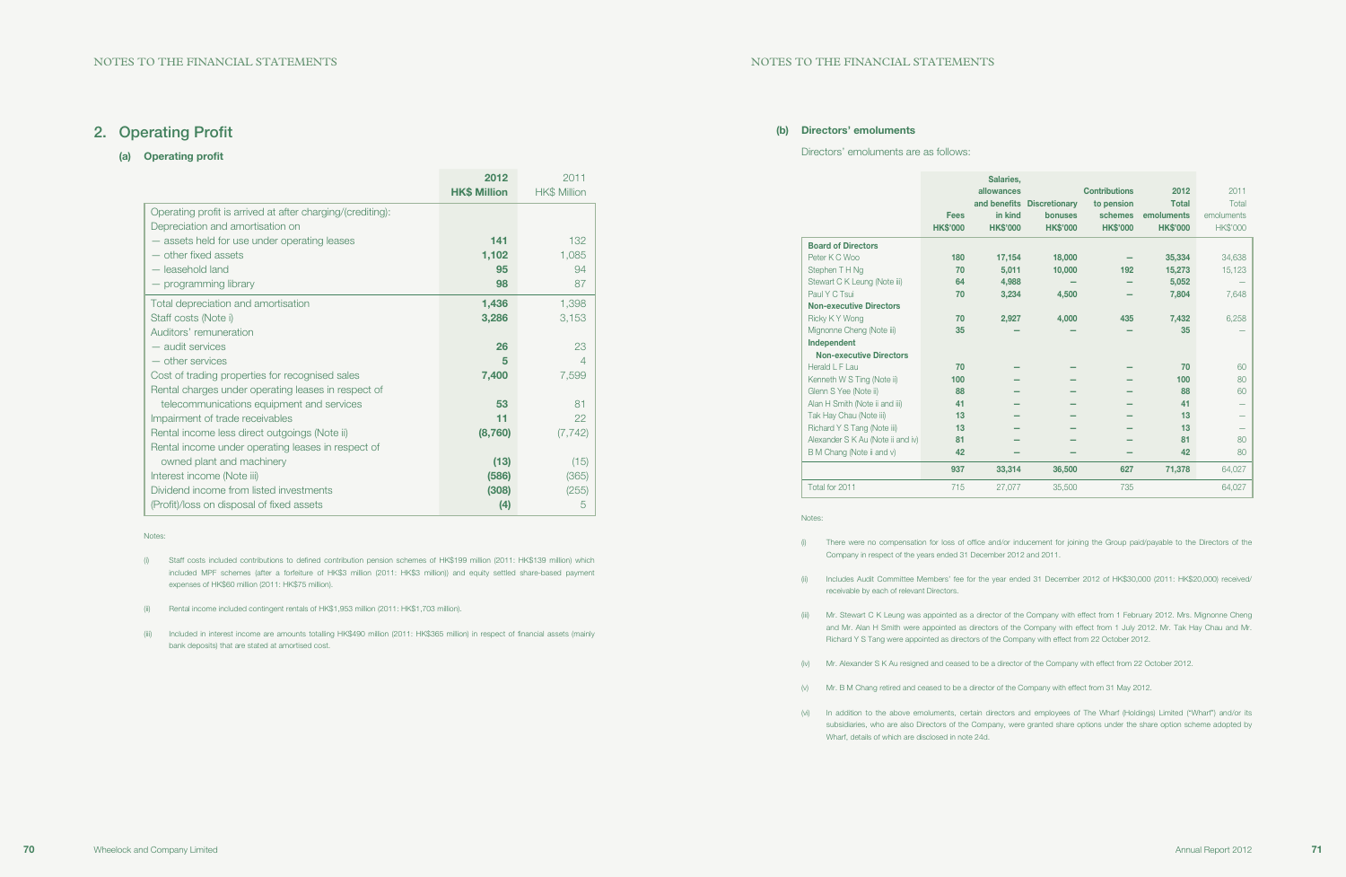#### (b) Directors' emoluments

#### Directors' emoluments are as follows:

|                                   | <b>Fees</b><br><b>HK\$'000</b> | Salaries,<br>allowances<br>and benefits<br>in kind<br><b>HK\$'000</b> | <b>Discretionary</b><br><b>bonuses</b><br><b>HK\$'000</b> | <b>Contributions</b><br>to pension<br>schemes<br><b>HK\$'000</b> | 2012<br><b>Total</b><br>emoluments<br><b>HK\$'000</b> | 2011<br>Total<br>emoluments<br><b>HK\$'000</b> |
|-----------------------------------|--------------------------------|-----------------------------------------------------------------------|-----------------------------------------------------------|------------------------------------------------------------------|-------------------------------------------------------|------------------------------------------------|
| <b>Board of Directors</b>         |                                |                                                                       |                                                           |                                                                  |                                                       |                                                |
| Peter K C Woo                     | 180                            | 17,154                                                                | 18,000                                                    |                                                                  | 35,334                                                | 34,638                                         |
| Stephen TH Ng                     | 70                             | 5,011                                                                 | 10,000                                                    | 192                                                              | 15,273                                                | 15,123                                         |
| Stewart C K Leung (Note iii)      | 64                             | 4.988                                                                 |                                                           |                                                                  | 5,052                                                 |                                                |
| Paul Y C Tsui                     | 70                             | 3,234                                                                 | 4,500                                                     |                                                                  | 7,804                                                 | 7,648                                          |
| <b>Non-executive Directors</b>    |                                |                                                                       |                                                           |                                                                  |                                                       |                                                |
| Ricky KY Wong                     | 70                             | 2,927                                                                 | 4,000                                                     | 435                                                              | 7,432                                                 | 6,258                                          |
| Mignonne Cheng (Note iii)         | 35                             |                                                                       |                                                           |                                                                  | 35                                                    |                                                |
| Independent                       |                                |                                                                       |                                                           |                                                                  |                                                       |                                                |
| <b>Non-executive Directors</b>    |                                |                                                                       |                                                           |                                                                  |                                                       |                                                |
| Herald L F Lau                    | 70                             |                                                                       |                                                           |                                                                  | 70                                                    | 60                                             |
| Kenneth W S Ting (Note ii)        | 100                            |                                                                       |                                                           |                                                                  | 100                                                   | 80                                             |
| Glenn S Yee (Note ii)             | 88                             |                                                                       |                                                           |                                                                  | 88                                                    | 60                                             |
| Alan H Smith (Note ii and iii)    | 41                             |                                                                       |                                                           |                                                                  | 41                                                    |                                                |
| Tak Hay Chau (Note iii)           | 13                             |                                                                       |                                                           |                                                                  | 13                                                    |                                                |
| Richard Y S Tang (Note iii)       | 13                             |                                                                       |                                                           |                                                                  | 13                                                    |                                                |
| Alexander S K Au (Note ii and iv) | 81                             |                                                                       |                                                           |                                                                  | 81                                                    | 80                                             |
| B M Chang (Note ii and v)         | 42                             |                                                                       |                                                           |                                                                  | 42                                                    | 80                                             |
|                                   | 937                            | 33,314                                                                | 36,500                                                    | 627                                                              | 71,378                                                | 64,027                                         |
| Total for 2011                    | 715                            | 27,077                                                                | 35,500                                                    | 735                                                              |                                                       | 64,027                                         |

#### Notes:

(i) There were no compensation for loss of office and/or inducement for joining the Group paid/payable to the Directors of the

(ii) Includes Audit Committee Members' fee for the year ended 31 December 2012 of HK\$30,000 (2011: HK\$20,000) received/

(iii) Mr. Stewart C K Leung was appointed as a director of the Company with effect from 1 February 2012. Mrs. Mignonne Cheng and Mr. Alan H Smith were appointed as directors of the Company with effect from 1 July 2012. Mr. Tak Hay Chau and Mr.

- Company in respect of the years ended 31 December 2012 and 2011.
- receivable by each of relevant Directors.
- Richard Y S Tang were appointed as directors of the Company with effect from 22 October 2012.
- (iv) Mr. Alexander S K Au resigned and ceased to be a director of the Company with effect from 22 October 2012.
- (v) Mr. B M Chang retired and ceased to be a director of the Company with effect from 31 May 2012.
- Wharf, details of which are disclosed in note 24d.

(vi) In addition to the above emoluments, certain directors and employees of The Wharf (Holdings) Limited ("Wharf") and/or its subsidiaries, who are also Directors of the Company, were granted share options under the share option scheme adopted by

## 2. Operating Profit

### (a) Operating profit

|                                                            | 2012                | 2011                |
|------------------------------------------------------------|---------------------|---------------------|
|                                                            | <b>HK\$ Million</b> | <b>HK\$ Million</b> |
| Operating profit is arrived at after charging/(crediting): |                     |                     |
| Depreciation and amortisation on                           |                     |                     |
| - assets held for use under operating leases               | 141                 | 132                 |
| - other fixed assets                                       | 1,102               | 1,085               |
| - leasehold land                                           | 95                  | 94                  |
| - programming library                                      | 98                  | 87                  |
| Total depreciation and amortisation                        | 1,436               | 1,398               |
| Staff costs (Note i)                                       | 3,286               | 3,153               |
| Auditors' remuneration                                     |                     |                     |
| - audit services                                           | 26                  | 23                  |
| - other services                                           | 5                   | $\overline{4}$      |
| Cost of trading properties for recognised sales            | 7,400               | 7,599               |
| Rental charges under operating leases in respect of        |                     |                     |
| telecommunications equipment and services                  | 53                  | 81                  |
| Impairment of trade receivables                            | 11                  | 22                  |
| Rental income less direct outgoings (Note ii)              | (8, 760)            | (7, 742)            |
| Rental income under operating leases in respect of         |                     |                     |
| owned plant and machinery                                  | (13)                | (15)                |
| Interest income (Note iii)                                 | (586)               | (365)               |
| Dividend income from listed investments                    | (308)               | (255)               |
| (Profit)/loss on disposal of fixed assets                  | (4)                 | 5                   |

Notes:

- (i) Staff costs included contributions to defined contribution pension schemes of HK\$199 million (2011: HK\$139 million) which included MPF schemes (after a forfeiture of HK\$3 million (2011: HK\$3 million)) and equity settled share-based payment expenses of HK\$60 million (2011: HK\$75 million).
- (ii) Rental income included contingent rentals of HK\$1,953 million (2011: HK\$1,703 million).
- (iii) Included in interest income are amounts totalling HK\$490 million (2011: HK\$365 million) in respect of financial assets (mainly bank deposits) that are stated at amortised cost.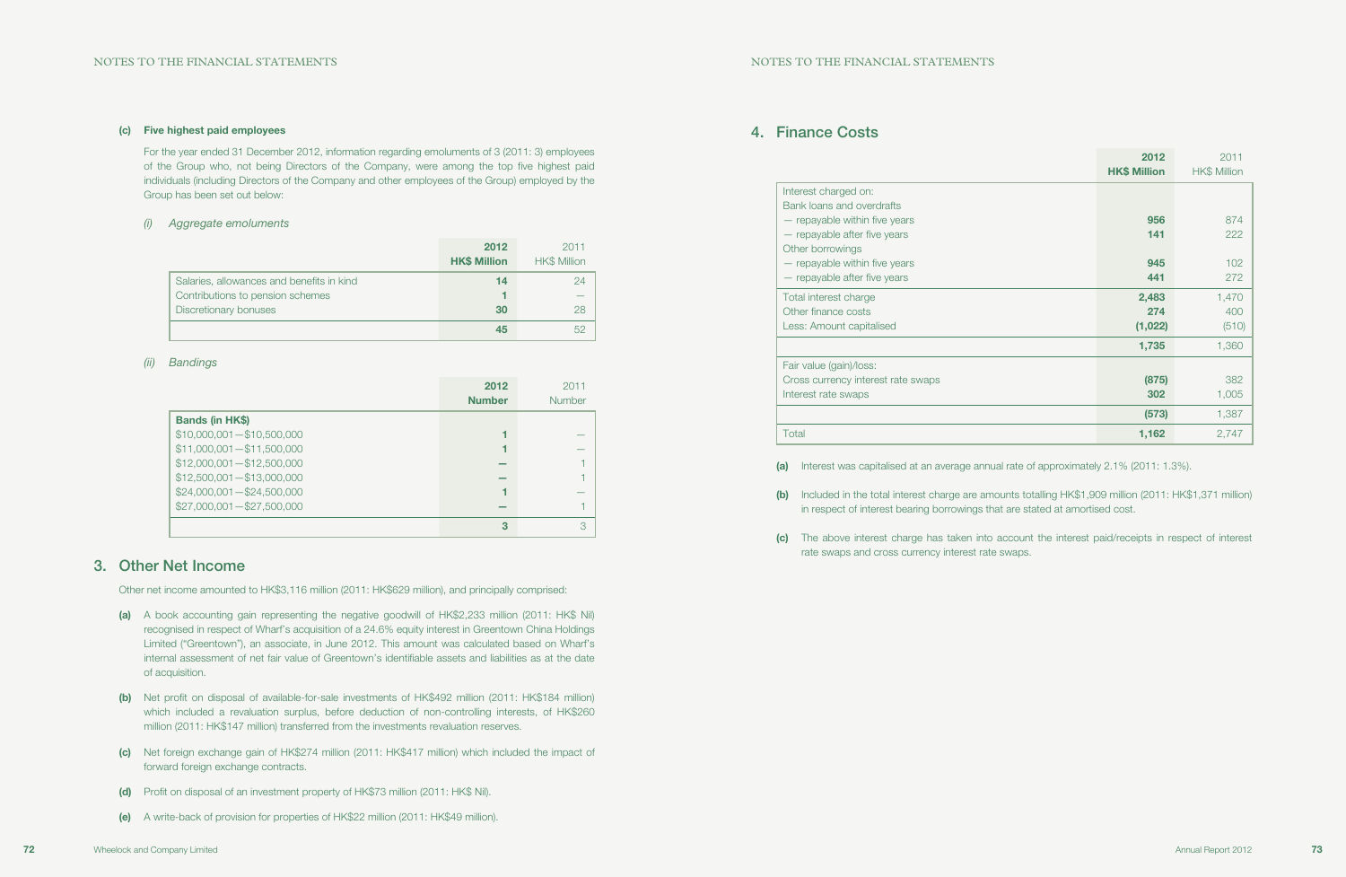## 4. Finance Costs

|                                                                                                                                                                                                                                                                                                                                       | 2012<br><b>HK\$ Million</b> | 2011<br>HK\$ Million |
|---------------------------------------------------------------------------------------------------------------------------------------------------------------------------------------------------------------------------------------------------------------------------------------------------------------------------------------|-----------------------------|----------------------|
| Interest charged on:                                                                                                                                                                                                                                                                                                                  |                             |                      |
| Bank loans and overdrafts                                                                                                                                                                                                                                                                                                             |                             |                      |
| - repayable within five years                                                                                                                                                                                                                                                                                                         | 956                         | 874                  |
| - repayable after five years                                                                                                                                                                                                                                                                                                          | 141                         | 222                  |
| Other borrowings                                                                                                                                                                                                                                                                                                                      |                             |                      |
| - repayable within five years                                                                                                                                                                                                                                                                                                         | 945                         | 102                  |
| - repayable after five years                                                                                                                                                                                                                                                                                                          | 441                         | 272                  |
| Total interest charge                                                                                                                                                                                                                                                                                                                 | 2,483                       | 1,470                |
| Other finance costs                                                                                                                                                                                                                                                                                                                   | 274                         | 400                  |
| Less: Amount capitalised                                                                                                                                                                                                                                                                                                              | (1,022)                     | (510)                |
|                                                                                                                                                                                                                                                                                                                                       | 1,735                       | 1,360                |
| Fair value (gain)/loss:                                                                                                                                                                                                                                                                                                               |                             |                      |
| Cross currency interest rate swaps                                                                                                                                                                                                                                                                                                    | (875)                       | 382                  |
| Interest rate swaps                                                                                                                                                                                                                                                                                                                   | 302                         | 1,005                |
|                                                                                                                                                                                                                                                                                                                                       | (573)                       | 1,387                |
| Total                                                                                                                                                                                                                                                                                                                                 | 1,162                       | 2,747                |
| (a)<br>Interest was capitalised at an average annual rate of approximately 2.1% (2011: 1.3%).<br>Included in the total interest charge are amounts totalling HK\$1,909 million (2011: HK\$1,371 million)<br>(b)<br>المقامر والمستحقق والمتحاول والمستقل والمستحقق والمستحين والمستحيل والمستحقق والمستحقق والمستحقق والمستحقق والمتحا |                             |                      |

in respect of interest bearing borrowings that are stated at amortised cost.

(c) The above interest charge has taken into account the interest paid/receipts in respect of interest

rate swaps and cross currency interest rate swaps.

### (c) Five highest paid employees

For the year ended 31 December 2012, information regarding emoluments of 3 (2011: 3) employees of the Group who, not being Directors of the Company, were among the top five highest paid individuals (including Directors of the Company and other employees of the Group) employed by the Group has been set out below:

### (i) Aggregate emoluments

- (a) A book accounting gain representing the negative goodwill of HK\$2,233 million (2011: HK\$ Nil) recognised in respect of Wharf's acquisition of a 24.6% equity interest in Greentown China Holdings Limited ("Greentown"), an associate, in June 2012. This amount was calculated based on Wharf's internal assessment of net fair value of Greentown's identifiable assets and liabilities as at the date of acquisition.
- (b) Net profit on disposal of available-for-sale investments of HK\$492 million (2011: HK\$184 million) which included a revaluation surplus, before deduction of non-controlling interests, of HK\$260 million (2011: HK\$147 million) transferred from the investments revaluation reserves.
- (c) Net foreign exchange gain of HK\$274 million (2011: HK\$417 million) which included the impact of forward foreign exchange contracts.
- (d) Profit on disposal of an investment property of HK\$73 million (2011: HK\$ Nil).
- (e) A write-back of provision for properties of HK\$22 million (2011: HK\$49 million).

|                                                                               | 2012<br><b>HK\$ Million</b> | 2011<br><b>HK\$ Million</b> |
|-------------------------------------------------------------------------------|-----------------------------|-----------------------------|
| Salaries, allowances and benefits in kind<br>Contributions to pension schemes | 14                          |                             |
| Discretionary bonuses                                                         | 30                          | 28                          |
|                                                                               | 45                          |                             |

### (ii) Bandings

|                             | 2012<br><b>Number</b> | 2011<br><b>Number</b> |
|-----------------------------|-----------------------|-----------------------|
| <b>Bands (in HK\$)</b>      |                       |                       |
| $$10,000,001 - $10,500,000$ |                       |                       |
| $$11,000,001 - $11,500,000$ |                       |                       |
| $$12,000,001 - $12,500,000$ |                       |                       |
| $$12,500,001 - $13,000,000$ |                       |                       |
| $$24,000,001 - $24,500,000$ |                       |                       |
| $$27,000,001 - $27,500,000$ |                       |                       |
|                             | 3                     | 3                     |

## 3. Other Net Income

Other net income amounted to HK\$3,116 million (2011: HK\$629 million), and principally comprised: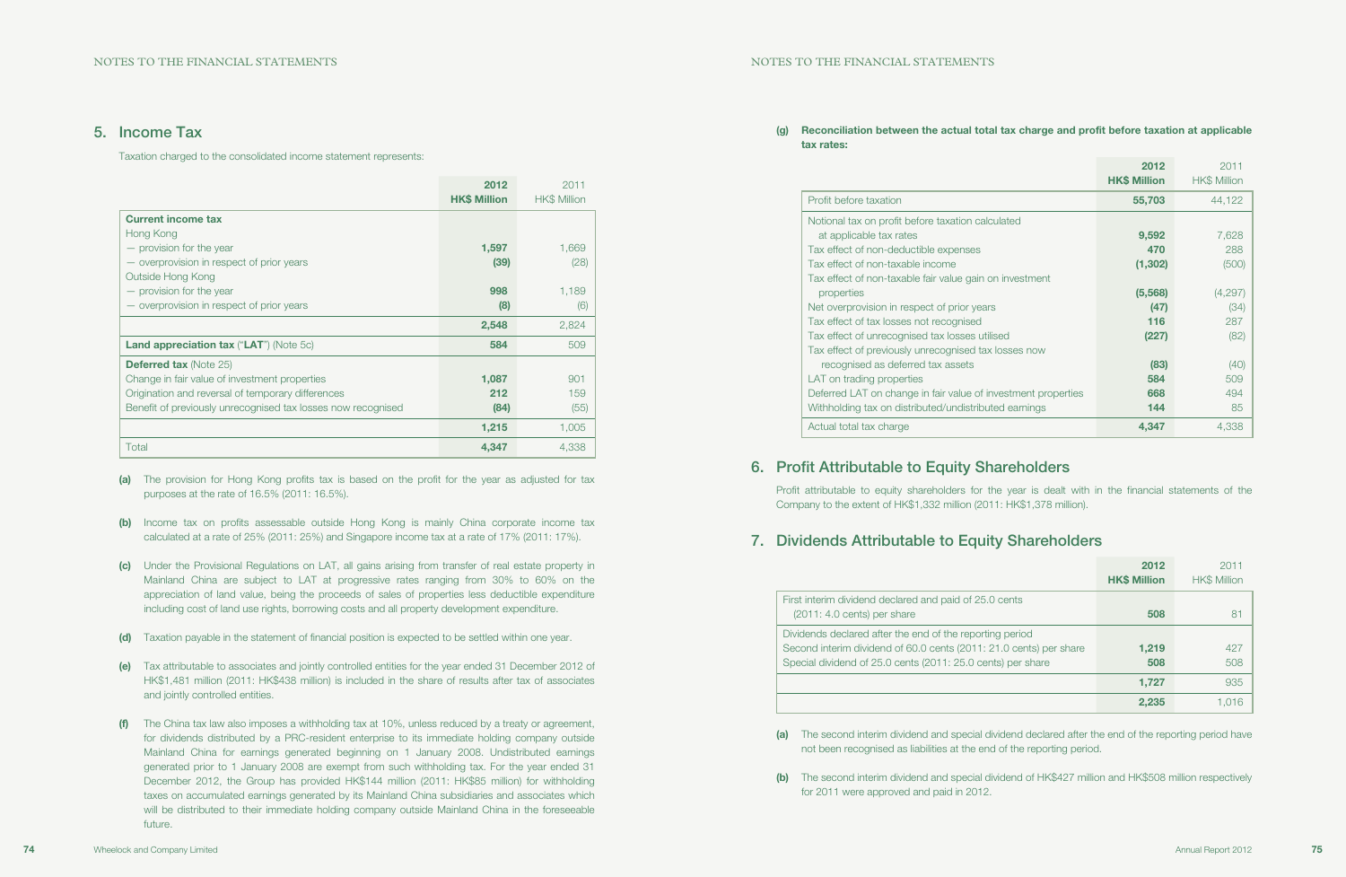### (g) Reconciliation between the actual total tax charge and profit before taxation at applicable

tax rates:

|                                                               | 2012<br><b>HK\$ Million</b> | 2011<br><b>HK\$ Million</b> |
|---------------------------------------------------------------|-----------------------------|-----------------------------|
| Profit before taxation                                        | 55,703                      | 44,122                      |
| Notional tax on profit before taxation calculated             |                             |                             |
| at applicable tax rates                                       | 9,592                       | 7,628                       |
| Tax effect of non-deductible expenses                         | 470                         | 288                         |
| Tax effect of non-taxable income                              | (1, 302)                    | (500)                       |
| Tax effect of non-taxable fair value gain on investment       |                             |                             |
| properties                                                    | (5, 568)                    | (4,297)                     |
| Net overprovision in respect of prior years                   | (47)                        | (34)                        |
| Tax effect of tax losses not recognised                       | 116                         | 287                         |
| Tax effect of unrecognised tax losses utilised                | (227)                       | (82)                        |
| Tax effect of previously unrecognised tax losses now          |                             |                             |
| recognised as deferred tax assets                             | (83)                        | (40)                        |
| LAT on trading properties                                     | 584                         | 509                         |
| Deferred LAT on change in fair value of investment properties | 668                         | 494                         |
| Withholding tax on distributed/undistributed earnings         | 144                         | 85                          |
| Actual total tax charge                                       | 4,347                       | 4.338                       |

## 6. Profit Attributable to Equity Shareholders

Profit attributable to equity shareholders for the year is dealt with in the financial statements of the Company to the extent of HK\$1,332 million (2011: HK\$1,378 million).

## 7. Dividends Attributable to Equity Shareholders

First interim dividend declared and paid of 25.0  $(2011: 4.0 \text{ cents})$  per share

Dividends declared after the end of the reporting Second interim dividend of 60.0 cents (2011: 21.0 cents) Special dividend of 25.0 cents (2011: 25.0 cents)

(a) The provision for Hong Kong profits tax is based on the profit for the year as adjusted for tax purposes at the rate of 16.5% (2011: 16.5%).

|                                                    | 2012<br><b>HK\$ Million</b> | 2011<br><b>HK\$ Million</b> |
|----------------------------------------------------|-----------------------------|-----------------------------|
| cents                                              | 508                         | 81                          |
| ng period<br>1.0 cents) per share<br>ts) per share | 1,219<br>508                | 427<br>508                  |
|                                                    | 1,727                       | 935                         |
|                                                    | 2,235                       | 1,016                       |

(a) The second interim dividend and special dividend declared after the end of the reporting period have

- not been recognised as liabilities at the end of the reporting period.
- for 2011 were approved and paid in 2012.

(b) The second interim dividend and special dividend of HK\$427 million and HK\$508 million respectively

## 5. Income Tax

Taxation charged to the consolidated income statement represents:

|                                                              | 2012<br><b>HK\$ Million</b> | 2011<br><b>HK\$ Million</b> |
|--------------------------------------------------------------|-----------------------------|-----------------------------|
| <b>Current income tax</b>                                    |                             |                             |
| Hong Kong                                                    |                             |                             |
| - provision for the year                                     | 1,597                       | 1,669                       |
| - overprovision in respect of prior years                    | (39)                        | (28)                        |
| Outside Hong Kong                                            |                             |                             |
| - provision for the year                                     | 998                         | 1,189                       |
| - overprovision in respect of prior years                    | (8)                         | (6)                         |
|                                                              | 2,548                       | 2,824                       |
| <b>Land appreciation tax ("LAT") (Note 5c)</b>               | 584                         | 509                         |
| <b>Deferred tax (Note 25)</b>                                |                             |                             |
| Change in fair value of investment properties                | 1,087                       | 901                         |
| Origination and reversal of temporary differences            | 212                         | 159                         |
| Benefit of previously unrecognised tax losses now recognised | (84)                        | (55)                        |
|                                                              | 1,215                       | 1,005                       |
| Total                                                        | 4,347                       | 4.338                       |

- (b) Income tax on profits assessable outside Hong Kong is mainly China corporate income tax calculated at a rate of 25% (2011: 25%) and Singapore income tax at a rate of 17% (2011: 17%).
- (c) Under the Provisional Regulations on LAT, all gains arising from transfer of real estate property in Mainland China are subject to LAT at progressive rates ranging from 30% to 60% on the appreciation of land value, being the proceeds of sales of properties less deductible expenditure including cost of land use rights, borrowing costs and all property development expenditure.
- (d) Taxation payable in the statement of financial position is expected to be settled within one year.
- (e) Tax attributable to associates and jointly controlled entities for the year ended 31 December 2012 of HK\$1,481 million (2011: HK\$438 million) is included in the share of results after tax of associates and jointly controlled entities.
- (f) The China tax law also imposes a withholding tax at 10%, unless reduced by a treaty or agreement, for dividends distributed by a PRC-resident enterprise to its immediate holding company outside Mainland China for earnings generated beginning on 1 January 2008. Undistributed earnings generated prior to 1 January 2008 are exempt from such withholding tax. For the year ended 31 December 2012, the Group has provided HK\$144 million (2011: HK\$85 million) for withholding taxes on accumulated earnings generated by its Mainland China subsidiaries and associates which will be distributed to their immediate holding company outside Mainland China in the foreseeable future.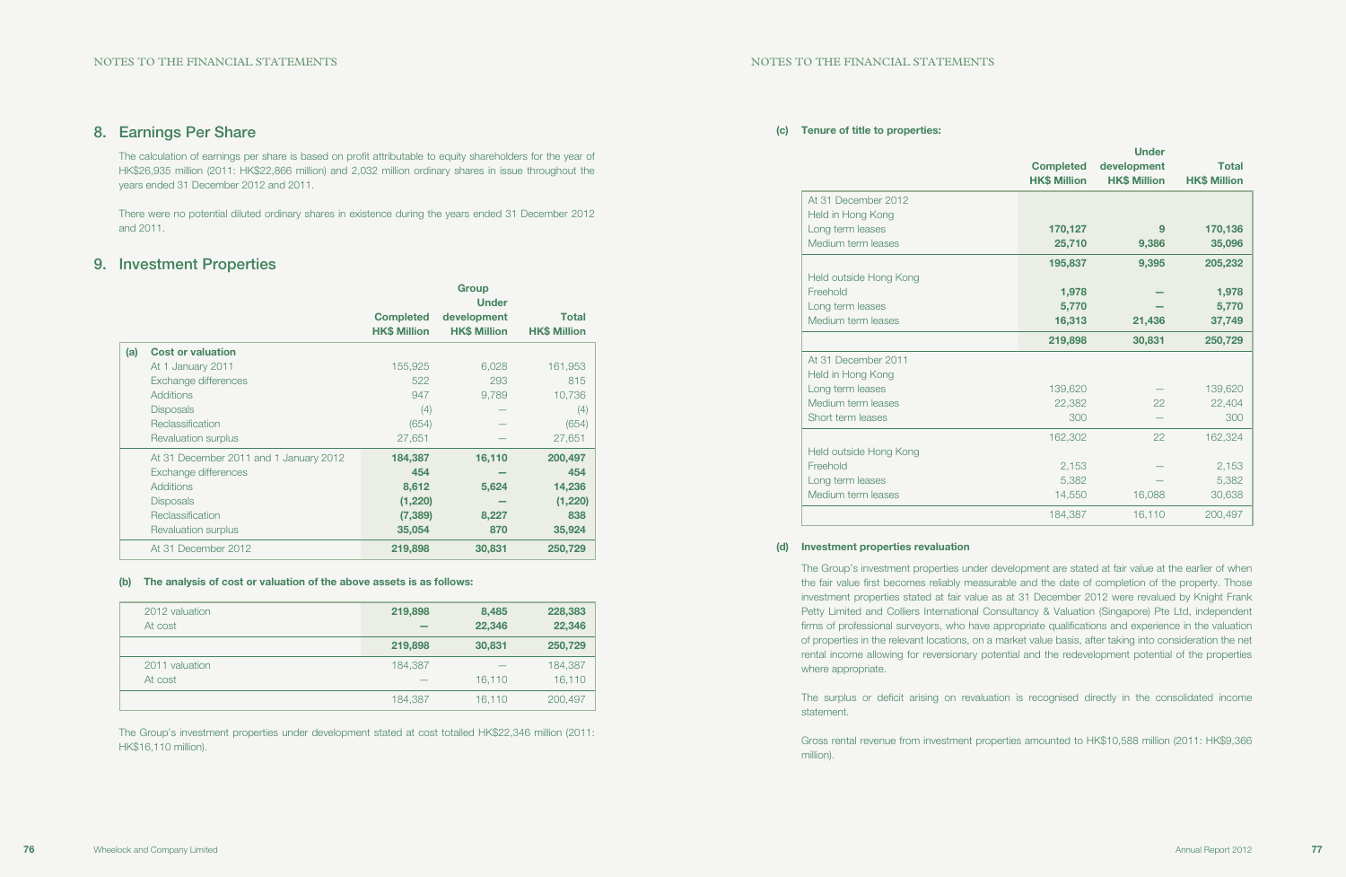### (c) Tenure of title to properties:

| At 31 December 2012    |
|------------------------|
| Held in Hong Kong      |
| Long term leases       |
| Medium term leases     |
|                        |
| Held outside Hong Kong |
| Freehold               |
| Long term leases       |
| Medium term leases     |
|                        |
| At 31 December 2011    |
| Held in Hong Kong      |
| Long term leases       |
| Medium term leases     |
| Short term leases      |
|                        |
| Held outside Hong Kong |
| Freehold               |
|                        |
| Long term leases       |
| Medium term leases     |
|                        |

|                        | <b>Completed</b><br><b>HK\$ Million</b> | <b>Under</b><br>development<br><b>HK\$ Million</b> | <b>Total</b><br><b>HK\$ Million</b> |
|------------------------|-----------------------------------------|----------------------------------------------------|-------------------------------------|
| At 31 December 2012    |                                         |                                                    |                                     |
| Held in Hong Kong      |                                         |                                                    |                                     |
| Long term leases       | 170,127                                 | 9                                                  | 170,136                             |
| Medium term leases     | 25,710                                  | 9,386                                              | 35,096                              |
|                        | 195,837                                 | 9,395                                              | 205,232                             |
| Held outside Hong Kong |                                         |                                                    |                                     |
| Freehold               | 1,978                                   |                                                    | 1,978                               |
| Long term leases       | 5,770                                   |                                                    | 5,770                               |
| Medium term leases     | 16,313                                  | 21,436                                             | 37,749                              |
|                        | 219,898                                 | 30,831                                             | 250,729                             |
| At 31 December 2011    |                                         |                                                    |                                     |
| Held in Hong Kong      |                                         |                                                    |                                     |
| Long term leases       | 139,620                                 |                                                    | 139,620                             |
| Medium term leases     | 22,382                                  | 22                                                 | 22,404                              |
| Short term leases      | 300                                     |                                                    | 300                                 |
|                        | 162,302                                 | 22                                                 | 162,324                             |
| Held outside Hong Kong |                                         |                                                    |                                     |
| Freehold               | 2,153                                   |                                                    | 2,153                               |
| Long term leases       | 5,382                                   |                                                    | 5,382                               |
| Medium term leases     | 14,550                                  | 16,088                                             | 30,638                              |
|                        | 184,387                                 | 16,110                                             | 200,497                             |

#### (d) Investment properties revaluation

The Group's investment properties under development are stated at fair value at the earlier of when the fair value first becomes reliably measurable and the date of completion of the property. Those investment properties stated at fair value as at 31 December 2012 were revalued by Knight Frank Petty Limited and Colliers International Consultancy & Valuation (Singapore) Pte Ltd, independent firms of professional surveyors, who have appropriate qualifications and experience in the valuation of properties in the relevant locations, on a market value basis, after taking into consideration the net rental income allowing for reversionary potential and the redevelopment potential of the properties where appropriate.

The surplus or deficit arising on revaluation is recognised directly in the consolidated income statement.

Gross rental revenue from investment properties amounted to HK\$10,588 million (2011: HK\$9,366 million).

## 8. Earnings Per Share

The calculation of earnings per share is based on profit attributable to equity shareholders for the year of HK\$26,935 million (2011: HK\$22,866 million) and 2,032 million ordinary shares in issue throughout the years ended 31 December 2012 and 2011.

There were no potential diluted ordinary shares in existence during the years ended 31 December 2012 and 2011.

## 9. Investment Properties

|     |                                        |                                         | <b>Group</b><br><b>Under</b>       |                                     |
|-----|----------------------------------------|-----------------------------------------|------------------------------------|-------------------------------------|
|     |                                        | <b>Completed</b><br><b>HK\$ Million</b> | development<br><b>HK\$ Million</b> | <b>Total</b><br><b>HK\$ Million</b> |
| (a) | <b>Cost or valuation</b>               |                                         |                                    |                                     |
|     | At 1 January 2011                      | 155,925                                 | 6,028                              | 161,953                             |
|     | Exchange differences                   | 522                                     | 293                                | 815                                 |
|     | <b>Additions</b>                       | 947                                     | 9,789                              | 10,736                              |
|     | <b>Disposals</b>                       | (4)                                     |                                    | (4)                                 |
|     | Reclassification                       | (654)                                   |                                    | (654)                               |
|     | Revaluation surplus                    | 27,651                                  |                                    | 27,651                              |
|     | At 31 December 2011 and 1 January 2012 | 184,387                                 | 16,110                             | 200,497                             |
|     | Exchange differences                   | 454                                     |                                    | 454                                 |
|     | <b>Additions</b>                       | 8,612                                   | 5,624                              | 14,236                              |
|     | <b>Disposals</b>                       | (1,220)                                 |                                    | (1,220)                             |
|     | Reclassification                       | (7, 389)                                | 8,227                              | 838                                 |
|     | <b>Revaluation surplus</b>             | 35,054                                  | 870                                | 35,924                              |
|     | At 31 December 2012                    | 219,898                                 | 30,831                             | 250,729                             |

#### (b) The analysis of cost or valuation of the above assets is as follows:

| 2012 valuation<br>At cost | 219,898 | 8,485<br>22,346 | 228,383<br>22,346 |
|---------------------------|---------|-----------------|-------------------|
|                           | 219,898 | 30,831          | 250,729           |
| 2011 valuation            | 184.387 |                 | 184,387           |
| At cost                   | -       | 16.110          | 16,110            |
|                           | 184,387 | 16.110          | 200,497           |

The Group's investment properties under development stated at cost totalled HK\$22,346 million (2011: HK\$16,110 million).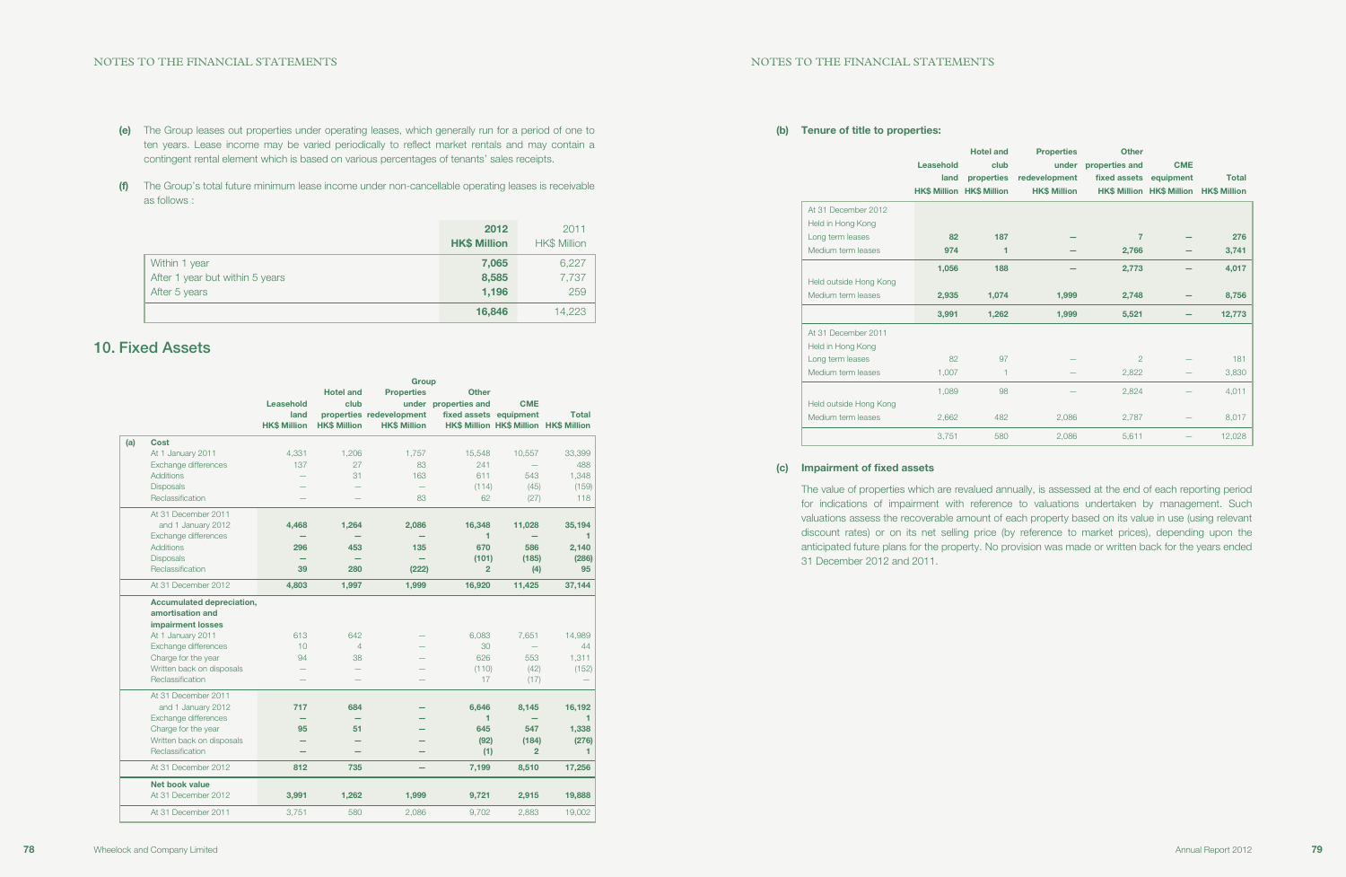### (b) Tenure of title to properties:

|                        | Leasehold<br>land | <b>Hotel and</b><br>club<br>properties<br><b>HK\$ Million HK\$ Million</b> | <b>Properties</b><br>redevelopment<br><b>HK\$ Million</b> | <b>Other</b><br>under properties and<br>fixed assets | <b>CME</b><br>equipment<br>HK\$ Million HK\$ Million HK\$ Million | <b>Total</b> |
|------------------------|-------------------|----------------------------------------------------------------------------|-----------------------------------------------------------|------------------------------------------------------|-------------------------------------------------------------------|--------------|
| At 31 December 2012    |                   |                                                                            |                                                           |                                                      |                                                                   |              |
| Held in Hong Kong      |                   |                                                                            |                                                           |                                                      |                                                                   |              |
| Long term leases       | 82                | 187                                                                        |                                                           | 7                                                    |                                                                   | 276          |
| Medium term leases     | 974               | 1                                                                          |                                                           | 2,766                                                |                                                                   | 3,741        |
|                        | 1,056             | 188                                                                        |                                                           | 2,773                                                |                                                                   | 4,017        |
| Held outside Hong Kong |                   |                                                                            |                                                           |                                                      |                                                                   |              |
| Medium term leases     | 2,935             | 1,074                                                                      | 1,999                                                     | 2,748                                                |                                                                   | 8,756        |
|                        | 3,991             | 1,262                                                                      | 1,999                                                     | 5,521                                                |                                                                   | 12,773       |
| At 31 December 2011    |                   |                                                                            |                                                           |                                                      |                                                                   |              |
| Held in Hong Kong      |                   |                                                                            |                                                           |                                                      |                                                                   |              |
| Long term leases       | 82                | 97                                                                         |                                                           | $\overline{2}$                                       |                                                                   | 181          |
| Medium term leases     | 1,007             | 1                                                                          |                                                           | 2,822                                                |                                                                   | 3,830        |
|                        | 1,089             | 98                                                                         |                                                           | 2,824                                                |                                                                   | 4,011        |
| Held outside Hong Kong |                   |                                                                            |                                                           |                                                      |                                                                   |              |
| Medium term leases     | 2,662             | 482                                                                        | 2,086                                                     | 2,787                                                |                                                                   | 8,017        |
|                        | 3,751             | 580                                                                        | 2,086                                                     | 5,611                                                |                                                                   | 12,028       |
|                        |                   |                                                                            |                                                           |                                                      |                                                                   |              |

### (c) Impairment of fixed assets

The value of properties which are revalued annually, is assessed at the end of each reporting period for indications of impairment with reference to valuations undertaken by management. Such valuations assess the recoverable amount of each property based on its value in use (using relevant discount rates) or on its net selling price (by reference to market prices), depending upon the anticipated future plans for the property. No provision was made or written back for the years ended 31 December 2012 and 2011.

- (e) The Group leases out properties under operating leases, which generally run for a period of one to ten years. Lease income may be varied periodically to reflect market rentals and may contain a contingent rental element which is based on various percentages of tenants' sales receipts.
- (f) The Group's total future minimum lease income under non-cancellable operating leases is receivable as follows :

|                                 | 2012<br><b>HK\$ Million</b> | 2011<br><b>HK\$ Million</b> |
|---------------------------------|-----------------------------|-----------------------------|
| Within 1 year                   | 7,065                       | 6,227                       |
| After 1 year but within 5 years | 8,585                       | 7,737                       |
| After 5 years                   | 1,196                       | 259                         |
|                                 | 16,846                      | 14,223                      |

## 10. Fixed Assets

|     |                           | Group               |                     |                          |                        |                          |                                        |
|-----|---------------------------|---------------------|---------------------|--------------------------|------------------------|--------------------------|----------------------------------------|
|     |                           |                     | <b>Hotel and</b>    | <b>Properties</b>        | <b>Other</b>           |                          |                                        |
|     |                           | Leasehold           | club                |                          | under properties and   | <b>CME</b>               |                                        |
|     |                           | land                |                     | properties redevelopment | fixed assets equipment |                          | <b>Total</b>                           |
|     |                           | <b>HK\$ Million</b> | <b>HK\$ Million</b> | <b>HK\$ Million</b>      |                        |                          | HK\$ Million HK\$ Million HK\$ Million |
| (a) | Cost                      |                     |                     |                          |                        |                          |                                        |
|     | At 1 January 2011         | 4,331               | 1.206               | 1.757                    | 15,548                 | 10,557                   | 33,399                                 |
|     | Exchange differences      | 137                 | 27                  | 83                       | 241                    |                          | 488                                    |
|     | <b>Additions</b>          |                     | 31                  | 163                      | 611                    | 543                      | 1,348                                  |
|     | <b>Disposals</b>          |                     |                     | $\equiv$                 | (114)                  | (45)                     | (159)                                  |
|     | Reclassification          |                     |                     | 83                       | 62                     | (27)                     | 118                                    |
|     | At 31 December 2011       |                     |                     |                          |                        |                          |                                        |
|     | and 1 January 2012        | 4.468               | 1,264               | 2,086                    | 16,348                 | 11,028                   | 35,194                                 |
|     | Exchange differences      |                     |                     |                          | 1                      |                          | 1                                      |
|     | <b>Additions</b>          | 296                 | 453                 | 135                      | 670                    | 586                      | 2,140                                  |
|     | <b>Disposals</b>          |                     |                     |                          | (101)                  | (185)                    | (286)                                  |
|     | Reclassification          | 39                  | 280                 | (222)                    | $\overline{2}$         | (4)                      | 95                                     |
|     | At 31 December 2012       | 4,803               | 1,997               | 1,999                    | 16,920                 | 11,425                   | 37,144                                 |
|     | Accumulated depreciation, |                     |                     |                          |                        |                          |                                        |
|     | amortisation and          |                     |                     |                          |                        |                          |                                        |
|     | <b>impairment losses</b>  |                     |                     |                          |                        |                          |                                        |
|     | At 1 January 2011         | 613                 | 642                 |                          | 6,083                  | 7.651                    | 14,989                                 |
|     | Exchange differences      | 10                  | $\overline{4}$      |                          | 30                     | $\equiv$                 | 44                                     |
|     | Charge for the year       | 94                  | 38                  |                          | 626                    | 553                      | 1,311                                  |
|     | Written back on disposals |                     |                     |                          | (110)                  | (42)                     | (152)                                  |
|     | Reclassification          |                     |                     |                          | 17                     | (17)                     |                                        |
|     | At 31 December 2011       |                     |                     |                          |                        |                          |                                        |
|     | and 1 January 2012        | 717                 | 684                 |                          | 6,646                  | 8,145                    | 16,192                                 |
|     | Exchange differences      |                     |                     |                          | 1                      | $\overline{\phantom{0}}$ | 1                                      |
|     | Charge for the year       | 95                  | 51                  |                          | 645                    | 547                      | 1,338                                  |
|     | Written back on disposals |                     |                     |                          | (92)                   | (184)                    | (276)                                  |
|     | Reclassification          |                     |                     |                          | (1)                    | $\overline{2}$           | 1                                      |
|     | At 31 December 2012       | 812                 | 735                 |                          | 7,199                  | 8,510                    | 17,256                                 |
|     | <b>Net book value</b>     |                     |                     |                          |                        |                          |                                        |
|     | At 31 December 2012       | 3,991               | 1,262               | 1.999                    | 9,721                  | 2,915                    | 19,888                                 |
|     | At 31 December 2011       | 3,751               | 580                 | 2,086                    | 9,702                  | 2,883                    | 19,002                                 |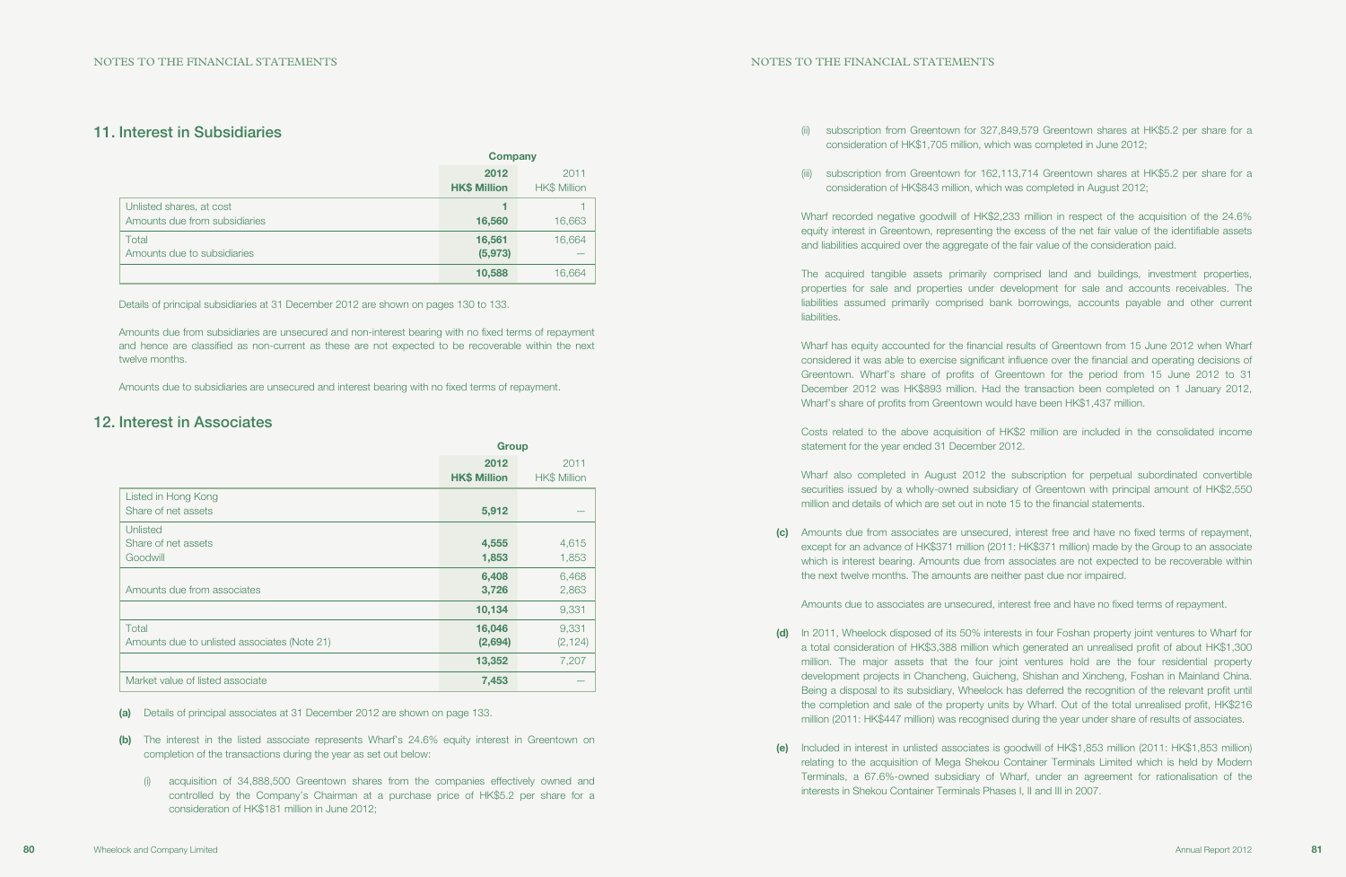(ii) subscription from Greentown for 327,849,579 Greentown shares at HK\$5.2 per share for a

- consideration of HK\$1,705 million, which was completed in June 2012;
- consideration of HK\$843 million, which was completed in August 2012;

(iii) subscription from Greentown for 162,113,714 Greentown shares at HK\$5.2 per share for a

Wharf recorded negative goodwill of HK\$2,233 million in respect of the acquisition of the 24.6% equity interest in Greentown, representing the excess of the net fair value of the identifiable assets and liabilities acquired over the aggregate of the fair value of the consideration paid.

The acquired tangible assets primarily comprised land and buildings, investment properties, properties for sale and properties under development for sale and accounts receivables. The liabilities assumed primarily comprised bank borrowings, accounts payable and other current liabilities.

Wharf has equity accounted for the financial results of Greentown from 15 June 2012 when Wharf considered it was able to exercise significant influence over the financial and operating decisions of Greentown. Wharf's share of profits of Greentown for the period from 15 June 2012 to 31 December 2012 was HK\$893 million. Had the transaction been completed on 1 January 2012, Wharf's share of profits from Greentown would have been HK\$1,437 million.

(d) In 2011, Wheelock disposed of its 50% interests in four Foshan property joint ventures to Wharf for a total consideration of HK\$3,388 million which generated an unrealised profit of about HK\$1,300 million. The major assets that the four joint ventures hold are the four residential property development projects in Chancheng, Guicheng, Shishan and Xincheng, Foshan in Mainland China. Being a disposal to its subsidiary, Wheelock has deferred the recognition of the relevant profit until the completion and sale of the property units by Wharf. Out of the total unrealised profit, HK\$216 million (2011: HK\$447 million) was recognised during the year under share of results of associates.

Costs related to the above acquisition of HK\$2 million are included in the consolidated income statement for the year ended 31 December 2012.

Wharf also completed in August 2012 the subscription for perpetual subordinated convertible securities issued by a wholly-owned subsidiary of Greentown with principal amount of HK\$2,550 million and details of which are set out in note 15 to the financial statements.

(c) Amounts due from associates are unsecured, interest free and have no fixed terms of repayment, except for an advance of HK\$371 million (2011: HK\$371 million) made by the Group to an associate which is interest bearing. Amounts due from associates are not expected to be recoverable within

the next twelve months. The amounts are neither past due nor impaired.

Amounts due to associates are unsecured, interest free and have no fixed terms of repayment.

(e) Included in interest in unlisted associates is goodwill of HK\$1,853 million (2011: HK\$1,853 million) relating to the acquisition of Mega Shekou Container Terminals Limited which is held by Modern Terminals, a 67.6%-owned subsidiary of Wharf, under an agreement for rationalisation of the

- 
- interests in Shekou Container Terminals Phases I, II and III in 2007.

## 11. Interest in Subsidiaries

|                                                           | <b>Company</b>              |                             |
|-----------------------------------------------------------|-----------------------------|-----------------------------|
|                                                           | 2012<br><b>HK\$ Million</b> | 2011<br><b>HK\$ Million</b> |
| Unlisted shares, at cost<br>Amounts due from subsidiaries | 4<br>16,560                 | 16,663                      |
| Total<br>Amounts due to subsidiaries                      | 16,561<br>(5, 973)          | 16,664<br>_                 |
|                                                           | 10,588                      | 16,664                      |

Details of principal subsidiaries at 31 December 2012 are shown on pages 130 to 133.

Amounts due from subsidiaries are unsecured and non-interest bearing with no fixed terms of repayment and hence are classified as non-current as these are not expected to be recoverable within the next twelve months.

Amounts due to subsidiaries are unsecured and interest bearing with no fixed terms of repayment.

## 12. Interest in Associates

|                                                       | <b>Group</b>                |                             |  |
|-------------------------------------------------------|-----------------------------|-----------------------------|--|
|                                                       | 2012<br><b>HK\$ Million</b> | 2011<br><b>HK\$ Million</b> |  |
| Listed in Hong Kong<br>Share of net assets            | 5,912                       |                             |  |
| Unlisted<br>Share of net assets<br>Goodwill           | 4,555<br>1,853              | 4,615<br>1,853              |  |
| Amounts due from associates                           | 6,408<br>3,726              | 6,468<br>2,863              |  |
|                                                       | 10,134                      | 9,331                       |  |
| Total<br>Amounts due to unlisted associates (Note 21) | 16,046<br>(2,694)           | 9,331<br>(2, 124)           |  |
|                                                       | 13,352                      | 7,207                       |  |
| Market value of listed associate                      | 7,453                       |                             |  |

(a) Details of principal associates at 31 December 2012 are shown on page 133.

- (b) The interest in the listed associate represents Wharf's 24.6% equity interest in Greentown on completion of the transactions during the year as set out below:
	- (i) acquisition of 34,888,500 Greentown shares from the companies effectively owned and controlled by the Company's Chairman at a purchase price of HK\$5.2 per share for a consideration of HK\$181 million in June 2012;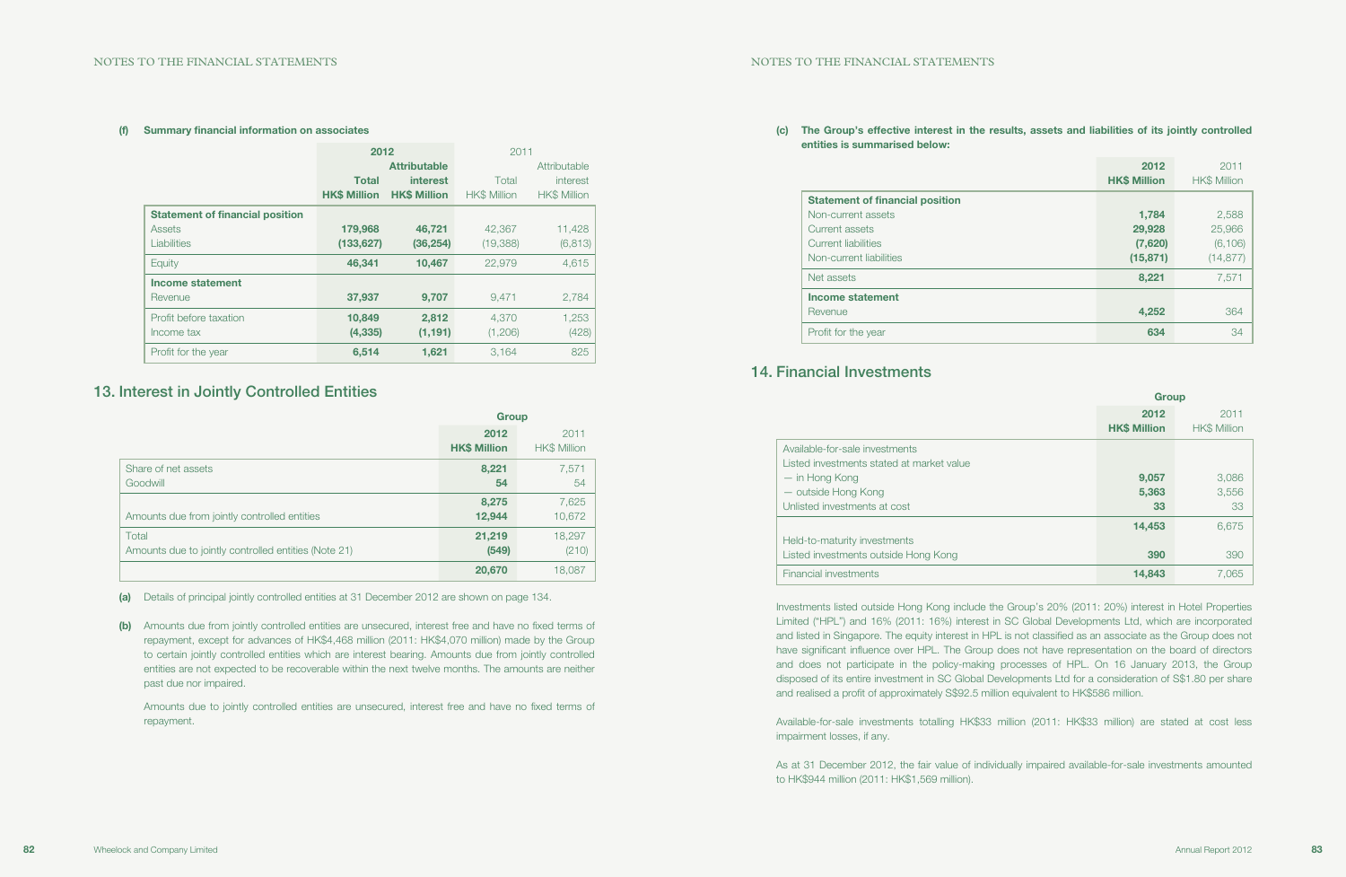### (c) The Group's effective interest in the results, assets and liabilities of its jointly controlled

entities is summarised below:

|                                        | 2012<br><b>HK\$ Million</b> | 2011<br><b>HK\$ Million</b> |
|----------------------------------------|-----------------------------|-----------------------------|
| <b>Statement of financial position</b> |                             |                             |
| Non-current assets                     | 1,784                       | 2,588                       |
| Current assets                         | 29,928                      | 25,966                      |
| Current liabilities                    | (7,620)                     | (6, 106)                    |
| Non-current liabilities                | (15, 871)                   | (14, 877)                   |
| Net assets                             | 8,221                       | 7,571                       |
| <b>Income statement</b>                |                             |                             |
| Revenue                                | 4,252                       | 364                         |
| Profit for the year                    | 634                         | 34                          |

## 14. Financial Investments

|                                                                             | <b>Group</b>                |                             |
|-----------------------------------------------------------------------------|-----------------------------|-----------------------------|
|                                                                             | 2012<br><b>HK\$ Million</b> | 2011<br><b>HK\$ Million</b> |
| Available-for-sale investments<br>Listed investments stated at market value |                             |                             |
| — in Hong Kong                                                              | 9,057                       | 3,086                       |
| - outside Hong Kong                                                         | 5,363                       | 3,556                       |
| Unlisted investments at cost                                                | 33                          | 33                          |
|                                                                             | 14,453                      | 6,675                       |
| Held-to-maturity investments                                                |                             |                             |
| Listed investments outside Hong Kong                                        | 390                         | 390                         |
| Financial investments                                                       | 14,843                      | 7.065                       |

Investments listed outside Hong Kong include the Group's 20% (2011: 20%) interest in Hotel Properties Limited ("HPL") and 16% (2011: 16%) interest in SC Global Developments Ltd, which are incorporated and listed in Singapore. The equity interest in HPL is not classified as an associate as the Group does not have significant influence over HPL. The Group does not have representation on the board of directors and does not participate in the policy-making processes of HPL. On 16 January 2013, the Group disposed of its entire investment in SC Global Developments Ltd for a consideration of S\$1.80 per share and realised a profit of approximately S\$92.5 million equivalent to HK\$586 million.

Available-for-sale investments totalling HK\$33 million (2011: HK\$33 million) are stated at cost less impairment losses, if any.

As at 31 December 2012, the fair value of individually impaired available-for-sale investments amounted to HK\$944 million (2011: HK\$1,569 million).

#### (f) Summary financial information on associates

|                                        | 2012                |                     | 2011                |                     |
|----------------------------------------|---------------------|---------------------|---------------------|---------------------|
|                                        |                     | <b>Attributable</b> |                     | Attributable        |
|                                        | <b>Total</b>        | interest            | Total               | interest            |
|                                        | <b>HK\$ Million</b> | <b>HK\$ Million</b> | <b>HK\$ Million</b> | <b>HK\$ Million</b> |
| <b>Statement of financial position</b> |                     |                     |                     |                     |
| Assets                                 | 179,968             | 46,721              | 42,367              | 11,428              |
| Liabilities                            | (133, 627)          | (36, 254)           | (19, 388)           | (6, 813)            |
| Equity                                 | 46,341              | 10,467              | 22,979              | 4,615               |
| Income statement                       |                     |                     |                     |                     |
| Revenue                                | 37,937              | 9,707               | 9.471               | 2,784               |
| Profit before taxation                 | 10,849              | 2,812               | 4.370               | 1,253               |
| Income tax                             | (4, 335)            | (1, 191)            | (1,206)             | (428)               |
| Profit for the year                    | 6,514               | 1,621               | 3.164               | 825                 |

## 13. Interest in Jointly Controlled Entities

|                                                               | <b>Group</b>                |                      |
|---------------------------------------------------------------|-----------------------------|----------------------|
|                                                               | 2012<br><b>HK\$ Million</b> | 2011<br>HK\$ Million |
| Share of net assets<br>Goodwill                               | 8,221<br>54                 | 7,571<br>54          |
| Amounts due from jointly controlled entities                  | 8,275<br>12,944             | 7,625<br>10,672      |
| Total<br>Amounts due to jointly controlled entities (Note 21) | 21,219<br>(549)             | 18,297<br>(210)      |
|                                                               | 20,670                      | 18,087               |

(a) Details of principal jointly controlled entities at 31 December 2012 are shown on page 134.

(b) Amounts due from jointly controlled entities are unsecured, interest free and have no fixed terms of repayment, except for advances of HK\$4,468 million (2011: HK\$4,070 million) made by the Group to certain jointly controlled entities which are interest bearing. Amounts due from jointly controlled entities are not expected to be recoverable within the next twelve months. The amounts are neither past due nor impaired.

Amounts due to jointly controlled entities are unsecured, interest free and have no fixed terms of repayment.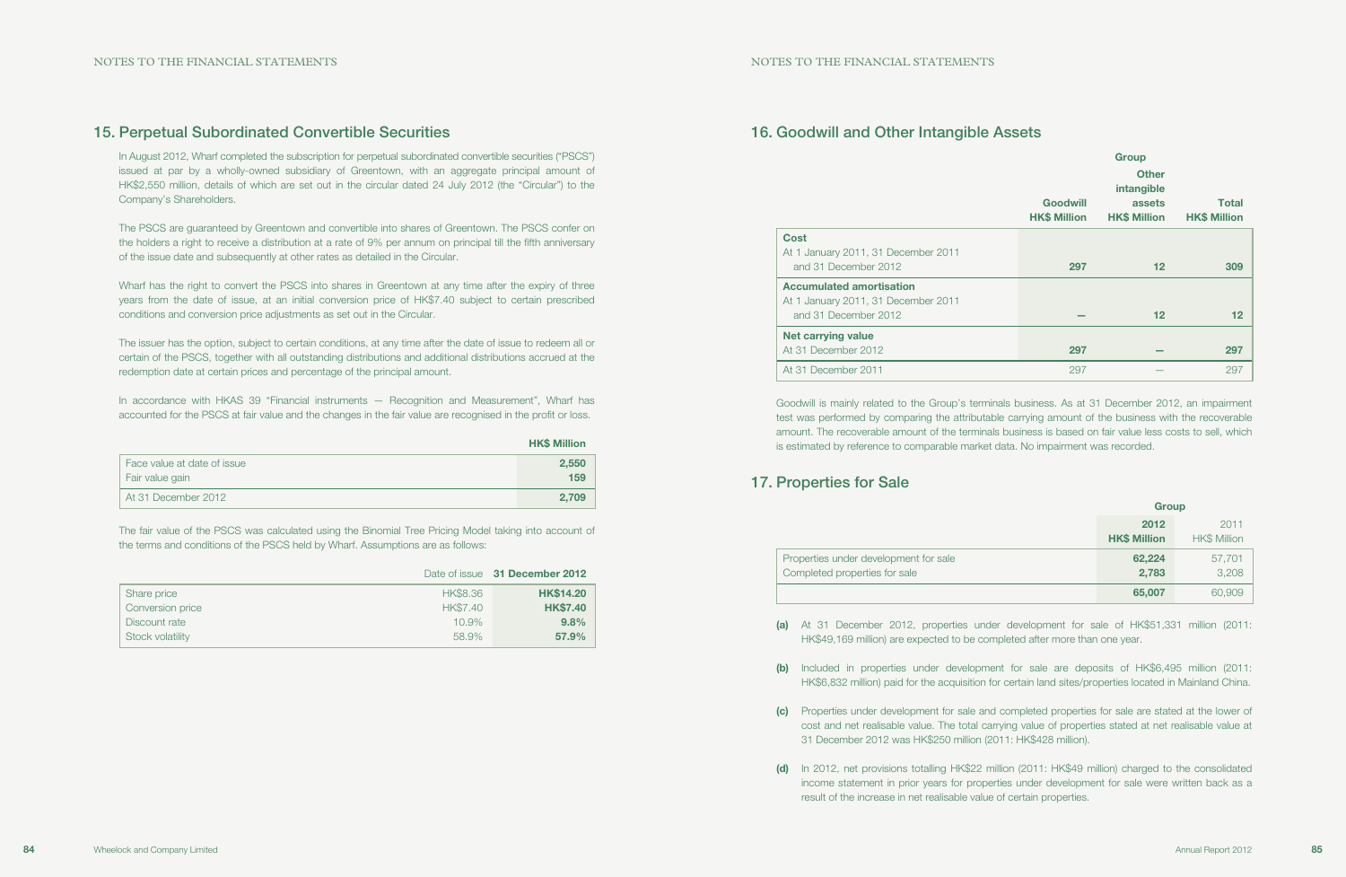## 16. Goodwill and Other Intangible Assets

|                                                                                                | <b>Goodwill</b><br><b>HK\$ Million</b> | <b>Group</b><br><b>Other</b><br>intangible<br>assets<br><b>HK\$ Million</b> | <b>Total</b><br><b>HK\$ Million</b> |
|------------------------------------------------------------------------------------------------|----------------------------------------|-----------------------------------------------------------------------------|-------------------------------------|
| <b>Cost</b><br>At 1 January 2011, 31 December 2011<br>and 31 December 2012                     | 297                                    | 12                                                                          | 309                                 |
| <b>Accumulated amortisation</b><br>At 1 January 2011, 31 December 2011<br>and 31 December 2012 |                                        | 12                                                                          | $12 \ \mathsf{ }$                   |
| <b>Net carrying value</b><br>At 31 December 2012                                               | 297                                    |                                                                             | 297                                 |
| At 31 December 2011                                                                            | 297                                    |                                                                             | 297                                 |

| Cost                                                                               |
|------------------------------------------------------------------------------------|
| At 1 January 2011, 31 December 2011                                                |
| and 31 December 2012                                                               |
| <b>Accumulated amortisation</b>                                                    |
| $\mathbf{A}$ is the set of $\mathbf{A}$ in $\mathbf{A}$ is the set of $\mathbf{A}$ |

Goodwill is mainly related to the Group's terminals business. As at 31 December 2012, an impairment test was performed by comparing the attributable carrying amount of the business with the recoverable amount. The recoverable amount of the terminals business is based on fair value less costs to sell, which is estimated by reference to comparable market data. No impairment was recorded.

## 17. Properties for Sale

Properties under development for sale Completed properties for sale

| <b>Group</b>                |                      |  |
|-----------------------------|----------------------|--|
| 2012<br><b>HK\$ Million</b> | 2011<br>HK\$ Million |  |
| 62,224<br>2,783             | 57,701<br>3,208      |  |
| 65,007                      | 60,909               |  |

(a) At 31 December 2012, properties under development for sale of HK\$51,331 million (2011:

(b) Included in properties under development for sale are deposits of HK\$6,495 million (2011: HK\$6,832 million) paid for the acquisition for certain land sites/properties located in Mainland China.

Wharf has the right to convert the PSCS into shares in Greentown at any time after the expiry of three years from the date of issue, at an initial conversion price of HK\$7.40 subject to certain prescribed conditions and conversion price adjustments as set out in the Circular.

> (c) Properties under development for sale and completed properties for sale are stated at the lower of cost and net realisable value. The total carrying value of properties stated at net realisable value at

- HK\$49,169 million) are expected to be completed after more than one year.
- 
- 31 December 2012 was HK\$250 million (2011: HK\$428 million).
- result of the increase in net realisable value of certain properties.

(d) In 2012, net provisions totalling HK\$22 million (2011: HK\$49 million) charged to the consolidated income statement in prior years for properties under development for sale were written back as a

## 15. Perpetual Subordinated Convertible Securities

In August 2012, Wharf completed the subscription for perpetual subordinated convertible securities ("PSCS") issued at par by a wholly-owned subsidiary of Greentown, with an aggregate principal amount of HK\$2,550 million, details of which are set out in the circular dated 24 July 2012 (the "Circular") to the Company's Shareholders.

The PSCS are guaranteed by Greentown and convertible into shares of Greentown. The PSCS confer on the holders a right to receive a distribution at a rate of 9% per annum on principal till the fifth anniversary of the issue date and subsequently at other rates as detailed in the Circular.

The issuer has the option, subject to certain conditions, at any time after the date of issue to redeem all or certain of the PSCS, together with all outstanding distributions and additional distributions accrued at the redemption date at certain prices and percentage of the principal amount.

In accordance with HKAS 39 "Financial instruments — Recognition and Measurement", Wharf has accounted for the PSCS at fair value and the changes in the fair value are recognised in the profit or loss.

|                             | <b>HK\$ Million</b> |
|-----------------------------|---------------------|
| Face value at date of issue | 2,550               |
| Fair value gain             | 159                 |
| At 31 December 2012         | 2.709               |

The fair value of the PSCS was calculated using the Binomial Tree Pricing Model taking into account of the terms and conditions of the PSCS held by Wharf. Assumptions are as follows:

|                  |          | Date of issue 31 December 2012 |
|------------------|----------|--------------------------------|
| Share price      | HK\$8.36 | <b>HK\$14.20</b>               |
| Conversion price | HK\$7,40 | <b>HK\$7.40</b>                |
| Discount rate    | 10.9%    | 9.8%                           |
| Stock volatility | 58.9%    | 57.9%                          |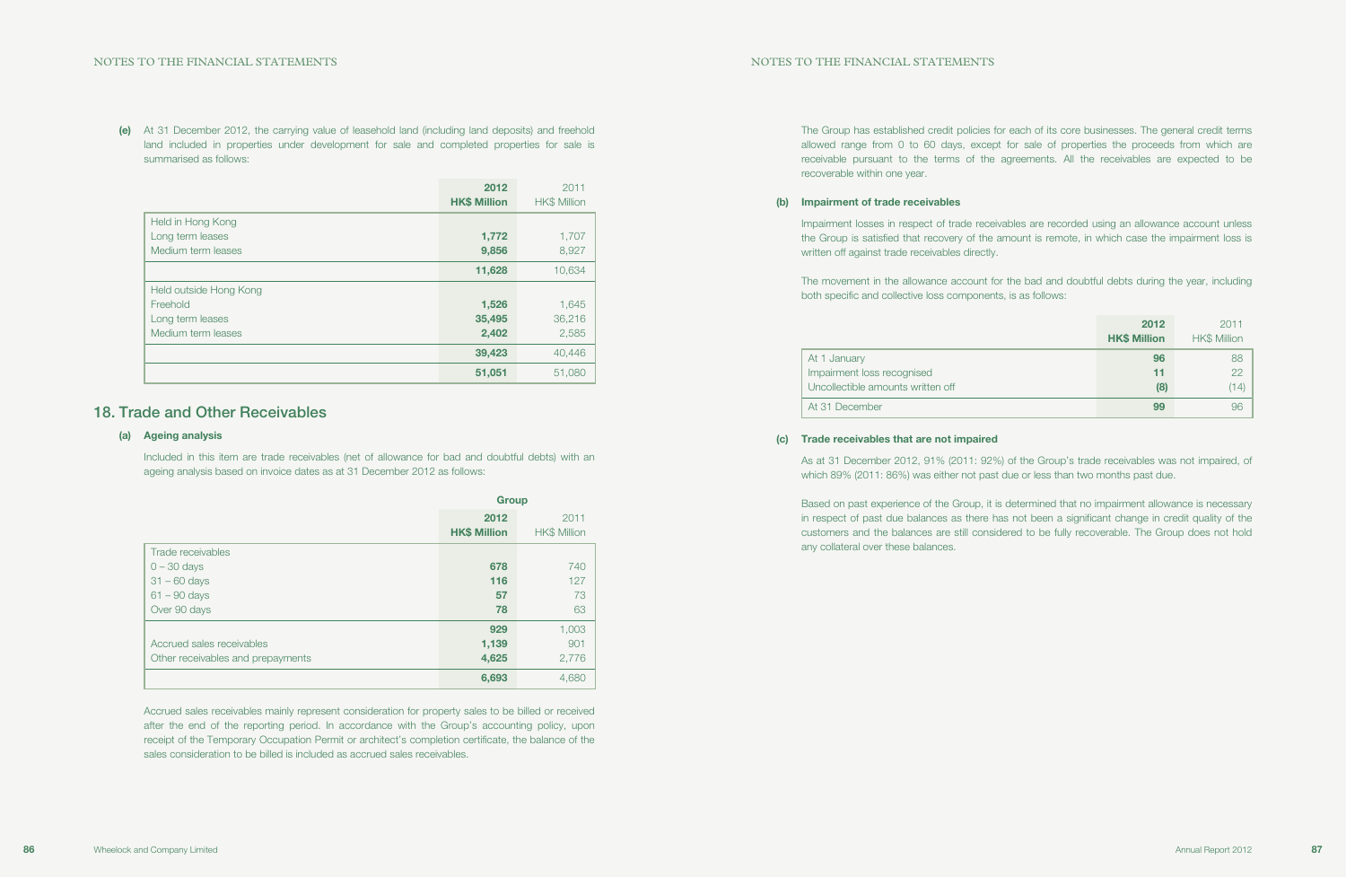(e) At 31 December 2012, the carrying value of leasehold land (including land deposits) and freehold land included in properties under development for sale and completed properties for sale is summarised as follows:

|                        | 2012<br><b>HK\$ Million</b> | 2011<br><b>HK\$ Million</b> |
|------------------------|-----------------------------|-----------------------------|
| Held in Hong Kong      |                             |                             |
| Long term leases       | 1,772                       | 1,707                       |
| Medium term leases     | 9,856                       | 8,927                       |
|                        | 11,628                      | 10,634                      |
| Held outside Hong Kong |                             |                             |
| Freehold               | 1,526                       | 1,645                       |
| Long term leases       | 35,495                      | 36,216                      |
| Medium term leases     | 2,402                       | 2,585                       |
|                        | 39,423                      | 40,446                      |
|                        | 51,051                      | 51,080                      |

## 18. Trade and Other Receivables

### (a) Ageing analysis

Included in this item are trade receivables (net of allowance for bad and doubtful debts) with an ageing analysis based on invoice dates as at 31 December 2012 as follows:

|                                   |                     | <b>Group</b>        |  |  |
|-----------------------------------|---------------------|---------------------|--|--|
|                                   | 2012                | 2011                |  |  |
|                                   | <b>HK\$ Million</b> | <b>HK\$ Million</b> |  |  |
| Trade receivables                 |                     |                     |  |  |
| $0 - 30$ days                     | 678                 | 740                 |  |  |
| $31 - 60$ days                    | 116                 | 127                 |  |  |
| $61 - 90$ days                    | 57                  | 73                  |  |  |
| Over 90 days                      | 78                  | 63                  |  |  |
|                                   | 929                 | 1,003               |  |  |
| Accrued sales receivables         | 1,139               | 901                 |  |  |
| Other receivables and prepayments | 4,625               | 2,776               |  |  |
|                                   | 6,693               | 4,680               |  |  |

Accrued sales receivables mainly represent consideration for property sales to be billed or received after the end of the reporting period. In accordance with the Group's accounting policy, upon receipt of the Temporary Occupation Permit or architect's completion certificate, the balance of the sales consideration to be billed is included as accrued sales receivables.

The Group has established credit policies for each of its core businesses. The general credit terms allowed range from 0 to 60 days, except for sale of properties the proceeds from which are receivable pursuant to the terms of the agreements. All the receivables are expected to be recoverable within one year.

### (b) Impairment of trade receivables

Impairment losses in respect of trade receivables are recorded using an allowance account unless the Group is satisfied that recovery of the amount is remote, in which case the impairment loss is written off against trade receivables directly.

The movement in the allowance account for the bad and doubtful debts during the year, including both specific and collective loss components, is as follows:

|                                   | 2012<br><b>HK\$ Million</b> | 2011<br><b>HK\$ Million</b> |
|-----------------------------------|-----------------------------|-----------------------------|
| At 1 January                      | 96                          | 88                          |
| Impairment loss recognised        | 11                          | 22                          |
| Uncollectible amounts written off | (8)                         | (14)                        |
| At 31 December                    | 99                          | 96                          |

### (c) Trade receivables that are not impaired

As at 31 December 2012, 91% (2011: 92%) of the Group's trade receivables was not impaired, of which 89% (2011: 86%) was either not past due or less than two months past due.

Based on past experience of the Group, it is determined that no impairment allowance is necessary in respect of past due balances as there has not been a significant change in credit quality of the customers and the balances are still considered to be fully recoverable. The Group does not hold any collateral over these balances.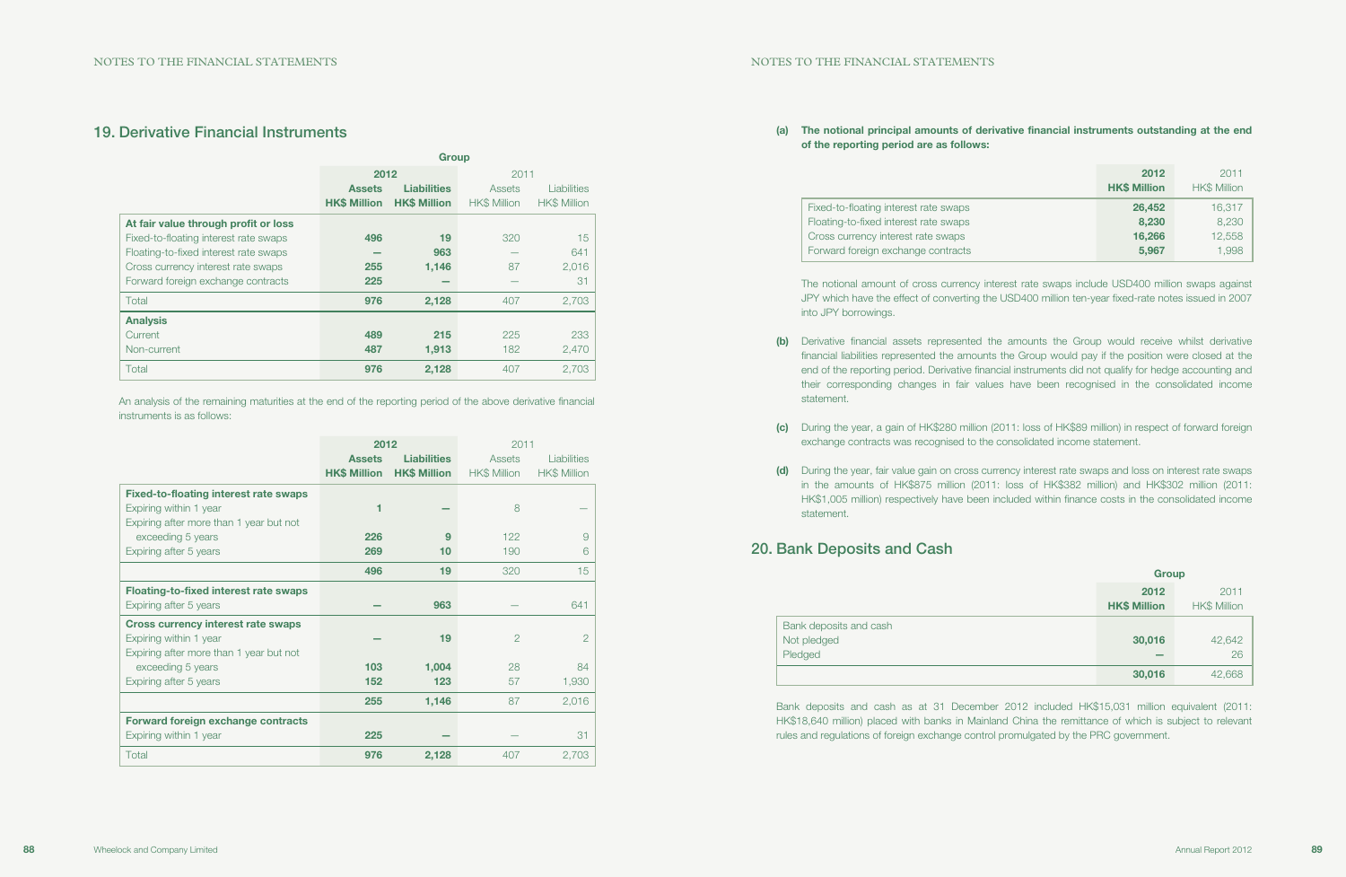## 19. Derivative Financial Instruments

|                                       | <b>Group</b>        |                     |                     |                     |
|---------------------------------------|---------------------|---------------------|---------------------|---------------------|
|                                       | 2012                |                     | 2011                |                     |
|                                       | <b>Assets</b>       | <b>Liabilities</b>  | Assets              | <b>Liabilities</b>  |
|                                       | <b>HK\$ Million</b> | <b>HK\$ Million</b> | <b>HK\$ Million</b> | <b>HK\$ Million</b> |
| At fair value through profit or loss  |                     |                     |                     |                     |
| Fixed-to-floating interest rate swaps | 496                 | 19                  | 320                 | 15                  |
| Floating-to-fixed interest rate swaps |                     | 963                 |                     | 641                 |
| Cross currency interest rate swaps    | 255                 | 1,146               | 87                  | 2,016               |
| Forward foreign exchange contracts    | 225                 |                     |                     | 31                  |
| Total                                 | 976                 | 2,128               | 407                 | 2,703               |
| <b>Analysis</b>                       |                     |                     |                     |                     |
| Current                               | 489                 | 215                 | 225                 | 233                 |
| Non-current                           | 487                 | 1,913               | 182                 | 2,470               |
| Total                                 | 976                 | 2,128               | 407                 | 2,703               |

An analysis of the remaining maturities at the end of the reporting period of the above derivative financial instruments is as follows:

|                                                                                                                   | 2012                                 |                                           | 2011                   |                                    |
|-------------------------------------------------------------------------------------------------------------------|--------------------------------------|-------------------------------------------|------------------------|------------------------------------|
|                                                                                                                   | <b>Assets</b><br><b>HK\$ Million</b> | <b>Liabilities</b><br><b>HK\$ Million</b> | Assets<br>HK\$ Million | Liabilities<br><b>HK\$ Million</b> |
| <b>Fixed-to-floating interest rate swaps</b><br>Expiring within 1 year<br>Expiring after more than 1 year but not | 1                                    |                                           | 8                      |                                    |
| exceeding 5 years                                                                                                 | 226                                  | 9                                         | 122                    | 9                                  |
| Expiring after 5 years                                                                                            | 269                                  | 10                                        | 190                    | 6                                  |
|                                                                                                                   | 496                                  | 19                                        | 320                    | 15                                 |
| <b>Floating-to-fixed interest rate swaps</b>                                                                      |                                      |                                           |                        |                                    |
| Expiring after 5 years                                                                                            |                                      | 963                                       |                        | 641                                |
| <b>Cross currency interest rate swaps</b><br>Expiring within 1 year<br>Expiring after more than 1 year but not    |                                      | 19                                        | $\overline{2}$         | $\overline{2}$                     |
| exceeding 5 years                                                                                                 | 103                                  | 1,004                                     | 28                     | 84                                 |
| Expiring after 5 years                                                                                            | 152                                  | 123                                       | 57                     | 1,930                              |
|                                                                                                                   | 255                                  | 1,146                                     | 87                     | 2,016                              |
| <b>Forward foreign exchange contracts</b>                                                                         |                                      |                                           |                        |                                    |
| Expiring within 1 year                                                                                            | 225                                  |                                           |                        | 31                                 |
| Total                                                                                                             | 976                                  | 2,128                                     | 407                    | 2,703                              |

(d) During the year, fair value gain on cross currency interest rate swaps and loss on interest rate swaps in the amounts of HK\$875 million (2011: loss of HK\$382 million) and HK\$302 million (2011: HK\$1,005 million) respectively have been included within finance costs in the consolidated income

### (a) The notional principal amounts of derivative financial instruments outstanding at the end

of the reporting period are as follows:

Fixed-to-floating interest rate swaps Floating-to-fixed interest rate swaps Cross currency interest rate swaps Forward foreign exchange contracts

| 2012<br><b>HK\$ Million</b> | 2011<br><b>HK\$ Million</b> |
|-----------------------------|-----------------------------|
| 26,452<br>8,230             | 16,317<br>8,230             |
| 16,266<br>5,967             | 12,558<br>1,998             |

The notional amount of cross currency interest rate swaps include USD400 million swaps against JPY which have the effect of converting the USD400 million ten-year fixed-rate notes issued in 2007 into JPY borrowings.

(b) Derivative financial assets represented the amounts the Group would receive whilst derivative financial liabilities represented the amounts the Group would pay if the position were closed at the end of the reporting period. Derivative financial instruments did not qualify for hedge accounting and their corresponding changes in fair values have been recognised in the consolidated income

(c) During the year, a gain of HK\$280 million (2011: loss of HK\$89 million) in respect of forward foreign

- statement.
- exchange contracts was recognised to the consolidated income statement.
- statement.

## 20. Bank Deposits and Cash

| Bank deposits and cash |
|------------------------|
| Not pledged            |
| Pledged                |
|                        |

|                                                  | <b>Group</b>                |                             |
|--------------------------------------------------|-----------------------------|-----------------------------|
|                                                  | 2012<br><b>HK\$ Million</b> | 2011<br><b>HK\$ Million</b> |
| Bank deposits and cash<br>Not pledged<br>Pledged | 30,016                      | 42,642<br>26                |
|                                                  | 30,016                      | 42,668                      |

Bank deposits and cash as at 31 December 2012 included HK\$15,031 million equivalent (2011: HK\$18,640 million) placed with banks in Mainland China the remittance of which is subject to relevant rules and regulations of foreign exchange control promulgated by the PRC government.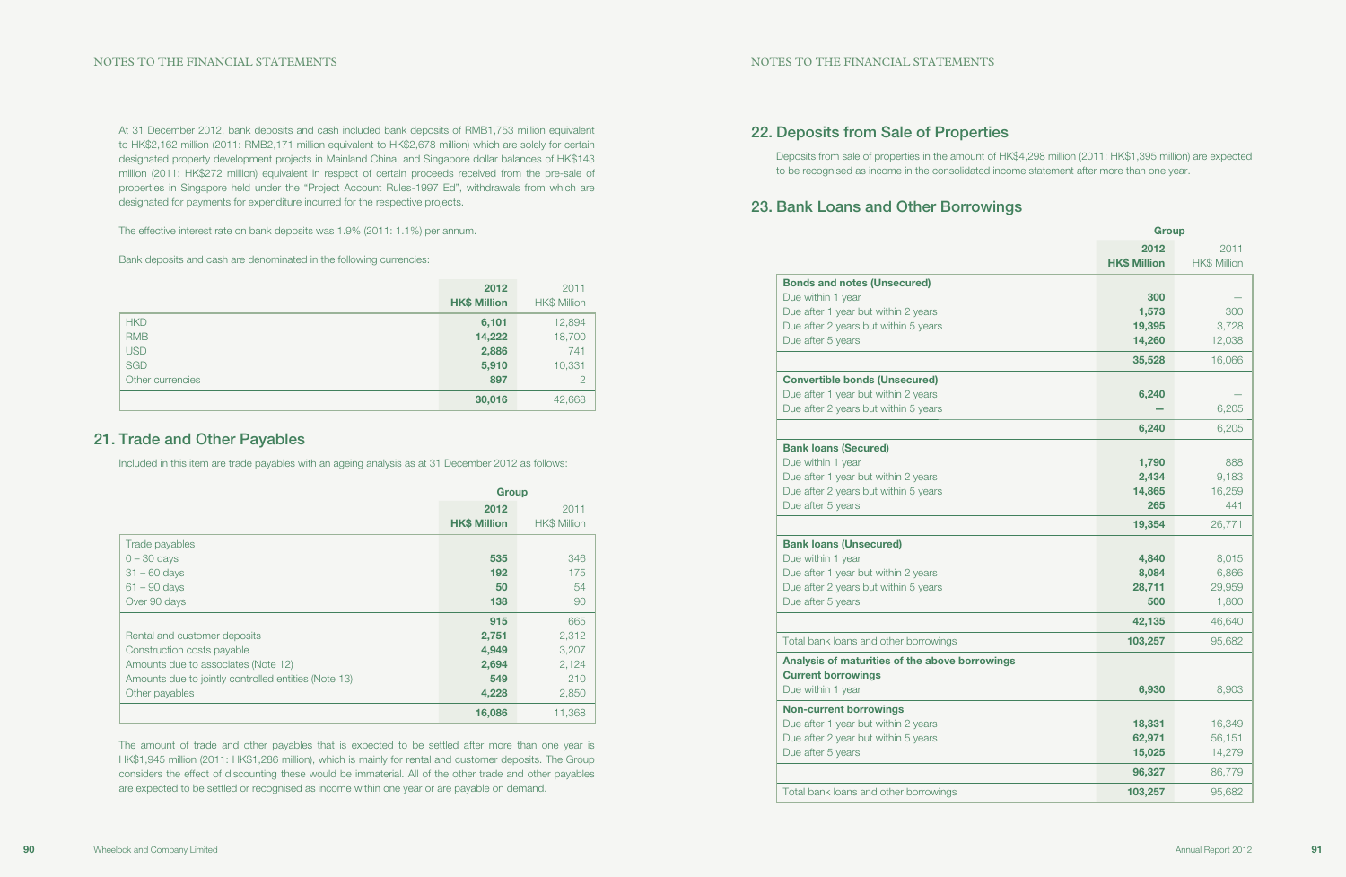## 22. Deposits from Sale of Properties

Deposits from sale of properties in the amount of HK\$4,298 million (2011: HK\$1,395 million) are expected to be recognised as income in the consolidated income statement after more than one year.

## 23. Bank Loans and Other Borrowings

|                   | <b>Bonds and notes (Unsecured)</b>   |
|-------------------|--------------------------------------|
| Due within 1 year |                                      |
|                   | Due after 1 year but within 2 years  |
|                   | Due after 2 years but within 5 years |
| Due after 5 years |                                      |
|                   |                                      |
|                   | <b>Convertible bonds (Unsecured)</b> |
|                   | Due after 1 year but within 2 years  |
|                   | Due after 2 years but within 5 years |
|                   |                                      |
|                   | <b>Bank loans (Secured)</b>          |
| Due within 1 year |                                      |
|                   | Due after 1 year but within 2 years  |
|                   | Due after 2 years but within 5 years |
| Due after 5 years |                                      |
|                   |                                      |
|                   | <b>Bank loans (Unsecured)</b>        |
|                   |                                      |
| Due within 1 year |                                      |
|                   | Due after 1 year but within 2 years  |
|                   |                                      |
| Due after 5 years |                                      |
|                   | Due after 2 years but within 5 years |

|                                                         | <b>Group</b>                |                             |
|---------------------------------------------------------|-----------------------------|-----------------------------|
|                                                         | 2012<br><b>HK\$ Million</b> | 2011<br><b>HK\$ Million</b> |
| <b>Bonds and notes (Unsecured)</b><br>Due within 1 year | 300                         |                             |
| Due after 1 year but within 2 years                     | 1,573                       | 300                         |
| Due after 2 years but within 5 years                    | 19,395                      | 3,728                       |
| Due after 5 years                                       | 14,260                      | 12,038                      |
|                                                         | 35,528                      | 16,066                      |
| <b>Convertible bonds (Unsecured)</b>                    |                             |                             |
| Due after 1 year but within 2 years                     | 6,240                       |                             |
| Due after 2 years but within 5 years                    |                             | 6,205                       |
|                                                         | 6,240                       | 6,205                       |
| <b>Bank loans (Secured)</b>                             |                             |                             |
| Due within 1 year                                       | 1,790                       | 888                         |
| Due after 1 year but within 2 years                     | 2,434                       | 9,183                       |
| Due after 2 years but within 5 years                    | 14,865                      | 16,259                      |
| Due after 5 years                                       | 265                         | 441                         |
|                                                         | 19,354                      | 26,771                      |
| <b>Bank loans (Unsecured)</b>                           |                             |                             |
| Due within 1 year                                       | 4,840                       | 8,015                       |
| Due after 1 year but within 2 years                     | 8,084                       | 6,866                       |
| Due after 2 years but within 5 years                    | 28,711                      | 29,959                      |
| Due after 5 years                                       | 500                         | 1,800                       |
|                                                         | 42,135                      | 46,640                      |
| Total bank loans and other borrowings                   | 103,257                     | 95,682                      |
| Analysis of maturities of the above borrowings          |                             |                             |
| <b>Current borrowings</b>                               |                             |                             |
| Due within 1 year                                       | 6,930                       | 8,903                       |
| <b>Non-current borrowings</b>                           |                             |                             |
| Due after 1 year but within 2 years                     | 18,331                      | 16,349                      |
| Due after 2 year but within 5 years                     | 62,971                      | 56,151                      |
| Due after 5 years                                       | 15,025                      | 14,279                      |
|                                                         | 96,327                      | 86,779                      |
| Total bank loans and other borrowings                   | 103,257                     | 95,682                      |

#### Non-current borrowings

At 31 December 2012, bank deposits and cash included bank deposits of RMB1,753 million equivalent to HK\$2,162 million (2011: RMB2,171 million equivalent to HK\$2,678 million) which are solely for certain designated property development projects in Mainland China, and Singapore dollar balances of HK\$143 million (2011: HK\$272 million) equivalent in respect of certain proceeds received from the pre-sale of properties in Singapore held under the "Project Account Rules-1997 Ed", withdrawals from which are designated for payments for expenditure incurred for the respective projects.

The effective interest rate on bank deposits was 1.9% (2011: 1.1%) per annum.

Bank deposits and cash are denominated in the following currencies:

|                  | 2012<br><b>HK\$ Million</b> | 2011<br><b>HK\$ Million</b> |
|------------------|-----------------------------|-----------------------------|
| <b>HKD</b>       | 6,101                       | 12,894                      |
| <b>RMB</b>       | 14,222                      | 18,700                      |
| <b>USD</b>       | 2,886                       | 741                         |
| <b>SGD</b>       | 5,910                       | 10,331                      |
| Other currencies | 897                         | $\overline{2}$              |
|                  | 30,016                      | 42,668                      |

## 21. Trade and Other Payables

Included in this item are trade payables with an ageing analysis as at 31 December 2012 as follows:

|                                                      | <b>Group</b>                |                             |
|------------------------------------------------------|-----------------------------|-----------------------------|
|                                                      | 2012<br><b>HK\$ Million</b> | 2011<br><b>HK\$ Million</b> |
| Trade payables                                       |                             |                             |
| $0 - 30$ days                                        | 535                         | 346                         |
| $31 - 60$ days                                       | 192                         | 175                         |
| $61 - 90$ days                                       | 50                          | 54                          |
| Over 90 days                                         | 138                         | 90                          |
|                                                      | 915                         | 665                         |
| Rental and customer deposits                         | 2,751                       | 2,312                       |
| Construction costs payable                           | 4,949                       | 3,207                       |
| Amounts due to associates (Note 12)                  | 2,694                       | 2,124                       |
| Amounts due to jointly controlled entities (Note 13) | 549                         | 210                         |
| Other payables                                       | 4,228                       | 2,850                       |
|                                                      | 16,086                      | 11,368                      |

The amount of trade and other payables that is expected to be settled after more than one year is HK\$1,945 million (2011: HK\$1,286 million), which is mainly for rental and customer deposits. The Group considers the effect of discounting these would be immaterial. All of the other trade and other payables are expected to be settled or recognised as income within one year or are payable on demand.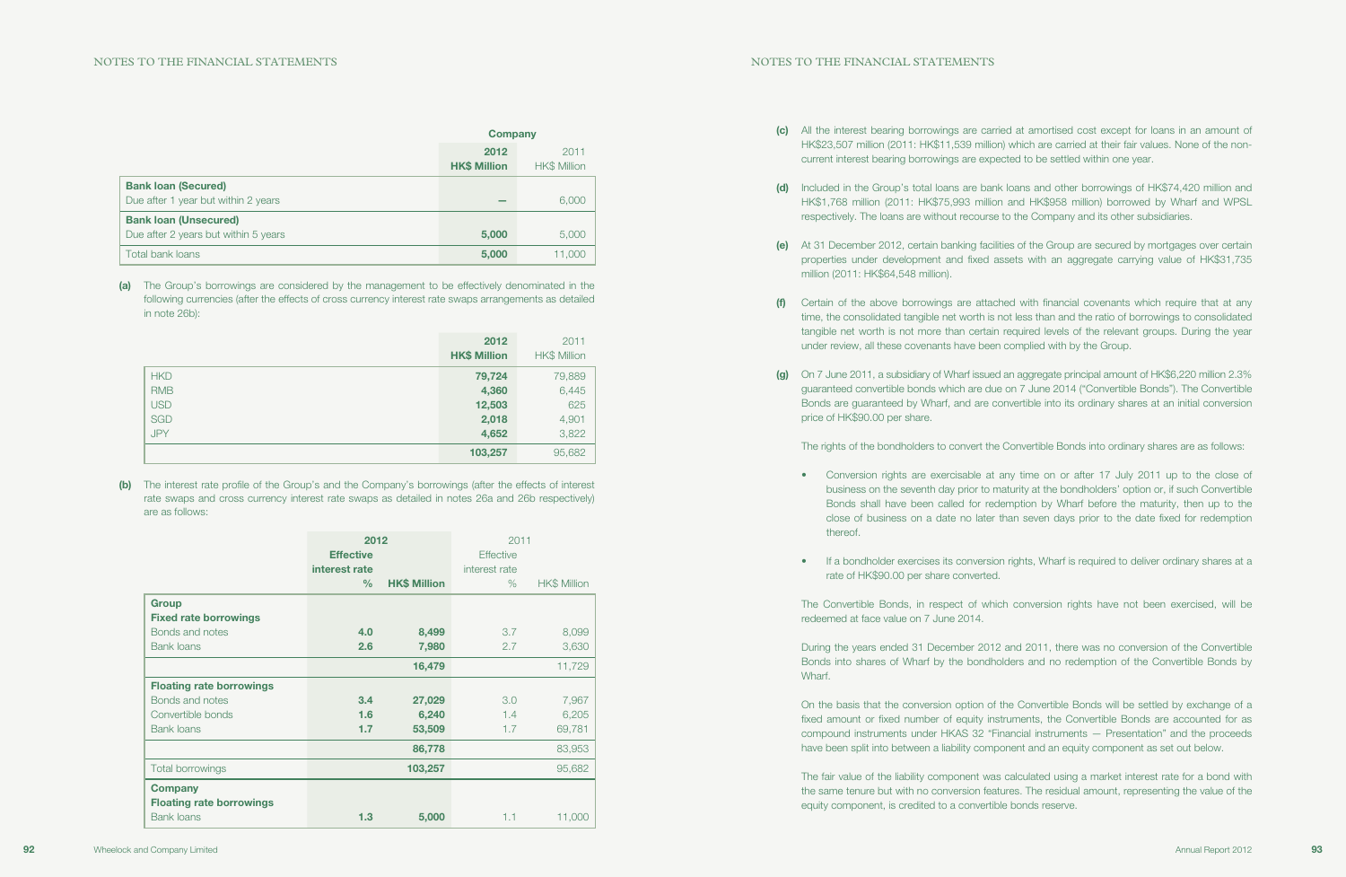(c) All the interest bearing borrowings are carried at amortised cost except for loans in an amount of HK\$23,507 million (2011: HK\$11,539 million) which are carried at their fair values. None of the non-

(d) Included in the Group's total loans are bank loans and other borrowings of HK\$74,420 million and HK\$1,768 million (2011: HK\$75,993 million and HK\$958 million) borrowed by Wharf and WPSL respectively. The loans are without recourse to the Company and its other subsidiaries.

(e) At 31 December 2012, certain banking facilities of the Group are secured by mortgages over certain properties under development and fixed assets with an aggregate carrying value of HK\$31,735

- current interest bearing borrowings are expected to be settled within one year.
- 
- million (2011: HK\$64,548 million).
- under review, all these covenants have been complied with by the Group.
- price of HK\$90.00 per share.

(f) Certain of the above borrowings are attached with financial covenants which require that at any time, the consolidated tangible net worth is not less than and the ratio of borrowings to consolidated tangible net worth is not more than certain required levels of the relevant groups. During the year

(g) On 7 June 2011, a subsidiary of Wharf issued an aggregate principal amount of HK\$6,220 million 2.3% guaranteed convertible bonds which are due on 7 June 2014 ("Convertible Bonds"). The Convertible Bonds are guaranteed by Wharf, and are convertible into its ordinary shares at an initial conversion

The rights of the bondholders to convert the Convertible Bonds into ordinary shares are as follows:

• Conversion rights are exercisable at any time on or after 17 July 2011 up to the close of business on the seventh day prior to maturity at the bondholders' option or, if such Convertible Bonds shall have been called for redemption by Wharf before the maturity, then up to the close of business on a date no later than seven days prior to the date fixed for redemption

• If a bondholder exercises its conversion rights, Wharf is required to deliver ordinary shares at a

- thereof.
- rate of HK\$90.00 per share converted.

The Convertible Bonds, in respect of which conversion rights have not been exercised, will be redeemed at face value on 7 June 2014.

During the years ended 31 December 2012 and 2011, there was no conversion of the Convertible Bonds into shares of Wharf by the bondholders and no redemption of the Convertible Bonds by Wharf.

On the basis that the conversion option of the Convertible Bonds will be settled by exchange of a fixed amount or fixed number of equity instruments, the Convertible Bonds are accounted for as compound instruments under HKAS 32 "Financial instruments — Presentation" and the proceeds have been split into between a liability component and an equity component as set out below.

The fair value of the liability component was calculated using a market interest rate for a bond with the same tenure but with no conversion features. The residual amount, representing the value of the equity component, is credited to a convertible bonds reserve.

|                                                                      | <b>Company</b>              |                             |
|----------------------------------------------------------------------|-----------------------------|-----------------------------|
|                                                                      | 2012<br><b>HK\$ Million</b> | 2011<br><b>HK\$ Million</b> |
| <b>Bank loan (Secured)</b><br>Due after 1 year but within 2 years    |                             | 6,000                       |
| <b>Bank loan (Unsecured)</b><br>Due after 2 years but within 5 years | 5,000                       | 5,000                       |
| Total bank loans                                                     | 5,000                       | 11,000                      |

(a) The Group's borrowings are considered by the management to be effectively denominated in the following currencies (after the effects of cross currency interest rate swaps arrangements as detailed in note 26b):

|            | 2012<br><b>HK\$ Million</b> | 2011<br><b>HK\$ Million</b> |
|------------|-----------------------------|-----------------------------|
| <b>HKD</b> | 79,724                      | 79,889                      |
| <b>RMB</b> | 4,360                       | 6,445                       |
| <b>USD</b> | 12,503                      | 625                         |
| <b>SGD</b> | 2,018                       | 4,901                       |
| <b>JPY</b> | 4,652                       | 3,822                       |
|            | 103,257                     | 95,682                      |

(b) The interest rate profile of the Group's and the Company's borrowings (after the effects of interest rate swaps and cross currency interest rate swaps as detailed in notes 26a and 26b respectively) are as follows:

|                                                                        | 2012<br><b>Effective</b><br>interest rate<br>$\%$ | <b>HK\$ Million</b> | 2011<br><b>Effective</b><br>interest rate<br>$\%$ | <b>HK\$ Million</b> |
|------------------------------------------------------------------------|---------------------------------------------------|---------------------|---------------------------------------------------|---------------------|
|                                                                        |                                                   |                     |                                                   |                     |
| Group<br><b>Fixed rate borrowings</b>                                  |                                                   |                     |                                                   |                     |
| Bonds and notes                                                        | 4.0                                               | 8,499               | 3.7                                               | 8,099               |
| <b>Bank loans</b>                                                      | 2.6                                               | 7,980               | 2.7                                               | 3,630               |
|                                                                        |                                                   | 16,479              |                                                   | 11,729              |
| <b>Floating rate borrowings</b>                                        |                                                   |                     |                                                   |                     |
| Bonds and notes                                                        | 3.4                                               | 27,029              | 3.0                                               | 7,967               |
| Convertible bonds                                                      | 1.6                                               | 6,240               | 1.4                                               | 6,205               |
| <b>Bank loans</b>                                                      | 1.7                                               | 53,509              | 1.7                                               | 69,781              |
|                                                                        |                                                   | 86,778              |                                                   | 83,953              |
| <b>Total borrowings</b>                                                |                                                   | 103,257             |                                                   | 95,682              |
| <b>Company</b><br><b>Floating rate borrowings</b><br><b>Bank loans</b> | 1.3                                               | 5,000               | 1.1                                               | 11,000              |
|                                                                        |                                                   |                     |                                                   |                     |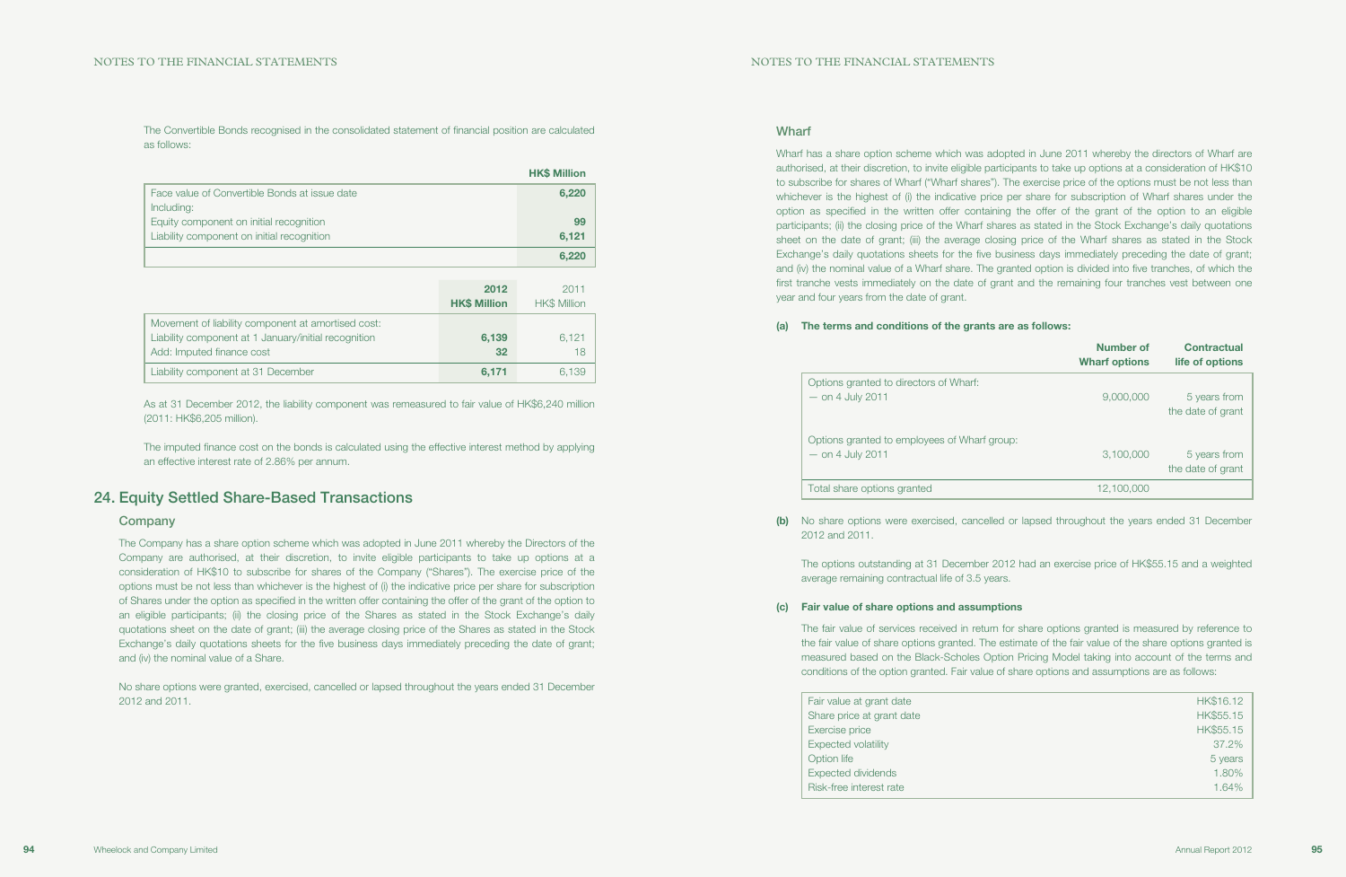Options granted to directors of Wharf:  $-$  on 4 July 2011

Options granted to employees of Wharf g  $-$  on 4 July 2011

Total share options granted

Wharf has a share option scheme which was adopted in June 2011 whereby the directors of Wharf are authorised, at their discretion, to invite eligible participants to take up options at a consideration of HK\$10 to subscribe for shares of Wharf ("Wharf shares"). The exercise price of the options must be not less than whichever is the highest of (i) the indicative price per share for subscription of Wharf shares under the option as specified in the written offer containing the offer of the grant of the option to an eligible participants; (ii) the closing price of the Wharf shares as stated in the Stock Exchange's daily quotations sheet on the date of grant; (iii) the average closing price of the Wharf shares as stated in the Stock Exchange's daily quotations sheets for the five business days immediately preceding the date of grant; and (iv) the nominal value of a Wharf share. The granted option is divided into five tranches, of which the first tranche vests immediately on the date of grant and the remaining four tranches vest between one year and four years from the date of grant.

### (a) The terms and conditions of the grants are as follows:

|        | <b>Number of</b><br><b>Wharf options</b> | <b>Contractual</b><br>life of options |
|--------|------------------------------------------|---------------------------------------|
|        | 9,000,000                                | 5 years from<br>the date of grant     |
| group: | 3,100,000                                | 5 years from<br>the date of grant     |
|        | 12,100,000                               |                                       |

(b) No share options were exercised, cancelled or lapsed throughout the years ended 31 December

2012 and 2011.

The options outstanding at 31 December 2012 had an exercise price of HK\$55.15 and a weighted average remaining contractual life of 3.5 years.

#### (c) Fair value of share options and assumptions

The fair value of services received in return for share options granted is measured by reference to the fair value of share options granted. The estimate of the fair value of the share options granted is measured based on the Black-Scholes Option Pricing Model taking into account of the terms and conditions of the option granted. Fair value of share options and assumptions are as follows:

| Fair value at grant date   | HK\$16.12 |
|----------------------------|-----------|
| Share price at grant date  | HK\$55.15 |
| Exercise price             | HK\$55.15 |
| <b>Expected volatility</b> | 37.2%     |
| Option life                | 5 years   |
| <b>Expected dividends</b>  | 1.80%     |
| Risk-free interest rate    | 1.64%     |
|                            |           |

The Convertible Bonds recognised in the consolidated statement of financial position are calculated as follows:

|                                               | <b>HK\$ Million</b> |
|-----------------------------------------------|---------------------|
| Face value of Convertible Bonds at issue date | 6,220               |
| Including:                                    |                     |
| Equity component on initial recognition       | 99                  |
| Liability component on initial recognition    | 6.121               |
|                                               | 6.220               |

|                                                                                                                                         | 2012<br><b>HK\$ Million</b> | 2011<br><b>HK\$ Million</b> |
|-----------------------------------------------------------------------------------------------------------------------------------------|-----------------------------|-----------------------------|
| Movement of liability component at amortised cost:<br>Liability component at 1 January/initial recognition<br>Add: Imputed finance cost | 6,139<br>32                 | 6.121<br>18                 |
| Liability component at 31 December                                                                                                      | 6,171                       | 6.139                       |

As at 31 December 2012, the liability component was remeasured to fair value of HK\$6,240 million (2011: HK\$6,205 million).

The imputed finance cost on the bonds is calculated using the effective interest method by applying an effective interest rate of 2.86% per annum.

## 24. Equity Settled Share-Based Transactions

### Company

The Company has a share option scheme which was adopted in June 2011 whereby the Directors of the Company are authorised, at their discretion, to invite eligible participants to take up options at a consideration of HK\$10 to subscribe for shares of the Company ("Shares"). The exercise price of the options must be not less than whichever is the highest of (i) the indicative price per share for subscription of Shares under the option as specified in the written offer containing the offer of the grant of the option to an eligible participants; (ii) the closing price of the Shares as stated in the Stock Exchange's daily quotations sheet on the date of grant; (iii) the average closing price of the Shares as stated in the Stock Exchange's daily quotations sheets for the five business days immediately preceding the date of grant; and (iv) the nominal value of a Share.

No share options were granted, exercised, cancelled or lapsed throughout the years ended 31 December 2012 and 2011.

### **Wharf**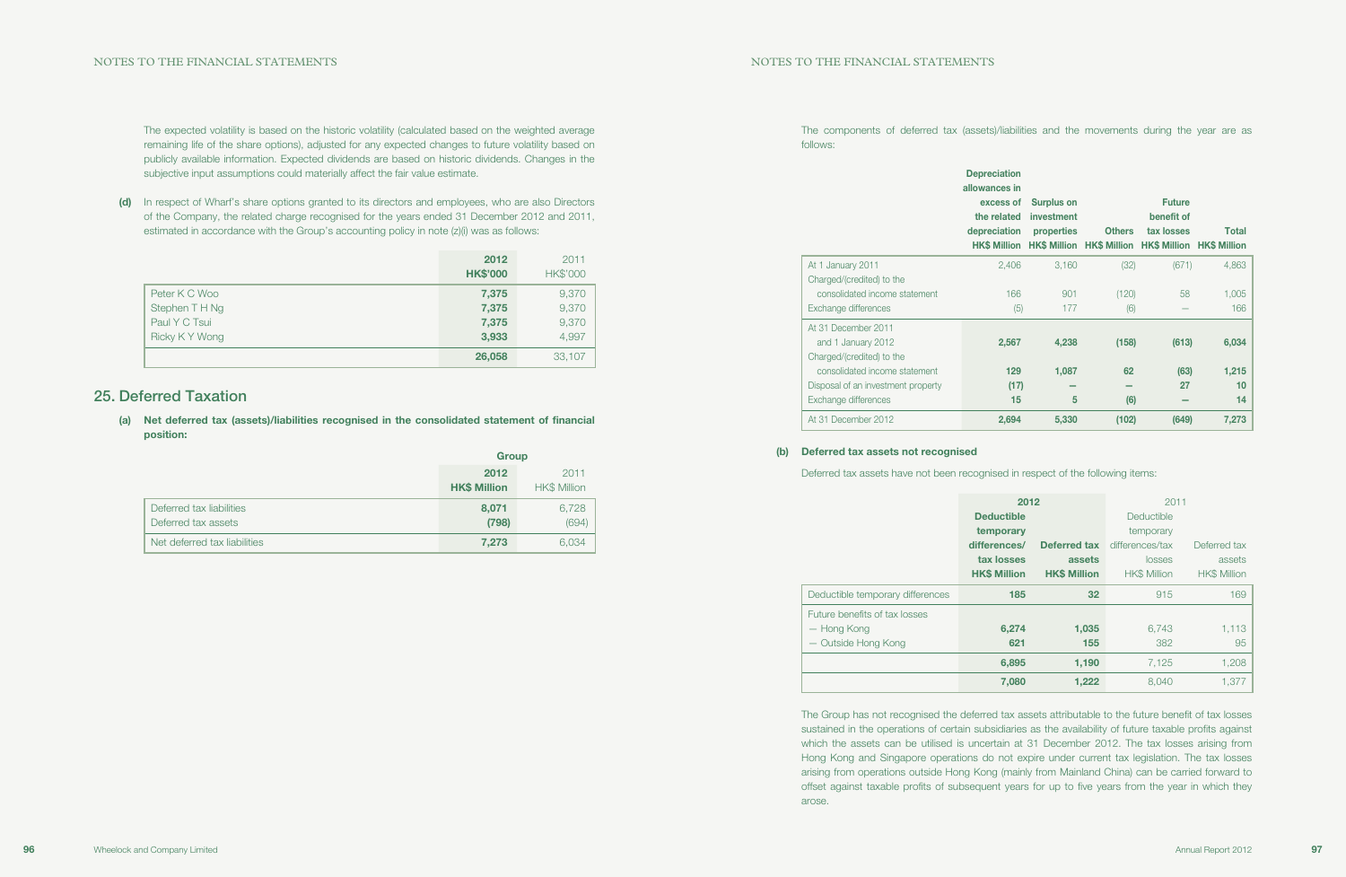The components of deferred tax (assets)/liabilities and the movements during the year are as follows:

## Deprec allowan exce the re deprec At 1 January 2011 Charged/(credited) to the consolidated income statement Exchange differences At 31 December 2011 and 1 January 2012 Charged/(credited) to the consolidated income statement Disposal of an investment property Exchange differences At 31 December 2012

| epreciation<br>owances in<br>excess of<br>the related<br>epreciation<br><b>HK\$ Million</b> | <b>Surplus on</b><br>investment<br>properties | <b>Others</b><br>HK\$ Million HK\$ Million HK\$ Million HK\$ Million | <b>Future</b><br>benefit of<br>tax losses | <b>Total</b>      |
|---------------------------------------------------------------------------------------------|-----------------------------------------------|----------------------------------------------------------------------|-------------------------------------------|-------------------|
| 2,406                                                                                       | 3,160                                         | (32)                                                                 | (671)                                     | 4,863             |
| 166<br>(5)                                                                                  | 901<br>177                                    | (120)<br>(6)                                                         | 58                                        | 1,005<br>166      |
| 2,567                                                                                       | 4,238                                         | (158)                                                                | (613)                                     | 6,034             |
| 129<br>(17)<br>15                                                                           | 1,087<br>5                                    | 62<br>(6)                                                            | (63)<br>27                                | 1,215<br>10<br>14 |
| 2,694                                                                                       | 5,330                                         | (102)                                                                | (649)                                     | 7,273             |

### (b) Deferred tax assets not recognised

Deferred tax assets have not been recognised in respect of the following items:

|                                  | 2012                |                     | 2011                |                     |
|----------------------------------|---------------------|---------------------|---------------------|---------------------|
|                                  | <b>Deductible</b>   |                     | Deductible          |                     |
|                                  | temporary           |                     | temporary           |                     |
|                                  | differences/        | <b>Deferred tax</b> | differences/tax     | Deferred tax        |
|                                  | tax losses          | assets              | losses              | assets              |
|                                  | <b>HK\$ Million</b> | <b>HK\$ Million</b> | <b>HK\$ Million</b> | <b>HK\$ Million</b> |
| Deductible temporary differences | 185                 | 32                  | 915                 | 169                 |
| Future benefits of tax losses    |                     |                     |                     |                     |
| — Hong Kong                      | 6,274               | 1,035               | 6,743               | 1,113               |
| - Outside Hong Kong              | 621                 | 155                 | 382                 | 95                  |
|                                  | 6,895               | 1,190               | 7,125               | 1,208               |
|                                  | 7,080               | 1,222               | 8.040               | 1,377               |

The Group has not recognised the deferred tax assets attributable to the future benefit of tax losses sustained in the operations of certain subsidiaries as the availability of future taxable profits against which the assets can be utilised is uncertain at 31 December 2012. The tax losses arising from Hong Kong and Singapore operations do not expire under current tax legislation. The tax losses arising from operations outside Hong Kong (mainly from Mainland China) can be carried forward to offset against taxable profits of subsequent years for up to five years from the year in which they arose.

The expected volatility is based on the historic volatility (calculated based on the weighted average remaining life of the share options), adjusted for any expected changes to future volatility based on publicly available information. Expected dividends are based on historic dividends. Changes in the subjective input assumptions could materially affect the fair value estimate.

(d) In respect of Wharf's share options granted to its directors and employees, who are also Directors of the Company, the related charge recognised for the years ended 31 December 2012 and 2011, estimated in accordance with the Group's accounting policy in note (z)(i) was as follows:

|               | 2012<br><b>HK\$'000</b> | 2011<br><b>HK\$'000</b> |
|---------------|-------------------------|-------------------------|
| Peter K C Woo | 7,375                   | 9,370                   |
| Stephen TH Ng | 7,375                   | 9,370                   |
| Paul Y C Tsui | 7,375                   | 9,370                   |
| Ricky KY Wong | 3,933                   | 4,997                   |
|               | 26,058                  | 33,107                  |

## 25. Deferred Taxation

(a) Net deferred tax (assets)/liabilities recognised in the consolidated statement of financial position:

|                                                 | <b>Group</b>                |                             |
|-------------------------------------------------|-----------------------------|-----------------------------|
|                                                 | 2012<br><b>HK\$ Million</b> | 2011<br><b>HK\$ Million</b> |
| Deferred tax liabilities<br>Deferred tax assets | 8,071<br>(798)              | 6,728<br>(694)              |
| Net deferred tax liabilities                    | 7,273                       | 6,034                       |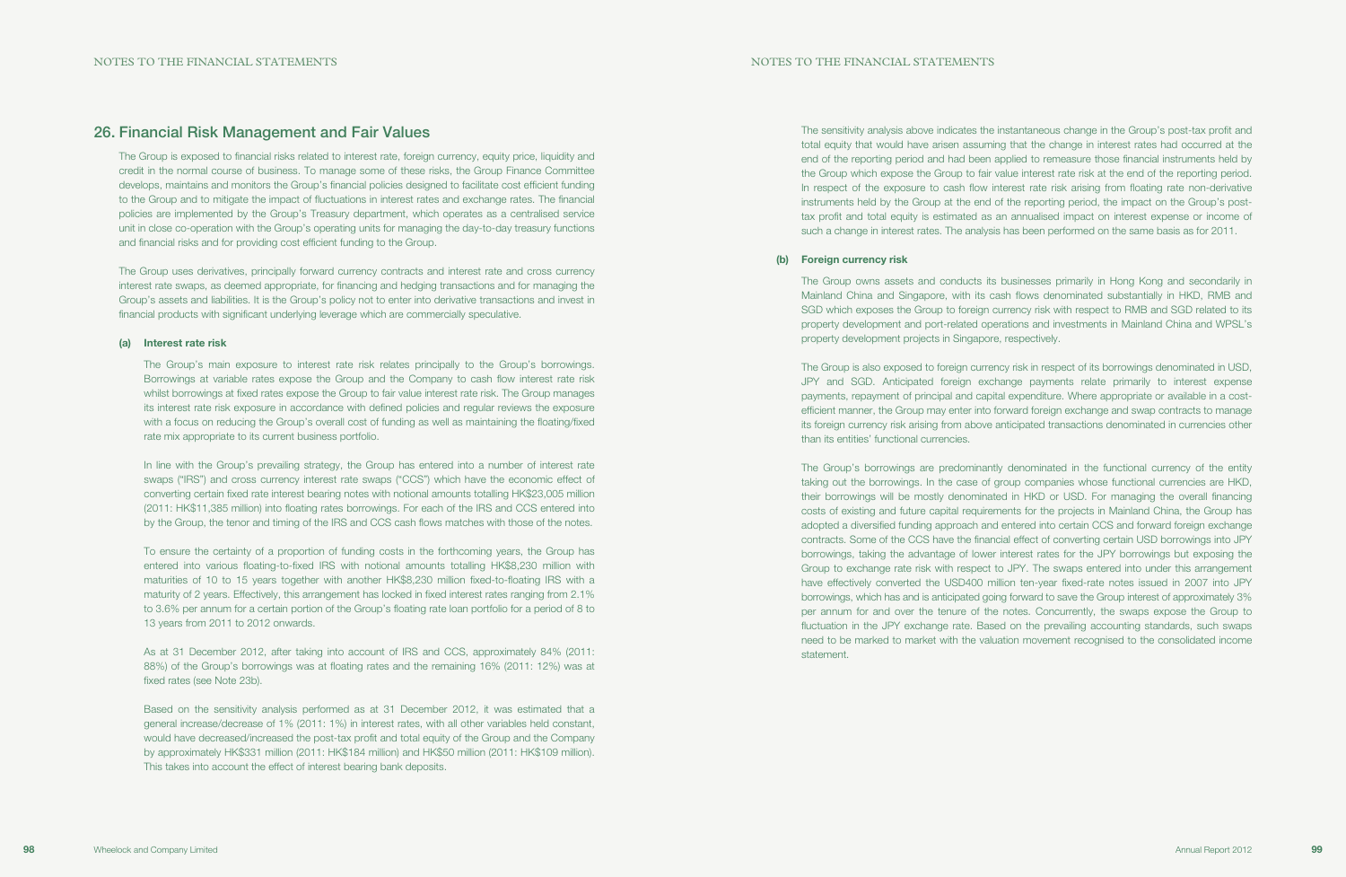The sensitivity analysis above indicates the instantaneous change in the Group's post-tax profit and total equity that would have arisen assuming that the change in interest rates had occurred at the end of the reporting period and had been applied to remeasure those financial instruments held by the Group which expose the Group to fair value interest rate risk at the end of the reporting period. In respect of the exposure to cash flow interest rate risk arising from floating rate non-derivative instruments held by the Group at the end of the reporting period, the impact on the Group's posttax profit and total equity is estimated as an annualised impact on interest expense or income of such a change in interest rates. The analysis has been performed on the same basis as for 2011.

### (b) Foreign currency risk

The Group owns assets and conducts its businesses primarily in Hong Kong and secondarily in Mainland China and Singapore, with its cash flows denominated substantially in HKD, RMB and SGD which exposes the Group to foreign currency risk with respect to RMB and SGD related to its property development and port-related operations and investments in Mainland China and WPSL's property development projects in Singapore, respectively.

The Group is also exposed to foreign currency risk in respect of its borrowings denominated in USD, JPY and SGD. Anticipated foreign exchange payments relate primarily to interest expense payments, repayment of principal and capital expenditure. Where appropriate or available in a costefficient manner, the Group may enter into forward foreign exchange and swap contracts to manage its foreign currency risk arising from above anticipated transactions denominated in currencies other than its entities' functional currencies.

The Group's borrowings are predominantly denominated in the functional currency of the entity taking out the borrowings. In the case of group companies whose functional currencies are HKD, their borrowings will be mostly denominated in HKD or USD. For managing the overall financing costs of existing and future capital requirements for the projects in Mainland China, the Group has adopted a diversified funding approach and entered into certain CCS and forward foreign exchange contracts. Some of the CCS have the financial effect of converting certain USD borrowings into JPY borrowings, taking the advantage of lower interest rates for the JPY borrowings but exposing the Group to exchange rate risk with respect to JPY. The swaps entered into under this arrangement have effectively converted the USD400 million ten-year fixed-rate notes issued in 2007 into JPY borrowings, which has and is anticipated going forward to save the Group interest of approximately 3% per annum for and over the tenure of the notes. Concurrently, the swaps expose the Group to fluctuation in the JPY exchange rate. Based on the prevailing accounting standards, such swaps need to be marked to market with the valuation movement recognised to the consolidated income statement.

## 26. Financial Risk Management and Fair Values

The Group is exposed to financial risks related to interest rate, foreign currency, equity price, liquidity and credit in the normal course of business. To manage some of these risks, the Group Finance Committee develops, maintains and monitors the Group's financial policies designed to facilitate cost efficient funding to the Group and to mitigate the impact of fluctuations in interest rates and exchange rates. The financial policies are implemented by the Group's Treasury department, which operates as a centralised service unit in close co-operation with the Group's operating units for managing the day-to-day treasury functions and financial risks and for providing cost efficient funding to the Group.

The Group uses derivatives, principally forward currency contracts and interest rate and cross currency interest rate swaps, as deemed appropriate, for financing and hedging transactions and for managing the Group's assets and liabilities. It is the Group's policy not to enter into derivative transactions and invest in financial products with significant underlying leverage which are commercially speculative.

### (a) Interest rate risk

The Group's main exposure to interest rate risk relates principally to the Group's borrowings. Borrowings at variable rates expose the Group and the Company to cash flow interest rate risk whilst borrowings at fixed rates expose the Group to fair value interest rate risk. The Group manages its interest rate risk exposure in accordance with defined policies and regular reviews the exposure with a focus on reducing the Group's overall cost of funding as well as maintaining the floating/fixed rate mix appropriate to its current business portfolio.

In line with the Group's prevailing strategy, the Group has entered into a number of interest rate swaps ("IRS") and cross currency interest rate swaps ("CCS") which have the economic effect of converting certain fixed rate interest bearing notes with notional amounts totalling HK\$23,005 million (2011: HK\$11,385 million) into floating rates borrowings. For each of the IRS and CCS entered into by the Group, the tenor and timing of the IRS and CCS cash flows matches with those of the notes.

To ensure the certainty of a proportion of funding costs in the forthcoming years, the Group has entered into various floating-to-fixed IRS with notional amounts totalling HK\$8,230 million with maturities of 10 to 15 years together with another HK\$8,230 million fixed-to-floating IRS with a maturity of 2 years. Effectively, this arrangement has locked in fixed interest rates ranging from 2.1% to 3.6% per annum for a certain portion of the Group's floating rate loan portfolio for a period of 8 to 13 years from 2011 to 2012 onwards.

As at 31 December 2012, after taking into account of IRS and CCS, approximately 84% (2011: 88%) of the Group's borrowings was at floating rates and the remaining 16% (2011: 12%) was at fixed rates (see Note 23b).

Based on the sensitivity analysis performed as at 31 December 2012, it was estimated that a general increase/decrease of 1% (2011: 1%) in interest rates, with all other variables held constant, would have decreased/increased the post-tax profit and total equity of the Group and the Company by approximately HK\$331 million (2011: HK\$184 million) and HK\$50 million (2011: HK\$109 million). This takes into account the effect of interest bearing bank deposits.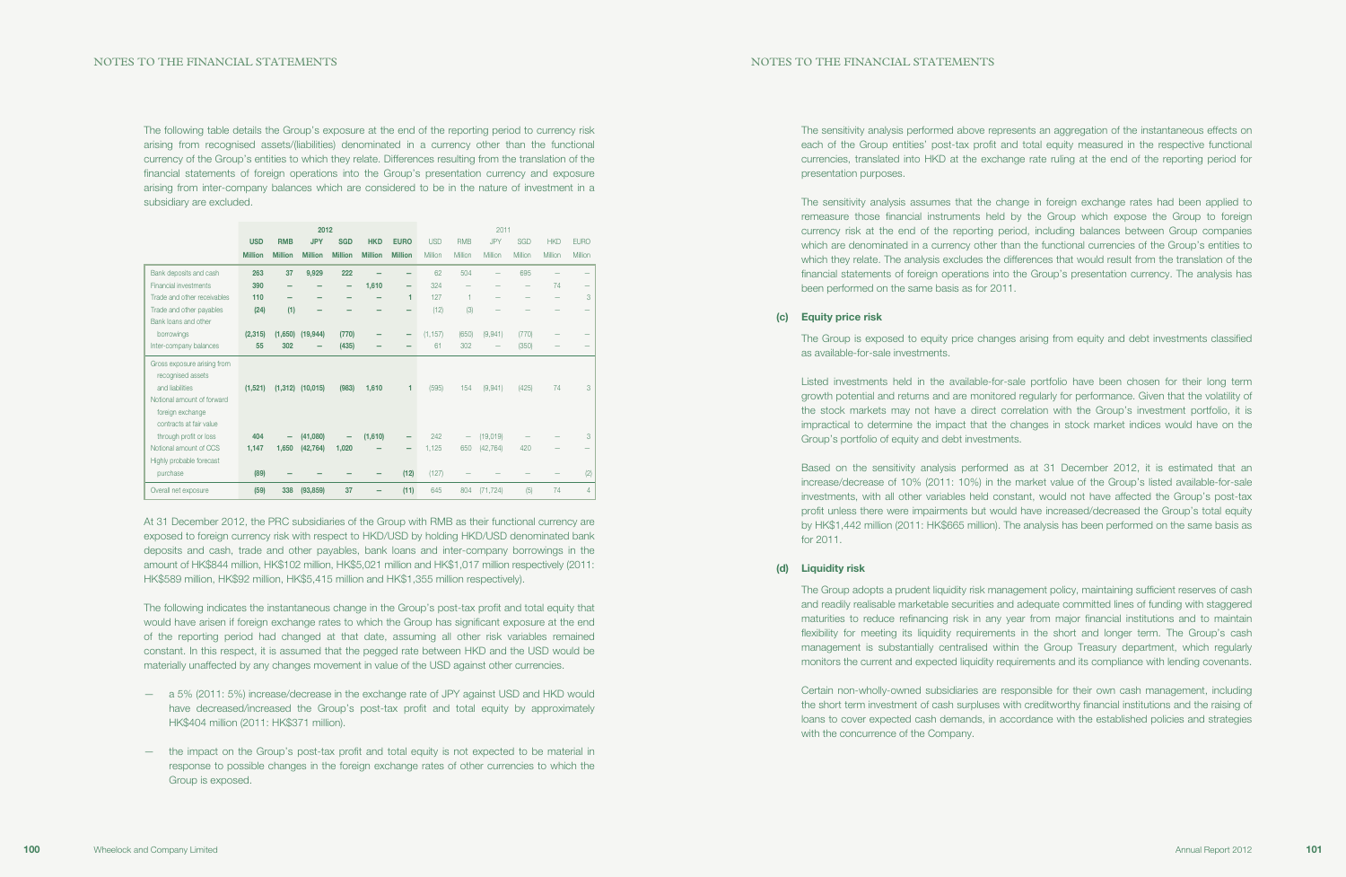The sensitivity analysis performed above represents an aggregation of the instantaneous effects on each of the Group entities' post-tax profit and total equity measured in the respective functional currencies, translated into HKD at the exchange rate ruling at the end of the reporting period for presentation purposes.

The sensitivity analysis assumes that the change in foreign exchange rates had been applied to remeasure those financial instruments held by the Group which expose the Group to foreign currency risk at the end of the reporting period, including balances between Group companies which are denominated in a currency other than the functional currencies of the Group's entities to which they relate. The analysis excludes the differences that would result from the translation of the financial statements of foreign operations into the Group's presentation currency. The analysis has been performed on the same basis as for 2011.

### (c) Equity price risk

The Group is exposed to equity price changes arising from equity and debt investments classified as available-for-sale investments.

Listed investments held in the available-for-sale portfolio have been chosen for their long term growth potential and returns and are monitored regularly for performance. Given that the volatility of the stock markets may not have a direct correlation with the Group's investment portfolio, it is impractical to determine the impact that the changes in stock market indices would have on the Group's portfolio of equity and debt investments.

Based on the sensitivity analysis performed as at 31 December 2012, it is estimated that an increase/decrease of 10% (2011: 10%) in the market value of the Group's listed available-for-sale investments, with all other variables held constant, would not have affected the Group's post-tax profit unless there were impairments but would have increased/decreased the Group's total equity by HK\$1,442 million (2011: HK\$665 million). The analysis has been performed on the same basis as for 2011.

#### (d) Liquidity risk

The Group adopts a prudent liquidity risk management policy, maintaining sufficient reserves of cash and readily realisable marketable securities and adequate committed lines of funding with staggered maturities to reduce refinancing risk in any year from major financial institutions and to maintain flexibility for meeting its liquidity requirements in the short and longer term. The Group's cash management is substantially centralised within the Group Treasury department, which regularly monitors the current and expected liquidity requirements and its compliance with lending covenants.

Certain non-wholly-owned subsidiaries are responsible for their own cash management, including the short term investment of cash surpluses with creditworthy financial institutions and the raising of loans to cover expected cash demands, in accordance with the established policies and strategies with the concurrence of the Company.

The following table details the Group's exposure at the end of the reporting period to currency risk arising from recognised assets/(liabilities) denominated in a currency other than the functional currency of the Group's entities to which they relate. Differences resulting from the translation of the financial statements of foreign operations into the Group's presentation currency and exposure arising from inter-company balances which are considered to be in the nature of investment in a subsidiary are excluded.

|                              | 2012           |                |                      |                          |                | 2011                     |            |            |            |         |                          |             |
|------------------------------|----------------|----------------|----------------------|--------------------------|----------------|--------------------------|------------|------------|------------|---------|--------------------------|-------------|
|                              | <b>USD</b>     | <b>RMB</b>     | <b>JPY</b>           | <b>SGD</b>               | <b>HKD</b>     | <b>EURO</b>              | <b>USD</b> | <b>RMB</b> | <b>JPY</b> | SGD     | <b>HKD</b>               | <b>EURO</b> |
|                              | <b>Million</b> | <b>Million</b> | <b>Million</b>       | <b>Million</b>           | <b>Million</b> | <b>Million</b>           | Million    | Million    | Million    | Million | Million                  | Million     |
| Bank deposits and cash       | 263            | 37             | 9,929                | 222                      |                |                          | 62         | 504        |            | 695     |                          |             |
| <b>Financial investments</b> | 390            |                |                      | $\overline{\phantom{0}}$ | 1,610          | $\overline{\phantom{0}}$ | 324        |            |            | -       | 74                       |             |
| Trade and other receivables  | 110            |                |                      |                          |                | 1                        | 127        |            |            |         | $\overline{\phantom{0}}$ | 3           |
| Trade and other payables     | (24)           | (1)            |                      |                          |                |                          | (12)       | (3)        |            |         |                          |             |
| Bank loans and other         |                |                |                      |                          |                |                          |            |            |            |         |                          |             |
| borrowings                   | (2, 315)       |                | $(1,650)$ $(19,944)$ | (770)                    |                | $\qquad \qquad$          | (1, 157)   | (650)      | (9,941)    | (770)   |                          |             |
| Inter-company balances       | 55             | 302            |                      | (435)                    |                |                          | 61         | 302        | -          | (350)   |                          |             |
| Gross exposure arising from  |                |                |                      |                          |                |                          |            |            |            |         |                          |             |
| recognised assets            |                |                |                      |                          |                |                          |            |            |            |         |                          |             |
| and liabilities              | (1,521)        |                | $(1,312)$ $(10,015)$ | (983)                    | 1.610          | 1                        | (595)      | 154        | (9,941)    | (425)   | 74                       | 3           |
| Notional amount of forward   |                |                |                      |                          |                |                          |            |            |            |         |                          |             |
| foreign exchange             |                |                |                      |                          |                |                          |            |            |            |         |                          |             |
| contracts at fair value      |                |                |                      |                          |                |                          |            |            |            |         |                          |             |
| through profit or loss       | 404            | -              | (41,080)             | -                        | (1,610)        |                          | 242        | -          | (19,019)   |         |                          | 3           |
| Notional amount of CCS       | 1,147          | 1,650          | (42, 764)            | 1,020                    |                |                          | 1,125      | 650        | (42, 764)  | 420     |                          |             |
| Highly probable forecast     |                |                |                      |                          |                |                          |            |            |            |         |                          |             |
| purchase                     | (89)           |                |                      |                          |                | (12)                     | (127)      |            |            |         |                          | (2)         |
| Overall net exposure         | (59)           | 338            | (93, 859)            | 37                       |                | (11)                     | 645        | 804        | (71, 724)  | (5)     | 74                       | 4           |

At 31 December 2012, the PRC subsidiaries of the Group with RMB as their functional currency are exposed to foreign currency risk with respect to HKD/USD by holding HKD/USD denominated bank deposits and cash, trade and other payables, bank loans and inter-company borrowings in the amount of HK\$844 million, HK\$102 million, HK\$5,021 million and HK\$1,017 million respectively (2011: HK\$589 million, HK\$92 million, HK\$5,415 million and HK\$1,355 million respectively).

The following indicates the instantaneous change in the Group's post-tax profit and total equity that would have arisen if foreign exchange rates to which the Group has significant exposure at the end of the reporting period had changed at that date, assuming all other risk variables remained constant. In this respect, it is assumed that the pegged rate between HKD and the USD would be materially unaffected by any changes movement in value of the USD against other currencies.

- a 5% (2011: 5%) increase/decrease in the exchange rate of JPY against USD and HKD would have decreased/increased the Group's post-tax profit and total equity by approximately HK\$404 million (2011: HK\$371 million).
- the impact on the Group's post-tax profit and total equity is not expected to be material in response to possible changes in the foreign exchange rates of other currencies to which the Group is exposed.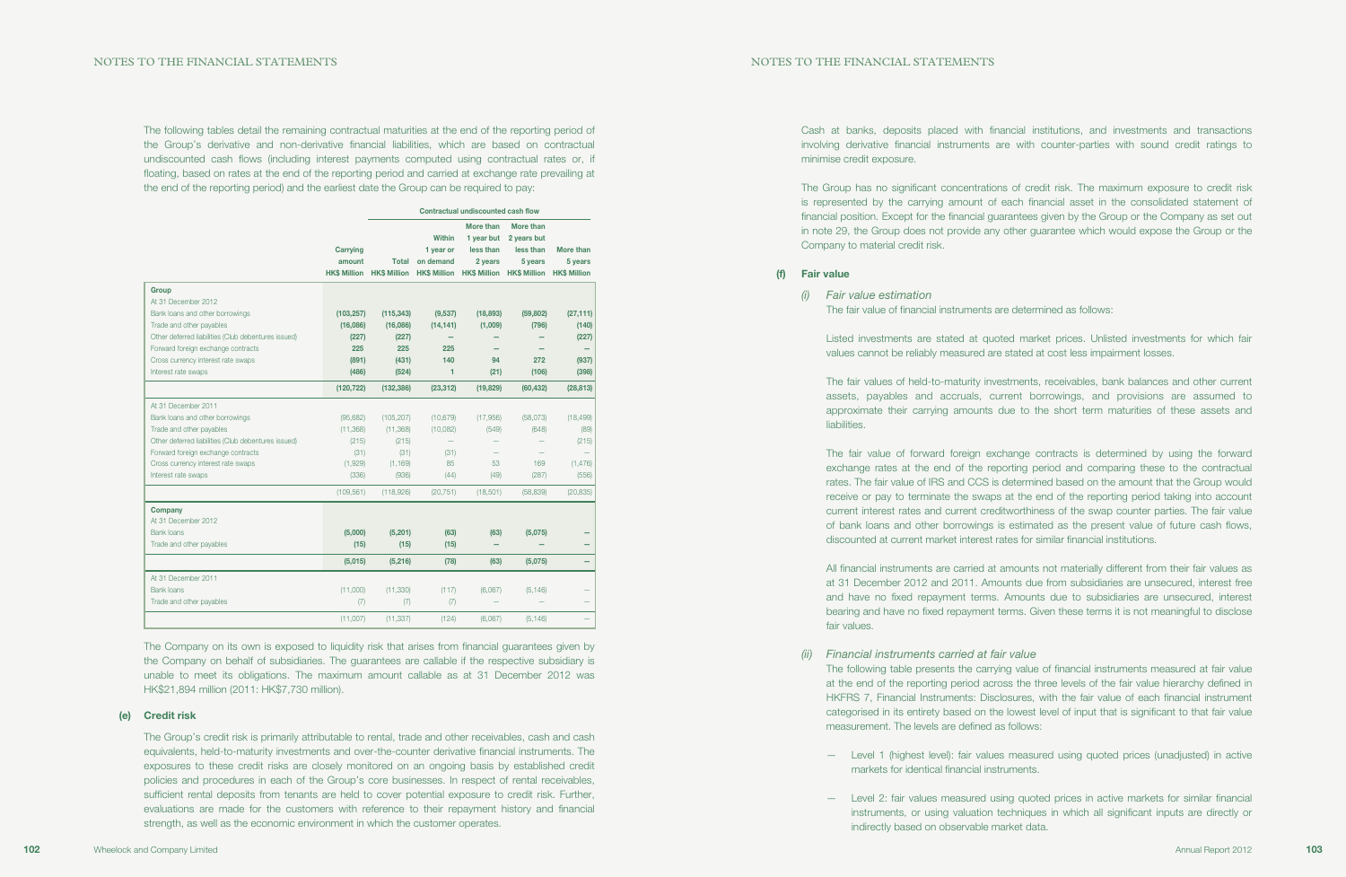Cash at banks, deposits placed with financial institutions, and investments and transactions involving derivative financial instruments are with counter-parties with sound credit ratings to minimise credit exposure.

The Group has no significant concentrations of credit risk. The maximum exposure to credit risk is represented by the carrying amount of each financial asset in the consolidated statement of financial position. Except for the financial guarantees given by the Group or the Company as set out in note 29, the Group does not provide any other guarantee which would expose the Group or the Company to material credit risk.

### (f) Fair value

(i) Fair value estimation The fair value of financial instruments are determined as follows:

Listed investments are stated at quoted market prices. Unlisted investments for which fair values cannot be reliably measured are stated at cost less impairment losses.

The fair values of held-to-maturity investments, receivables, bank balances and other current assets, payables and accruals, current borrowings, and provisions are assumed to approximate their carrying amounts due to the short term maturities of these assets and liabilities.

The fair value of forward foreign exchange contracts is determined by using the forward exchange rates at the end of the reporting period and comparing these to the contractual rates. The fair value of IRS and CCS is determined based on the amount that the Group would receive or pay to terminate the swaps at the end of the reporting period taking into account current interest rates and current creditworthiness of the swap counter parties. The fair value of bank loans and other borrowings is estimated as the present value of future cash flows, discounted at current market interest rates for similar financial institutions.

All financial instruments are carried at amounts not materially different from their fair values as at 31 December 2012 and 2011. Amounts due from subsidiaries are unsecured, interest free and have no fixed repayment terms. Amounts due to subsidiaries are unsecured, interest bearing and have no fixed repayment terms. Given these terms it is not meaningful to disclose fair values.

The following table presents the carrying value of financial instruments measured at fair value at the end of the reporting period across the three levels of the fair value hierarchy defined in HKFRS 7, Financial Instruments: Disclosures, with the fair value of each financial instrument categorised in its entirety based on the lowest level of input that is significant to that fair value

- (ii) Financial instruments carried at fair value measurement. The levels are defined as follows:
	- markets for identical financial instruments.
	- indirectly based on observable market data.

— Level 1 (highest level): fair values measured using quoted prices (unadjusted) in active

— Level 2: fair values measured using quoted prices in active markets for similar financial instruments, or using valuation techniques in which all significant inputs are directly or

The following tables detail the remaining contractual maturities at the end of the reporting period of the Group's derivative and non-derivative financial liabilities, which are based on contractual undiscounted cash flows (including interest payments computed using contractual rates or, if floating, based on rates at the end of the reporting period and carried at exchange rate prevailing at the end of the reporting period) and the earliest date the Group can be required to pay:

|                                                     |                    | Contractual undiscounted cash flow               |                                         |                                                                                     |                                                                                      |                      |  |  |
|-----------------------------------------------------|--------------------|--------------------------------------------------|-----------------------------------------|-------------------------------------------------------------------------------------|--------------------------------------------------------------------------------------|----------------------|--|--|
|                                                     | Carrying<br>amount | <b>Total</b><br><b>HK\$ Million HK\$ Million</b> | <b>Within</b><br>1 year or<br>on demand | More than<br>1 year but<br>less than<br>2 years<br><b>HK\$ Million HK\$ Million</b> | More than<br>2 years but<br>less than<br>5 years<br><b>HK\$ Million HK\$ Million</b> | More than<br>5 years |  |  |
| <b>Group</b>                                        |                    |                                                  |                                         |                                                                                     |                                                                                      |                      |  |  |
| At 31 December 2012                                 |                    |                                                  |                                         |                                                                                     |                                                                                      |                      |  |  |
| Bank loans and other borrowings                     | (103, 257)         | (115, 343)                                       | (9,537)                                 | (18, 893)                                                                           | (59, 802)                                                                            | (27, 111)            |  |  |
| Trade and other payables                            | (16,086)           | (16,086)                                         | (14, 141)                               | (1,009)                                                                             | (796)                                                                                | (140)                |  |  |
| Other deferred liabilities (Club debentures issued) | (227)              | (227)                                            |                                         |                                                                                     |                                                                                      | (227)                |  |  |
| Forward foreign exchange contracts                  | 225                | 225                                              | 225                                     |                                                                                     |                                                                                      |                      |  |  |
| Cross currency interest rate swaps                  | (891)              | (431)                                            | 140                                     | 94                                                                                  | 272                                                                                  | (937)                |  |  |
| Interest rate swaps                                 | (486)              | (524)                                            | 1                                       | (21)                                                                                | (106)                                                                                | (398)                |  |  |
|                                                     | (120, 722)         | (132, 386)                                       | (23, 312)                               | (19, 829)                                                                           | (60, 432)                                                                            | (28, 813)            |  |  |
| At 31 December 2011                                 |                    |                                                  |                                         |                                                                                     |                                                                                      |                      |  |  |
| Bank loans and other borrowings                     | (95,682)           | (105, 207)                                       | (10, 679)                               | (17,956)                                                                            | (58,073)                                                                             | (18, 499)            |  |  |
| Trade and other payables                            | (11, 368)          | (11, 368)                                        | (10,082)                                | (549)                                                                               | (648)                                                                                | (89)                 |  |  |
| Other deferred liabilities (Club debentures issued) | (215)              | (215)                                            |                                         |                                                                                     |                                                                                      | (215)                |  |  |
| Forward foreign exchange contracts                  | (31)               | (31)                                             | (31)                                    |                                                                                     |                                                                                      |                      |  |  |
| Cross currency interest rate swaps                  | (1,929)            | (1, 169)                                         | 85                                      | 53                                                                                  | 169                                                                                  | (1, 476)             |  |  |
| Interest rate swaps                                 | (336)              | (936)                                            | (44)                                    | (49)                                                                                | (287)                                                                                | (556)                |  |  |
|                                                     | (109, 561)         | (118,926)                                        | (20, 751)                               | (18, 501)                                                                           | (58, 839)                                                                            | (20, 835)            |  |  |
| Company                                             |                    |                                                  |                                         |                                                                                     |                                                                                      |                      |  |  |
| At 31 December 2012                                 |                    |                                                  |                                         |                                                                                     |                                                                                      |                      |  |  |
| Bank loans                                          | (5,000)            | (5,201)                                          | (63)                                    | (63)                                                                                | (5,075)                                                                              |                      |  |  |
| Trade and other payables                            | (15)               | (15)                                             | (15)                                    |                                                                                     |                                                                                      |                      |  |  |
|                                                     | (5,015)            | (5, 216)                                         | (78)                                    | (63)                                                                                | (5,075)                                                                              |                      |  |  |
| At 31 December 2011                                 |                    |                                                  |                                         |                                                                                     |                                                                                      |                      |  |  |
| <b>Bank loans</b>                                   | (11,000)           | (11, 330)                                        | (117)                                   | (6,067)                                                                             | (5, 146)                                                                             |                      |  |  |
| Trade and other payables                            | (7)                | (7)                                              | (7)                                     |                                                                                     |                                                                                      |                      |  |  |
|                                                     | (11,007)           | (11, 337)                                        | (124)                                   | (6,067)                                                                             | (5, 146)                                                                             |                      |  |  |

The Company on its own is exposed to liquidity risk that arises from financial guarantees given by the Company on behalf of subsidiaries. The guarantees are callable if the respective subsidiary is unable to meet its obligations. The maximum amount callable as at 31 December 2012 was HK\$21,894 million (2011: HK\$7,730 million).

#### (e) Credit risk

The Group's credit risk is primarily attributable to rental, trade and other receivables, cash and cash equivalents, held-to-maturity investments and over-the-counter derivative financial instruments. The exposures to these credit risks are closely monitored on an ongoing basis by established credit policies and procedures in each of the Group's core businesses. In respect of rental receivables, sufficient rental deposits from tenants are held to cover potential exposure to credit risk. Further, evaluations are made for the customers with reference to their repayment history and financial strength, as well as the economic environment in which the customer operates.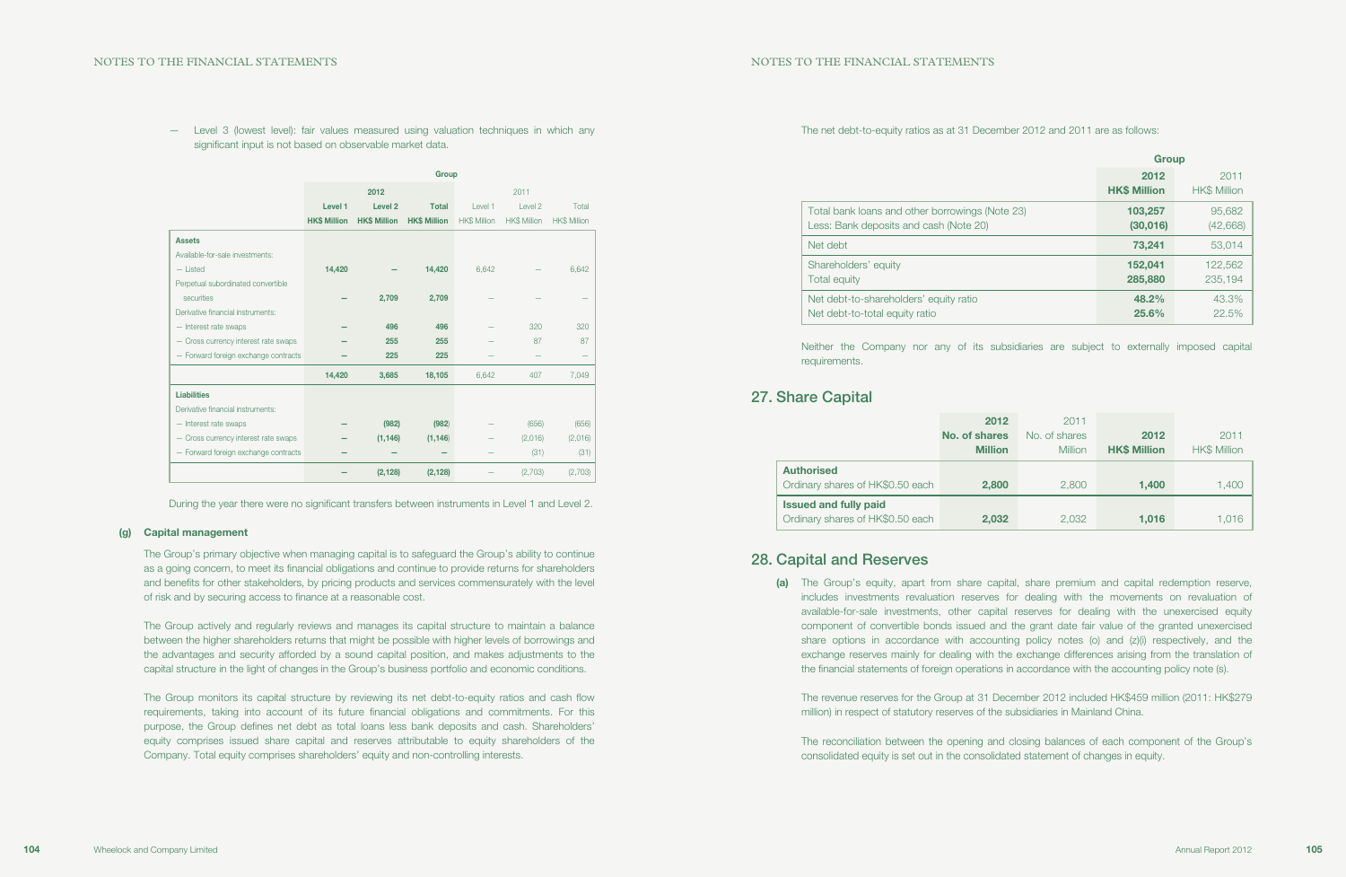The net debt-to-equity ratios as at 31 December 2012 and 2011 are as follows:

|                                                 | <b>Group</b>                |                             |
|-------------------------------------------------|-----------------------------|-----------------------------|
|                                                 | 2012<br><b>HK\$ Million</b> | 2011<br><b>HK\$ Million</b> |
| Total bank loans and other borrowings (Note 23) | 103,257                     | 95,682                      |
| Less: Bank deposits and cash (Note 20)          | (30,016)                    | (42, 668)                   |
| Net debt                                        | 73,241                      | 53,014                      |
| Shareholders' equity                            | 152,041                     | 122,562                     |
| Total equity                                    | 285,880                     | 235,194                     |
| Net debt-to-shareholders' equity ratio          | 48.2%                       | 43.3%                       |
| Net debt-to-total equity ratio                  | 25.6%                       | 22.5%                       |

Neither the Company nor any of its subsidiaries are subject to externally imposed capital requirements.

## 27. Share Capital

|                                  | 2012           | 2011          |                     |                     |
|----------------------------------|----------------|---------------|---------------------|---------------------|
|                                  | No. of shares  | No. of shares | 2012                | 2011                |
|                                  | <b>Million</b> | Million       | <b>HK\$ Million</b> | <b>HK\$ Million</b> |
| <b>Authorised</b>                |                |               |                     |                     |
| Ordinary shares of HK\$0.50 each | 2,800          | 2,800         | 1.400               | 1,400               |
| <b>Issued and fully paid</b>     |                |               |                     |                     |
| Ordinary shares of HK\$0.50 each | 2,032          | 2,032         | 1,016               | 1,016               |

(a) The Group's equity, apart from share capital, share premium and capital redemption reserve, includes investments revaluation reserves for dealing with the movements on revaluation of available-for-sale investments, other capital reserves for dealing with the unexercised equity component of convertible bonds issued and the grant date fair value of the granted unexercised share options in accordance with accounting policy notes (o) and (z)(i) respectively, and the exchange reserves mainly for dealing with the exchange differences arising from the translation of the financial statements of foreign operations in accordance with the accounting policy note (s).

## 28. Capital and Reserves

The revenue reserves for the Group at 31 December 2012 included HK\$459 million (2011: HK\$279 million) in respect of statutory reserves of the subsidiaries in Mainland China.

The reconciliation between the opening and closing balances of each component of the Group's consolidated equity is set out in the consolidated statement of changes in equity.

— Level 3 (lowest level): fair values measured using valuation techniques in which any significant input is not based on observable market data.

|                                      | Group               |                     |                     |                     |                     |                     |
|--------------------------------------|---------------------|---------------------|---------------------|---------------------|---------------------|---------------------|
|                                      |                     | 2012                |                     |                     | 2011                |                     |
|                                      | Level 1             | Level <sub>2</sub>  | <b>Total</b>        | Level 1             | Level 2             | Total               |
|                                      | <b>HK\$ Million</b> | <b>HK\$ Million</b> | <b>HK\$ Million</b> | <b>HK\$ Million</b> | <b>HK\$ Million</b> | <b>HK\$ Million</b> |
| <b>Assets</b>                        |                     |                     |                     |                     |                     |                     |
| Available-for-sale investments:      |                     |                     |                     |                     |                     |                     |
| $-$ Listed                           | 14,420              |                     | 14,420              | 6,642               |                     | 6,642               |
| Perpetual subordinated convertible   |                     |                     |                     |                     |                     |                     |
| securities                           |                     | 2,709               | 2,709               |                     |                     |                     |
| Derivative financial instruments:    |                     |                     |                     |                     |                     |                     |
| - Interest rate swaps                |                     | 496                 | 496                 |                     | 320                 | 320                 |
| - Cross currency interest rate swaps |                     | 255                 | 255                 |                     | 87                  | 87                  |
| - Forward foreign exchange contracts |                     | 225                 | 225                 |                     |                     |                     |
|                                      | 14,420              | 3,685               | 18,105              | 6,642               | 407                 | 7,049               |
| <b>Liabilities</b>                   |                     |                     |                     |                     |                     |                     |
| Derivative financial instruments:    |                     |                     |                     |                     |                     |                     |
| - Interest rate swaps                |                     | (982)               | (982)               |                     | (656)               | (656)               |
| - Cross currency interest rate swaps |                     | (1, 146)            | (1, 146)            |                     | (2,016)             | (2,016)             |
| - Forward foreign exchange contracts |                     |                     |                     |                     | (31)                | (31)                |
|                                      |                     | (2, 128)            | (2, 128)            |                     | (2,703)             | (2,703)             |

During the year there were no significant transfers between instruments in Level 1 and Level 2.

#### (g) Capital management

The Group's primary objective when managing capital is to safeguard the Group's ability to continue as a going concern, to meet its financial obligations and continue to provide returns for shareholders and benefits for other stakeholders, by pricing products and services commensurately with the level of risk and by securing access to finance at a reasonable cost.

The Group actively and regularly reviews and manages its capital structure to maintain a balance between the higher shareholders returns that might be possible with higher levels of borrowings and the advantages and security afforded by a sound capital position, and makes adjustments to the capital structure in the light of changes in the Group's business portfolio and economic conditions.

The Group monitors its capital structure by reviewing its net debt-to-equity ratios and cash flow requirements, taking into account of its future financial obligations and commitments. For this purpose, the Group defines net debt as total loans less bank deposits and cash. Shareholders' equity comprises issued share capital and reserves attributable to equity shareholders of the Company. Total equity comprises shareholders' equity and non-controlling interests.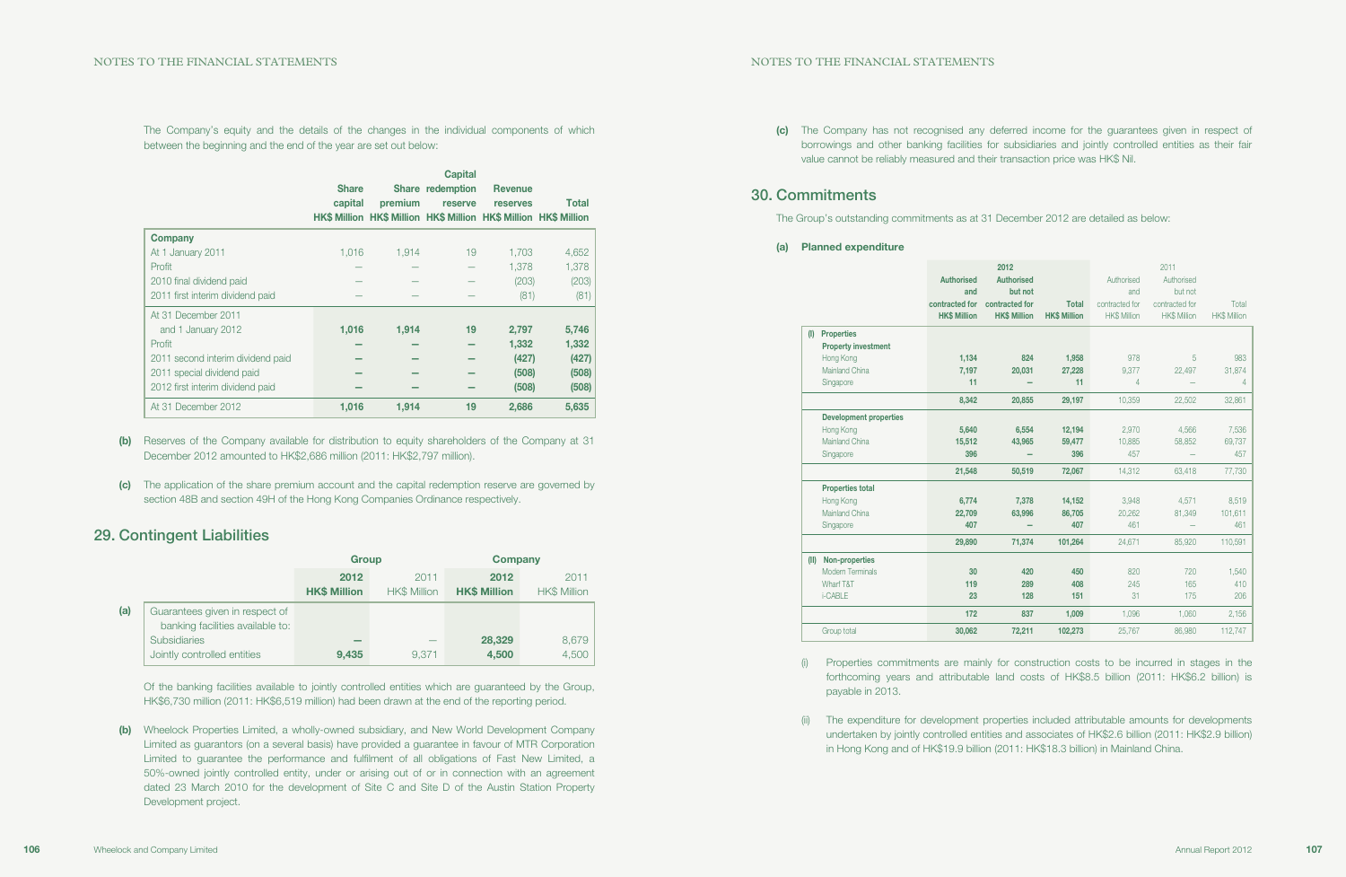(c) The Company has not recognised any deferred income for the guarantees given in respect of borrowings and other banking facilities for subsidiaries and jointly controlled entities as their fair

value cannot be reliably measured and their transaction price was HK\$ Nil.

## 30. Commitments

The Group's outstanding commitments as at 31

#### (a) Planned expenditure

|      |                               |                     | 2012                |                     |                     | 2011                |                     |
|------|-------------------------------|---------------------|---------------------|---------------------|---------------------|---------------------|---------------------|
|      |                               | <b>Authorised</b>   | <b>Authorised</b>   |                     | Authorised          | Authorised          |                     |
|      |                               | and                 | but not             |                     | and                 | but not             |                     |
|      |                               | contracted for      | contracted for      | <b>Total</b>        | contracted for      | contracted for      | Total               |
|      |                               | <b>HK\$ Million</b> | <b>HK\$ Million</b> | <b>HK\$ Million</b> | <b>HK\$ Million</b> | <b>HK\$ Million</b> | <b>HK\$ Million</b> |
| (1)  | <b>Properties</b>             |                     |                     |                     |                     |                     |                     |
|      | <b>Property investment</b>    |                     |                     |                     |                     |                     |                     |
|      | Hong Kong                     | 1,134               | 824                 | 1,958               | 978                 | 5                   | 983                 |
|      | Mainland China                | 7,197               | 20,031              | 27,228              | 9,377               | 22,497              | 31,874              |
|      | Singapore                     | 11                  |                     | 11                  | 4                   |                     | 4                   |
|      |                               | 8,342               | 20,855              | 29,197              | 10.359              | 22,502              | 32,861              |
|      | <b>Development properties</b> |                     |                     |                     |                     |                     |                     |
|      | Hong Kong                     | 5,640               | 6,554               | 12,194              | 2,970               | 4,566               | 7,536               |
|      | Mainland China                | 15,512              | 43,965              | 59,477              | 10,885              | 58,852              | 69,737              |
|      | Singapore                     | 396                 |                     | 396                 | 457                 |                     | 457                 |
|      |                               | 21,548              | 50,519              | 72,067              | 14,312              | 63,418              | 77,730              |
|      | <b>Properties total</b>       |                     |                     |                     |                     |                     |                     |
|      | Hong Kong                     | 6,774               | 7,378               | 14,152              | 3,948               | 4,571               | 8,519               |
|      | Mainland China                | 22,709              | 63,996              | 86,705              | 20,262              | 81,349              | 101,611             |
|      | Singapore                     | 407                 |                     | 407                 | 461                 |                     | 461                 |
|      |                               | 29,890              | 71,374              | 101,264             | 24,671              | 85,920              | 110,591             |
| (11) | Non-properties                |                     |                     |                     |                     |                     |                     |
|      | <b>Modern Terminals</b>       | 30                  | 420                 | 450                 | 820                 | 720                 | 1,540               |
|      | Wharf T&T                     | 119                 | 289                 | 408                 | 245                 | 165                 | 410                 |
|      | i-CABLE                       | 23                  | 128                 | 151                 | 31                  | 175                 | 206                 |
|      |                               | 172                 | 837                 | 1,009               | 1,096               | 1,060               | 2,156               |
|      | Group total                   | 30,062              | 72,211              | 102,273             | 25,767              | 86,980              | 112,747             |

(i) Properties commitments are mainly for construction costs to be incurred in stages in the forthcoming years and attributable land costs of HK\$8.5 billion (2011: HK\$6.2 billion) is

- payable in 2013.
- 

(ii) The expenditure for development properties included attributable amounts for developments undertaken by jointly controlled entities and associates of HK\$2.6 billion (2011: HK\$2.9 billion) in Hong Kong and of HK\$19.9 billion (2011: HK\$18.3 billion) in Mainland China.

The Company's equity and the details of the changes in the individual components of which between the beginning and the end of the year are set out below:

|                                   |              |         | <b>Capital</b>   |                                                                  |       |
|-----------------------------------|--------------|---------|------------------|------------------------------------------------------------------|-------|
|                                   | <b>Share</b> |         | Share redemption | <b>Revenue</b>                                                   |       |
|                                   | capital      | premium | reserve          | <b>reserves</b>                                                  | Total |
|                                   |              |         |                  | HK\$ Million HK\$ Million HK\$ Million HK\$ Million HK\$ Million |       |
| <b>Company</b>                    |              |         |                  |                                                                  |       |
| At 1 January 2011                 | 1.016        | 1.914   | 19               | 1.703                                                            | 4,652 |
| Profit                            |              |         |                  | 1,378                                                            | 1,378 |
| 2010 final dividend paid          |              |         |                  | (203)                                                            | (203) |
| 2011 first interim dividend paid  |              |         |                  | (81)                                                             | (81)  |
| At 31 December 2011               |              |         |                  |                                                                  |       |
| and 1 January 2012                | 1,016        | 1,914   | 19               | 2,797                                                            | 5,746 |
| Profit                            |              |         |                  | 1,332                                                            | 1,332 |
| 2011 second interim dividend paid |              |         |                  | (427)                                                            | (427) |
| 2011 special dividend paid        |              |         |                  | (508)                                                            | (508) |
| 2012 first interim dividend paid  |              |         |                  | (508)                                                            | (508) |
| At 31 December 2012               | 1,016        | 1,914   | 19               | 2,686                                                            | 5,635 |

- (b) Reserves of the Company available for distribution to equity shareholders of the Company at 31 December 2012 amounted to HK\$2,686 million (2011: HK\$2,797 million).
- (c) The application of the share premium account and the capital redemption reserve are governed by section 48B and section 49H of the Hong Kong Companies Ordinance respectively.

## 29. Contingent Liabilities

|     |                                  | <b>Group</b>                |                             | <b>Company</b>              |                             |
|-----|----------------------------------|-----------------------------|-----------------------------|-----------------------------|-----------------------------|
|     |                                  | 2012<br><b>HK\$ Million</b> | 2011<br><b>HK\$ Million</b> | 2012<br><b>HK\$ Million</b> | 2011<br><b>HK\$ Million</b> |
|     |                                  |                             |                             |                             |                             |
| (a) | Guarantees given in respect of   |                             |                             |                             |                             |
|     | banking facilities available to: |                             |                             |                             |                             |
|     | <b>Subsidiaries</b>              |                             |                             | 28,329                      | 8,679                       |
|     | Jointly controlled entities      | 9,435                       | 9.371                       | 4,500                       | 4,500                       |

Of the banking facilities available to jointly controlled entities which are guaranteed by the Group, HK\$6,730 million (2011: HK\$6,519 million) had been drawn at the end of the reporting period.

(b) Wheelock Properties Limited, a wholly-owned subsidiary, and New World Development Company Limited as guarantors (on a several basis) have provided a guarantee in favour of MTR Corporation Limited to guarantee the performance and fulfilment of all obligations of Fast New Limited, a 50%-owned jointly controlled entity, under or arising out of or in connection with an agreement dated 23 March 2010 for the development of Site C and Site D of the Austin Station Property Development project.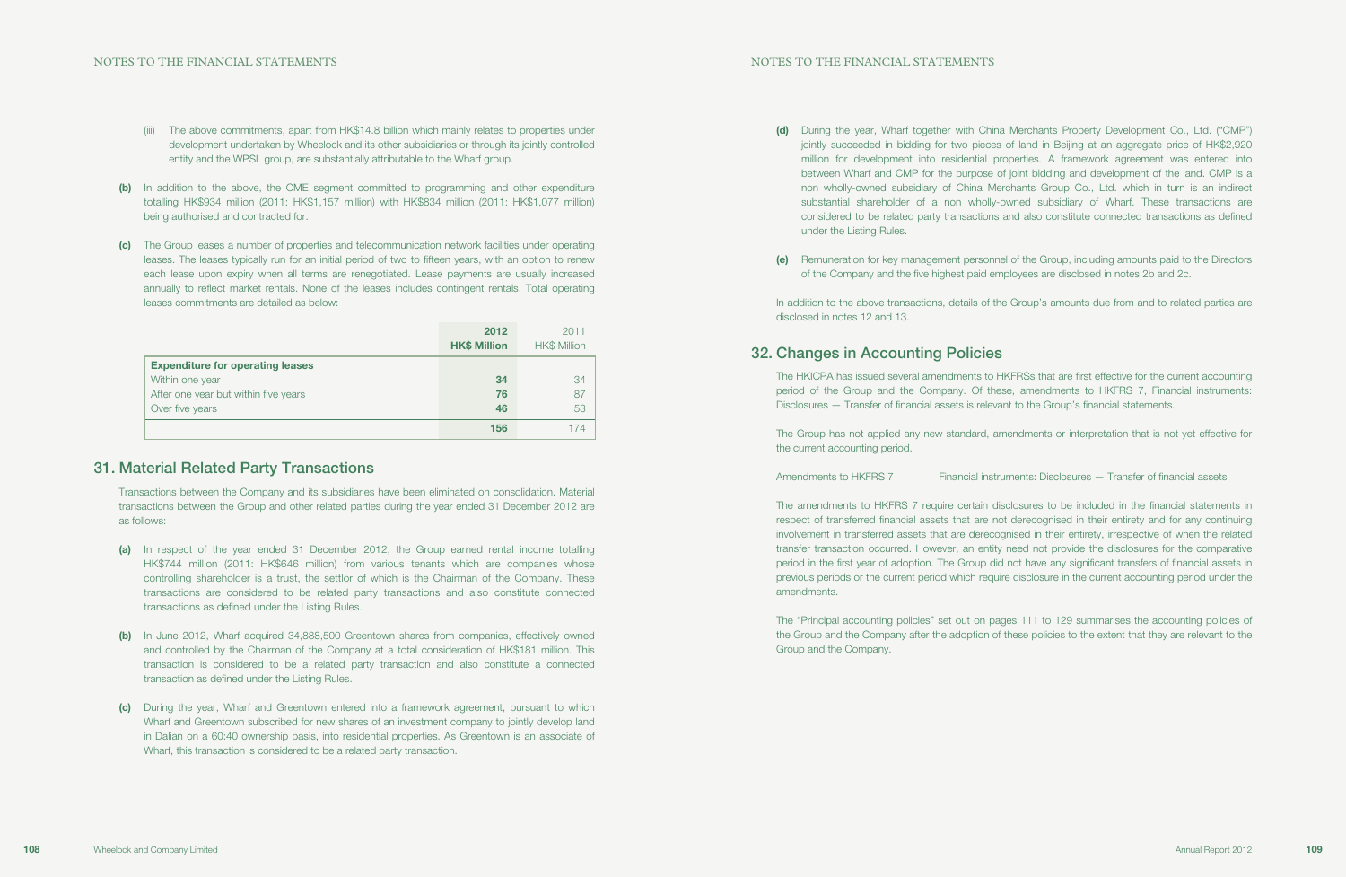(d) During the year, Wharf together with China Merchants Property Development Co., Ltd. ("CMP") jointly succeeded in bidding for two pieces of land in Beijing at an aggregate price of HK\$2,920 million for development into residential properties. A framework agreement was entered into between Wharf and CMP for the purpose of joint bidding and development of the land. CMP is a non wholly-owned subsidiary of China Merchants Group Co., Ltd. which in turn is an indirect substantial shareholder of a non wholly-owned subsidiary of Wharf. These transactions are considered to be related party transactions and also constitute connected transactions as defined

In addition to the above transactions, details of the Group's amounts due from and to related parties are disclosed in notes 12 and 13.

- under the Listing Rules.
- 

(e) Remuneration for key management personnel of the Group, including amounts paid to the Directors of the Company and the five highest paid employees are disclosed in notes 2b and 2c.

Amendments to HKFRS 7 Financial instruments: Disclosures — Transfer of financial assets

## 32. Changes in Accounting Policies

The HKICPA has issued several amendments to HKFRSs that are first effective for the current accounting period of the Group and the Company. Of these, amendments to HKFRS 7, Financial instruments: Disclosures — Transfer of financial assets is relevant to the Group's financial statements.

The Group has not applied any new standard, amendments or interpretation that is not yet effective for the current accounting period.

The amendments to HKFRS 7 require certain disclosures to be included in the financial statements in respect of transferred financial assets that are not derecognised in their entirety and for any continuing involvement in transferred assets that are derecognised in their entirety, irrespective of when the related transfer transaction occurred. However, an entity need not provide the disclosures for the comparative period in the first year of adoption. The Group did not have any significant transfers of financial assets in previous periods or the current period which require disclosure in the current accounting period under the amendments.

The "Principal accounting policies" set out on pages 111 to 129 summarises the accounting policies of the Group and the Company after the adoption of these policies to the extent that they are relevant to the Group and the Company.

- (iii) The above commitments, apart from HK\$14.8 billion which mainly relates to properties under development undertaken by Wheelock and its other subsidiaries or through its jointly controlled entity and the WPSL group, are substantially attributable to the Wharf group.
- (b) In addition to the above, the CME segment committed to programming and other expenditure totalling HK\$934 million (2011: HK\$1,157 million) with HK\$834 million (2011: HK\$1,077 million) being authorised and contracted for.
- (c) The Group leases a number of properties and telecommunication network facilities under operating leases. The leases typically run for an initial period of two to fifteen years, with an option to renew each lease upon expiry when all terms are renegotiated. Lease payments are usually increased annually to reflect market rentals. None of the leases includes contingent rentals. Total operating leases commitments are detailed as below:

|                                         | 2012<br><b>HK\$ Million</b> | 2011<br><b>HK\$ Million</b> |
|-----------------------------------------|-----------------------------|-----------------------------|
| <b>Expenditure for operating leases</b> |                             |                             |
| Within one year                         | 34                          | 34                          |
| After one year but within five years    | 76                          | 87                          |
| Over five years                         | 46                          | 53                          |
|                                         | 156                         |                             |

## 31. Material Related Party Transactions

Transactions between the Company and its subsidiaries have been eliminated on consolidation. Material transactions between the Group and other related parties during the year ended 31 December 2012 are as follows:

- (a) In respect of the year ended 31 December 2012, the Group earned rental income totalling HK\$744 million (2011: HK\$646 million) from various tenants which are companies whose controlling shareholder is a trust, the settlor of which is the Chairman of the Company. These transactions are considered to be related party transactions and also constitute connected transactions as defined under the Listing Rules.
- (b) In June 2012, Wharf acquired 34,888,500 Greentown shares from companies, effectively owned and controlled by the Chairman of the Company at a total consideration of HK\$181 million. This transaction is considered to be a related party transaction and also constitute a connected transaction as defined under the Listing Rules.
- (c) During the year, Wharf and Greentown entered into a framework agreement, pursuant to which Wharf and Greentown subscribed for new shares of an investment company to jointly develop land in Dalian on a 60:40 ownership basis, into residential properties. As Greentown is an associate of Wharf, this transaction is considered to be a related party transaction.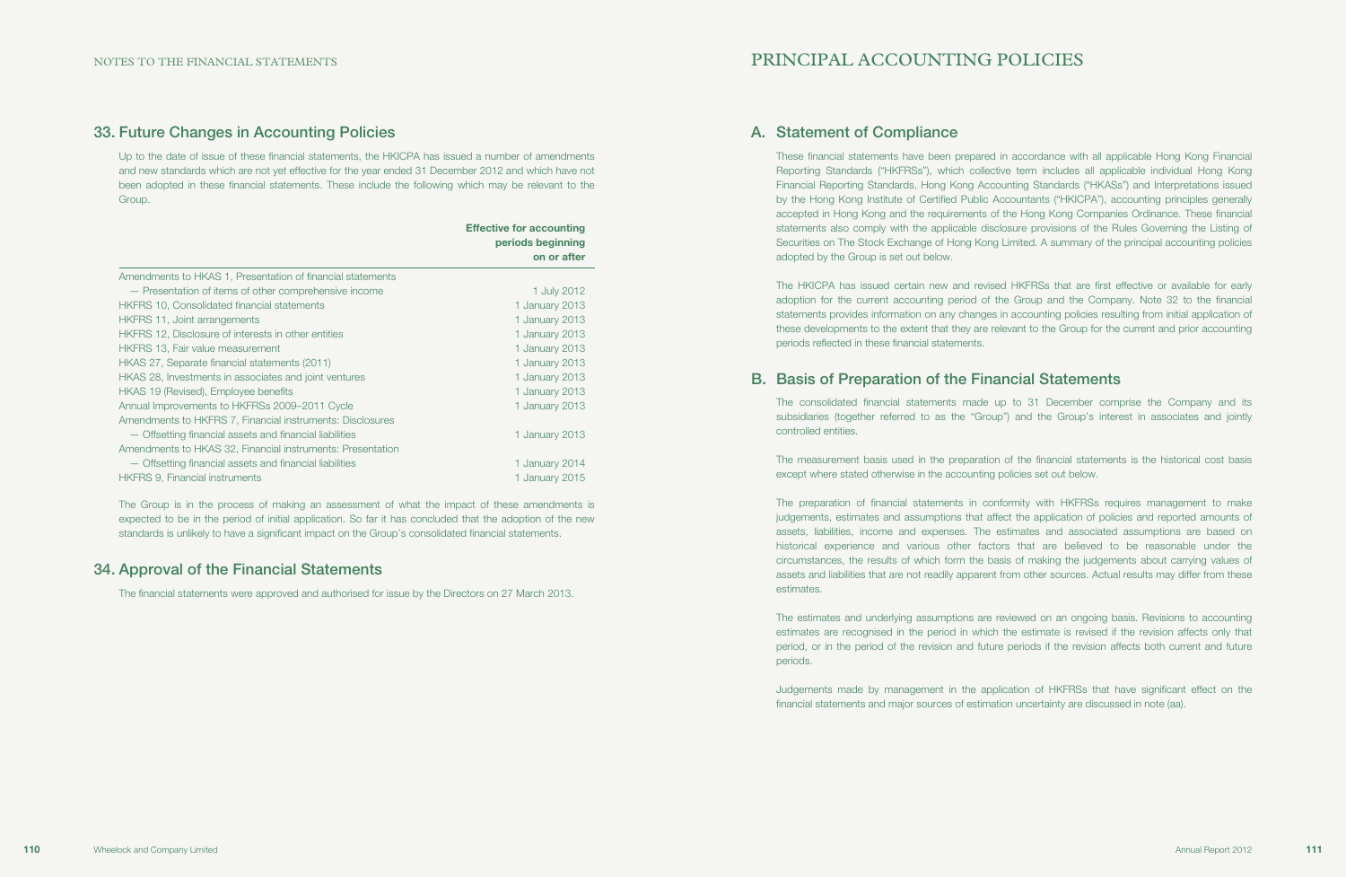## 33. Future Changes in Accounting Policies

Up to the date of issue of these financial statements, the HKICPA has issued a number of amendments and new standards which are not yet effective for the year ended 31 December 2012 and which have not been adopted in these financial statements. These include the following which may be relevant to the Group.

|                                                            | <b>Effective for accounting</b><br>periods beginning<br>on or after |
|------------------------------------------------------------|---------------------------------------------------------------------|
| Amendments to HKAS 1, Presentation of financial statements |                                                                     |
| - Presentation of items of other comprehensive income      | 1 July 2012                                                         |
| <b>HKFRS 10, Consolidated financial statements</b>         | 1 January 2013                                                      |
| HKFRS 11, Joint arrangements                               | 1 January 2013                                                      |
| HKFRS 12, Disclosure of interests in other entities        | 1 January 2013                                                      |
| <b>HKFRS 13, Fair value measurement</b>                    | 1 January 2013                                                      |
| HKAS 27, Separate financial statements (2011)              | 1 January 2013                                                      |
| HKAS 28, Investments in associates and joint ventures      | 1 January 2013                                                      |
| HKAS 19 (Revised), Employee benefits                       | 1 January 2013                                                      |
| Annual Improvements to HKFRSs 2009-2011 Cycle              | 1 January 2013                                                      |
| Amendments to HKFRS 7, Financial instruments: Disclosures  |                                                                     |
| - Offsetting financial assets and financial liabilities    | 1 January 2013                                                      |
| Amendments to HKAS 32, Financial instruments: Presentation |                                                                     |
| - Offsetting financial assets and financial liabilities    | 1 January 2014                                                      |
| <b>HKFRS 9, Financial instruments</b>                      | 1 January 2015                                                      |

The Group is in the process of making an assessment of what the impact of these amendments is expected to be in the period of initial application. So far it has concluded that the adoption of the new standards is unlikely to have a significant impact on the Group's consolidated financial statements.

## 34. Approval of the Financial Statements

The financial statements were approved and authorised for issue by the Directors on 27 March 2013.

# PRINCIPAL ACCOUNTING POLICIES

## A. Statement of Compliance

These financial statements have been prepared in accordance with all applicable Hong Kong Financial Reporting Standards ("HKFRSs"), which collective term includes all applicable individual Hong Kong Financial Reporting Standards, Hong Kong Accounting Standards ("HKASs") and Interpretations issued by the Hong Kong Institute of Certified Public Accountants ("HKICPA"), accounting principles generally accepted in Hong Kong and the requirements of the Hong Kong Companies Ordinance. These financial statements also comply with the applicable disclosure provisions of the Rules Governing the Listing of Securities on The Stock Exchange of Hong Kong Limited. A summary of the principal accounting policies adopted by the Group is set out below.

The HKICPA has issued certain new and revised HKFRSs that are first effective or available for early adoption for the current accounting period of the Group and the Company. Note 32 to the financial statements provides information on any changes in accounting policies resulting from initial application of these developments to the extent that they are relevant to the Group for the current and prior accounting periods reflected in these financial statements.

## B. Basis of Preparation of the Financial Statements

The consolidated financial statements made up to 31 December comprise the Company and its subsidiaries (together referred to as the "Group") and the Group's interest in associates and jointly controlled entities.

The measurement basis used in the preparation of the financial statements is the historical cost basis except where stated otherwise in the accounting policies set out below.

The preparation of financial statements in conformity with HKFRSs requires management to make judgements, estimates and assumptions that affect the application of policies and reported amounts of assets, liabilities, income and expenses. The estimates and associated assumptions are based on historical experience and various other factors that are believed to be reasonable under the circumstances, the results of which form the basis of making the judgements about carrying values of assets and liabilities that are not readily apparent from other sources. Actual results may differ from these estimates.

The estimates and underlying assumptions are reviewed on an ongoing basis. Revisions to accounting estimates are recognised in the period in which the estimate is revised if the revision affects only that period, or in the period of the revision and future periods if the revision affects both current and future periods.

Judgements made by management in the application of HKFRSs that have significant effect on the financial statements and major sources of estimation uncertainty are discussed in note (aa).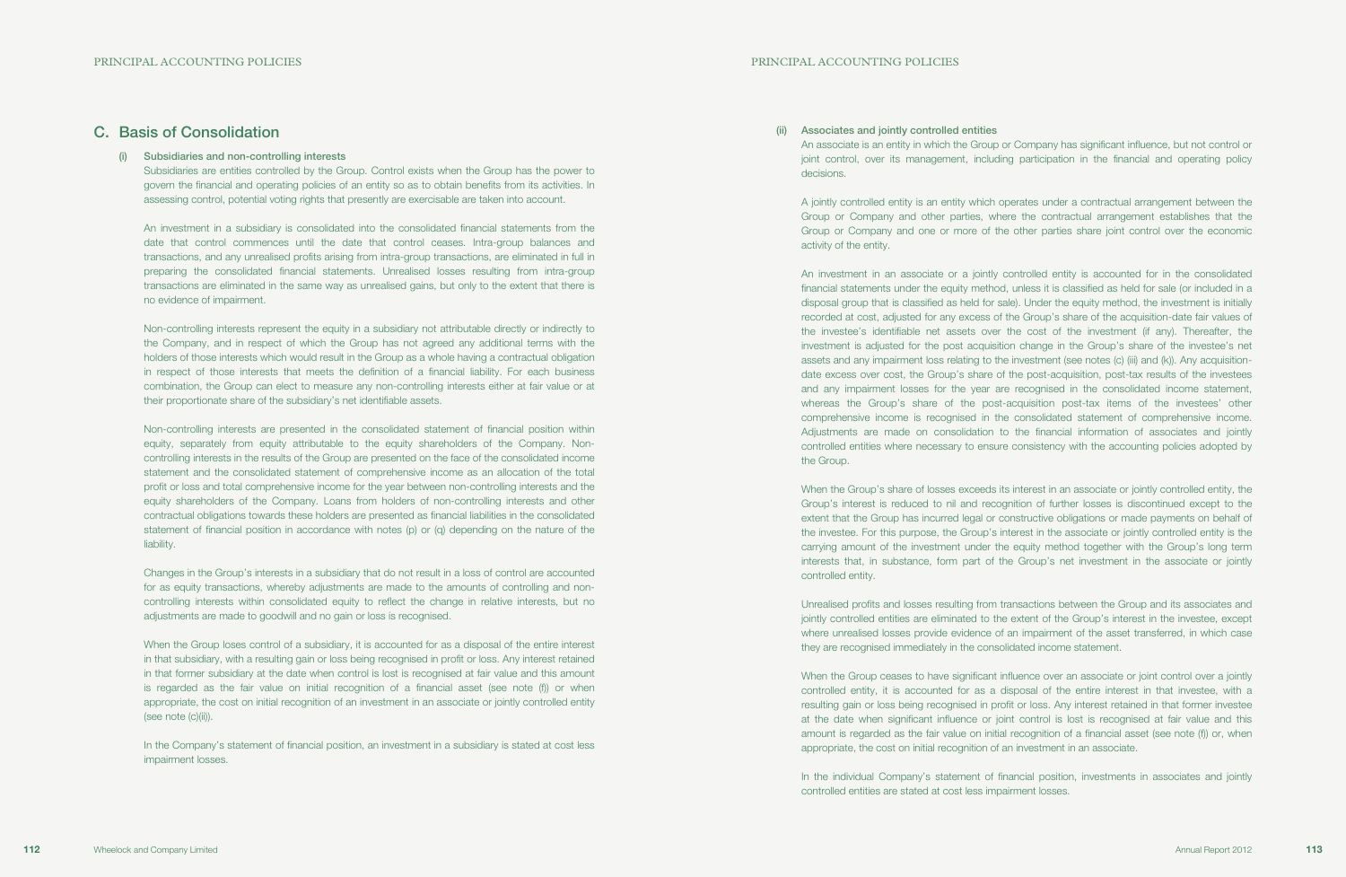(ii) Associates and jointly controlled entities decisions.

An associate is an entity in which the Group or Company has significant influence, but not control or joint control, over its management, including participation in the financial and operating policy

A jointly controlled entity is an entity which operates under a contractual arrangement between the Group or Company and other parties, where the contractual arrangement establishes that the Group or Company and one or more of the other parties share joint control over the economic activity of the entity.

When the Group's share of losses exceeds its interest in an associate or jointly controlled entity, the Group's interest is reduced to nil and recognition of further losses is discontinued except to the extent that the Group has incurred legal or constructive obligations or made payments on behalf of the investee. For this purpose, the Group's interest in the associate or jointly controlled entity is the carrying amount of the investment under the equity method together with the Group's long term interests that, in substance, form part of the Group's net investment in the associate or jointly controlled entity.

An investment in an associate or a jointly controlled entity is accounted for in the consolidated financial statements under the equity method, unless it is classified as held for sale (or included in a disposal group that is classified as held for sale). Under the equity method, the investment is initially recorded at cost, adjusted for any excess of the Group's share of the acquisition-date fair values of the investee's identifiable net assets over the cost of the investment (if any). Thereafter, the investment is adjusted for the post acquisition change in the Group's share of the investee's net assets and any impairment loss relating to the investment (see notes (c) (iii) and (k)). Any acquisitiondate excess over cost, the Group's share of the post-acquisition, post-tax results of the investees and any impairment losses for the year are recognised in the consolidated income statement, whereas the Group's share of the post-acquisition post-tax items of the investees' other comprehensive income is recognised in the consolidated statement of comprehensive income. Adjustments are made on consolidation to the financial information of associates and jointly controlled entities where necessary to ensure consistency with the accounting policies adopted by the Group.

When the Group ceases to have significant influence over an associate or joint control over a jointly controlled entity, it is accounted for as a disposal of the entire interest in that investee, with a resulting gain or loss being recognised in profit or loss. Any interest retained in that former investee at the date when significant influence or joint control is lost is recognised at fair value and this amount is regarded as the fair value on initial recognition of a financial asset (see note (f)) or, when appropriate, the cost on initial recognition of an investment in an associate.

Unrealised profits and losses resulting from transactions between the Group and its associates and jointly controlled entities are eliminated to the extent of the Group's interest in the investee, except where unrealised losses provide evidence of an impairment of the asset transferred, in which case they are recognised immediately in the consolidated income statement.

When the Group loses control of a subsidiary, it is accounted for as a disposal of the entire interest in that subsidiary, with a resulting gain or loss being recognised in profit or loss. Any interest retained in that former subsidiary at the date when control is lost is recognised at fair value and this amount is regarded as the fair value on initial recognition of a financial asset (see note (f)) or when appropriate, the cost on initial recognition of an investment in an associate or jointly controlled entity (see note (c)(ii)).

In the Company's statement of financial position, an investment in a subsidiary is stated at cost less impairment losses.

> In the individual Company's statement of financial position, investments in associates and jointly controlled entities are stated at cost less impairment losses.

## C. Basis of Consolidation

### (i) Subsidiaries and non-controlling interests

Subsidiaries are entities controlled by the Group. Control exists when the Group has the power to govern the financial and operating policies of an entity so as to obtain benefits from its activities. In assessing control, potential voting rights that presently are exercisable are taken into account.

An investment in a subsidiary is consolidated into the consolidated financial statements from the date that control commences until the date that control ceases. Intra-group balances and transactions, and any unrealised profits arising from intra-group transactions, are eliminated in full in preparing the consolidated financial statements. Unrealised losses resulting from intra-group transactions are eliminated in the same way as unrealised gains, but only to the extent that there is no evidence of impairment.

Non-controlling interests represent the equity in a subsidiary not attributable directly or indirectly to the Company, and in respect of which the Group has not agreed any additional terms with the holders of those interests which would result in the Group as a whole having a contractual obligation in respect of those interests that meets the definition of a financial liability. For each business combination, the Group can elect to measure any non-controlling interests either at fair value or at their proportionate share of the subsidiary's net identifiable assets.

Non-controlling interests are presented in the consolidated statement of financial position within equity, separately from equity attributable to the equity shareholders of the Company. Noncontrolling interests in the results of the Group are presented on the face of the consolidated income statement and the consolidated statement of comprehensive income as an allocation of the total profit or loss and total comprehensive income for the year between non-controlling interests and the equity shareholders of the Company. Loans from holders of non-controlling interests and other contractual obligations towards these holders are presented as financial liabilities in the consolidated statement of financial position in accordance with notes (p) or (q) depending on the nature of the liability.

Changes in the Group's interests in a subsidiary that do not result in a loss of control are accounted for as equity transactions, whereby adjustments are made to the amounts of controlling and noncontrolling interests within consolidated equity to reflect the change in relative interests, but no adjustments are made to goodwill and no gain or loss is recognised.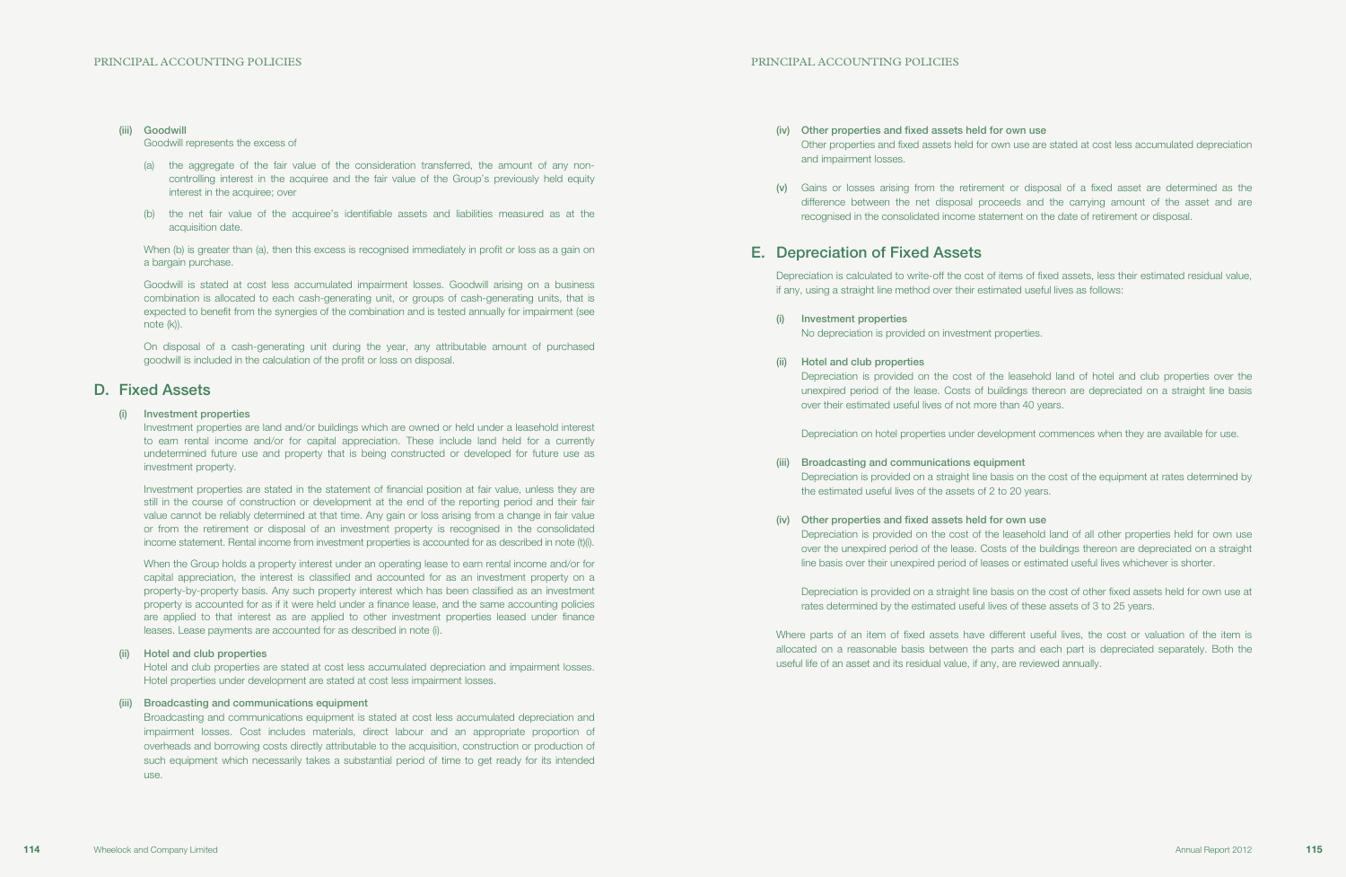- (iv) Other properties and fixed assets held for own use and impairment losses.
- 

Other properties and fixed assets held for own use are stated at cost less accumulated depreciation

(v) Gains or losses arising from the retirement or disposal of a fixed asset are determined as the difference between the net disposal proceeds and the carrying amount of the asset and are recognised in the consolidated income statement on the date of retirement or disposal.

## E. Depreciation of Fixed Assets

Depreciation is calculated to write-off the cost of items of fixed assets, less their estimated residual value, if any, using a straight line method over their estimated useful lives as follows:

- (i) Investment properties No depreciation is provided on investment properties.
- (ii) Hotel and club properties over their estimated useful lives of not more than 40 years.

Depreciation is provided on the cost of the leasehold land of hotel and club properties over the unexpired period of the lease. Costs of buildings thereon are depreciated on a straight line basis

Depreciation on hotel properties under development commences when they are available for use.

Depreciation is provided on a straight line basis on the cost of the equipment at rates determined by

- (iii) Broadcasting and communications equipment the estimated useful lives of the assets of 2 to 20 years.
- (iv) Other properties and fixed assets held for own use

When (b) is greater than (a), then this excess is recognised immediately in profit or loss as a gain on a bargain purchase.

> Depreciation is provided on the cost of the leasehold land of all other properties held for own use over the unexpired period of the lease. Costs of the buildings thereon are depreciated on a straight line basis over their unexpired period of leases or estimated useful lives whichever is shorter.

Depreciation is provided on a straight line basis on the cost of other fixed assets held for own use at rates determined by the estimated useful lives of these assets of 3 to 25 years.

Where parts of an item of fixed assets have different useful lives, the cost or valuation of the item is allocated on a reasonable basis between the parts and each part is depreciated separately. Both the useful life of an asset and its residual value, if any, are reviewed annually.

#### (iii) Goodwill

#### Goodwill represents the excess of

- (a) the aggregate of the fair value of the consideration transferred, the amount of any noncontrolling interest in the acquiree and the fair value of the Group's previously held equity interest in the acquiree; over
- (b) the net fair value of the acquiree's identifiable assets and liabilities measured as at the acquisition date.

Goodwill is stated at cost less accumulated impairment losses. Goodwill arising on a business combination is allocated to each cash-generating unit, or groups of cash-generating units, that is expected to benefit from the synergies of the combination and is tested annually for impairment (see note (k)).

On disposal of a cash-generating unit during the year, any attributable amount of purchased goodwill is included in the calculation of the profit or loss on disposal.

## D. Fixed Assets

#### (i) Investment properties

Investment properties are land and/or buildings which are owned or held under a leasehold interest to earn rental income and/or for capital appreciation. These include land held for a currently undetermined future use and property that is being constructed or developed for future use as investment property.

Investment properties are stated in the statement of financial position at fair value, unless they are still in the course of construction or development at the end of the reporting period and their fair value cannot be reliably determined at that time. Any gain or loss arising from a change in fair value or from the retirement or disposal of an investment property is recognised in the consolidated income statement. Rental income from investment properties is accounted for as described in note (t)(i).

When the Group holds a property interest under an operating lease to earn rental income and/or for capital appreciation, the interest is classified and accounted for as an investment property on a property-by-property basis. Any such property interest which has been classified as an investment property is accounted for as if it were held under a finance lease, and the same accounting policies are applied to that interest as are applied to other investment properties leased under finance leases. Lease payments are accounted for as described in note (i).

#### (ii) Hotel and club properties

Hotel and club properties are stated at cost less accumulated depreciation and impairment losses. Hotel properties under development are stated at cost less impairment losses.

#### (iii) Broadcasting and communications equipment

Broadcasting and communications equipment is stated at cost less accumulated depreciation and impairment losses. Cost includes materials, direct labour and an appropriate proportion of overheads and borrowing costs directly attributable to the acquisition, construction or production of such equipment which necessarily takes a substantial period of time to get ready for its intended use.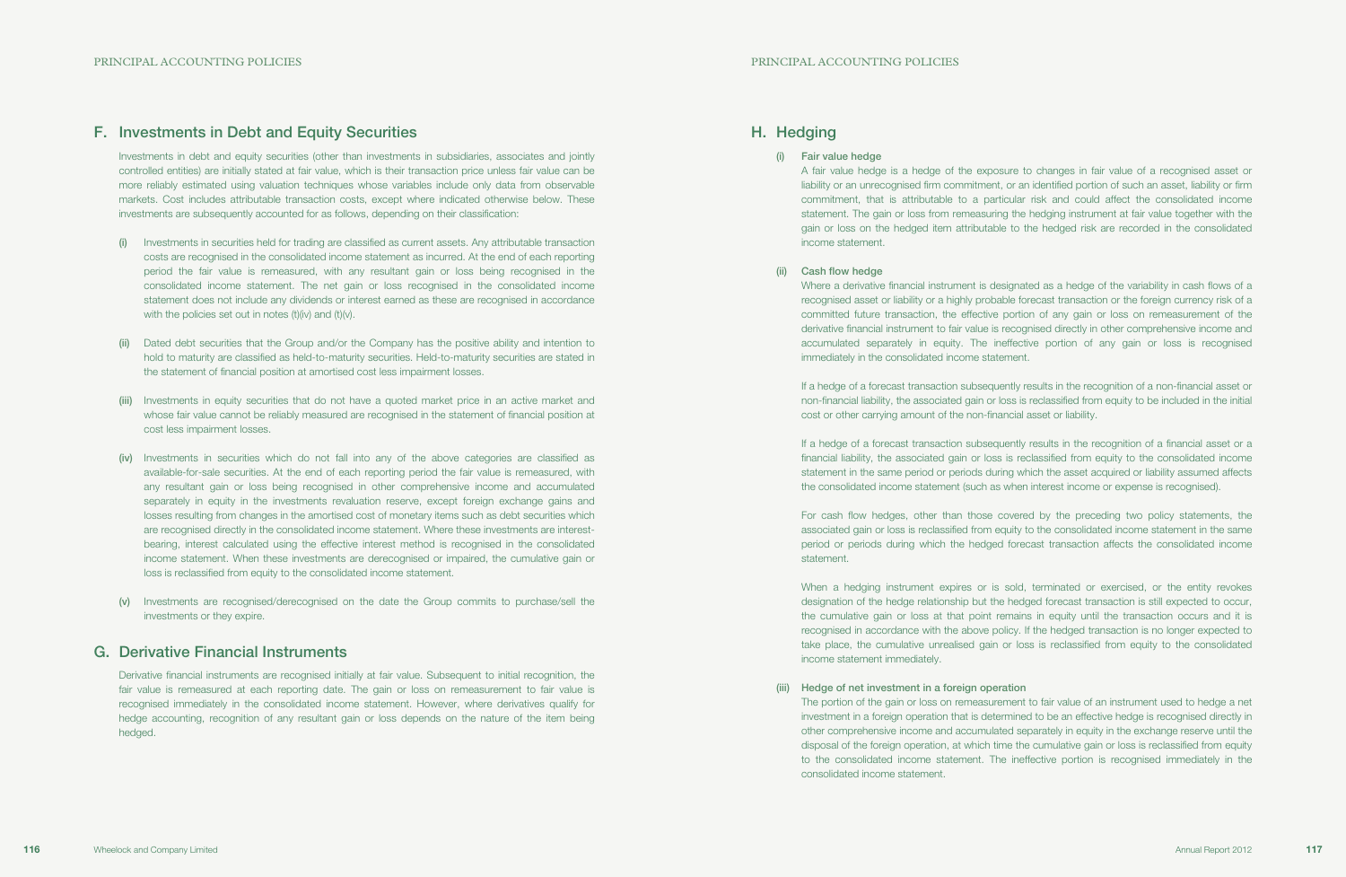## H. Hedging

### (i) Fair value hedge

A fair value hedge is a hedge of the exposure to changes in fair value of a recognised asset or liability or an unrecognised firm commitment, or an identified portion of such an asset, liability or firm commitment, that is attributable to a particular risk and could affect the consolidated income statement. The gain or loss from remeasuring the hedging instrument at fair value together with the gain or loss on the hedged item attributable to the hedged risk are recorded in the consolidated income statement.

(ii) Cash flow hedge

Where a derivative financial instrument is designated as a hedge of the variability in cash flows of a recognised asset or liability or a highly probable forecast transaction or the foreign currency risk of a committed future transaction, the effective portion of any gain or loss on remeasurement of the derivative financial instrument to fair value is recognised directly in other comprehensive income and accumulated separately in equity. The ineffective portion of any gain or loss is recognised immediately in the consolidated income statement.

If a hedge of a forecast transaction subsequently results in the recognition of a non-financial asset or non-financial liability, the associated gain or loss is reclassified from equity to be included in the initial cost or other carrying amount of the non-financial asset or liability.

If a hedge of a forecast transaction subsequently results in the recognition of a financial asset or a financial liability, the associated gain or loss is reclassified from equity to the consolidated income statement in the same period or periods during which the asset acquired or liability assumed affects the consolidated income statement (such as when interest income or expense is recognised).

For cash flow hedges, other than those covered by the preceding two policy statements, the associated gain or loss is reclassified from equity to the consolidated income statement in the same period or periods during which the hedged forecast transaction affects the consolidated income statement.

When a hedging instrument expires or is sold, terminated or exercised, or the entity revokes designation of the hedge relationship but the hedged forecast transaction is still expected to occur, the cumulative gain or loss at that point remains in equity until the transaction occurs and it is recognised in accordance with the above policy. If the hedged transaction is no longer expected to take place, the cumulative unrealised gain or loss is reclassified from equity to the consolidated income statement immediately.

(iii) Hedge of net investment in a foreign operation consolidated income statement.

The portion of the gain or loss on remeasurement to fair value of an instrument used to hedge a net investment in a foreign operation that is determined to be an effective hedge is recognised directly in other comprehensive income and accumulated separately in equity in the exchange reserve until the disposal of the foreign operation, at which time the cumulative gain or loss is reclassified from equity to the consolidated income statement. The ineffective portion is recognised immediately in the

## F. Investments in Debt and Equity Securities

Investments in debt and equity securities (other than investments in subsidiaries, associates and jointly controlled entities) are initially stated at fair value, which is their transaction price unless fair value can be more reliably estimated using valuation techniques whose variables include only data from observable markets. Cost includes attributable transaction costs, except where indicated otherwise below. These investments are subsequently accounted for as follows, depending on their classification:

- (i) Investments in securities held for trading are classified as current assets. Any attributable transaction costs are recognised in the consolidated income statement as incurred. At the end of each reporting period the fair value is remeasured, with any resultant gain or loss being recognised in the consolidated income statement. The net gain or loss recognised in the consolidated income statement does not include any dividends or interest earned as these are recognised in accordance with the policies set out in notes  $(t)(iv)$  and  $(t)(v)$ .
- (ii) Dated debt securities that the Group and/or the Company has the positive ability and intention to hold to maturity are classified as held-to-maturity securities. Held-to-maturity securities are stated in the statement of financial position at amortised cost less impairment losses.
- (iii) Investments in equity securities that do not have a quoted market price in an active market and whose fair value cannot be reliably measured are recognised in the statement of financial position at cost less impairment losses.
- (iv) Investments in securities which do not fall into any of the above categories are classified as available-for-sale securities. At the end of each reporting period the fair value is remeasured, with any resultant gain or loss being recognised in other comprehensive income and accumulated separately in equity in the investments revaluation reserve, except foreign exchange gains and losses resulting from changes in the amortised cost of monetary items such as debt securities which are recognised directly in the consolidated income statement. Where these investments are interestbearing, interest calculated using the effective interest method is recognised in the consolidated income statement. When these investments are derecognised or impaired, the cumulative gain or loss is reclassified from equity to the consolidated income statement.
- (v) Investments are recognised/derecognised on the date the Group commits to purchase/sell the investments or they expire.

## G. Derivative Financial Instruments

Derivative financial instruments are recognised initially at fair value. Subsequent to initial recognition, the fair value is remeasured at each reporting date. The gain or loss on remeasurement to fair value is recognised immediately in the consolidated income statement. However, where derivatives qualify for hedge accounting, recognition of any resultant gain or loss depends on the nature of the item being hedged.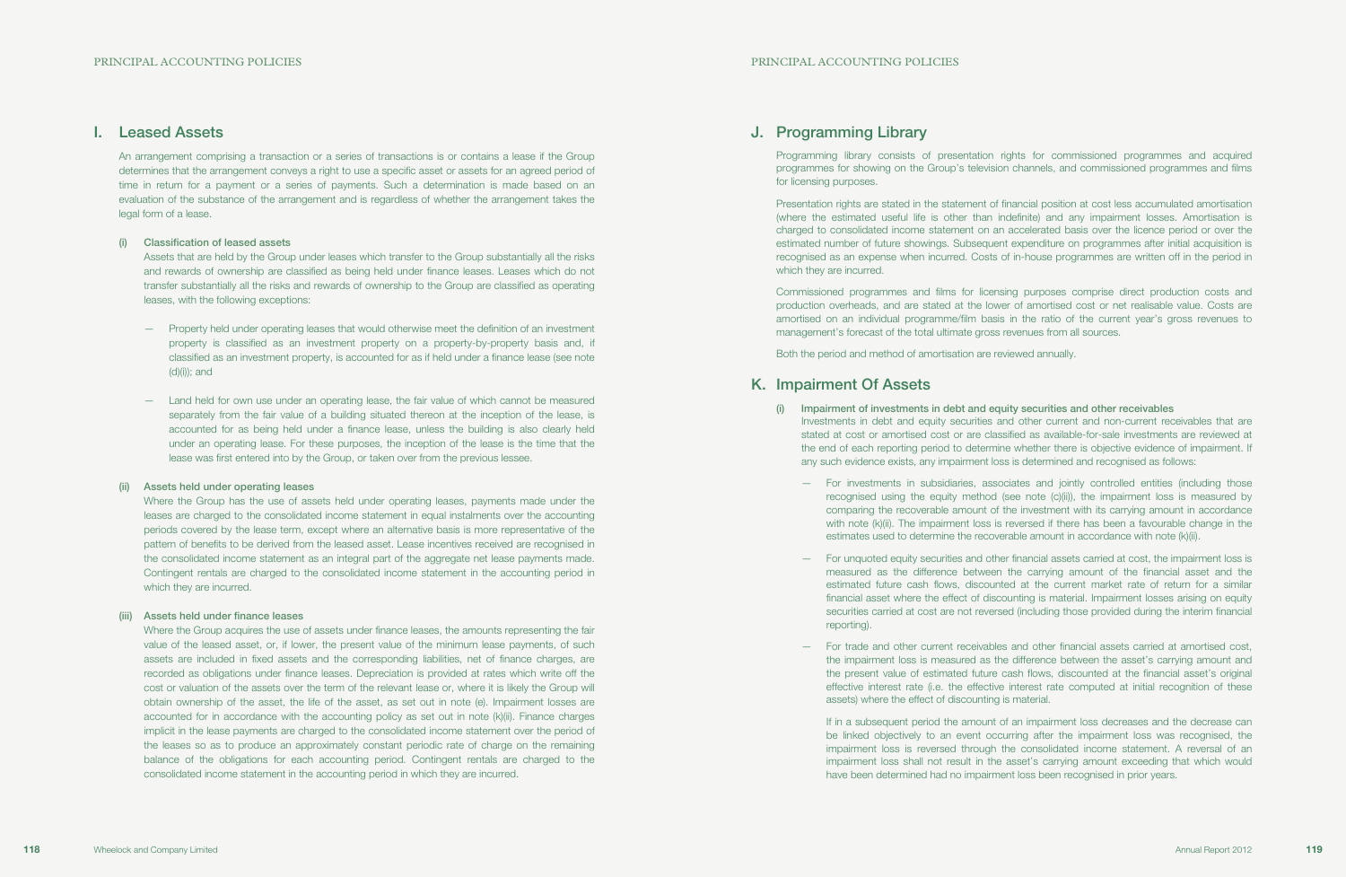## J. Programming Library

Programming library consists of presentation rights for commissioned programmes and acquired programmes for showing on the Group's television channels, and commissioned programmes and films for licensing purposes.

Presentation rights are stated in the statement of financial position at cost less accumulated amortisation (where the estimated useful life is other than indefinite) and any impairment losses. Amortisation is charged to consolidated income statement on an accelerated basis over the licence period or over the estimated number of future showings. Subsequent expenditure on programmes after initial acquisition is recognised as an expense when incurred. Costs of in-house programmes are written off in the period in which they are incurred.

Commissioned programmes and films for licensing purposes comprise direct production costs and production overheads, and are stated at the lower of amortised cost or net realisable value. Costs are amortised on an individual programme/film basis in the ratio of the current year's gross revenues to management's forecast of the total ultimate gross revenues from all sources.

Both the period and method of amortisation are reviewed annually.

## K. Impairment Of Assets

Investments in debt and equity securities and other current and non-current receivables that are stated at cost or amortised cost or are classified as available-for-sale investments are reviewed at the end of each reporting period to determine whether there is objective evidence of impairment. If any such evidence exists, any impairment loss is determined and recognised as follows:

— For investments in subsidiaries, associates and jointly controlled entities (including those recognised using the equity method (see note (c)(ii)), the impairment loss is measured by comparing the recoverable amount of the investment with its carrying amount in accordance with note (k)(ii). The impairment loss is reversed if there has been a favourable change in the estimates used to determine the recoverable amount in accordance with note (k)(ii).

- (i) Impairment of investments in debt and equity securities and other receivables
	-
	- reporting).
	- assets) where the effect of discounting is material.

— For unquoted equity securities and other financial assets carried at cost, the impairment loss is measured as the difference between the carrying amount of the financial asset and the estimated future cash flows, discounted at the current market rate of return for a similar financial asset where the effect of discounting is material. Impairment losses arising on equity securities carried at cost are not reversed (including those provided during the interim financial

— For trade and other current receivables and other financial assets carried at amortised cost, the impairment loss is measured as the difference between the asset's carrying amount and the present value of estimated future cash flows, discounted at the financial asset's original effective interest rate (i.e. the effective interest rate computed at initial recognition of these

If in a subsequent period the amount of an impairment loss decreases and the decrease can be linked objectively to an event occurring after the impairment loss was recognised, the impairment loss is reversed through the consolidated income statement. A reversal of an impairment loss shall not result in the asset's carrying amount exceeding that which would have been determined had no impairment loss been recognised in prior years.

## I. Leased Assets

An arrangement comprising a transaction or a series of transactions is or contains a lease if the Group determines that the arrangement conveys a right to use a specific asset or assets for an agreed period of time in return for a payment or a series of payments. Such a determination is made based on an evaluation of the substance of the arrangement and is regardless of whether the arrangement takes the legal form of a lease.

### (i) Classification of leased assets

Assets that are held by the Group under leases which transfer to the Group substantially all the risks and rewards of ownership are classified as being held under finance leases. Leases which do not transfer substantially all the risks and rewards of ownership to the Group are classified as operating leases, with the following exceptions:

- Property held under operating leases that would otherwise meet the definition of an investment property is classified as an investment property on a property-by-property basis and, if classified as an investment property, is accounted for as if held under a finance lease (see note (d)(i)); and
- Land held for own use under an operating lease, the fair value of which cannot be measured separately from the fair value of a building situated thereon at the inception of the lease, is accounted for as being held under a finance lease, unless the building is also clearly held under an operating lease. For these purposes, the inception of the lease is the time that the lease was first entered into by the Group, or taken over from the previous lessee.

### (ii) Assets held under operating leases

Where the Group has the use of assets held under operating leases, payments made under the leases are charged to the consolidated income statement in equal instalments over the accounting periods covered by the lease term, except where an alternative basis is more representative of the pattern of benefits to be derived from the leased asset. Lease incentives received are recognised in the consolidated income statement as an integral part of the aggregate net lease payments made. Contingent rentals are charged to the consolidated income statement in the accounting period in which they are incurred.

### (iii) Assets held under finance leases

Where the Group acquires the use of assets under finance leases, the amounts representing the fair value of the leased asset, or, if lower, the present value of the minimum lease payments, of such assets are included in fixed assets and the corresponding liabilities, net of finance charges, are recorded as obligations under finance leases. Depreciation is provided at rates which write off the cost or valuation of the assets over the term of the relevant lease or, where it is likely the Group will obtain ownership of the asset, the life of the asset, as set out in note (e). Impairment losses are accounted for in accordance with the accounting policy as set out in note (k)(ii). Finance charges implicit in the lease payments are charged to the consolidated income statement over the period of the leases so as to produce an approximately constant periodic rate of charge on the remaining balance of the obligations for each accounting period. Contingent rentals are charged to the consolidated income statement in the accounting period in which they are incurred.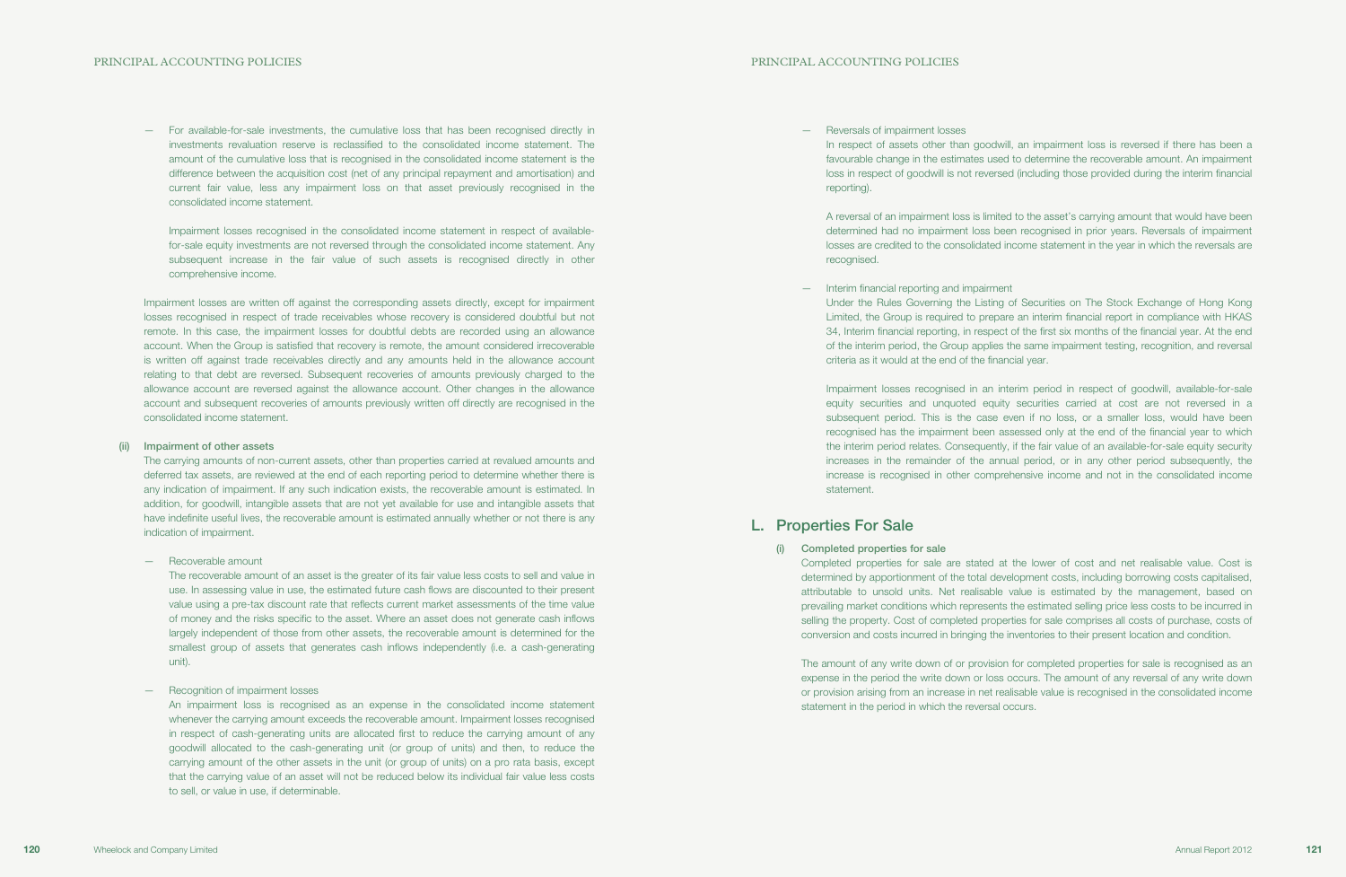— Reversals of impairment losses reporting).

In respect of assets other than goodwill, an impairment loss is reversed if there has been a favourable change in the estimates used to determine the recoverable amount. An impairment loss in respect of goodwill is not reversed (including those provided during the interim financial

A reversal of an impairment loss is limited to the asset's carrying amount that would have been determined had no impairment loss been recognised in prior years. Reversals of impairment losses are credited to the consolidated income statement in the year in which the reversals are recognised.

Under the Rules Governing the Listing of Securities on The Stock Exchange of Hong Kong Limited, the Group is required to prepare an interim financial report in compliance with HKAS 34, Interim financial reporting, in respect of the first six months of the financial year. At the end of the interim period, the Group applies the same impairment testing, recognition, and reversal

— Interim financial reporting and impairment criteria as it would at the end of the financial year.

Impairment losses recognised in an interim period in respect of goodwill, available-for-sale equity securities and unquoted equity securities carried at cost are not reversed in a subsequent period. This is the case even if no loss, or a smaller loss, would have been recognised has the impairment been assessed only at the end of the financial year to which the interim period relates. Consequently, if the fair value of an available-for-sale equity security increases in the remainder of the annual period, or in any other period subsequently, the increase is recognised in other comprehensive income and not in the consolidated income statement.

## L. Properties For Sale

(i) Completed properties for sale

Completed properties for sale are stated at the lower of cost and net realisable value. Cost is determined by apportionment of the total development costs, including borrowing costs capitalised, attributable to unsold units. Net realisable value is estimated by the management, based on prevailing market conditions which represents the estimated selling price less costs to be incurred in selling the property. Cost of completed properties for sale comprises all costs of purchase, costs of conversion and costs incurred in bringing the inventories to their present location and condition.

The amount of any write down of or provision for completed properties for sale is recognised as an expense in the period the write down or loss occurs. The amount of any reversal of any write down or provision arising from an increase in net realisable value is recognised in the consolidated income statement in the period in which the reversal occurs.

— For available-for-sale investments, the cumulative loss that has been recognised directly in investments revaluation reserve is reclassified to the consolidated income statement. The amount of the cumulative loss that is recognised in the consolidated income statement is the difference between the acquisition cost (net of any principal repayment and amortisation) and current fair value, less any impairment loss on that asset previously recognised in the consolidated income statement.

Impairment losses recognised in the consolidated income statement in respect of availablefor-sale equity investments are not reversed through the consolidated income statement. Any subsequent increase in the fair value of such assets is recognised directly in other comprehensive income.

Impairment losses are written off against the corresponding assets directly, except for impairment losses recognised in respect of trade receivables whose recovery is considered doubtful but not remote. In this case, the impairment losses for doubtful debts are recorded using an allowance account. When the Group is satisfied that recovery is remote, the amount considered irrecoverable is written off against trade receivables directly and any amounts held in the allowance account relating to that debt are reversed. Subsequent recoveries of amounts previously charged to the allowance account are reversed against the allowance account. Other changes in the allowance account and subsequent recoveries of amounts previously written off directly are recognised in the consolidated income statement.

#### (ii) Impairment of other assets

The carrying amounts of non-current assets, other than properties carried at revalued amounts and deferred tax assets, are reviewed at the end of each reporting period to determine whether there is any indication of impairment. If any such indication exists, the recoverable amount is estimated. In addition, for goodwill, intangible assets that are not yet available for use and intangible assets that have indefinite useful lives, the recoverable amount is estimated annually whether or not there is any indication of impairment.

— Recoverable amount

The recoverable amount of an asset is the greater of its fair value less costs to sell and value in use. In assessing value in use, the estimated future cash flows are discounted to their present value using a pre-tax discount rate that reflects current market assessments of the time value of money and the risks specific to the asset. Where an asset does not generate cash inflows largely independent of those from other assets, the recoverable amount is determined for the smallest group of assets that generates cash inflows independently (i.e. a cash-generating unit).

— Recognition of impairment losses

An impairment loss is recognised as an expense in the consolidated income statement whenever the carrying amount exceeds the recoverable amount. Impairment losses recognised in respect of cash-generating units are allocated first to reduce the carrying amount of any goodwill allocated to the cash-generating unit (or group of units) and then, to reduce the carrying amount of the other assets in the unit (or group of units) on a pro rata basis, except that the carrying value of an asset will not be reduced below its individual fair value less costs to sell, or value in use, if determinable.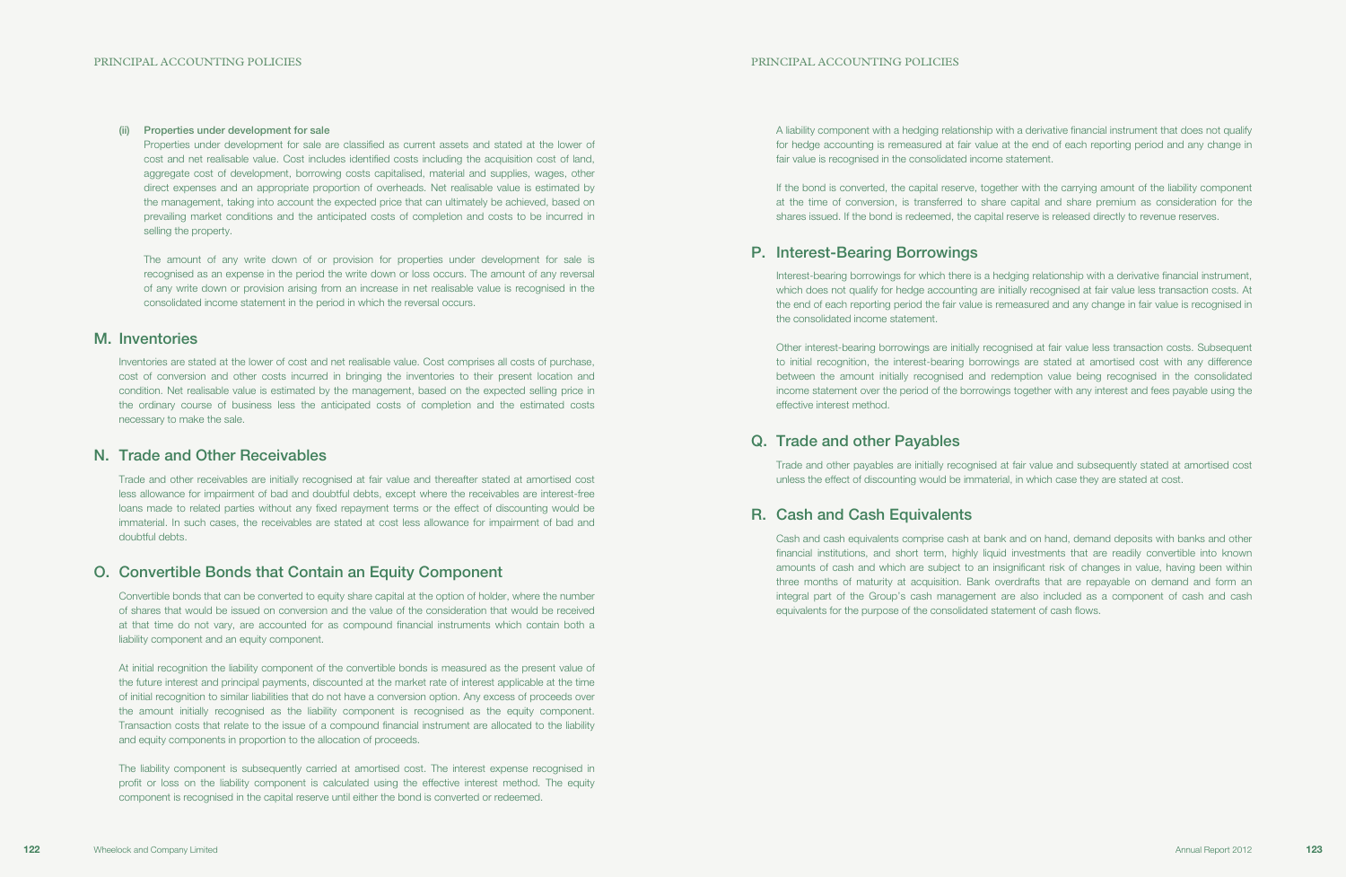A liability component with a hedging relationship with a derivative financial instrument that does not qualify for hedge accounting is remeasured at fair value at the end of each reporting period and any change in fair value is recognised in the consolidated income statement.

If the bond is converted, the capital reserve, together with the carrying amount of the liability component at the time of conversion, is transferred to share capital and share premium as consideration for the shares issued. If the bond is redeemed, the capital reserve is released directly to revenue reserves.

## P. Interest-Bearing Borrowings

Interest-bearing borrowings for which there is a hedging relationship with a derivative financial instrument, which does not qualify for hedge accounting are initially recognised at fair value less transaction costs. At the end of each reporting period the fair value is remeasured and any change in fair value is recognised in the consolidated income statement.

Other interest-bearing borrowings are initially recognised at fair value less transaction costs. Subsequent to initial recognition, the interest-bearing borrowings are stated at amortised cost with any difference between the amount initially recognised and redemption value being recognised in the consolidated income statement over the period of the borrowings together with any interest and fees payable using the effective interest method.

## Q. Trade and other Payables

Trade and other payables are initially recognised at fair value and subsequently stated at amortised cost unless the effect of discounting would be immaterial, in which case they are stated at cost.

## R. Cash and Cash Equivalents

Cash and cash equivalents comprise cash at bank and on hand, demand deposits with banks and other financial institutions, and short term, highly liquid investments that are readily convertible into known amounts of cash and which are subject to an insignificant risk of changes in value, having been within three months of maturity at acquisition. Bank overdrafts that are repayable on demand and form an integral part of the Group's cash management are also included as a component of cash and cash equivalents for the purpose of the consolidated statement of cash flows.

(ii) Properties under development for sale

Properties under development for sale are classified as current assets and stated at the lower of cost and net realisable value. Cost includes identified costs including the acquisition cost of land, aggregate cost of development, borrowing costs capitalised, material and supplies, wages, other direct expenses and an appropriate proportion of overheads. Net realisable value is estimated by the management, taking into account the expected price that can ultimately be achieved, based on prevailing market conditions and the anticipated costs of completion and costs to be incurred in selling the property.

The amount of any write down of or provision for properties under development for sale is recognised as an expense in the period the write down or loss occurs. The amount of any reversal of any write down or provision arising from an increase in net realisable value is recognised in the consolidated income statement in the period in which the reversal occurs.

## M. Inventories

Inventories are stated at the lower of cost and net realisable value. Cost comprises all costs of purchase, cost of conversion and other costs incurred in bringing the inventories to their present location and condition. Net realisable value is estimated by the management, based on the expected selling price in the ordinary course of business less the anticipated costs of completion and the estimated costs necessary to make the sale.

## N. Trade and Other Receivables

Trade and other receivables are initially recognised at fair value and thereafter stated at amortised cost less allowance for impairment of bad and doubtful debts, except where the receivables are interest-free loans made to related parties without any fixed repayment terms or the effect of discounting would be immaterial. In such cases, the receivables are stated at cost less allowance for impairment of bad and doubtful debts.

## O. Convertible Bonds that Contain an Equity Component

Convertible bonds that can be converted to equity share capital at the option of holder, where the number of shares that would be issued on conversion and the value of the consideration that would be received at that time do not vary, are accounted for as compound financial instruments which contain both a liability component and an equity component.

At initial recognition the liability component of the convertible bonds is measured as the present value of the future interest and principal payments, discounted at the market rate of interest applicable at the time of initial recognition to similar liabilities that do not have a conversion option. Any excess of proceeds over the amount initially recognised as the liability component is recognised as the equity component. Transaction costs that relate to the issue of a compound financial instrument are allocated to the liability and equity components in proportion to the allocation of proceeds.

The liability component is subsequently carried at amortised cost. The interest expense recognised in profit or loss on the liability component is calculated using the effective interest method. The equity component is recognised in the capital reserve until either the bond is converted or redeemed.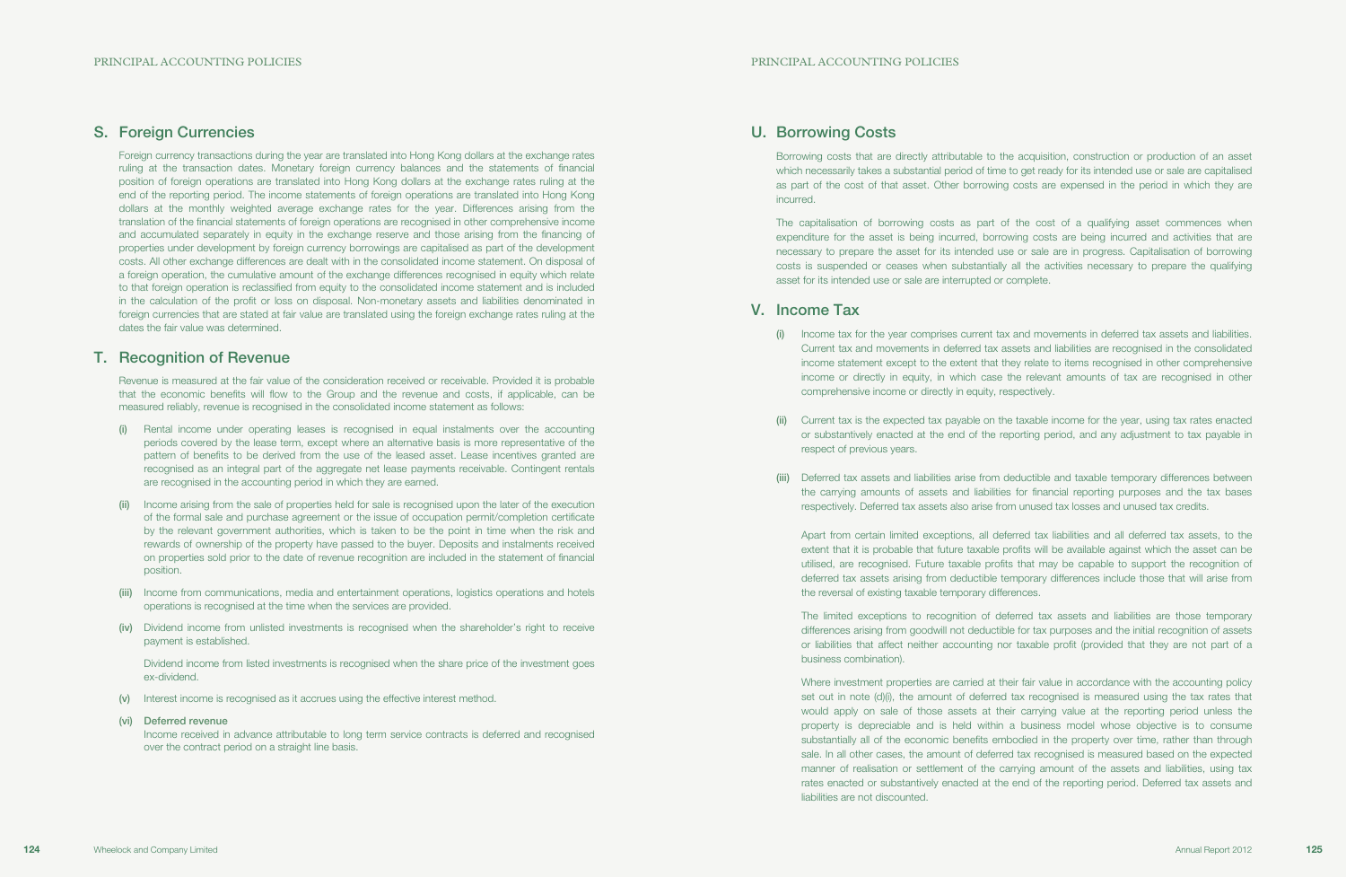## U. Borrowing Costs

Borrowing costs that are directly attributable to the acquisition, construction or production of an asset which necessarily takes a substantial period of time to get ready for its intended use or sale are capitalised as part of the cost of that asset. Other borrowing costs are expensed in the period in which they are incurred.

The capitalisation of borrowing costs as part of the cost of a qualifying asset commences when expenditure for the asset is being incurred, borrowing costs are being incurred and activities that are necessary to prepare the asset for its intended use or sale are in progress. Capitalisation of borrowing costs is suspended or ceases when substantially all the activities necessary to prepare the qualifying asset for its intended use or sale are interrupted or complete.

Current tax is the expected tax payable on the taxable income for the year, using tax rates enacted or substantively enacted at the end of the reporting period, and any adjustment to tax payable in

## V. Income Tax

Deferred tax assets and liabilities arise from deductible and taxable temporary differences between the carrying amounts of assets and liabilities for financial reporting purposes and the tax bases respectively. Deferred tax assets also arise from unused tax losses and unused tax credits.

(i) Income tax for the year comprises current tax and movements in deferred tax assets and liabilities. Current tax and movements in deferred tax assets and liabilities are recognised in the consolidated income statement except to the extent that they relate to items recognised in other comprehensive income or directly in equity, in which case the relevant amounts of tax are recognised in other

- comprehensive income or directly in equity, respectively.
- respect of previous years.
- 

 Apart from certain limited exceptions, all deferred tax liabilities and all deferred tax assets, to the extent that it is probable that future taxable profits will be available against which the asset can be utilised, are recognised. Future taxable profits that may be capable to support the recognition of deferred tax assets arising from deductible temporary differences include those that will arise from the reversal of existing taxable temporary differences.

 The limited exceptions to recognition of deferred tax assets and liabilities are those temporary differences arising from goodwill not deductible for tax purposes and the initial recognition of assets or liabilities that affect neither accounting nor taxable profit (provided that they are not part of a business combination).

 Where investment properties are carried at their fair value in accordance with the accounting policy set out in note (d)(i), the amount of deferred tax recognised is measured using the tax rates that would apply on sale of those assets at their carrying value at the reporting period unless the property is depreciable and is held within a business model whose objective is to consume substantially all of the economic benefits embodied in the property over time, rather than through sale. In all other cases, the amount of deferred tax recognised is measured based on the expected manner of realisation or settlement of the carrying amount of the assets and liabilities, using tax rates enacted or substantively enacted at the end of the reporting period. Deferred tax assets and liabilities are not discounted.

## S. Foreign Currencies

Foreign currency transactions during the year are translated into Hong Kong dollars at the exchange rates ruling at the transaction dates. Monetary foreign currency balances and the statements of financial position of foreign operations are translated into Hong Kong dollars at the exchange rates ruling at the end of the reporting period. The income statements of foreign operations are translated into Hong Kong dollars at the monthly weighted average exchange rates for the year. Differences arising from the translation of the financial statements of foreign operations are recognised in other comprehensive income and accumulated separately in equity in the exchange reserve and those arising from the financing of properties under development by foreign currency borrowings are capitalised as part of the development costs. All other exchange differences are dealt with in the consolidated income statement. On disposal of a foreign operation, the cumulative amount of the exchange differences recognised in equity which relate to that foreign operation is reclassified from equity to the consolidated income statement and is included in the calculation of the profit or loss on disposal. Non-monetary assets and liabilities denominated in foreign currencies that are stated at fair value are translated using the foreign exchange rates ruling at the dates the fair value was determined.

## T. Recognition of Revenue

Revenue is measured at the fair value of the consideration received or receivable. Provided it is probable that the economic benefits will flow to the Group and the revenue and costs, if applicable, can be measured reliably, revenue is recognised in the consolidated income statement as follows:

- (i) Rental income under operating leases is recognised in equal instalments over the accounting periods covered by the lease term, except where an alternative basis is more representative of the pattern of benefits to be derived from the use of the leased asset. Lease incentives granted are recognised as an integral part of the aggregate net lease payments receivable. Contingent rentals are recognised in the accounting period in which they are earned.
- (ii) Income arising from the sale of properties held for sale is recognised upon the later of the execution of the formal sale and purchase agreement or the issue of occupation permit/completion certificate by the relevant government authorities, which is taken to be the point in time when the risk and rewards of ownership of the property have passed to the buyer. Deposits and instalments received on properties sold prior to the date of revenue recognition are included in the statement of financial position.
- (iii) Income from communications, media and entertainment operations, logistics operations and hotels operations is recognised at the time when the services are provided.
- (iv) Dividend income from unlisted investments is recognised when the shareholder's right to receive payment is established.

Dividend income from listed investments is recognised when the share price of the investment goes ex-dividend.

- (v) Interest income is recognised as it accrues using the effective interest method.
- (vi) Deferred revenue

Income received in advance attributable to long term service contracts is deferred and recognised over the contract period on a straight line basis.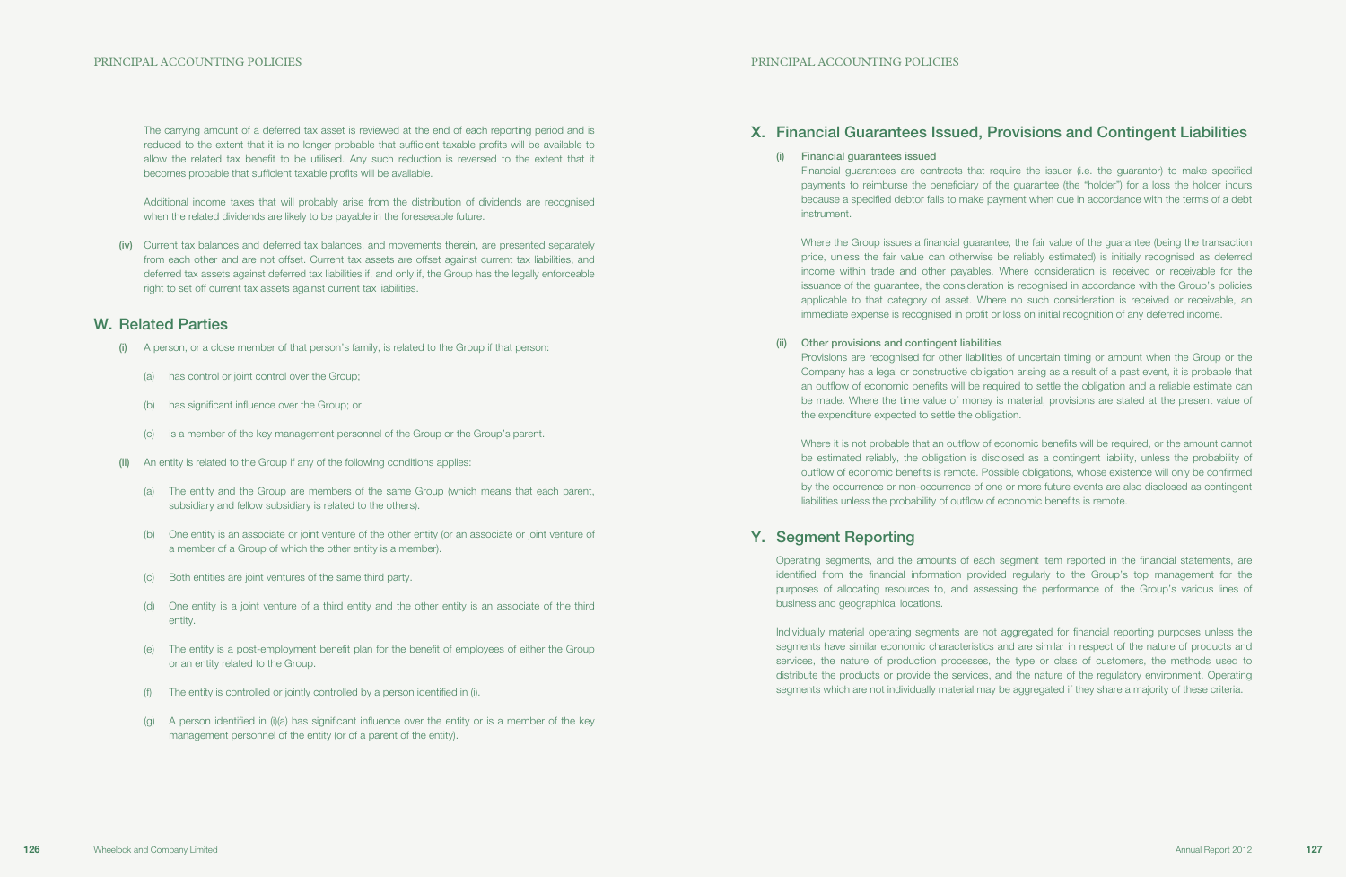## X. Financial Guarantees Issued, Provisions and Contingent Liabilities

(i) Financial guarantees issued instrument.

Financial guarantees are contracts that require the issuer (i.e. the guarantor) to make specified payments to reimburse the beneficiary of the guarantee (the "holder") for a loss the holder incurs because a specified debtor fails to make payment when due in accordance with the terms of a debt

Where the Group issues a financial guarantee, the fair value of the guarantee (being the transaction price, unless the fair value can otherwise be reliably estimated) is initially recognised as deferred income within trade and other payables. Where consideration is received or receivable for the issuance of the guarantee, the consideration is recognised in accordance with the Group's policies applicable to that category of asset. Where no such consideration is received or receivable, an immediate expense is recognised in profit or loss on initial recognition of any deferred income.

Provisions are recognised for other liabilities of uncertain timing or amount when the Group or the Company has a legal or constructive obligation arising as a result of a past event, it is probable that an outflow of economic benefits will be required to settle the obligation and a reliable estimate can be made. Where the time value of money is material, provisions are stated at the present value of

(ii) Other provisions and contingent liabilities the expenditure expected to settle the obligation.

Where it is not probable that an outflow of economic benefits will be required, or the amount cannot be estimated reliably, the obligation is disclosed as a contingent liability, unless the probability of outflow of economic benefits is remote. Possible obligations, whose existence will only be confirmed by the occurrence or non-occurrence of one or more future events are also disclosed as contingent liabilities unless the probability of outflow of economic benefits is remote.

## Y. Segment Reporting

Operating segments, and the amounts of each segment item reported in the financial statements, are identified from the financial information provided regularly to the Group's top management for the purposes of allocating resources to, and assessing the performance of, the Group's various lines of business and geographical locations.

Individually material operating segments are not aggregated for financial reporting purposes unless the segments have similar economic characteristics and are similar in respect of the nature of products and services, the nature of production processes, the type or class of customers, the methods used to distribute the products or provide the services, and the nature of the regulatory environment. Operating segments which are not individually material may be aggregated if they share a majority of these criteria.

The carrying amount of a deferred tax asset is reviewed at the end of each reporting period and is reduced to the extent that it is no longer probable that sufficient taxable profits will be available to allow the related tax benefit to be utilised. Any such reduction is reversed to the extent that it becomes probable that sufficient taxable profits will be available.

Additional income taxes that will probably arise from the distribution of dividends are recognised when the related dividends are likely to be payable in the foreseeable future.

(iv) Current tax balances and deferred tax balances, and movements therein, are presented separately from each other and are not offset. Current tax assets are offset against current tax liabilities, and deferred tax assets against deferred tax liabilities if, and only if, the Group has the legally enforceable right to set off current tax assets against current tax liabilities.

## W. Related Parties

- (i) A person, or a close member of that person's family, is related to the Group if that person:
	- (a) has control or joint control over the Group;
	- (b) has significant influence over the Group; or
	- (c) is a member of the key management personnel of the Group or the Group's parent.
- (ii) An entity is related to the Group if any of the following conditions applies:
	- (a) The entity and the Group are members of the same Group (which means that each parent, subsidiary and fellow subsidiary is related to the others).
	- (b) One entity is an associate or joint venture of the other entity (or an associate or joint venture of a member of a Group of which the other entity is a member).
	- (c) Both entities are joint ventures of the same third party.
	- (d) One entity is a joint venture of a third entity and the other entity is an associate of the third entity.
	- (e) The entity is a post-employment benefit plan for the benefit of employees of either the Group or an entity related to the Group.
	- (f) The entity is controlled or jointly controlled by a person identified in (i).
	- (g) A person identified in (i)(a) has significant influence over the entity or is a member of the key management personnel of the entity (or of a parent of the entity).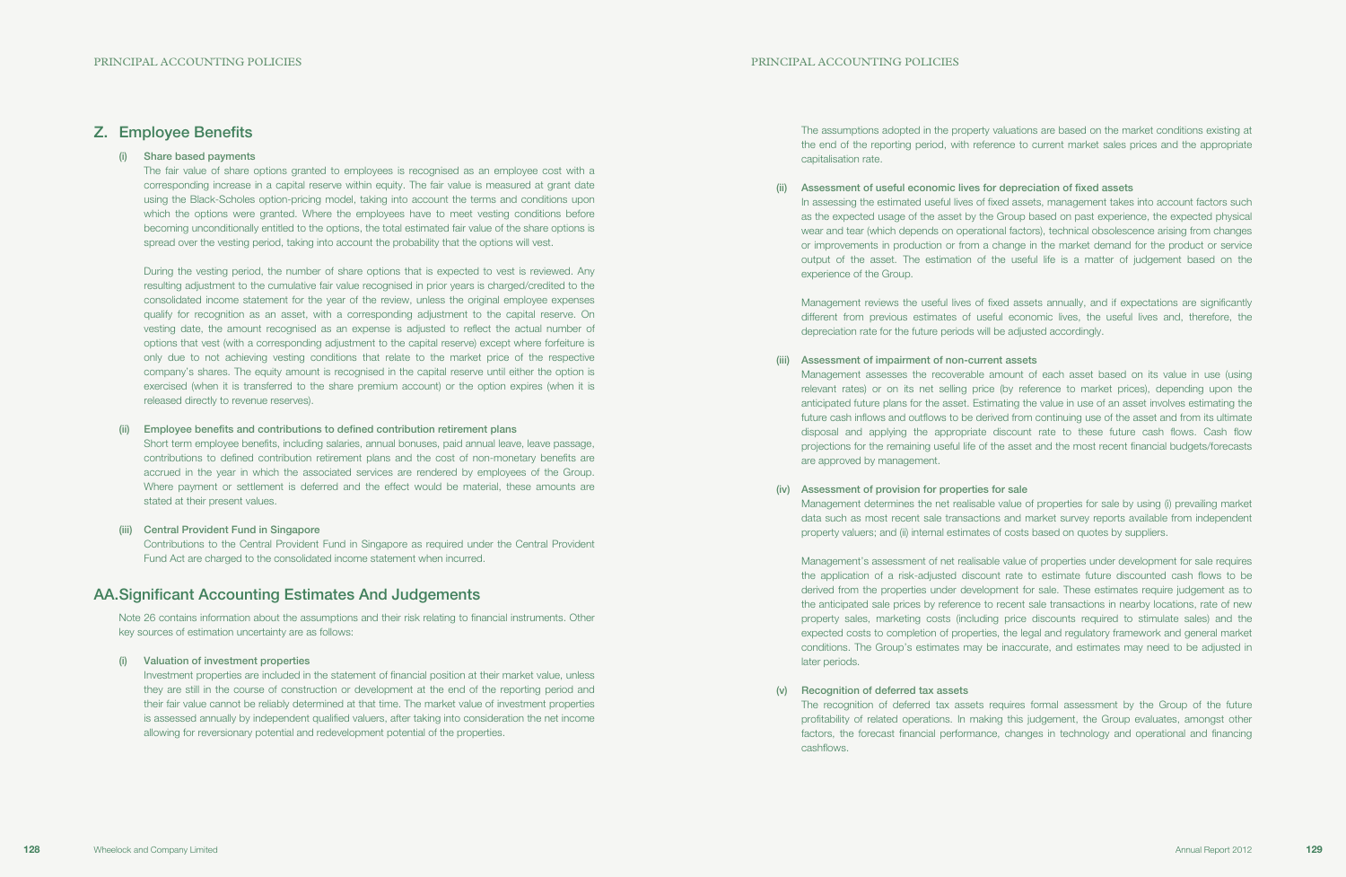The assumptions adopted in the property valuations are based on the market conditions existing at the end of the reporting period, with reference to current market sales prices and the appropriate capitalisation rate.

(ii) Assessment of useful economic lives for depreciation of fixed assets experience of the Group.

In assessing the estimated useful lives of fixed assets, management takes into account factors such as the expected usage of the asset by the Group based on past experience, the expected physical wear and tear (which depends on operational factors), technical obsolescence arising from changes or improvements in production or from a change in the market demand for the product or service output of the asset. The estimation of the useful life is a matter of judgement based on the

Management reviews the useful lives of fixed assets annually, and if expectations are significantly different from previous estimates of useful economic lives, the useful lives and, therefore, the depreciation rate for the future periods will be adjusted accordingly.

Management assesses the recoverable amount of each asset based on its value in use (using relevant rates) or on its net selling price (by reference to market prices), depending upon the anticipated future plans for the asset. Estimating the value in use of an asset involves estimating the future cash inflows and outflows to be derived from continuing use of the asset and from its ultimate disposal and applying the appropriate discount rate to these future cash flows. Cash flow projections for the remaining useful life of the asset and the most recent financial budgets/forecasts

- (iii) Assessment of impairment of non-current assets are approved by management.
- (iv) Assessment of provision for properties for sale property valuers; and (ii) internal estimates of costs based on quotes by suppliers.

Management determines the net realisable value of properties for sale by using (i) prevailing market data such as most recent sale transactions and market survey reports available from independent

Management's assessment of net realisable value of properties under development for sale requires the application of a risk-adjusted discount rate to estimate future discounted cash flows to be derived from the properties under development for sale. These estimates require judgement as to the anticipated sale prices by reference to recent sale transactions in nearby locations, rate of new property sales, marketing costs (including price discounts required to stimulate sales) and the expected costs to completion of properties, the legal and regulatory framework and general market conditions. The Group's estimates may be inaccurate, and estimates may need to be adjusted in later periods.

(v) Recognition of deferred tax assets cashflows.

The recognition of deferred tax assets requires formal assessment by the Group of the future profitability of related operations. In making this judgement, the Group evaluates, amongst other factors, the forecast financial performance, changes in technology and operational and financing

## Z. Employee Benefits

### (i) Share based payments

The fair value of share options granted to employees is recognised as an employee cost with a corresponding increase in a capital reserve within equity. The fair value is measured at grant date using the Black-Scholes option-pricing model, taking into account the terms and conditions upon which the options were granted. Where the employees have to meet vesting conditions before becoming unconditionally entitled to the options, the total estimated fair value of the share options is spread over the vesting period, taking into account the probability that the options will vest.

During the vesting period, the number of share options that is expected to vest is reviewed. Any resulting adjustment to the cumulative fair value recognised in prior years is charged/credited to the consolidated income statement for the year of the review, unless the original employee expenses qualify for recognition as an asset, with a corresponding adjustment to the capital reserve. On vesting date, the amount recognised as an expense is adjusted to reflect the actual number of options that vest (with a corresponding adjustment to the capital reserve) except where forfeiture is only due to not achieving vesting conditions that relate to the market price of the respective company's shares. The equity amount is recognised in the capital reserve until either the option is exercised (when it is transferred to the share premium account) or the option expires (when it is released directly to revenue reserves).

### (ii) Employee benefits and contributions to defined contribution retirement plans

Short term employee benefits, including salaries, annual bonuses, paid annual leave, leave passage, contributions to defined contribution retirement plans and the cost of non-monetary benefits are accrued in the year in which the associated services are rendered by employees of the Group. Where payment or settlement is deferred and the effect would be material, these amounts are stated at their present values.

### (iii) Central Provident Fund in Singapore

Contributions to the Central Provident Fund in Singapore as required under the Central Provident Fund Act are charged to the consolidated income statement when incurred.

## AA. Significant Accounting Estimates And Judgements

Note 26 contains information about the assumptions and their risk relating to financial instruments. Other key sources of estimation uncertainty are as follows:

### (i) Valuation of investment properties

Investment properties are included in the statement of financial position at their market value, unless they are still in the course of construction or development at the end of the reporting period and their fair value cannot be reliably determined at that time. The market value of investment properties is assessed annually by independent qualified valuers, after taking into consideration the net income allowing for reversionary potential and redevelopment potential of the properties.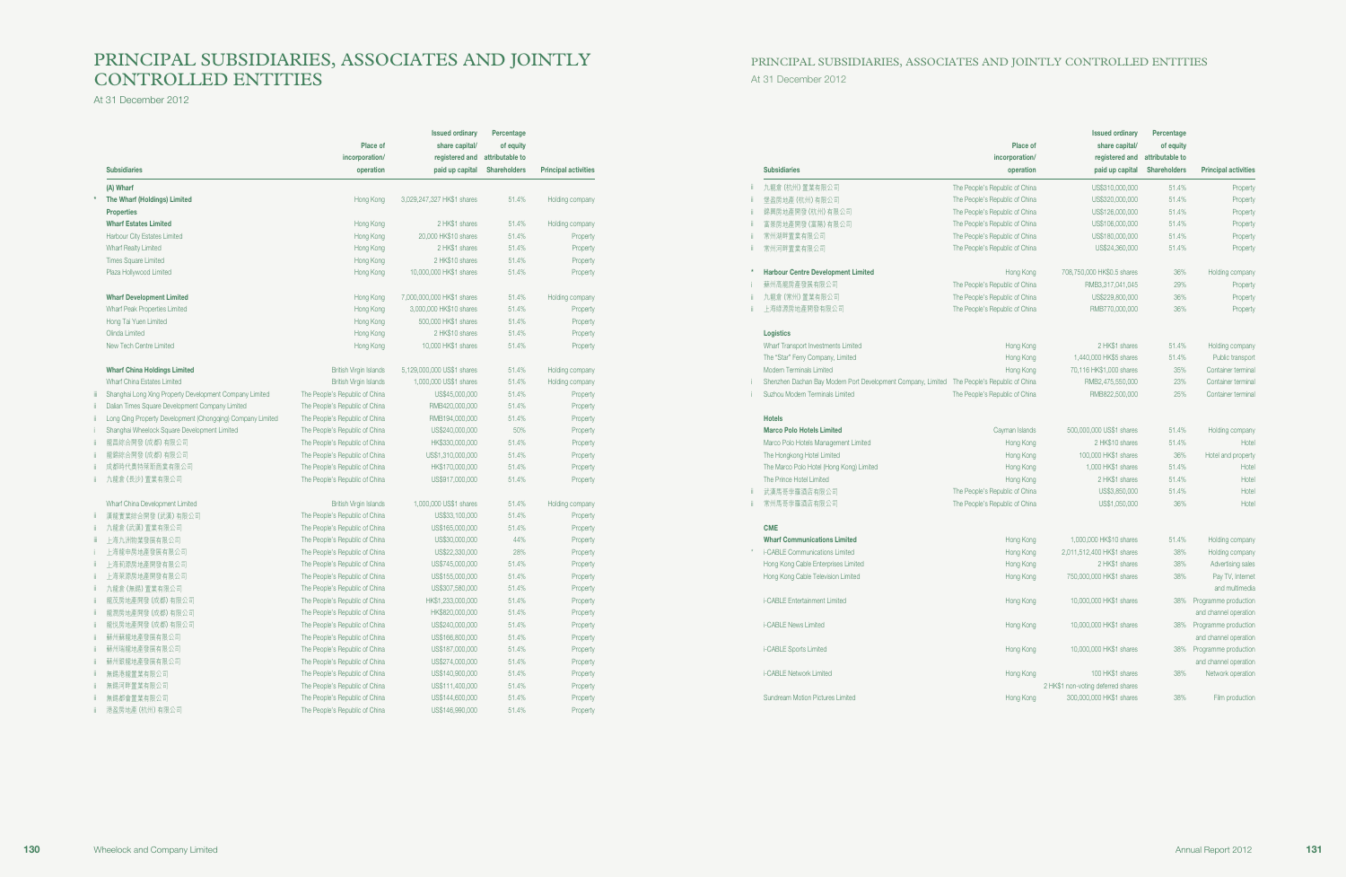# PRINCIPAL SUBSIDIARIES, ASSOCIATES AND JOINTLY CONTROLLED ENTITIES

At 31 December 2012

At 31 December 2012

# PRINCIPAL SUBSIDIARIES, ASSOCIATES AND JOINTLY CONTROLLED ENTITIES

| <b>Subsidiaries</b>                                        | Place of<br>incorporation/<br>operation | <b>Issued ordinary</b><br>share capital/<br>registered and<br>paid up capital | Percentage<br>of equity<br>attributable to<br><b>Shareholders</b> | <b>Principal activities</b> |
|------------------------------------------------------------|-----------------------------------------|-------------------------------------------------------------------------------|-------------------------------------------------------------------|-----------------------------|
| (A) Wharf                                                  |                                         |                                                                               |                                                                   |                             |
| The Wharf (Holdings) Limited                               | Hong Kong                               | 3,029,247,327 HK\$1 shares                                                    | 51.4%                                                             | Holding company             |
| <b>Properties</b>                                          |                                         |                                                                               |                                                                   |                             |
| <b>Wharf Estates Limited</b>                               | Hong Kong                               | 2 HK\$1 shares                                                                | 51.4%                                                             | Holding company             |
| Harbour City Estates Limited                               | Hong Kong                               | 20,000 HK\$10 shares                                                          | 51.4%                                                             | Property                    |
| <b>Wharf Realty Limited</b>                                | Hong Kong                               | 2 HK\$1 shares                                                                | 51.4%                                                             | Property                    |
| <b>Times Square Limited</b>                                | Hong Kong                               | 2 HK\$10 shares                                                               | 51.4%                                                             | Property                    |
| Plaza Hollywood Limited                                    | Hong Kong                               | 10,000,000 HK\$1 shares                                                       | 51.4%                                                             | Property                    |
| <b>Wharf Development Limited</b>                           | Hong Kong                               | 7,000,000,000 HK\$1 shares                                                    | 51.4%                                                             | Holding company             |
| Wharf Peak Properties Limited                              | Hong Kong                               | 3,000,000 HK\$10 shares                                                       | 51.4%                                                             | Property                    |
| Hong Tai Yuen Limited                                      | Hong Kong                               | 500,000 HK\$1 shares                                                          | 51.4%                                                             | Property                    |
| Olinda Limited                                             | Hong Kong                               | 2 HK\$10 shares                                                               | 51.4%                                                             | Property                    |
| New Tech Centre Limited                                    | Hong Kong                               | 10,000 HK\$1 shares                                                           | 51.4%                                                             | Property                    |
| <b>Wharf China Holdings Limited</b>                        | <b>British Virgin Islands</b>           | 5,129,000,000 US\$1 shares                                                    | 51.4%                                                             | Holding company             |
| Wharf China Estates Limited                                | <b>British Virgin Islands</b>           | 1,000,000 US\$1 shares                                                        | 51.4%                                                             | Holding company             |
| Shanghai Long Xing Property Development Company Limited    | The People's Republic of China          | US\$45,000,000                                                                | 51.4%                                                             | Property                    |
| Dalian Times Square Development Company Limited            | The People's Republic of China          | RMB420,000,000                                                                | 51.4%                                                             | Property                    |
| Long Qing Property Development (Chongqing) Company Limited | The People's Republic of China          | RMB194,000,000                                                                | 51.4%                                                             | Property                    |
| Shanghai Wheelock Square Development Limited               | The People's Republic of China          | US\$240,000,000                                                               | 50%                                                               | Property                    |
| 龍昌綜合開發 (成都) 有限公司                                           | The People's Republic of China          | HK\$330,000,000                                                               | 51.4%                                                             | Property                    |
| 龍錦綜合開發 (成都) 有限公司                                           | The People's Republic of China          | US\$1,310,000,000                                                             | 51.4%                                                             | Property                    |
| 成都時代奧特萊斯商業有限公司                                             | The People's Republic of China          | HK\$170,000,000                                                               | 51.4%                                                             | Property                    |
| 九龍倉 (長沙) 置業有限公司                                            | The People's Republic of China          | US\$917,000,000                                                               | 51.4%                                                             | Property                    |
| Wharf China Development Limited                            | <b>British Virgin Islands</b>           | 1,000,000 US\$1 shares                                                        | 51.4%                                                             | Holding company             |
| 漢龍實業綜合開發 (武漢) 有限公司                                         | The People's Republic of China          | US\$33,100,000                                                                | 51.4%                                                             | Property                    |
| 九龍倉 (武漢) 置業有限公司                                            | The People's Republic of China          | US\$165,000,000                                                               | 51.4%                                                             | Property                    |
| 上海九洲物業發展有限公司                                               | The People's Republic of China          | US\$30,000,000                                                                | 44%                                                               | Property                    |
| 上海龍申房地產發展有限公司                                              | The People's Republic of China          | US\$22,330,000                                                                | 28%                                                               | Property                    |
| 上海莉源房地產開發有限公司                                              | The People's Republic of China          | US\$745,000,000                                                               | 51.4%                                                             | Property                    |
| 上海萊源房地產開發有限公司                                              | The People's Republic of China          | US\$155,000,000                                                               | 51.4%                                                             | Property                    |
| 九龍倉 (無錫) 置業有限公司                                            | The People's Republic of China          | US\$307,580,000                                                               | 51.4%                                                             | Property                    |
| 龍茂房地產開發 (成都) 有限公司                                          | The People's Republic of China          | HK\$1,233,000,000                                                             | 51.4%                                                             | Property                    |
| 龍潤房地產開發 (成都) 有限公司                                          | The People's Republic of China          | HK\$820,000,000                                                               | 51.4%                                                             | Property                    |
| 龍悦房地產開發 (成都) 有限公司                                          | The People's Republic of China          | US\$240,000,000                                                               | 51.4%                                                             | Property                    |
| 蘇州蘇龍地產發展有限公司                                               | The People's Republic of China          | US\$166,800,000                                                               | 51.4%                                                             | Property                    |
| 蘇州瑞龍地產發展有限公司                                               | The People's Republic of China          | US\$187,000,000                                                               | 51.4%                                                             | Property                    |
| 蘇州銀龍地產發展有限公司                                               | The People's Republic of China          | US\$274,000,000                                                               | 51.4%                                                             | Property                    |
| 無錫港龍置業有限公司                                                 | The People's Republic of China          | US\$140,900,000                                                               | 51.4%                                                             | Property                    |
| 無錫河畔置業有限公司                                                 | The People's Republic of China          | US\$111,400,000                                                               | 51.4%                                                             | Property                    |
| 無錫都會置業有限公司                                                 | The People's Republic of China          | US\$144,600,000                                                               | 51.4%                                                             | Property                    |
| 港盈房地產(杭州)有限公司                                              | The People's Republic of China          | US\$146,990,000                                                               | 51.4%                                                             | Property                    |

|         | <b>Subsidiaries</b>                                                                          | Place of<br>incorporation/<br>operation | <b>Issued ordinary</b><br>share capital/<br>registered and<br>paid up capital | Percentage<br>of equity<br>attributable to<br><b>Shareholders</b> | <b>Principal activities</b>        |
|---------|----------------------------------------------------------------------------------------------|-----------------------------------------|-------------------------------------------------------------------------------|-------------------------------------------------------------------|------------------------------------|
| ï       | 九龍倉 (杭州) 置業有限公司                                                                              | The People's Republic of China          | US\$310,000,000                                                               | 51.4%                                                             | Property                           |
| ï       | 堡盈房地產(杭州)有限公司                                                                                | The People's Republic of China          | US\$320,000,000                                                               | 51.4%                                                             | Property                           |
| ii.     | 錦興房地產開發 (杭州) 有限公司                                                                            | The People's Republic of China          | US\$126,000,000                                                               | 51.4%                                                             | Property                           |
| ii.     | 富景房地產開發(富陽)有限公司                                                                              | The People's Republic of China          | US\$106,000,000                                                               | 51.4%                                                             | Property                           |
| ï       | 常州湖畔置業有限公司                                                                                   | The People's Republic of China          | US\$180,000,000                                                               | 51.4%                                                             | Property                           |
| ï       | 常州河畔置業有限公司                                                                                   | The People's Republic of China          | US\$24,360,000                                                                | 51.4%                                                             | Property                           |
| $\star$ | <b>Harbour Centre Development Limited</b>                                                    | Hong Kong                               | 708,750,000 HK\$0.5 shares                                                    | 36%                                                               | Holding company                    |
|         | 蘇州高龍房產發展有限公司                                                                                 | The People's Republic of China          | RMB3,317,041,045                                                              | 29%                                                               | Property                           |
| ii.     | 九龍倉 (常州) 置業有限公司                                                                              | The People's Republic of China          | US\$229,800,000                                                               | 36%                                                               | Property                           |
| ï       | 上海綠源房地產開發有限公司                                                                                | The People's Republic of China          | RMB770,000,000                                                                | 36%                                                               | Property                           |
|         | Logistics                                                                                    |                                         |                                                                               |                                                                   |                                    |
|         | Wharf Transport Investments Limited                                                          | Hong Kong                               | 2 HK\$1 shares                                                                | 51.4%                                                             | Holding company                    |
|         | The "Star" Ferry Company, Limited                                                            | Hong Kong                               | 1,440,000 HK\$5 shares                                                        | 51.4%                                                             | Public transport                   |
|         | Modern Terminals Limited                                                                     | Hong Kong                               | 70,116 HK\$1,000 shares                                                       | 35%                                                               | Container terminal                 |
|         | Shenzhen Dachan Bay Modern Port Development Company, Limited  The People's Republic of China |                                         | RMB2,475,550,000                                                              | 23%                                                               | Container terminal                 |
|         | Suzhou Modern Terminals Limited                                                              | The People's Republic of China          | RMB822,500,000                                                                | 25%                                                               | Container terminal                 |
|         | <b>Hotels</b>                                                                                |                                         |                                                                               |                                                                   |                                    |
|         | <b>Marco Polo Hotels Limited</b>                                                             | Cayman Islands                          | 500,000,000 US\$1 shares                                                      | 51.4%                                                             | Holding company                    |
|         | Marco Polo Hotels Management Limited                                                         | Hong Kong                               | 2 HK\$10 shares                                                               | 51.4%                                                             | Hotel                              |
|         | The Hongkong Hotel Limited                                                                   | Hong Kong                               | 100,000 HK\$1 shares                                                          | 36%                                                               | Hotel and property                 |
|         | The Marco Polo Hotel (Hong Kong) Limited                                                     | Hong Kong                               | 1,000 HK\$1 shares                                                            | 51.4%                                                             | Hotel                              |
|         | The Prince Hotel Limited                                                                     | Hong Kong                               | 2 HK\$1 shares                                                                | 51.4%                                                             | Hotel                              |
| ii.     | 武漢馬哥孛羅酒店有限公司                                                                                 | The People's Republic of China          | US\$3,850,000                                                                 | 51.4%                                                             | Hotel                              |
| ï       | 常州馬哥孛羅酒店有限公司                                                                                 | The People's Republic of China          | US\$1,050,000                                                                 | 36%                                                               | Hotel                              |
|         | <b>CME</b>                                                                                   |                                         |                                                                               |                                                                   |                                    |
|         | <b>Wharf Communications Limited</b>                                                          | Hong Kong                               | 1,000,000 HK\$10 shares                                                       | 51.4%                                                             | Holding company                    |
|         | i-CABLE Communications Limited                                                               | Hong Kong                               | 2,011,512,400 HK\$1 shares                                                    | 38%                                                               | Holding company                    |
|         | Hong Kong Cable Enterprises Limited                                                          | Hong Kong                               | 2 HK\$1 shares                                                                | 38%                                                               | Advertising sales                  |
|         | Hong Kong Cable Television Limited                                                           | Hong Kong                               | 750,000,000 HK\$1 shares                                                      | 38%                                                               | Pay TV, Internet<br>and multimedia |
|         | i-CABLE Entertainment Limited                                                                | Hong Kong                               | 10,000,000 HK\$1 shares                                                       | 38%                                                               | Programme production               |
|         |                                                                                              |                                         |                                                                               |                                                                   | and channel operation              |
|         | i-CABLE News Limited                                                                         | Hong Kong                               | 10,000,000 HK\$1 shares                                                       | 38%                                                               | Programme production               |
|         |                                                                                              |                                         |                                                                               |                                                                   | and channel operation              |
|         | i-CABLE Sports Limited                                                                       | Hong Kong                               | 10,000,000 HK\$1 shares                                                       | 38%                                                               | Programme production               |
|         |                                                                                              |                                         |                                                                               |                                                                   | and channel operation              |
|         | i-CABLE Network Limited                                                                      | Hong Kong                               | 100 HK\$1 shares                                                              | 38%                                                               | Network operation                  |
|         |                                                                                              |                                         | 2 HK\$1 non-voting deferred shares                                            |                                                                   |                                    |
|         | Sundream Motion Pictures Limited                                                             | Hong Kong                               | 300,000,000 HK\$1 shares                                                      | 38%                                                               | Film production                    |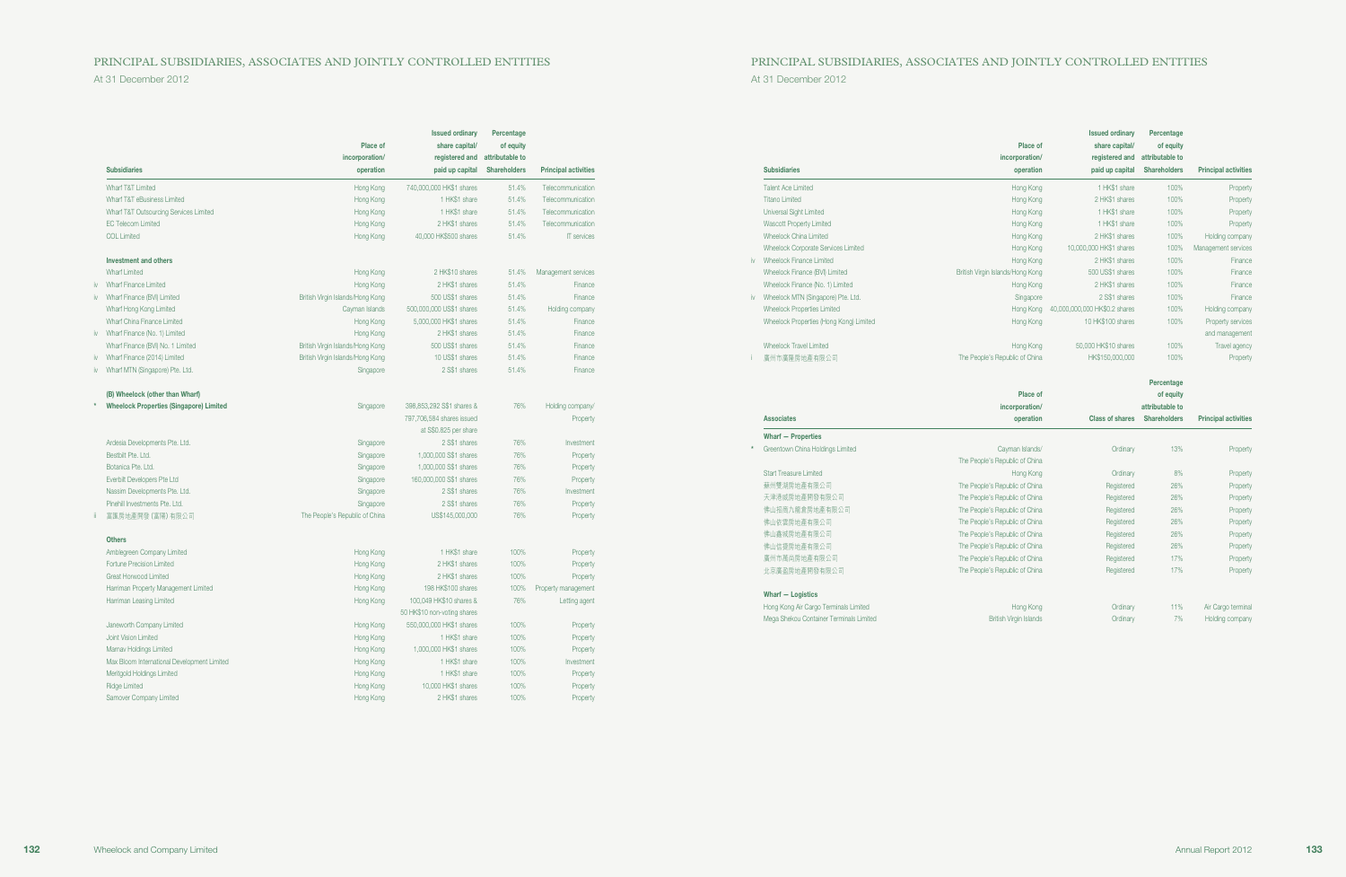## PRINCIPAL SUBSIDIARIES, ASSOCIATES AND JOINTLY CONTROLLED ENTITIES PRINCIPAL SUBSIDIARIES, ASSOCIATES AND JOINTLY CONTROLLED ENTITIES

At 31 December 2012 At 31 December 2012

|     | <b>Subsidiaries</b>                            | Place of<br>incorporation/<br>operation | <b>Issued ordinary</b><br>share capital/<br>registered and<br>paid up capital | Percentage<br>of equity<br>attributable to<br><b>Shareholders</b> | <b>Principal activities</b> |
|-----|------------------------------------------------|-----------------------------------------|-------------------------------------------------------------------------------|-------------------------------------------------------------------|-----------------------------|
|     | Wharf T&T Limited                              | Hong Kong                               | 740,000,000 HK\$1 shares                                                      | 51.4%                                                             | Telecommunication           |
|     | Wharf T&T eBusiness Limited                    | Hong Kong                               | 1 HK\$1 share                                                                 | 51.4%                                                             | Telecommunication           |
|     | Wharf T&T Outsourcing Services Limited         | Hong Kong                               | 1 HK\$1 share                                                                 | 51.4%                                                             | Telecommunication           |
|     | <b>EC Telecom Limited</b>                      | Hong Kong                               | 2 HK\$1 shares                                                                | 51.4%                                                             | Telecommunication           |
|     | COL Limited                                    | Hong Kong                               | 40,000 HK\$500 shares                                                         | 51.4%                                                             | <b>IT</b> services          |
|     | <b>Investment and others</b>                   |                                         |                                                                               |                                                                   |                             |
|     | <b>Wharf Limited</b>                           | Hong Kong                               | 2 HK\$10 shares                                                               | 51.4%                                                             | Management services         |
|     | <b>Wharf Finance Limited</b>                   | Hong Kong                               | 2 HK\$1 shares                                                                | 51.4%                                                             | Finance                     |
| iv. | Wharf Finance (BVI) Limited                    | British Virgin Islands/Hong Kong        | 500 US\$1 shares                                                              | 51.4%                                                             | Finance                     |
|     | Wharf Hong Kong Limited                        | Cayman Islands                          | 500,000,000 US\$1 shares                                                      | 51.4%                                                             | Holding company             |
|     | Wharf China Finance Limited                    | Hong Kong                               | 5,000,000 HK\$1 shares                                                        | 51.4%                                                             | Finance                     |
| iv  | Wharf Finance (No. 1) Limited                  | Hong Kong                               | 2 HK\$1 shares                                                                | 51.4%                                                             | Finance                     |
|     | Wharf Finance (BVI) No. 1 Limited              | British Virgin Islands/Hong Kong        | 500 US\$1 shares                                                              | 51.4%                                                             | Finance                     |
| iv  | Wharf Finance (2014) Limited                   | British Virgin Islands/Hong Kong        | 10 US\$1 shares                                                               | 51.4%                                                             | Finance                     |
| iv  | Wharf MTN (Singapore) Pte. Ltd.                | Singapore                               | 2 S\$1 shares                                                                 | 51.4%                                                             | Finance                     |
|     | (B) Wheelock (other than Wharf)                |                                         |                                                                               |                                                                   |                             |
|     | <b>Wheelock Properties (Singapore) Limited</b> | Singapore                               | 398,853,292 S\$1 shares &                                                     | 76%                                                               | Holding company/            |
|     |                                                |                                         | 797,706,584 shares issued                                                     |                                                                   | Property                    |
|     |                                                |                                         | at S\$0.825 per share                                                         |                                                                   |                             |
|     | Ardesia Developments Pte. Ltd.                 | Singapore                               | 2 S\$1 shares                                                                 | 76%                                                               | Investment                  |
|     | Bestbilt Pte. Ltd.                             | Singapore                               | 1,000,000 S\$1 shares                                                         | 76%                                                               | Property                    |
|     | Botanica Pte. Ltd.                             | Singapore                               | 1,000,000 S\$1 shares                                                         | 76%                                                               | Property                    |
|     | Everbilt Developers Pte Ltd                    | Singapore                               | 160,000,000 S\$1 shares                                                       | 76%                                                               | Property                    |
|     | Nassim Developments Pte. Ltd.                  | Singapore                               | 2 S\$1 shares                                                                 | 76%                                                               | Investment                  |
|     | Pinehill Investments Pte. Ltd.                 | Singapore                               | 2 S\$1 shares                                                                 | 76%                                                               | Property                    |
|     | 富匯房地產開發 (富陽) 有限公司                              | The People's Republic of China          | US\$145,000,000                                                               | 76%                                                               | Property                    |
|     | <b>Others</b>                                  |                                         |                                                                               |                                                                   |                             |
|     | Amblegreen Company Limited                     | Hong Kong                               | 1 HK\$1 share                                                                 | 100%                                                              | Property                    |
|     | Fortune Precision Limited                      | Hong Kong                               | 2 HK\$1 shares                                                                | 100%                                                              | Property                    |
|     | Great Horwood Limited                          | Hong Kong                               | 2 HK\$1 shares                                                                | 100%                                                              | Property                    |
|     | Harriman Property Management Limited           | Hong Kong                               | 198 HK\$100 shares                                                            | 100%                                                              | Property management         |
|     | Harriman Leasing Limited                       | Hong Kong                               | 100,049 HK\$10 shares &                                                       | 76%                                                               | Letting agent               |
|     |                                                |                                         | 50 HK\$10 non-voting shares                                                   |                                                                   |                             |
|     | Janeworth Company Limited                      | Hong Kong                               | 550,000,000 HK\$1 shares                                                      | 100%                                                              | Property                    |
|     | Joint Vision Limited                           | Hong Kong                               | 1 HK\$1 share                                                                 | 100%                                                              | Property                    |
|     | Marnav Holdings Limited                        | Hong Kong                               | 1,000,000 HK\$1 shares                                                        | 100%                                                              | Property                    |
|     | Max Bloom International Development Limited    | Hong Kong                               | 1 HK\$1 share                                                                 | 100%                                                              | Investment                  |
|     | Meritgold Holdings Limited                     | Hong Kong                               | 1 HK\$1 share                                                                 | 100%                                                              | Property                    |
|     | <b>Ridge Limited</b>                           | Hong Kong                               | 10,000 HK\$1 shares                                                           | 100%                                                              | Property                    |
|     | Samover Company Limited                        | Hong Kong                               | 2 HK\$1 shares                                                                | 100%                                                              |                             |
|     |                                                |                                         |                                                                               |                                                                   | Property                    |

|              | <b>Subsidiaries</b>                     | Place of<br>incorporation/<br>operation | <b>Issued ordinary</b><br>share capital/<br>registered and<br>paid up capital | Percentage<br>of equity<br>attributable to<br><b>Shareholders</b> | <b>Principal activities</b> |
|--------------|-----------------------------------------|-----------------------------------------|-------------------------------------------------------------------------------|-------------------------------------------------------------------|-----------------------------|
|              | Talent Ace Limited                      | Hong Kong                               | 1 HK\$1 share                                                                 | 100%                                                              | Property                    |
|              | <b>Titano Limited</b>                   | Hong Kong                               | 2 HK\$1 shares                                                                | 100%                                                              | Property                    |
|              | Universal Sight Limited                 | Hong Kong                               | 1 HK\$1 share                                                                 | 100%                                                              | Property                    |
|              | <b>Wascott Property Limited</b>         | Hong Kong                               | 1 HK\$1 share                                                                 | 100%                                                              | Property                    |
|              | Wheelock China Limited                  | Hong Kong                               | 2 HK\$1 shares                                                                | 100%                                                              | Holding company             |
|              | Wheelock Corporate Services Limited     | Hong Kong                               | 10,000,000 HK\$1 shares                                                       | 100%                                                              | Management services         |
| $\mathsf{N}$ | Wheelock Finance Limited                | Hong Kong                               | 2 HK\$1 shares                                                                | 100%                                                              | Finance                     |
|              | Wheelock Finance (BVI) Limited          | British Virgin Islands/Hong Kong        | 500 US\$1 shares                                                              | 100%                                                              | Finance                     |
|              | Wheelock Finance (No. 1) Limited        | Hong Kong                               | 2 HK\$1 shares                                                                | 100%                                                              | Finance                     |
| $\mathsf{N}$ | Wheelock MTN (Singapore) Pte. Ltd.      | Singapore                               | 2 S\$1 shares                                                                 | 100%                                                              | Finance                     |
|              | <b>Wheelock Properties Limited</b>      | Hong Kong                               | 40,000,000,000 HK\$0.2 shares                                                 | 100%                                                              | Holding company             |
|              | Wheelock Properties (Hong Kong) Limited | Hong Kong                               | 10 HK\$100 shares                                                             | 100%                                                              | Property services           |
|              |                                         |                                         |                                                                               |                                                                   | and management              |
|              | <b>Wheelock Travel Limited</b>          | Hong Kong                               | 50,000 HK\$10 shares                                                          | 100%                                                              | Travel agency               |
|              | 廣州市廣隆房地產有限公司                            | The People's Republic of China          | HK\$150,000,000                                                               | 100%                                                              | Property                    |
|              |                                         |                                         |                                                                               |                                                                   |                             |

|                                         |                                |                        | Percentage          |                             |
|-----------------------------------------|--------------------------------|------------------------|---------------------|-----------------------------|
|                                         | Place of                       |                        | of equity           |                             |
|                                         | incorporation/                 |                        | attributable to     |                             |
| <b>Associates</b>                       | operation                      | <b>Class of shares</b> | <b>Shareholders</b> | <b>Principal activities</b> |
| <b>Wharf - Properties</b>               |                                |                        |                     |                             |
| Greentown China Holdings Limited        | Cayman Islands/                | Ordinary               | 13%                 | Property                    |
|                                         | The People's Republic of China |                        |                     |                             |
| <b>Start Treasure Limited</b>           | Hong Kong                      | Ordinary               | 8%                  | Property                    |
| 蘇州雙湖房地產有限公司                             | The People's Republic of China | Registered             | 26%                 | Property                    |
| 天津港威房地產開發有限公司                           | The People's Republic of China | Registered             | 26%                 | Property                    |
| 佛山招商九龍倉房地產有限公司                          | The People's Republic of China | Registered             | 26%                 | Property                    |
| 佛山依雲房地產有限公司                             | The People's Republic of China | Registered             | 26%                 | Property                    |
| 佛山鑫城房地產有限公司                             | The People's Republic of China | Registered             | 26%                 | Property                    |
| 佛山信捷房地產有限公司                             | The People's Republic of China | Registered             | 26%                 | Property                    |
| 廣州市萬尚房地產有限公司                            | The People's Republic of China | Registered             | 17%                 | Property                    |
| 北京廣盈房地產開發有限公司                           | The People's Republic of China | Registered             | 17%                 | Property                    |
| Wharf - Logistics                       |                                |                        |                     |                             |
| Hong Kong Air Cargo Terminals Limited   | Hong Kong                      | Ordinary               | 11%                 | Air Cargo terminal          |
| Mega Shekou Container Terminals Limited | <b>British Virgin Islands</b>  | Ordinary               | 7%                  | Holding company             |
|                                         |                                |                        |                     |                             |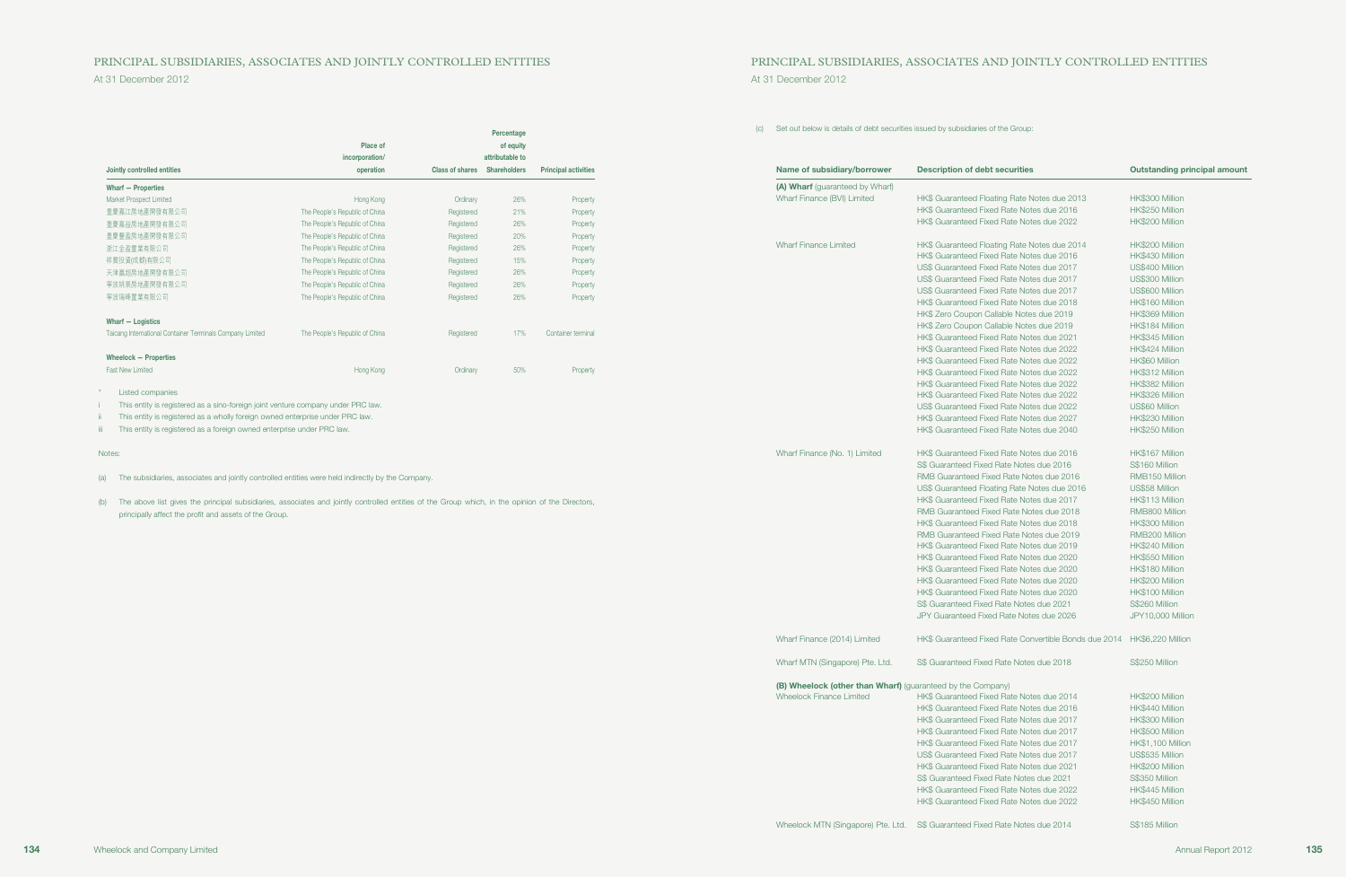## PRINCIPAL SUBSIDIARIES, ASSOCIATES AND JOINTLY CONTROLLED ENTITIES PRINCIPAL SUBSIDIARIES, ASSOCIATES AND JOINTLY CONTROLLED ENTITIES

|                                                           |                                |                        | Percentage          |                             |
|-----------------------------------------------------------|--------------------------------|------------------------|---------------------|-----------------------------|
|                                                           | Place of                       |                        | of equity           |                             |
|                                                           | incorporation/                 |                        | attributable to     |                             |
| Jointly controlled entities                               | operation                      | <b>Class of shares</b> | <b>Shareholders</b> | <b>Principal activities</b> |
| <b>Wharf - Properties</b>                                 |                                |                        |                     |                             |
| Market Prospect Limited                                   | Hong Kong                      | Ordinary               | 26%                 | Property                    |
| 重慶嘉江房地產開發有限公司                                             | The People's Republic of China | Registered             | 21%                 | Property                    |
| 重慶嘉益房地產開發有限公司                                             | The People's Republic of China | Registered             | 26%                 | Property                    |
| 重慶豐盈房地產開發有限公司                                             | The People's Republic of China | Registered             | 20%                 | Property                    |
| 浙江金盈置業有限公司                                                | The People's Republic of China | Registered             | 26%                 | Property                    |
| 祥寳投資(成都)有限公司                                              | The People's Republic of China | Registered             | 15%                 | Property                    |
| 天津贏超房地產開發有限公司                                             | The People's Republic of China | Registered             | 26%                 | Property                    |
| 寧波姚景房地產開發有限公司                                             | The People's Republic of China | Registered             | 26%                 | Property                    |
| 寧波瑞峰置業有限公司                                                | The People's Republic of China | Registered             | 26%                 | Property                    |
| Wharf - Logistics                                         |                                |                        |                     |                             |
| Taicang International Container Terminals Company Limited | The People's Republic of China | Registered             | 17%                 | Container terminal          |
| Wheelock - Properties                                     |                                |                        |                     |                             |
| <b>Fast New Limited</b>                                   | Hong Kong                      | Ordinary               | 50%                 | Property                    |
|                                                           |                                |                        |                     |                             |

\* Listed companies

i This entity is registered as a sino-foreign joint venture company under PRC law.

ii This entity is registered as a wholly foreign owned enterprise under PRC law.

iii This entity is registered as a foreign owned enterprise under PRC law.

#### Notes:

(a) The subsidiaries, associates and jointly controlled entities were held indirectly by the Company.

(b) The above list gives the principal subsidiaries, associates and jointly controlled entities of the Group which, in the opinion of the Directors, principally affect the profit and assets of the Group.

(c) Set out below is details of debt securities issued by subsidiaries of the Group:

| Name of subsidiary/borrower                                 | <b>Description of debt securities</b>                                                  | <b>Outstanding principal amount</b>  |
|-------------------------------------------------------------|----------------------------------------------------------------------------------------|--------------------------------------|
| (A) Wharf (guaranteed by Wharf)                             |                                                                                        |                                      |
| <b>Wharf Finance (BVI) Limited</b>                          | HK\$ Guaranteed Floating Rate Notes due 2013                                           | HK\$300 Million                      |
|                                                             | HK\$ Guaranteed Fixed Rate Notes due 2016                                              | HK\$250 Million                      |
|                                                             | HK\$ Guaranteed Fixed Rate Notes due 2022                                              | HK\$200 Million                      |
| <b>Wharf Finance Limited</b>                                | HK\$ Guaranteed Floating Rate Notes due 2014                                           | HK\$200 Million                      |
|                                                             | HK\$ Guaranteed Fixed Rate Notes due 2016                                              | HK\$430 Million                      |
|                                                             | US\$ Guaranteed Fixed Rate Notes due 2017                                              | US\$400 Million                      |
|                                                             | US\$ Guaranteed Fixed Rate Notes due 2017                                              | US\$300 Million                      |
|                                                             | US\$ Guaranteed Fixed Rate Notes due 2017                                              | US\$600 Million                      |
|                                                             | HK\$ Guaranteed Fixed Rate Notes due 2018                                              | HK\$160 Million                      |
|                                                             | HK\$ Zero Coupon Callable Notes due 2019                                               | HK\$369 Million                      |
|                                                             | HK\$ Zero Coupon Callable Notes due 2019                                               | HK\$184 Million                      |
|                                                             | HK\$ Guaranteed Fixed Rate Notes due 2021                                              | HK\$345 Million                      |
|                                                             | HK\$ Guaranteed Fixed Rate Notes due 2022                                              | HK\$424 Million                      |
|                                                             | HK\$ Guaranteed Fixed Rate Notes due 2022                                              | HK\$60 Million                       |
|                                                             | HK\$ Guaranteed Fixed Rate Notes due 2022                                              | HK\$312 Million                      |
|                                                             | HK\$ Guaranteed Fixed Rate Notes due 2022                                              | HK\$382 Million                      |
|                                                             | HK\$ Guaranteed Fixed Rate Notes due 2022                                              | HK\$326 Million                      |
|                                                             |                                                                                        |                                      |
|                                                             | US\$ Guaranteed Fixed Rate Notes due 2022                                              | US\$60 Million                       |
|                                                             | HK\$ Guaranteed Fixed Rate Notes due 2027                                              | HK\$230 Million                      |
|                                                             | HK\$ Guaranteed Fixed Rate Notes due 2040                                              | HK\$250 Million                      |
| Wharf Finance (No. 1) Limited                               | HK\$ Guaranteed Fixed Rate Notes due 2016                                              | HK\$167 Million                      |
|                                                             | S\$ Guaranteed Fixed Rate Notes due 2016                                               | S\$160 Million                       |
|                                                             | RMB Guaranteed Fixed Rate Notes due 2016                                               | RMB150 Million                       |
|                                                             | US\$ Guaranteed Floating Rate Notes due 2016                                           | US\$58 Million                       |
|                                                             | HK\$ Guaranteed Fixed Rate Notes due 2017                                              | HK\$113 Million                      |
|                                                             | RMB Guaranteed Fixed Rate Notes due 2018                                               | RMB800 Million                       |
|                                                             | HK\$ Guaranteed Fixed Rate Notes due 2018                                              | HK\$300 Million                      |
|                                                             | RMB Guaranteed Fixed Rate Notes due 2019                                               | RMB200 Million                       |
|                                                             | HK\$ Guaranteed Fixed Rate Notes due 2019                                              | HK\$240 Million                      |
|                                                             | HK\$ Guaranteed Fixed Rate Notes due 2020                                              | HK\$550 Million                      |
|                                                             | HK\$ Guaranteed Fixed Rate Notes due 2020                                              | HK\$180 Million                      |
|                                                             | HK\$ Guaranteed Fixed Rate Notes due 2020                                              | HK\$200 Million                      |
|                                                             | HK\$ Guaranteed Fixed Rate Notes due 2020                                              | HK\$100 Million                      |
|                                                             | S\$ Guaranteed Fixed Rate Notes due 2021                                               | S\$260 Million                       |
|                                                             | JPY Guaranteed Fixed Rate Notes due 2026                                               | JPY10,000 Million                    |
| Wharf Finance (2014) Limited                                | HK\$ Guaranteed Fixed Rate Convertible Bonds due 2014 HK\$6,220 Million                |                                      |
| Wharf MTN (Singapore) Pte. Ltd.                             | S\$ Guaranteed Fixed Rate Notes due 2018                                               | S\$250 Million                       |
| (B) Wheelock (other than Wharf) (guaranteed by the Company) |                                                                                        |                                      |
| Wheelock Finance Limited                                    | HK\$ Guaranteed Fixed Rate Notes due 2014                                              | HK\$200 Million                      |
|                                                             | HK\$ Guaranteed Fixed Rate Notes due 2016                                              | HK\$440 Million                      |
|                                                             | HK\$ Guaranteed Fixed Rate Notes due 2017                                              | HK\$300 Million                      |
|                                                             | HK\$ Guaranteed Fixed Rate Notes due 2017                                              | HK\$500 Million                      |
|                                                             | HK\$ Guaranteed Fixed Rate Notes due 2017                                              |                                      |
|                                                             |                                                                                        | HK\$1,100 Million<br>US\$535 Million |
|                                                             | US\$ Guaranteed Fixed Rate Notes due 2017<br>HK\$ Guaranteed Fixed Rate Notes due 2021 |                                      |
|                                                             |                                                                                        | HK\$200 Million                      |
|                                                             | S\$ Guaranteed Fixed Rate Notes due 2021                                               | S\$350 Million                       |
|                                                             | HK\$ Guaranteed Fixed Rate Notes due 2022                                              | HK\$445 Million                      |
|                                                             | HK\$ Guaranteed Fixed Rate Notes due 2022                                              | HK\$450 Million                      |
|                                                             |                                                                                        |                                      |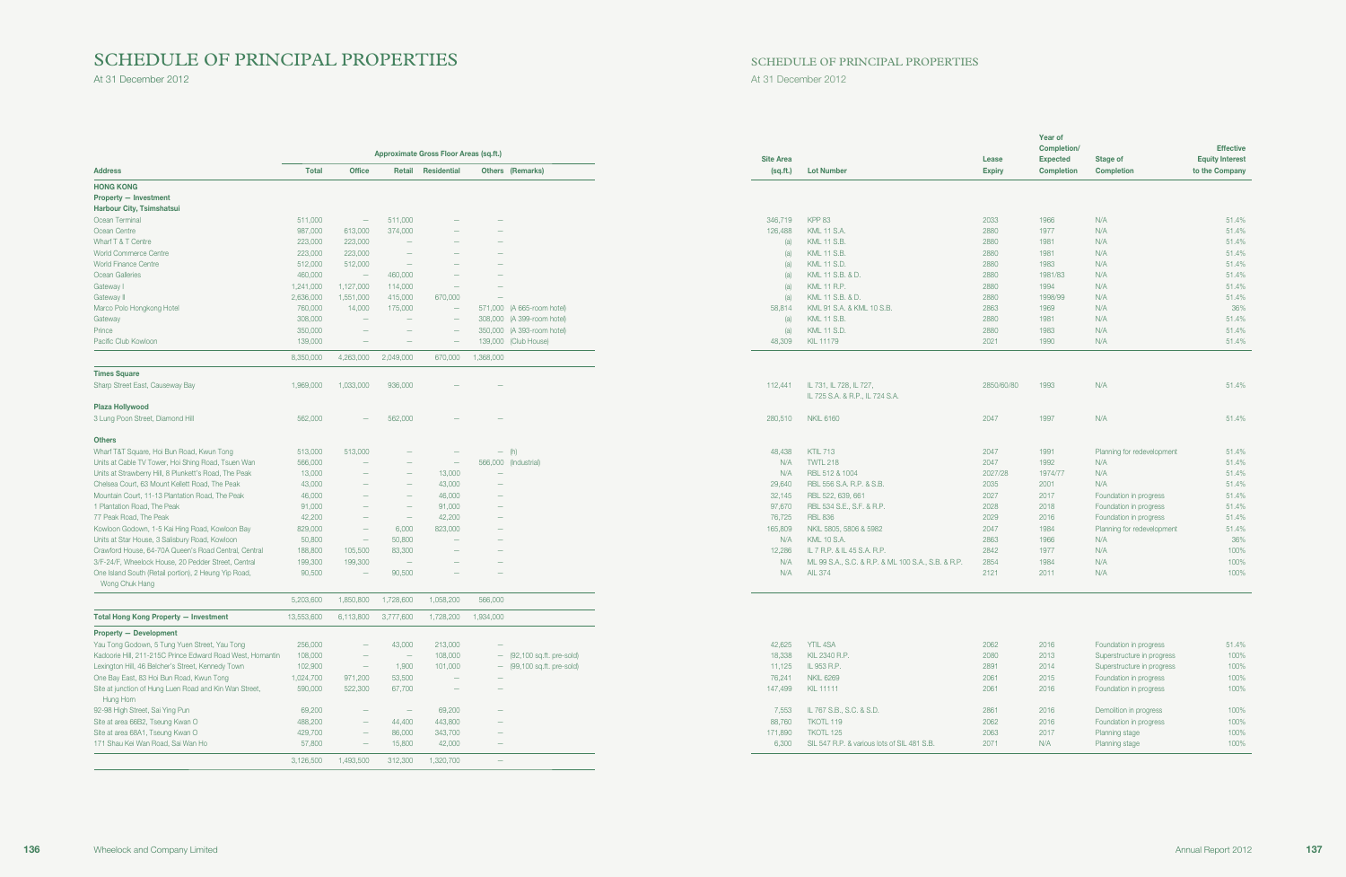# SCHEDULE OF PRINCIPAL PROPERTIES

At 31 December 2012 At 31 December 2012

| SCHEDULE OF PRINCIPAL PROPERTIES |  |  |
|----------------------------------|--|--|
|----------------------------------|--|--|

|                                                                        |              |                                 |                                 |                                        |                                 |                  |                                                            |               | <b>Year of</b><br>Completion/ |                            | <b>Effective</b>       |
|------------------------------------------------------------------------|--------------|---------------------------------|---------------------------------|----------------------------------------|---------------------------------|------------------|------------------------------------------------------------|---------------|-------------------------------|----------------------------|------------------------|
|                                                                        |              |                                 |                                 | Approximate Gross Floor Areas (sq.ft.) |                                 | <b>Site Area</b> |                                                            | Lease         | <b>Expected</b>               | Stage of                   | <b>Equity Interest</b> |
| <b>Address</b>                                                         | <b>Total</b> | <b>Office</b>                   |                                 | Retail Residential                     | Others (Remarks)                | (sq.fit.)        | <b>Lot Number</b>                                          | <b>Expiry</b> | <b>Completion</b>             | <b>Completion</b>          | to the Company         |
| <b>HONG KONG</b>                                                       |              |                                 |                                 |                                        |                                 |                  |                                                            |               |                               |                            |                        |
| <b>Property - Investment</b>                                           |              |                                 |                                 |                                        |                                 |                  |                                                            |               |                               |                            |                        |
| Harbour City, Tsimshatsui                                              |              |                                 |                                 |                                        |                                 |                  |                                                            |               |                               |                            |                        |
| Ocean Terminal                                                         | 511,000      | $\hspace{0.1mm}-\hspace{0.1mm}$ | 511,000                         |                                        |                                 | 346,719          | <b>KPP 83</b>                                              | 2033          | 1966                          | N/A                        | 51.4%                  |
| Ocean Centre                                                           | 987,000      | 613,000                         | 374,000                         |                                        |                                 | 126,488          | <b>KML 11 S.A.</b>                                         | 2880          | 1977                          | N/A                        | 51.4%                  |
| Wharf T & T Centre                                                     | 223,000      | 223,000                         | $\overline{\phantom{a}}$        |                                        |                                 | (a)              | <b>KML 11 S.B.</b>                                         | 2880          | 1981                          | N/A                        | 51.4%                  |
| World Commerce Centre                                                  | 223,000      | 223,000                         | $\hspace{0.1mm}-\hspace{0.1mm}$ |                                        |                                 | (a)              | <b>KML 11 S.B.</b>                                         | 2880          | 1981                          | N/A                        | 51.4%                  |
| <b>World Finance Centre</b>                                            | 512,000      | 512,000                         | $\hspace{0.1mm}$                |                                        |                                 | (a)              | <b>KML 11 S.D.</b>                                         | 2880          | 1983                          | N/A                        | 51.4%                  |
| Ocean Galleries                                                        | 460,000      | $\hspace{0.1mm}$                | 460,000                         |                                        |                                 | (a)              | KML 11 S.B. & D.                                           | 2880          | 1981/83                       | N/A                        | 51.4%                  |
| Gateway I                                                              | 1,241,000    | 1,127,000                       | 114,000                         | $\overline{\phantom{a}}$               |                                 | (a)              | <b>KML 11 R.P.</b>                                         | 2880          | 1994                          | N/A                        | 51.4%                  |
| Gateway II                                                             | 2,636,000    | 1,551,000                       | 415,000                         | 670,000                                |                                 | (a)              | KML 11 S.B. & D.                                           | 2880          | 1998/99                       | N/A                        | 51.4%                  |
| Marco Polo Hongkong Hotel                                              | 760,000      | 14,000                          | 175,000                         | $\overline{\phantom{a}}$               | 571,000 (A 665-room hotel)      | 58,814           | KML 91 S.A. & KML 10 S.B.                                  | 2863          | 1969                          | N/A                        | 36%                    |
| Gateway                                                                | 308,000      |                                 | $\overline{\phantom{a}}$        | $\overline{\phantom{a}}$               | 308,000 (A 399-room hotel)      | (a)              | <b>KML 11 S.B.</b>                                         | 2880          | 1981                          | N/A                        | 51.4%                  |
| Prince                                                                 | 350,000      | $\hspace{0.1mm}-\hspace{0.1mm}$ | $\hspace{0.1mm}-\hspace{0.1mm}$ | $\overline{\phantom{a}}$               | 350,000 (A 393-room hotel)      | (a)              | <b>KML 11 S.D.</b>                                         | 2880          | 1983                          | N/A                        | 51.4%                  |
| Pacific Club Kowloon                                                   | 139,000      |                                 |                                 |                                        | 139,000 (Club House)            | 48,309           | <b>KIL 11179</b>                                           | 2021          | 1990                          | N/A                        | 51.4%                  |
|                                                                        | 8,350,000    | 4,263,000                       | 2,049,000                       | 670,000                                | 1,368,000                       |                  |                                                            |               |                               |                            |                        |
| <b>Times Square</b>                                                    |              |                                 |                                 |                                        |                                 |                  |                                                            |               |                               |                            |                        |
| Sharp Street East, Causeway Bay                                        | 1,969,000    | 1,033,000                       | 936,000                         |                                        |                                 | 112,441          | IL 731, IL 728, IL 727,<br>IL 725 S.A. & R.P., IL 724 S.A. | 2850/60/80    | 1993                          | N/A                        | 51.4%                  |
| Plaza Hollywood                                                        |              |                                 |                                 |                                        |                                 |                  |                                                            |               |                               |                            |                        |
| 3 Lung Poon Street, Diamond Hill                                       | 562,000      | $\overline{\phantom{a}}$        | 562,000                         |                                        |                                 | 280,510          | <b>NKIL 6160</b>                                           | 2047          | 1997                          | N/A                        | 51.4%                  |
| <b>Others</b>                                                          |              |                                 |                                 |                                        |                                 |                  |                                                            |               |                               |                            |                        |
| Wharf T&T Square, Hoi Bun Road, Kwun Tong                              | 513,000      | 513,000                         | $\overline{\phantom{m}}$        |                                        | $-$ (h)                         | 48,438           | <b>KTIL 713</b>                                            | 2047          | 1991                          | Planning for redevelopment | 51.4%                  |
| Units at Cable TV Tower, Hoi Shing Road, Tsuen Wan                     | 566,000      | $\overline{\phantom{a}}$        | $\overline{\phantom{m}}$        | $\qquad \qquad -$                      | 566,000 (Industrial)            | N/A              | <b>TWTL 218</b>                                            | 2047          | 1992                          | N/A                        | 51.4%                  |
| Units at Strawberry Hill, 8 Plunkett's Road, The Peak                  | 13,000       | $\overline{\phantom{a}}$        | $\overline{\phantom{m}}$        | 13,000                                 | $\hspace{0.1mm}-\hspace{0.1mm}$ | N/A              | RBL 512 & 1004                                             | 2027/28       | 1974/77                       | N/A                        | 51.4%                  |
| Chelsea Court, 63 Mount Kellett Road, The Peak                         | 43,000       | $\hspace{0.1mm}-\hspace{0.1mm}$ | $\overline{\phantom{m}}$        | 43,000                                 | $\hspace{0.1mm}-\hspace{0.1mm}$ | 29,640           | RBL 556 S.A. R.P. & S.B.                                   | 2035          | 2001                          | N/A                        | 51.4%                  |
| Mountain Court, 11-13 Plantation Road, The Peak                        | 46,000       | $\overline{\phantom{m}}$        | $\overline{\phantom{a}}$        | 46,000                                 | $\hspace{0.1mm}-\hspace{0.1mm}$ | 32,145           | RBL 522, 639, 661                                          | 2027          | 2017                          | Foundation in progress     | 51.4%                  |
| 1 Plantation Road, The Peak                                            | 91,000       | $\hspace{0.1mm}-\hspace{0.1mm}$ | $\overline{\phantom{m}}$        | 91,000                                 | $\hspace{0.1mm}-\hspace{0.1mm}$ | 97,670           | RBL 534 S.E., S.F. & R.P.                                  | 2028          | 2018                          | Foundation in progress     | 51.4%                  |
| 77 Peak Road, The Peak                                                 | 42,200       | $\hspace{0.1mm}-\hspace{0.1mm}$ | $\hspace{0.1mm}$                | 42,200                                 | $\hspace{0.1mm}-\hspace{0.1mm}$ | 76,725           | <b>RBL 836</b>                                             | 2029          | 2016                          | Foundation in progress     | 51.4%                  |
| Kowloon Godown, 1-5 Kai Hing Road, Kowloon Bay                         | 829,000      | $\hspace{0.1mm}-\hspace{0.1mm}$ | 6,000                           | 823,000                                | $\hspace{0.1mm}-\hspace{0.1mm}$ | 165,809          | NKIL 5805, 5806 & 5982                                     | 2047          | 1984                          | Planning for redevelopment | 51.4%                  |
| Units at Star House, 3 Salisbury Road, Kowloon                         | 50,800       | $\overline{\phantom{a}}$        | 50,800                          | $\hspace{0.1mm}-\hspace{0.1mm}$        |                                 | N/A              | <b>KML 10 S.A.</b>                                         | 2863          | 1966                          | N/A                        | 36%                    |
| Crawford House, 64-70A Queen's Road Central, Central                   | 188,800      | 105,500                         | 83,300                          | $\qquad \qquad -$                      |                                 | 12,286           | IL 7 R.P. & IL 45 S.A. R.P.                                | 2842          | 1977                          | N/A                        | 100%                   |
| 3/F-24/F, Wheelock House, 20 Pedder Street, Central                    | 199,300      | 199,300                         | $\hspace{0.1mm}-\hspace{0.1mm}$ |                                        |                                 | N/A              | ML 99 S.A., S.C. & R.P. & ML 100 S.A., S.B. & R.P.         | 2854          | 1984                          | N/A                        | 100%                   |
| One Island South (Retail portion), 2 Heung Yip Road,<br>Wong Chuk Hang | 90,500       | $\overline{\phantom{a}}$        | 90,500                          |                                        |                                 | N/A              | <b>AIL 374</b>                                             | 2121          | 2011                          | N/A                        | 100%                   |
|                                                                        | 5,203,600    | 1,850,800                       | 1,728,600                       | 1,058,200                              | 566,000                         |                  |                                                            |               |                               |                            |                        |
| Total Hong Kong Property - Investment                                  | 13,553,600   | 6,113,800                       | 3,777,600                       | 1,728,200                              | 1,934,000                       |                  |                                                            |               |                               |                            |                        |
| <b>Property - Development</b>                                          |              |                                 |                                 |                                        |                                 |                  |                                                            |               |                               |                            |                        |
| Yau Tong Godown, 5 Tung Yuen Street, Yau Tong                          | 256,000      |                                 | 43,000                          | 213,000                                |                                 | 42,625           | YTIL 4SA                                                   | 2062          | 2016                          | Foundation in progress     | 51.4%                  |
| Kadoorie Hill, 211-215C Prince Edward Road West, Homantin              | 108,000      | $\hspace{0.1mm}-\hspace{0.1mm}$ | $\hspace{0.1mm}-\hspace{0.1mm}$ | 108,000                                | $-$ (92,100 sq.ft. pre-sold)    | 18,338           | KIL 2340 R.P.                                              | 2080          | 2013                          | Superstructure in progress | 100%                   |
| Lexington Hill, 46 Belcher's Street, Kennedy Town                      | 102,900      | $\hspace{0.1mm}-\hspace{0.1mm}$ | 1,900                           | 101,000                                | $-$ (99,100 sq.ft. pre-sold)    | 11,125           | IL 953 R.P.                                                | 2891          | 2014                          | Superstructure in progress | 100%                   |
| One Bay East, 83 Hoi Bun Road, Kwun Tong                               | 1,024,700    | 971,200                         | 53,500                          | $\hspace{0.1mm}-\hspace{0.1mm}$        |                                 | 76,241           | <b>NKIL 6269</b>                                           | 2061          | 2015                          | Foundation in progress     | 100%                   |
| Site at junction of Hung Luen Road and Kin Wan Street,<br>Hung Hom     | 590,000      | 522,300                         | 67,700                          | $\hspace{0.1mm}-\hspace{0.1mm}$        |                                 | 147,499          | KIL 11111                                                  | 2061          | 2016                          | Foundation in progress     | 100%                   |
| 92-98 High Street, Sai Ying Pun                                        | 69,200       | $\hspace{0.1mm}-\hspace{0.1mm}$ | $\hspace{0.1mm}-\hspace{0.1mm}$ | 69,200                                 |                                 | 7,553            | IL 767 S.B., S.C. & S.D.                                   | 2861          | 2016                          | Demolition in progress     | 100%                   |
| Site at area 66B2, Tseung Kwan O                                       | 488,200      | $\overline{\phantom{m}}$        | 44,400                          | 443,800                                | $\hspace{0.1mm}-\hspace{0.1mm}$ | 88,760           | TKOTL 119                                                  | 2062          | 2016                          | Foundation in progress     | 100%                   |
| Site at area 68A1, Tseung Kwan O                                       | 429,700      | $\hspace{0.1mm}-\hspace{0.1mm}$ | 86,000                          | 343,700                                | $\hspace{0.1mm}-\hspace{0.1mm}$ | 171,890          | TKOTL 125                                                  | 2063          | 2017                          | Planning stage             | 100%                   |
| 171 Shau Kei Wan Road, Sai Wan Ho                                      | 57,800       |                                 | 15,800                          | 42,000                                 | $\hspace{0.1mm}-\hspace{0.1mm}$ | 6,300            | SIL 547 R.P. & various lots of SIL 481 S.B.                | 2071          | N/A                           | Planning stage             | 100%                   |
|                                                                        | 3,126,500    | 1,493,500                       | 312,300                         | 1,320,700                              | $\sim$                          |                  |                                                            |               |                               |                            |                        |
|                                                                        |              |                                 |                                 |                                        |                                 |                  |                                                            |               |                               |                            |                        |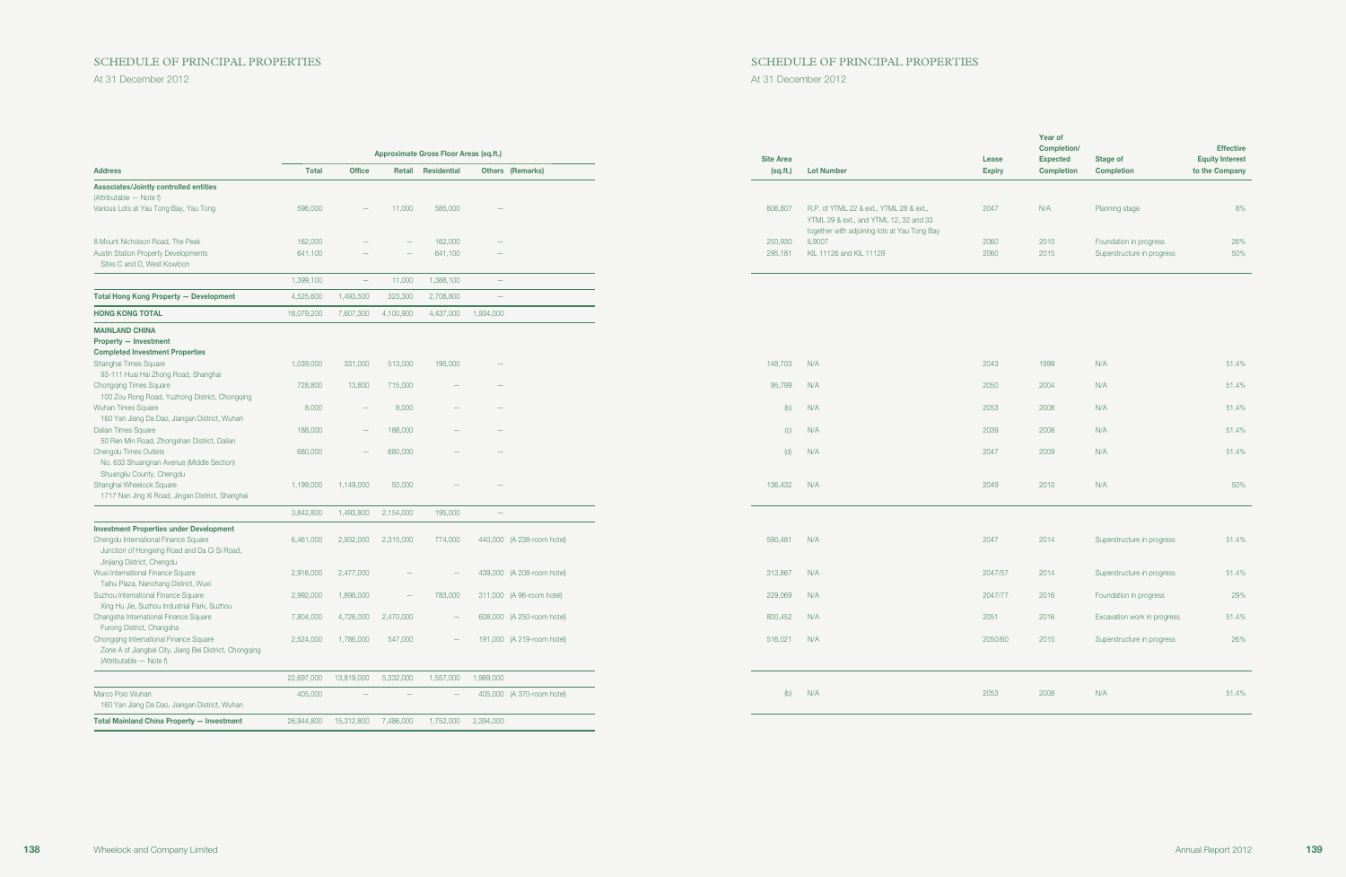### SCHEDULE OF PRINCIPAL PROPERTIES SCHEDULE OF PRINCIPAL PROPERTIES

|                                                                                                                             |              |                                   |                          | Approximate Gross Floor Areas (sq.ft.) |                          |                            | <b>Site Area</b> |                                                                                                                                   | Lease         | <b>Year of</b><br>Completion/<br><b>Expected</b> | <b>Stage of</b>             | <b>Effective</b><br><b>Equity Interest</b> |
|-----------------------------------------------------------------------------------------------------------------------------|--------------|-----------------------------------|--------------------------|----------------------------------------|--------------------------|----------------------------|------------------|-----------------------------------------------------------------------------------------------------------------------------------|---------------|--------------------------------------------------|-----------------------------|--------------------------------------------|
| <b>Address</b>                                                                                                              | <b>Total</b> | <b>Office</b>                     |                          | Retail Residential                     |                          | <b>Others (Remarks)</b>    | (sq.fit.)        | <b>Lot Number</b>                                                                                                                 | <b>Expiry</b> | Completion                                       | <b>Completion</b>           | to the Company                             |
| Associates/Jointly controlled entities<br>(Attributable - Note f)                                                           |              |                                   |                          |                                        |                          |                            |                  |                                                                                                                                   |               |                                                  |                             |                                            |
| Various Lots at Yau Tong Bay, Yau Tong                                                                                      | 596,000      | $\overline{\phantom{a}}$          | 11,000                   | 585,000                                | $\overline{\phantom{0}}$ |                            | 806,807          | R.P. of YTML 22 & ext., YTML 28 & ext.,<br>YTML 29 & ext., and YTML 12, 32 and 33<br>together with adjoining lots at Yau Tong Bay | 2047          | N/A                                              | Planning stage              | 8%                                         |
| 8 Mount Nicholson Road, The Peak                                                                                            | 162,000      |                                   |                          | 162,000                                | $\overline{\phantom{0}}$ |                            | 250,930          | <b>IL9007</b>                                                                                                                     | 2060          | 2015                                             | Foundation in progress      | 26%                                        |
| Austin Station Property Developments<br>Sites C and D. West Kowloon                                                         | 641,100      |                                   |                          | 641,100                                | $\overline{\phantom{m}}$ |                            | 295,181          | KIL 11126 and KIL 11129                                                                                                           | 2060          | 2015                                             | Superstructure in progress  | 50%                                        |
|                                                                                                                             | 1,399,100    | $\overline{\phantom{m}}$          | 11,000                   | 1,388,100                              | $\overline{\phantom{a}}$ |                            |                  |                                                                                                                                   |               |                                                  |                             |                                            |
| <b>Total Hong Kong Property - Development</b>                                                                               | 4,525,600    | 1,493,500                         | 323,300                  | 2,708,800                              | $\hspace{0.1mm}$         |                            |                  |                                                                                                                                   |               |                                                  |                             |                                            |
| <b>HONG KONG TOTAL</b>                                                                                                      | 18,079,200   | 7,607,300                         | 4,100,900                |                                        | 4,437,000 1,934,000      |                            |                  |                                                                                                                                   |               |                                                  |                             |                                            |
| <b>MAINLAND CHINA</b><br><b>Property - Investment</b>                                                                       |              |                                   |                          |                                        |                          |                            |                  |                                                                                                                                   |               |                                                  |                             |                                            |
| <b>Completed Investment Properties</b><br>Shanghai Times Square                                                             | 1,039,000    | 331,000                           | 513,000                  | 195,000                                | $\qquad \qquad$          |                            |                  | 148,703 N/A                                                                                                                       | 2043          | 1999                                             | N/A                         | 51.4%                                      |
| 93-111 Huai Hai Zhong Road, Shanghai                                                                                        |              |                                   |                          |                                        |                          |                            |                  |                                                                                                                                   |               |                                                  |                             |                                            |
| <b>Chongqing Times Square</b><br>100 Zou Rong Road, Yuzhong District, Chongqing                                             | 728,800      | 13,800                            | 715,000                  |                                        |                          |                            | 95,799           | N/A                                                                                                                               | 2050          | 2004                                             | N/A                         | 51.4%                                      |
| Wuhan Times Square                                                                                                          | 8,000        | $\qquad \qquad -$                 | 8,000                    |                                        |                          |                            |                  | $(b)$ $N/A$                                                                                                                       | 2053          | 2008                                             | N/A                         | 51.4%                                      |
| 160 Yan Jiang Da Dao, Jiangan District, Wuhan                                                                               |              |                                   |                          |                                        |                          |                            |                  |                                                                                                                                   |               |                                                  |                             |                                            |
| Dalian Times Square                                                                                                         | 188,000      |                                   | 188,000                  |                                        |                          |                            |                  | $(C)$ $N/A$                                                                                                                       | 2039          | 2008                                             | N/A                         | 51.4%                                      |
| 50 Ren Min Road, Zhongshan District, Dalian                                                                                 |              |                                   |                          |                                        |                          |                            |                  |                                                                                                                                   |               |                                                  |                             |                                            |
| Chengdu Times Outlets<br>No. 633 Shuangnan Avenue (Middle Section)                                                          | 680,000      | $\qquad \qquad -$                 | 680,000                  |                                        |                          |                            |                  | $(d)$ $N/A$                                                                                                                       | 2047          | 2009                                             | N/A                         | 51.4%                                      |
| Shuangliu County, Chengdu<br>Shanghai Wheelock Square<br>1717 Nan Jing Xi Road, Jingan District, Shanghai                   | 1,199,000    | 1,149,000                         | 50,000                   |                                        |                          |                            | 136,432          | N/A                                                                                                                               | 2049          | 2010                                             | N/A                         | 50%                                        |
|                                                                                                                             | 3,842,800    | 1,493,800                         | 2,154,000                | 195,000                                | $\overline{\phantom{a}}$ |                            |                  |                                                                                                                                   |               |                                                  |                             |                                            |
| <b>Investment Properties under Development</b>                                                                              |              |                                   |                          |                                        |                          |                            |                  |                                                                                                                                   |               |                                                  |                             |                                            |
| Chengdu International Finance Square<br>Junction of Hongxing Road and Da Ci Si Road,<br>Jinjiang District, Chengdu          | 6,461,000    | 2,932,000                         | 2,315,000                | 774,000                                |                          | 440,000 (A 238-room hotel) | 590,481          | N/A                                                                                                                               | 2047          | 2014                                             | Superstructure in progress  | 51.4%                                      |
| <b>Nuxi International Finance Square</b>                                                                                    | 2,916,000    | 2,477,000                         |                          |                                        |                          | 439,000 (A 208-room hotel) | 313,867          | N/A                                                                                                                               | 2047/57       | 2014                                             | Superstructure in progress  | 51.4%                                      |
| Taihu Plaza, Nanchang District, Wuxi                                                                                        |              |                                   |                          |                                        |                          |                            |                  |                                                                                                                                   |               |                                                  |                             |                                            |
| Suzhou International Finance Square                                                                                         | 2,992,000    | 1,898,000                         | $\overline{\phantom{m}}$ | 783,000                                |                          | 311,000 (A 96-room hotel)  | 229,069          | N/A                                                                                                                               | 2047/77       | 2016                                             | Foundation in progress      | 29%                                        |
| Xing Hu Jie, Suzhou Industrial Park, Suzhou<br>Changsha International Finance Square                                        | 7,804,000    | 4,726,000                         | 2,470,000                | $\overline{\phantom{m}}$               |                          | 608,000 (A 250-room hotel) | 800,452          | N/A                                                                                                                               | 2051          | 2016                                             | Excavation work in progress | 51.4%                                      |
| Furong District, Changsha                                                                                                   |              |                                   |                          |                                        |                          |                            |                  |                                                                                                                                   |               |                                                  |                             |                                            |
| Chongqing International Finance Square<br>Zone A of Jiangbei City, Jiang Bei District, Chongqing<br>(Attributable - Note f) |              | 2,524,000 1,786,000               | 547,000                  |                                        |                          | 191,000 (A 219-room hotel) |                  | 516,021 N/A                                                                                                                       | 2050/60       | 2015                                             | Superstructure in progress  | 26%                                        |
|                                                                                                                             | 22,697,000   | 13,819,000                        | 5,332,000                | 1,557,000                              | 1,989,000                |                            |                  |                                                                                                                                   |               |                                                  |                             |                                            |
| Marco Polo Wuhan<br>160 Yan Jiang Da Dao, Jiangan District, Wuhan                                                           | 405,000      |                                   |                          | $\overline{\phantom{m}}$               |                          | 405,000 (A 370-room hotel) |                  | $(b)$ $N/A$                                                                                                                       | 2053          | 2008                                             | N/A                         | 51.4%                                      |
| <b>Total Mainland China Property - Investment</b>                                                                           |              | 26,944,800  15,312,800  7,486,000 |                          |                                        | 1,752,000 2,394,000      |                            |                  |                                                                                                                                   |               |                                                  |                             |                                            |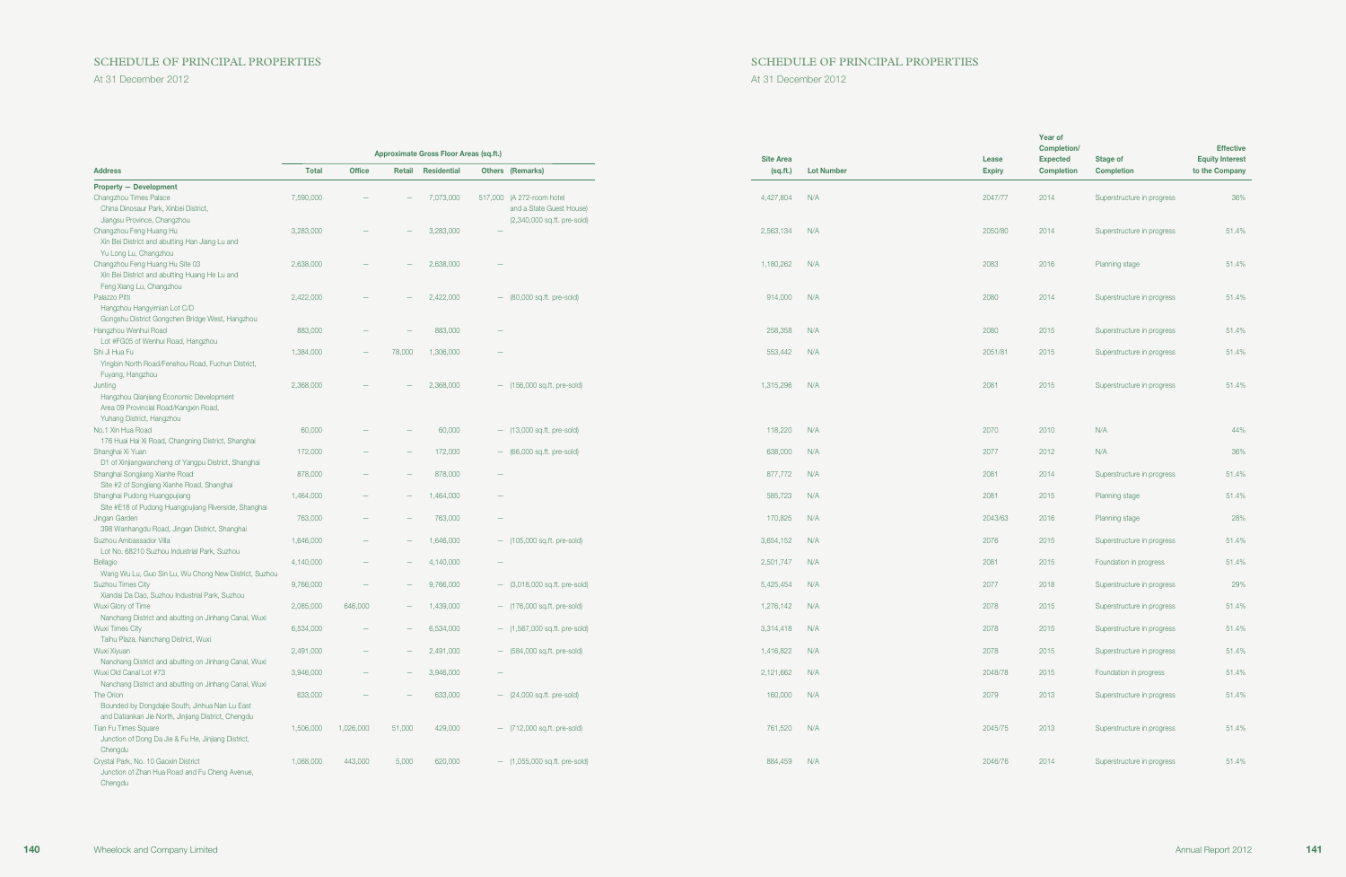### SCHEDULE OF PRINCIPAL PROPERTIES SCHEDULE OF PRINCIPAL PROPERTIES

| Approximate Gross Floor Areas (sq.ft.)                                                                                   |                        |                                 |                          | <b>Site Area</b>          |                                                                                      | Lease                          | Year of<br>Completion/<br><b>Expected</b> | Stage of      | <b>Effective</b><br><b>Equity Interest</b> |                                                          |                |
|--------------------------------------------------------------------------------------------------------------------------|------------------------|---------------------------------|--------------------------|---------------------------|--------------------------------------------------------------------------------------|--------------------------------|-------------------------------------------|---------------|--------------------------------------------|----------------------------------------------------------|----------------|
| <b>Address</b>                                                                                                           | <b>Total</b>           | <b>Office</b>                   | Retail                   | <b>Residential</b>        | Others (Remarks)                                                                     | (sq.fit.)                      | <b>Lot Number</b>                         | <b>Expiry</b> | <b>Completion</b>                          | <b>Completion</b>                                        | to the Company |
| <b>Property - Development</b>                                                                                            |                        |                                 |                          |                           |                                                                                      |                                |                                           |               |                                            |                                                          |                |
| Changzhou Times Palace<br>China Dinosaur Park, Xinbei District,<br>Jiangsu Province, Changzhou                           | 7,590,000              |                                 |                          | 7,073,000                 | 517,000 (A 272-room hotel<br>and a State Guest House)<br>(2,340,000 sq.ft. pre-sold) | 4,427,804                      | N/A                                       | 2047/77       | 2014                                       | Superstructure in progress                               | 36%            |
| Changzhou Feng Huang Hu<br>Xin Bei District and abutting Han Jiang Lu and<br>Yu Long Lu, Changzhou                       | 3,283,000              |                                 |                          | 3,283,000                 | $\overline{\phantom{a}}$                                                             | 2,563,134 N/A                  |                                           | 2050/80       | 2014                                       | Superstructure in progress                               | 51.4%          |
| Changzhou Feng Huang Hu Site 03<br>Xin Bei District and abutting Huang He Lu and<br>Feng Xiang Lu, Changzhou             | 2,638,000              |                                 |                          | 2,638,000                 | $\overline{\phantom{a}}$                                                             | 1,180,262                      | N/A                                       | 2083          | 2016                                       | <b>Planning stage</b>                                    | 51.4%          |
| Palazzo Pitti<br>Hangzhou Hangyimian Lot C/D<br>Gongshu District Gongchen Bridge West, Hangzhou                          | 2,422,000              |                                 |                          | 2,422,000                 | $-$ (80,000 sq.ft. pre-sold)                                                         | 914,000                        | N/A                                       | 2080          | 2014                                       | Superstructure in progress                               | 51.4%          |
| Hangzhou Wenhui Road<br>Lot #FG05 of Wenhui Road, Hangzhou                                                               | 883,000                |                                 |                          | 883,000                   | $\overline{\phantom{m}}$                                                             | 258,358                        | N/A                                       | 2080          | 2015                                       | Superstructure in progress                               | 51.4%          |
| Shi Ji Hua Fu<br>Yingbin North Road/Fenshou Road, Fuchun District,<br>Fuyang, Hangzhou                                   | 1,384,000              |                                 | 78,000                   | 1,306,000                 | $\hspace{0.1mm}-\hspace{0.1mm}$                                                      | 553,442                        | N/A                                       | 2051/81       | 2015                                       | Superstructure in progress                               | 51.4%          |
| Junting<br>Hangzhou Qianjiang Economic Development<br>Area 09 Provincial Road/Kangxin Road,<br>Yuhang District, Hangzhou | 2,368,000              |                                 |                          | 2,368,000                 | $-$ (156,000 sq.ft. pre-sold)                                                        | 1,315,296                      | N/A                                       | 2081          | 2015                                       | Superstructure in progress                               | 51.4%          |
| No.1 Xin Hua Road<br>176 Huai Hai Xi Road, Changning District, Shanghai                                                  | 60,000                 |                                 |                          | 60,000                    | $-$ (13,000 sq.ft. pre-sold)                                                         | 118,220                        | N/A                                       | 2070          | 2010                                       | N/A                                                      | 44%            |
| Shanghai Xi Yuan<br>D1 of Xinjiangwancheng of Yangpu District, Shanghai                                                  | 172,000                |                                 |                          | 172,000                   | $-$ (66,000 sq.ft. pre-sold)                                                         | 638,000                        | N/A                                       | 2077          | 2012                                       | N/A                                                      | 36%            |
| Shanghai Songjiang Xianhe Road<br>Site #2 of Songjiang Xianhe Road, Shanghai                                             | 878,000                | $\overline{\phantom{m}}$        |                          | 878,000                   | $\overline{\phantom{m}}$                                                             | 877,772 N/A                    |                                           | 2081          | 2014                                       | Superstructure in progress                               | 51.4%          |
| Shanghai Pudong Huangpujiang<br>Site #E18 of Pudong Huangpujiang Riverside, Shanghai                                     | 1,464,000              | $\qquad \qquad -$               |                          | 1,464,000                 | $ \,$                                                                                | 585,723                        | N/A                                       | 2081          | 2015                                       | <b>Planning stage</b>                                    | 51.4%          |
| Jingan Garden<br>398 Wanhangdu Road, Jingan District, Shanghai                                                           | 763,000                | $\hspace{0.1mm}-\hspace{0.1mm}$ |                          | 763,000                   | $\overline{\phantom{m}}$                                                             | 170,825                        | N/A                                       | 2043/63       | 2016                                       | Planning stage                                           | 28%            |
| Suzhou Ambassador Villa<br>Lot No. 68210 Suzhou Industrial Park, Suzhou                                                  | 1,646,000              | $\overline{\phantom{m}}$        |                          | 1,646,000                 | - (105,000 sq.ft. pre-sold)                                                          | 3,654,152 N/A                  |                                           | 2076          | 2015                                       | Superstructure in progress                               | 51.4%          |
| Bellagio<br>Wang Wu Lu, Guo Sin Lu, Wu Chong New District, Suzhou                                                        | 4,140,000              | $\qquad \qquad -$               | $\overline{\phantom{a}}$ | 4,140,000                 | $\overline{\phantom{m}}$                                                             | 2,501,747                      | N/A                                       | 2081          | 2015                                       | Foundation in progress                                   | 51.4%          |
| <b>Suzhou Times City</b><br>Xiandai Da Dao, Suzhou Industrial Park, Suzhou                                               | 9,766,000              | $\hspace{0.1mm}-\hspace{0.1mm}$ | $\overline{\phantom{m}}$ | 9,766,000                 | $ (3,018,000 \text{ sq.ft. pre-sold})$                                               | 5,425,454                      | N/A                                       | 2077          | 2018                                       | Superstructure in progress                               | 29%            |
| <b>Wuxi Glory of Time</b><br>Nanchang District and abutting on Jinhang Canal, Wuxi                                       | 2,085,000              | 646,000<br>$\sim$ $-$           | $ \,$                    | 1,439,000                 | $-$ (176,000 sq.ft. pre-sold)                                                        | 1,276,142 N/A                  |                                           | 2078<br>2078  | 2015<br>2015                               | Superstructure in progress                               | 51.4%<br>51.4% |
| Wuxi Times City<br>Taihu Plaza, Nanchang District, Wuxi<br>Wuxi Xiyuan                                                   | 6,534,000<br>2,491,000 |                                 |                          | $-6,534,000$<br>2,491,000 | - (1,567,000 sq.ft. pre-sold)<br>$-$ (584,000 sq.ft. pre-sold)                       | 3,314,418 N/A<br>1,416,822 N/A |                                           | 2078          | 2015                                       | Superstructure in progress<br>Superstructure in progress | 51.4%          |
| Nanchang District and abutting on Jinhang Canal, Wuxi<br>Wuxi Old Canal Lot #73                                          | 3,946,000              | $\qquad \qquad -$               |                          | 3,946,000                 | $\qquad \qquad -$                                                                    | 2,121,662 N/A                  |                                           | 2048/78       | 2015                                       | Foundation in progress                                   | 51.4%          |
| Nanchang District and abutting on Jinhang Canal, Wuxi<br>The Orion                                                       | 633,000                |                                 |                          | 633,000                   | $-$ (24,000 sq.ft. pre-sold)                                                         | 160,000                        | N/A                                       | 2079          | 2013                                       | Superstructure in progress                               | 51.4%          |
| Bounded by Dongdajie South, Jinhua Nan Lu East<br>and Datiankan Jie North, Jinjiang District, Chengdu                    |                        |                                 |                          |                           |                                                                                      |                                |                                           |               |                                            |                                                          |                |
| <b>Tian Fu Times Square</b><br>Junction of Dong Da Jie & Fu He, Jinjiang District,                                       | 1,506,000              | 1,026,000                       | 51,000                   | 429,000                   | $-$ (712,000 sq.ft. pre-sold)                                                        | 761,520 N/A                    |                                           | 2045/75       | 2013                                       | Superstructure in progress                               | 51.4%          |
| Chengdu<br>Crystal Park, No. 10 Gaoxin District<br>Junction of Zhan Hua Road and Fu Cheng Avenue,<br>Chengdu             | 1,068,000              | 443,000                         | 5,000                    | 620,000                   | $-$ (1,055,000 sq.ft. pre-sold)                                                      | 884,459 N/A                    |                                           | 2046/76       | 2014                                       | Superstructure in progress                               | 51.4%          |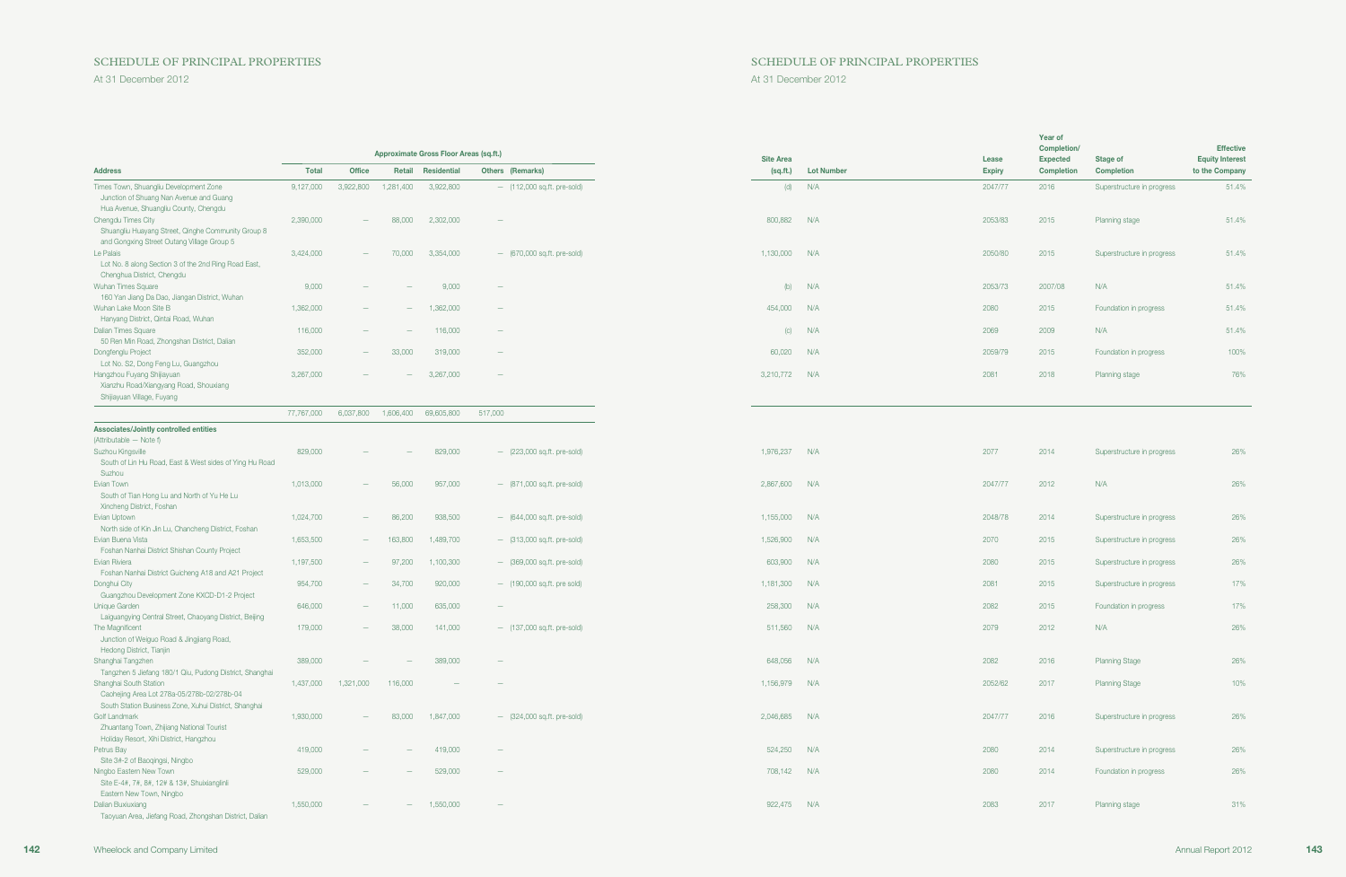# SCHEDULE OF PRINCIPAL PROPERTIES SCHEDULE OF PRINCIPAL PROPERTIES

|                                                                                                                               |                    |                          |                  | Approximate Gross Floor Areas (sq.ft.) |                                 | <b>Site Area</b> |                   | Lease         | Year of<br>Completion/<br><b>Expected</b> | Stage of                   |  |
|-------------------------------------------------------------------------------------------------------------------------------|--------------------|--------------------------|------------------|----------------------------------------|---------------------------------|------------------|-------------------|---------------|-------------------------------------------|----------------------------|--|
| <b>Address</b>                                                                                                                | <b>Total</b>       | <b>Office</b>            | Retail           | <b>Residential</b>                     | <b>Others (Remarks)</b>         | (sq.fit.)        | <b>Lot Number</b> | <b>Expiry</b> | <b>Completion</b>                         | <b>Completion</b>          |  |
| Times Town, Shuangliu Development Zone<br>Junction of Shuang Nan Avenue and Guang<br>Hua Avenue, Shuangliu County, Chengdu    | 9,127,000          | 3,922,800                | 1,281,400        | 3,922,800                              | $-$ (112,000 sq.ft. pre-sold)   | (d)              | N/A               | 2047/77       | 2016                                      | Superstructure in progress |  |
| Chengdu Times City<br>Shuangliu Huayang Street, Qinghe Community Group 8                                                      | 2,390,000          |                          | 88,000           | 2,302,000                              | $\hspace{0.1mm}-\hspace{0.1mm}$ | 800,882          | N/A               | 2053/83       | 2015                                      | <b>Planning stage</b>      |  |
| and Gongxing Street Outang Village Group 5<br>e Palais<br>Lot No. 8 along Section 3 of the 2nd Ring Road East,                | 3,424,000          |                          | 70,000           | 3,354,000                              | - (670,000 sq.ft. pre-sold)     | 1,130,000 N/A    |                   | 2050/80       | 2015                                      | Superstructure in progress |  |
| Chenghua District, Chengdu<br>Wuhan Times Square<br>160 Yan Jiang Da Dao, Jiangan District, Wuhan                             | 9,000              |                          |                  | 9,000                                  | $\hspace{0.1mm}-\hspace{0.1mm}$ |                  | $(h)$ $N/A$       | 2053/73       | 2007/08                                   | N/A                        |  |
| Wuhan Lake Moon Site B<br>Hanyang District, Qintai Road, Wuhan                                                                | 1,362,000          |                          |                  | 1,362,000                              | $\overline{\phantom{a}}$        | 454,000          | N/A               | 2080          | 2015                                      | Foundation in progress     |  |
| Dalian Times Square<br>50 Ren Min Road, Zhongshan District, Dalian                                                            | 116,000            | $\overline{\phantom{0}}$ |                  | 116,000                                | $\hspace{0.1mm}-\hspace{0.1mm}$ | (C)              | N/A               | 2069          | 2009                                      | N/A                        |  |
| Dongfenglu Project<br>Lot No. S2, Dong Feng Lu, Guangzhou                                                                     | 352,000            | $\qquad \qquad -$        | 33,000           | 319,000                                | $\hspace{0.1mm}$                | 60,020           | N/A               | 2059/79       | 2015                                      | Foundation in progress     |  |
| Hangzhou Fuyang Shijiayuan<br>Xianzhu Road/Xiangyang Road, Shouxiang<br>Shijiayuan Village, Fuyang                            | 3,267,000          |                          |                  | 3,267,000                              | $\hspace{0.1mm}-\hspace{0.1mm}$ | 3,210,772        | N/A               | 2081          | 2018                                      | <b>Planning stage</b>      |  |
|                                                                                                                               | 77,767,000         | 6,037,800                |                  | 1,606,400 69,605,800                   | 517,000                         |                  |                   |               |                                           |                            |  |
| Associates/Jointly controlled entities<br>(Attributable - Note f)                                                             |                    |                          |                  |                                        |                                 |                  |                   |               |                                           |                            |  |
| Suzhou Kingsville<br>South of Lin Hu Road, East & West sides of Ying Hu Road<br>Suzhou                                        | 829,000            |                          |                  | 829,000                                | $-$ (223,000 sq.ft. pre-sold)   | 1,976,237        | N/A               | 2077          | 2014                                      | Superstructure in progress |  |
| Evian Town<br>South of Tian Hong Lu and North of Yu He Lu<br>Xincheng District, Foshan                                        | 1,013,000          | $\qquad \qquad -$        | 56,000           | 957,000                                | $-$ (871,000 sq.ft. pre-sold)   | 2,867,600 N/A    |                   | 2047/77       | 2012                                      | N/A                        |  |
| <b>Evian Uptown</b><br>North side of Kin Jin Lu, Chancheng District, Foshan                                                   | 1,024,700          | $\qquad \qquad -$        | 86,200           | 938,500                                | $-$ (644,000 sq.ft. pre-sold)   | 1,155,000        | N/A               | 2048/78       | 2014                                      | Superstructure in progress |  |
| Evian Buena Vista<br>Foshan Nanhai District Shishan County Project                                                            | 1,653,500          | $\qquad \qquad -$        | 163,800          | 1,489,700                              | $-$ (313,000 sq.ft. pre-sold)   | 1,526,900        | N/A               | 2070          | 2015                                      | Superstructure in progress |  |
| Evian Riviera<br>Foshan Nanhai District Guicheng A18 and A21 Project                                                          | 1,197,500          | $\overline{\phantom{m}}$ | 97,200           | 1,100,300                              | $-$ (369,000 sq.ft. pre-sold)   | 603,900          | N/A               | 2080          | 2015                                      | Superstructure in progress |  |
| Donghui City<br>Guangzhou Development Zone KXCD-D1-2 Project                                                                  | 954,700            | $\overline{\phantom{a}}$ | 34,700           | 920,000                                | $-$ (190,000 sq.ft. pre sold)   | 1,181,300        | N/A               | 2081          | 2015                                      | Superstructure in progress |  |
| Unique Garden<br>Laiguangying Central Street, Chaoyang District, Beijing                                                      | 646,000<br>179,000 | -                        | 11,000<br>38,000 | 635,000<br>141,000                     | $\overline{\phantom{a}}$        | 258,300          | N/A<br>N/A        | 2082          | 2015                                      | Foundation in progress     |  |
| The Magnificent<br>Junction of Weiguo Road & Jingjiang Road,<br>Hedong District, Tianjin                                      |                    |                          |                  |                                        | - (137,000 sq.ft. pre-sold)     | 511,560          |                   | 2079          | 2012                                      | N/A                        |  |
| Shanghai Tangzhen<br>Tangzhen 5 Jiefang 180/1 Qiu, Pudong District, Shanghai                                                  | 389,000            |                          |                  | 389,000                                |                                 | 648,056 N/A      |                   | 2082          | 2016                                      | <b>Planning Stage</b>      |  |
| Shanghai South Station<br>Caohejing Area Lot 278a-05/278b-02/278b-04<br>South Station Business Zone, Xuhui District, Shanghai | 1,437,000          | 1,321,000                | 116,000          |                                        |                                 | 1,156,979        | N/A               | 2052/62       | 2017                                      | <b>Planning Stage</b>      |  |
| Golf Landmark<br>Zhuantang Town, Zhijiang National Tourist<br>Holiday Resort, Xihi District, Hangzhou                         | 1,930,000          |                          | 83,000           | 1,847,000                              | $-$ (324,000 sq.ft. pre-sold)   | 2,046,685 N/A    |                   | 2047/77       | 2016                                      | Superstructure in progress |  |
| Petrus Bay<br>Site 3#-2 of Baoqingsi, Ningbo                                                                                  | 419,000            |                          |                  | 419,000                                | $\hspace{0.1mm}-\hspace{0.1mm}$ | 524,250          | N/A               | 2080          | 2014                                      | Superstructure in progress |  |
| Ningbo Eastern New Town<br>Site E-4#, 7#, 8#, 12# & 13#, Shuixianglinli                                                       | 529,000            |                          |                  | 529,000                                | $\hspace{0.1mm}-\hspace{0.1mm}$ | 708,142          | N/A               | 2080          | 2014                                      | Foundation in progress     |  |
| Eastern New Town, Ningbo<br>Dalian Buxiuxiang<br>Taoyuan Area, Jiefang Road, Zhongshan District, Dalian                       | 1,550,000          |                          |                  | 1,550,000                              | $\hspace{0.1mm}-\hspace{0.1mm}$ | 922,475 N/A      |                   | 2083          | 2017                                      | Planning stage             |  |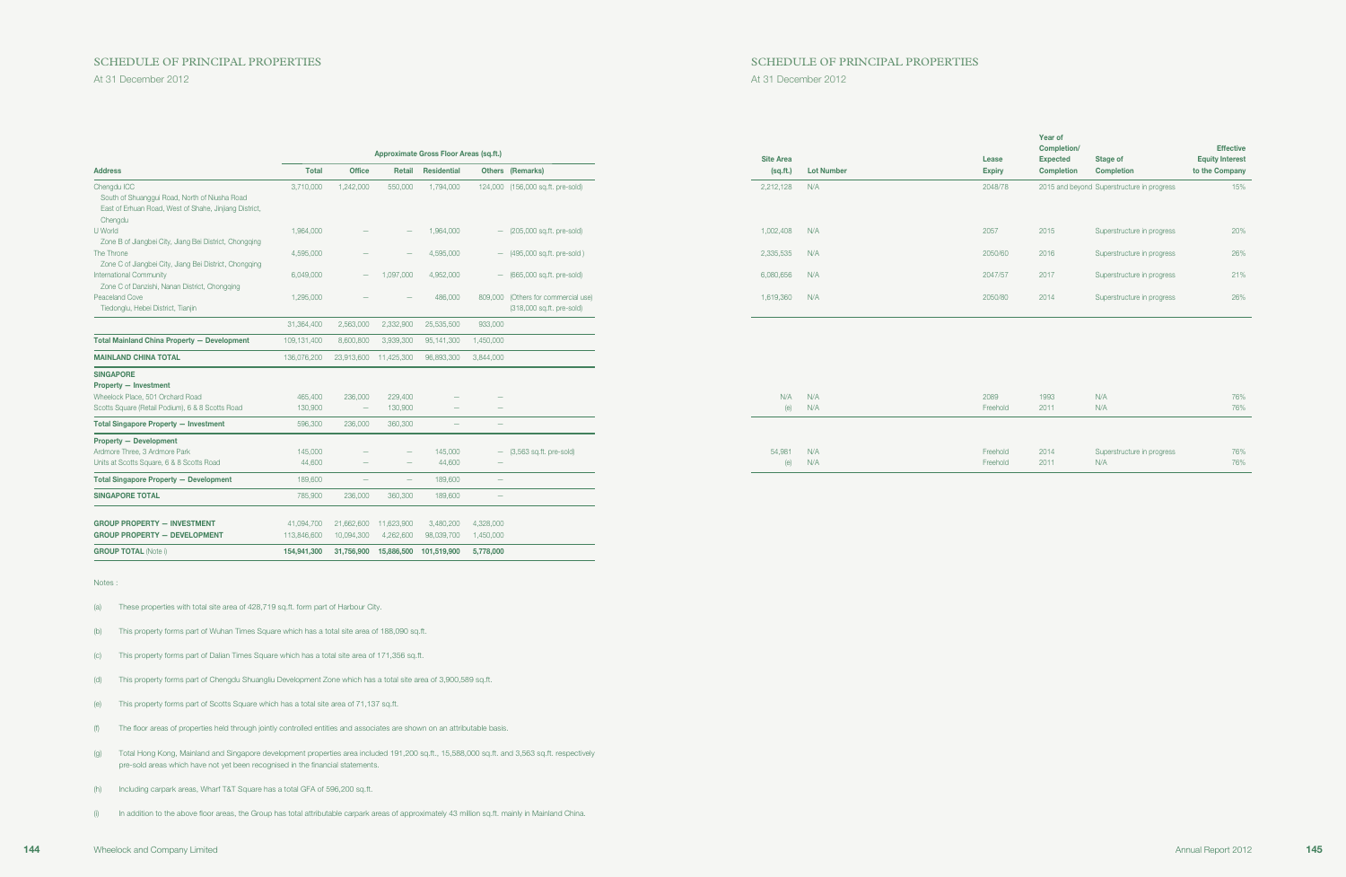### SCHEDULE OF PRINCIPAL PROPERTIES SCHEDULE OF PRINCIPAL PROPERTIES

GROUP PROPERTY — DEVELOPMENT 113,846,600 10,094,300 4,262,600 98,039,700 1,450,000 GROUP TOTAL (Note i) 154,941,300 31,756,900 15,886,500 101,519,900 5,778,000

|                                                                                                                                   |                   |                                               |                                 | Approximate Gross Floor Areas (sq.ft.) |                                                                  | <b>Site Area</b> |                   | Lease                | Year of<br>Completion/<br><b>Expected</b> | Stage of                                   | <b>Effective</b><br><b>Equity Interest</b> |
|-----------------------------------------------------------------------------------------------------------------------------------|-------------------|-----------------------------------------------|---------------------------------|----------------------------------------|------------------------------------------------------------------|------------------|-------------------|----------------------|-------------------------------------------|--------------------------------------------|--------------------------------------------|
| <b>Address</b>                                                                                                                    | <b>Total</b>      | Office                                        | Retail                          | Residential                            | Others (Remarks)                                                 | (sq.fit.)        | <b>Lot Number</b> | <b>Expiry</b>        | <b>Completion</b>                         | Completion                                 | to the Company                             |
| Chengdu ICC<br>South of Shuanggui Road, North of Niusha Road<br>East of Erhuan Road, West of Shahe, Jinjiang District,<br>Chengdu | 3,710,000         | 1,242,000                                     | 550,000                         | 1,794,000                              | 124,000 (156,000 sq.ft. pre-sold)                                | 2,212,128        | N/A               | 2048/78              |                                           | 2015 and beyond Superstructure in progress | 15%                                        |
| U World<br>Zone B of Jiangbei City, Jiang Bei District, Chongqing                                                                 | 1,964,000         | $\overline{\phantom{0}}$                      | $\qquad \qquad -$               | 1,964,000                              | $-$ (205,000 sq.ft. pre-sold)                                    | 1,002,408        | N/A               | 2057                 | 2015                                      | Superstructure in progress                 | 20%                                        |
| The Throne<br>Zone C of Jiangbei City, Jiang Bei District, Chongqing                                                              | 4,595,000         |                                               | $\overline{\phantom{a}}$        | 4,595,000                              | $-$ (495,000 sq.ft. pre-sold)                                    | 2,335,535        | N/A               | 2050/60              | 2016                                      | Superstructure in progress                 | 26%                                        |
| International Community<br>Zone C of Danzishi, Nanan District, Chongqing                                                          | 6,049,000         | $\overline{\phantom{0}}$                      | 1,097,000                       | 4,952,000                              | $-$ (665,000 sq.ft. pre-sold)                                    | 6,080,656        | N/A               | 2047/57              | 2017                                      | Superstructure in progress                 | 21%                                        |
| Peaceland Cove<br>Tiedonglu, Hebei District, Tianjin                                                                              | 1,295,000         |                                               |                                 | 486,000                                | 809,000 (Others for commercial use)<br>(318,000 sq.ft. pre-sold) | 1,619,360        | N/A               | 2050/80              | 2014                                      | Superstructure in progress                 | 26%                                        |
|                                                                                                                                   | 31,364,400        | 2,563,000                                     | 2.332.900                       | 25,535,500                             | 933,000                                                          |                  |                   |                      |                                           |                                            |                                            |
| <b>Total Mainland China Property - Development</b>                                                                                | 109,131,400       | 8,600,800                                     | 3,939,300                       | 95,141,300                             | 1,450,000                                                        |                  |                   |                      |                                           |                                            |                                            |
| <b>MAINLAND CHINA TOTAL</b>                                                                                                       | 136,076,200       | 23,913,600 11,425,300                         |                                 | 96,893,300                             | 3,844,000                                                        |                  |                   |                      |                                           |                                            |                                            |
| <b>SINGAPORE</b><br><b>Property - Investment</b><br>Wheelock Place, 501 Orchard Road                                              | 465,400           | 236,000                                       | 229,400                         |                                        |                                                                  | N/A              | N/A               | 2089                 | 1993                                      | N/A                                        | 76%                                        |
| Scotts Square (Retail Podium), 6 & 8 Scotts Road                                                                                  | 130,900           | $\overline{\phantom{a}}$                      | 130,900                         | $\overline{\phantom{a}}$               |                                                                  |                  | $(e)$ N/A         | Freehold             | 2011                                      | N/A                                        | 76%                                        |
| <b>Total Singapore Property - Investment</b>                                                                                      | 596,300           | 236,000                                       | 360,300                         | $\hspace{0.1mm}-\hspace{0.1mm}$        | $\overline{\phantom{a}}$                                         |                  |                   |                      |                                           |                                            |                                            |
| <b>Property - Development</b><br>Ardmore Three, 3 Ardmore Park<br>Units at Scotts Square, 6 & 8 Scotts Road                       | 145,000<br>44,600 | $\qquad \qquad -$<br>$\overline{\phantom{a}}$ | $\overline{\phantom{a}}$        | 145,000<br>44,600                      | $-$ (3,563 sq.ft. pre-sold)<br>$\overline{\phantom{m}}$          | 54,981<br>(e)    | N/A<br>N/A        | Freehold<br>Freehold | 2014<br>2011                              | Superstructure in progress<br>N/A          | 76%<br>76%                                 |
| <b>Total Singapore Property - Development</b>                                                                                     | 189,600           | $\overline{\phantom{a}}$                      | $\hspace{0.1mm}-\hspace{0.1mm}$ | 189,600                                | $\overline{\phantom{m}}$                                         |                  |                   |                      |                                           |                                            |                                            |
| <b>SINGAPORE TOTAL</b>                                                                                                            | 785,900           | 236,000                                       | 360,300                         | 189,600                                | $\overline{\phantom{a}}$                                         |                  |                   |                      |                                           |                                            |                                            |
| <b>GROUP PROPERTY - INVESTMENT</b>                                                                                                | 41,094,700        | 21,662,600                                    | 11.623.900                      | 3,480,200                              | 4,328,000                                                        |                  |                   |                      |                                           |                                            |                                            |

Notes :

(a) These properties with total site area of 428,719 sq.ft. form part of Harbour City.

(b) This property forms part of Wuhan Times Square which has a total site area of 188,090 sq.ft.

(c) This property forms part of Dalian Times Square which has a total site area of 171,356 sq.ft.

(d) This property forms part of Chengdu Shuangliu Development Zone which has a total site area of 3,900,589 sq.ft.

(e) This property forms part of Scotts Square which has a total site area of 71,137 sq.ft.

(f) The floor areas of properties held through jointly controlled entities and associates are shown on an attributable basis.

(g) Total Hong Kong, Mainland and Singapore development properties area included 191,200 sq.ft., 15,588,000 sq.ft. and 3,563 sq.ft. respectively pre-sold areas which have not yet been recognised in the financial statements.

(h) Including carpark areas, Wharf T&T Square has a total GFA of 596,200 sq.ft.

(i) In addition to the above floor areas, the Group has total attributable carpark areas of approximately 43 million sq.ft. mainly in Mainland China.